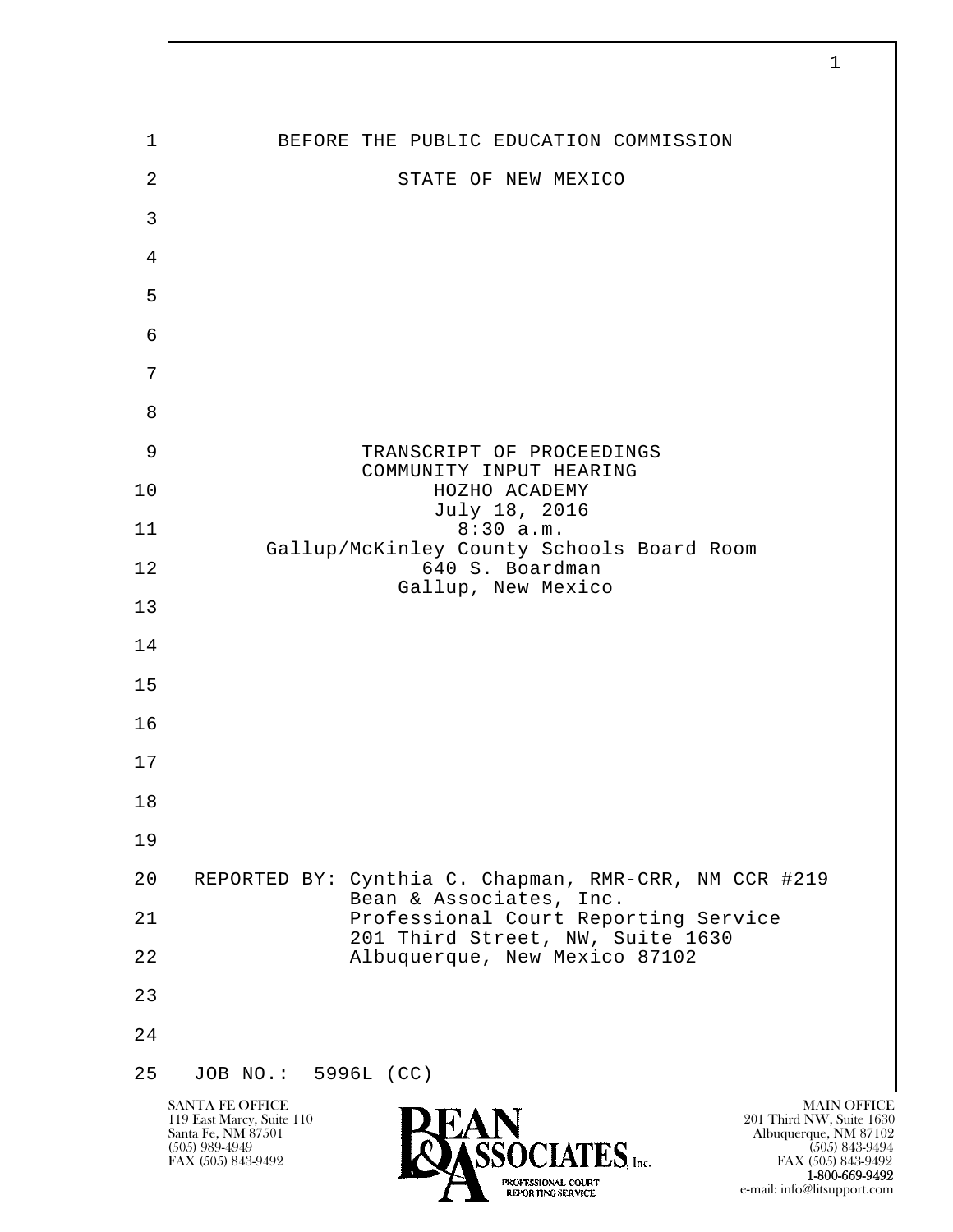| 1              | BEFORE THE PUBLIC EDUCATION COMMISSION                                           |
|----------------|----------------------------------------------------------------------------------|
| $\overline{2}$ | STATE OF NEW MEXICO                                                              |
| 3              |                                                                                  |
| 4              |                                                                                  |
| 5              |                                                                                  |
| 6              |                                                                                  |
| 7              |                                                                                  |
| 8              |                                                                                  |
| 9              | TRANSCRIPT OF PROCEEDINGS<br>COMMUNITY INPUT HEARING                             |
| 10             | HOZHO ACADEMY<br>July 18, 2016                                                   |
| 11             | 8:30 a.m.<br>Gallup/McKinley County Schools Board Room                           |
| 12             | 640 S. Boardman<br>Gallup, New Mexico                                            |
| 13             |                                                                                  |
| 14             |                                                                                  |
| 15             |                                                                                  |
| 16             |                                                                                  |
| $17$           |                                                                                  |
| 18             |                                                                                  |
| 19             |                                                                                  |
| 20             | REPORTED BY: Cynthia C. Chapman, RMR-CRR, NM CCR #219<br>Bean & Associates, Inc. |
| 21             | Professional Court Reporting Service<br>201 Third Street, NW, Suite 1630         |
| 22             | Albuquerque, New Mexico 87102                                                    |
| 23             |                                                                                  |
| 24             |                                                                                  |
| 25             | JOB NO.: 5996L (CC)                                                              |

 $\overline{\phantom{a}}$ 

**1-800-669-9492**<br> **EXALTERIONAL CN BT** e-mail: info@litsupport.com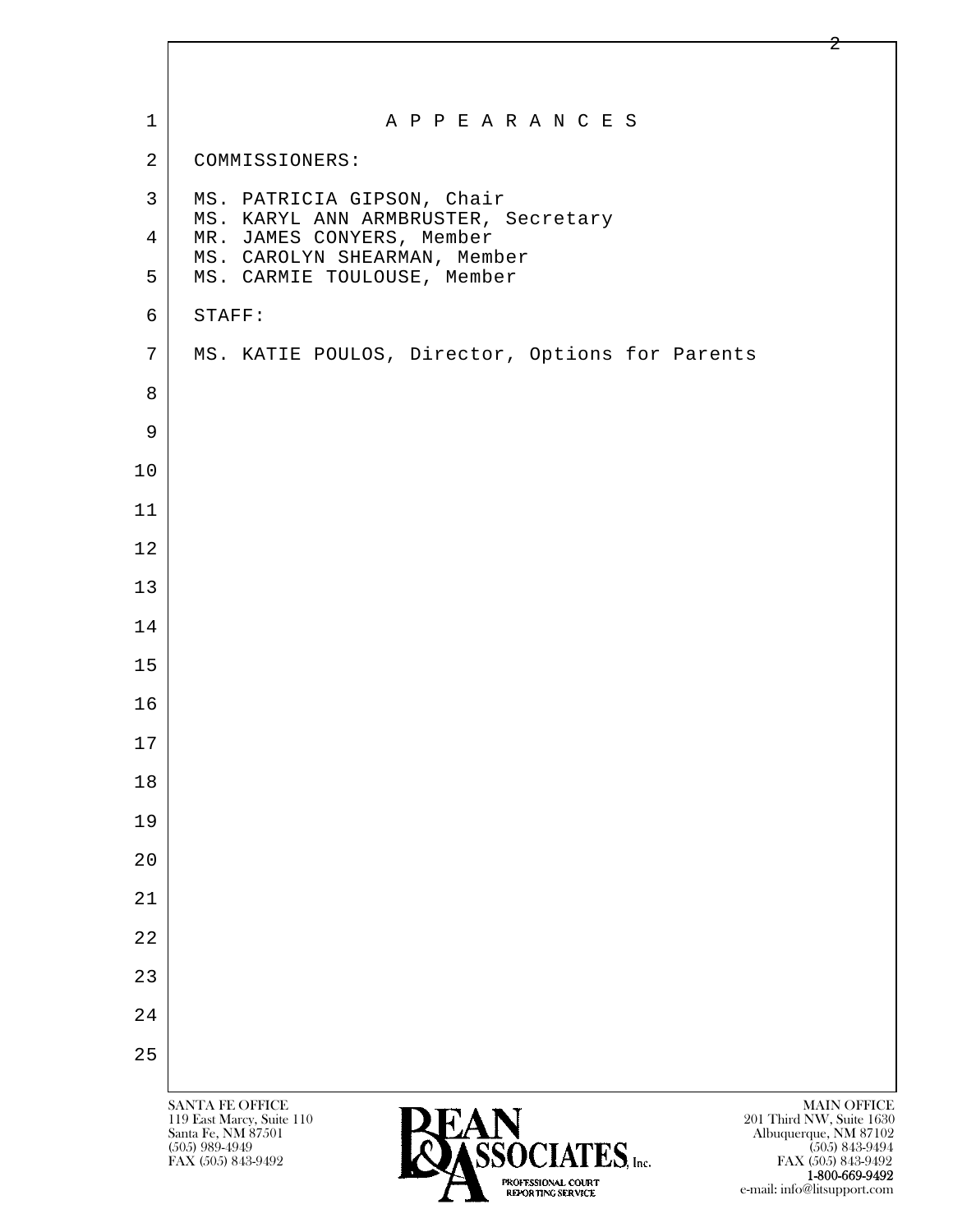| $\mathbf 1$    | A P P E A R A N C E S                                                                                                                                   |
|----------------|---------------------------------------------------------------------------------------------------------------------------------------------------------|
| $\overline{2}$ | COMMISSIONERS:                                                                                                                                          |
| $\mathsf{3}$   | MS. PATRICIA GIPSON, Chair                                                                                                                              |
| 4              | MS. KARYL ANN ARMBRUSTER, Secretary<br>MR. JAMES CONYERS, Member                                                                                        |
| 5              | MS. CAROLYN SHEARMAN, Member<br>MS. CARMIE TOULOUSE, Member                                                                                             |
| 6              | STAFF:                                                                                                                                                  |
| 7              | MS. KATIE POULOS, Director, Options for Parents                                                                                                         |
| 8              |                                                                                                                                                         |
| 9              |                                                                                                                                                         |
| 10             |                                                                                                                                                         |
| 11             |                                                                                                                                                         |
| 12             |                                                                                                                                                         |
| 13             |                                                                                                                                                         |
| 14             |                                                                                                                                                         |
| 15             |                                                                                                                                                         |
| 16             |                                                                                                                                                         |
| 17             |                                                                                                                                                         |
| 18             |                                                                                                                                                         |
| 19             |                                                                                                                                                         |
| 20             |                                                                                                                                                         |
| 21             |                                                                                                                                                         |
| 22             |                                                                                                                                                         |
| 23             |                                                                                                                                                         |
| 24             |                                                                                                                                                         |
| 25             |                                                                                                                                                         |
|                | <b>MAIN OFFICE</b><br>SANTA FE OFFICE                                                                                                                   |
|                | 201 Third NW, Suite 1630<br>119 East Marcy, Suite 110<br>Albuquerque, NM 87102<br>(505) 843-9494<br>Santa Fe, NM 87501<br>CCACIATEC<br>$(505)$ 989-4949 |

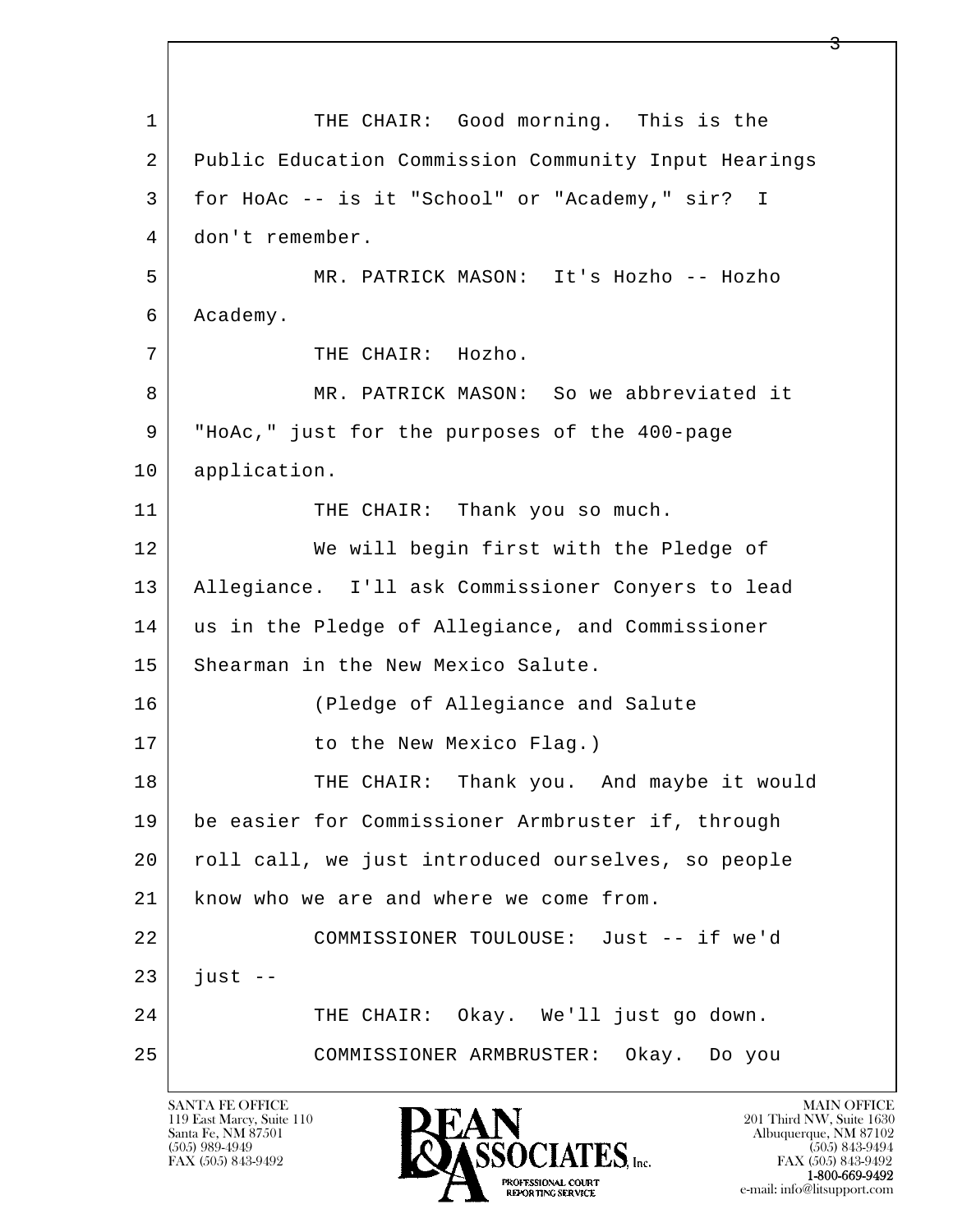l  $\overline{\phantom{a}}$ 1 THE CHAIR: Good morning. This is the 2 Public Education Commission Community Input Hearings 3 for HoAc -- is it "School" or "Academy," sir? I 4 don't remember. 5 MR. PATRICK MASON: It's Hozho -- Hozho 6 Academy. 7 | THE CHAIR: Hozho. 8 MR. PATRICK MASON: So we abbreviated it 9 "HoAc," just for the purposes of the 400-page 10 application. 11 THE CHAIR: Thank you so much. 12 We will begin first with the Pledge of 13 Allegiance. I'll ask Commissioner Conyers to lead 14 us in the Pledge of Allegiance, and Commissioner 15 Shearman in the New Mexico Salute. 16 (Pledge of Allegiance and Salute 17 to the New Mexico Flag.) 18 THE CHAIR: Thank you. And maybe it would 19 be easier for Commissioner Armbruster if, through 20 roll call, we just introduced ourselves, so people 21 know who we are and where we come from. 22 COMMISSIONER TOULOUSE: Just -- if we'd  $23$  just  $-$ 24 THE CHAIR: Okay. We'll just go down. 25 COMMISSIONER ARMBRUSTER: Okay. Do you

119 East Marcy, Suite 110<br>Santa Fe, NM 87501

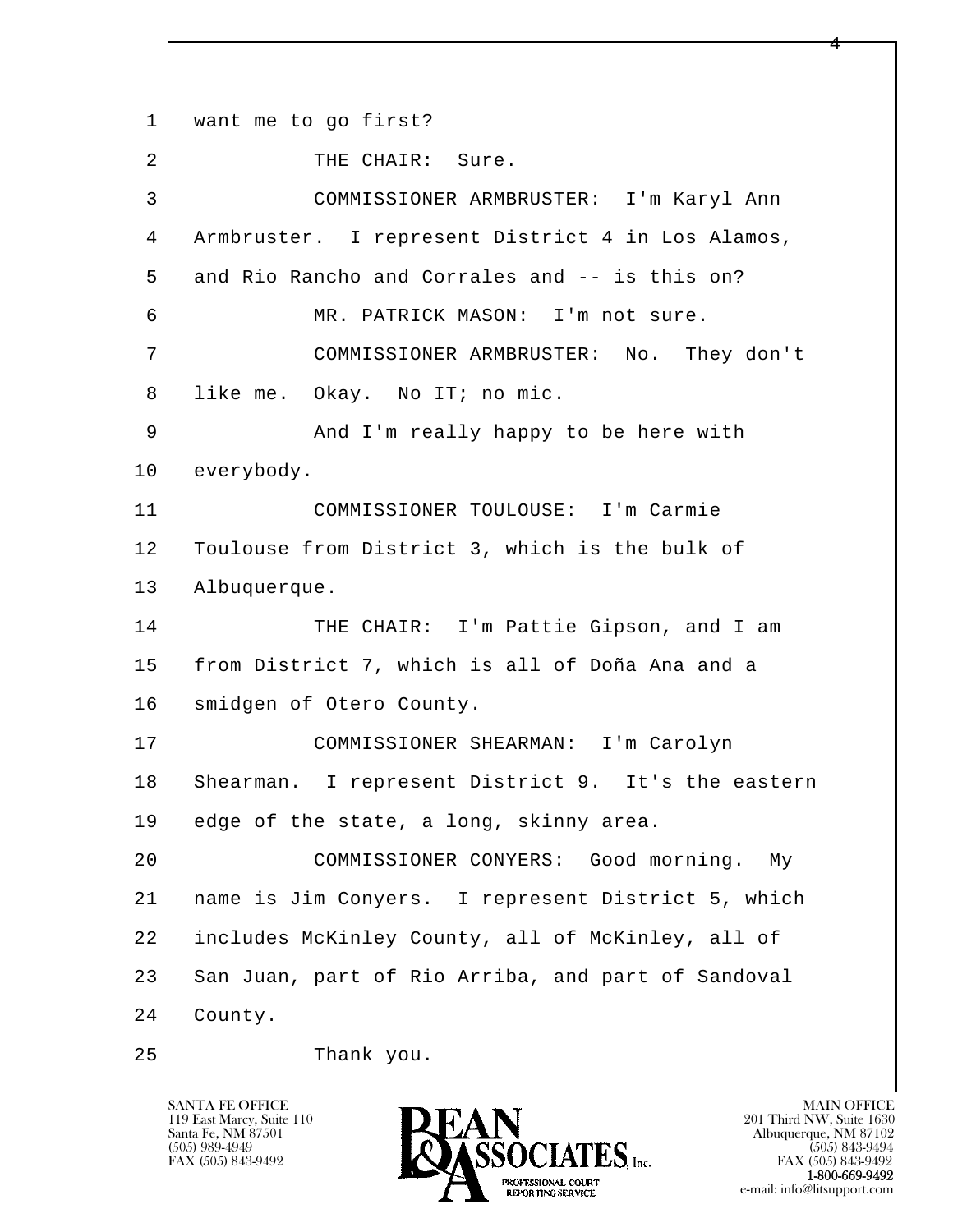l  $\overline{\phantom{a}}$ 1 | want me to go first? 2 THE CHAIR: Sure. 3 COMMISSIONER ARMBRUSTER: I'm Karyl Ann 4 Armbruster. I represent District 4 in Los Alamos, 5 and Rio Rancho and Corrales and -- is this on? 6 MR. PATRICK MASON: I'm not sure. 7 COMMISSIONER ARMBRUSTER: No. They don't 8 like me. Okay. No IT; no mic. 9 And I'm really happy to be here with 10 everybody. 11 COMMISSIONER TOULOUSE: I'm Carmie 12 Toulouse from District 3, which is the bulk of 13 Albuquerque. 14 THE CHAIR: I'm Pattie Gipson, and I am 15 from District 7, which is all of Doña Ana and a 16 | smidgen of Otero County. 17 COMMISSIONER SHEARMAN: I'm Carolyn 18 Shearman. I represent District 9. It's the eastern 19 edge of the state, a long, skinny area. 20 COMMISSIONER CONYERS: Good morning. My 21 name is Jim Conyers. I represent District 5, which 22 includes McKinley County, all of McKinley, all of 23 San Juan, part of Rio Arriba, and part of Sandoval 24 County. 25 Thank you.

119 East Marcy, Suite 110<br>Santa Fe, NM 87501

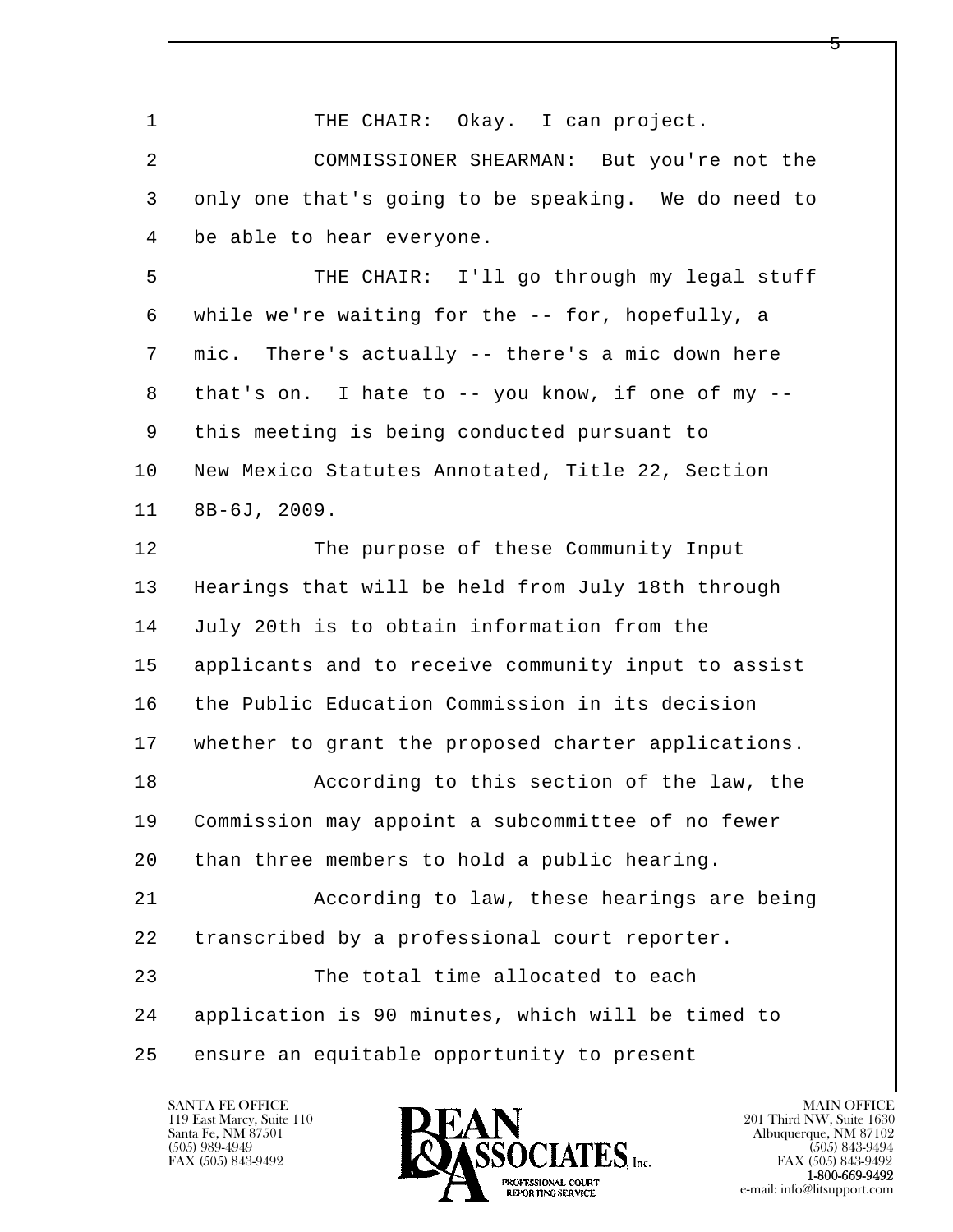| $\mathbf 1$ | THE CHAIR: Okay. I can project.                         |
|-------------|---------------------------------------------------------|
| 2           | COMMISSIONER SHEARMAN: But you're not the               |
| 3           | only one that's going to be speaking. We do need to     |
| 4           | be able to hear everyone.                               |
| 5           | THE CHAIR: I'll go through my legal stuff               |
| 6           | while we're waiting for the -- for, hopefully, a        |
| 7           | mic. There's actually -- there's a mic down here        |
| 8           | that's on. I hate to $-$ - you know, if one of my $-$ - |
| 9           | this meeting is being conducted pursuant to             |
| 10          | New Mexico Statutes Annotated, Title 22, Section        |
| 11          | $8B-6J, 2009.$                                          |
| 12          | The purpose of these Community Input                    |
| 13          | Hearings that will be held from July 18th through       |
| 14          | July 20th is to obtain information from the             |
| 15          | applicants and to receive community input to assist     |
| 16          | the Public Education Commission in its decision         |
| 17          | whether to grant the proposed charter applications.     |
| 18          | According to this section of the law, the               |
| 19          | Commission may appoint a subcommittee of no fewer       |
| 20          | than three members to hold a public hearing.            |
| 21          | According to law, these hearings are being              |
| 22          | transcribed by a professional court reporter.           |
| 23          | The total time allocated to each                        |
| 24          | application is 90 minutes, which will be timed to       |
| 25          | ensure an equitable opportunity to present              |

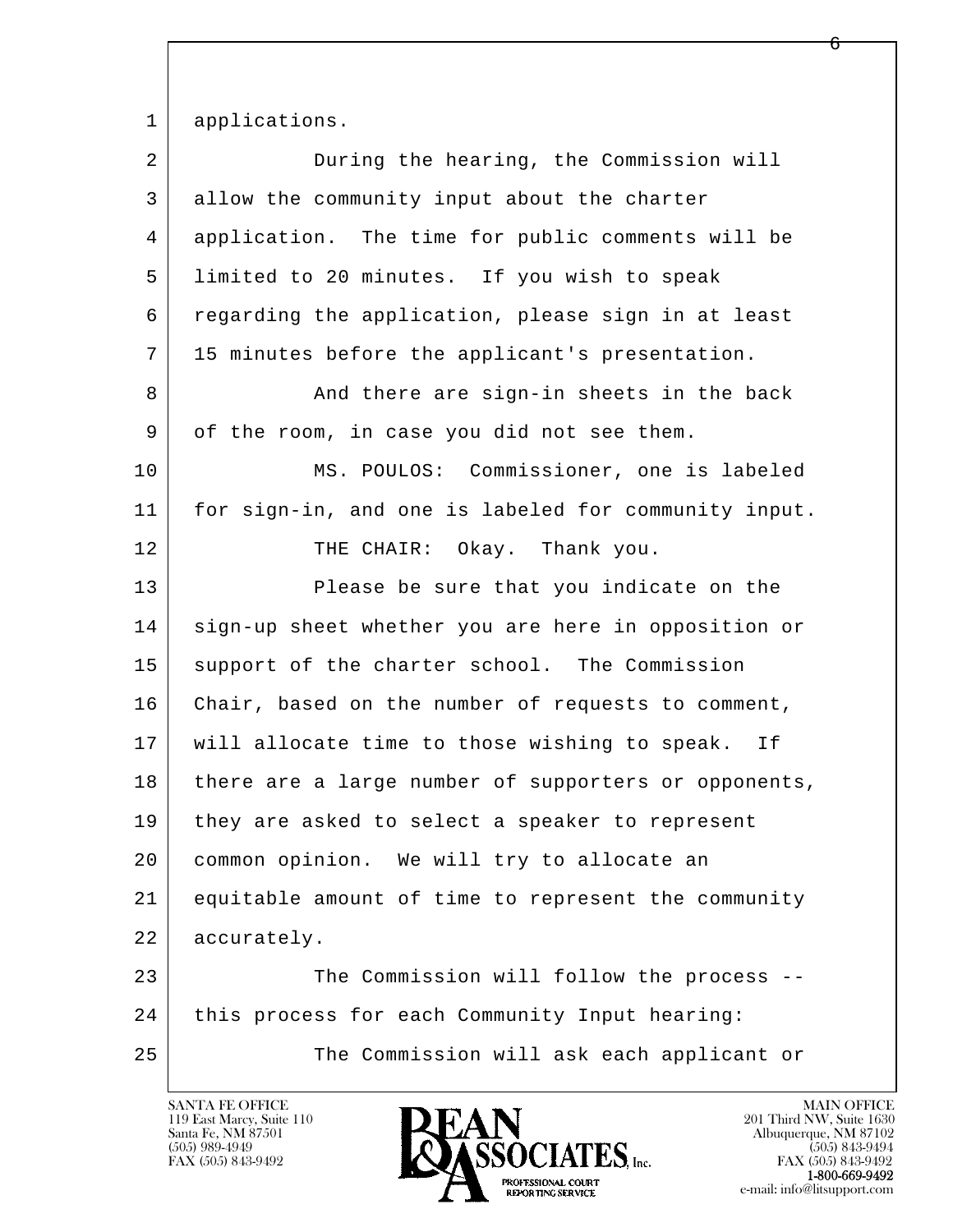1 applications.

| $\overline{2}$ | During the hearing, the Commission will              |
|----------------|------------------------------------------------------|
| 3              | allow the community input about the charter          |
| 4              | application. The time for public comments will be    |
| 5              | limited to 20 minutes. If you wish to speak          |
| 6              | regarding the application, please sign in at least   |
| 7              | 15 minutes before the applicant's presentation.      |
| 8              | And there are sign-in sheets in the back             |
| 9              | of the room, in case you did not see them.           |
| 10             | MS. POULOS: Commissioner, one is labeled             |
| 11             | for sign-in, and one is labeled for community input. |
| 12             | THE CHAIR: Okay. Thank you.                          |
| 13             | Please be sure that you indicate on the              |
| 14             | sign-up sheet whether you are here in opposition or  |
| 15             | support of the charter school. The Commission        |
| 16             | Chair, based on the number of requests to comment,   |
| 17             | will allocate time to those wishing to speak. If     |
| 18             | there are a large number of supporters or opponents, |
| 19             | they are asked to select a speaker to represent      |
| 20             | common opinion. We will try to allocate an           |
| 21             | equitable amount of time to represent the community  |
| 22             | accurately.                                          |
| 23             | The Commission will follow the process --            |
| 24             | this process for each Community Input hearing:       |
| 25             | The Commission will ask each applicant or            |

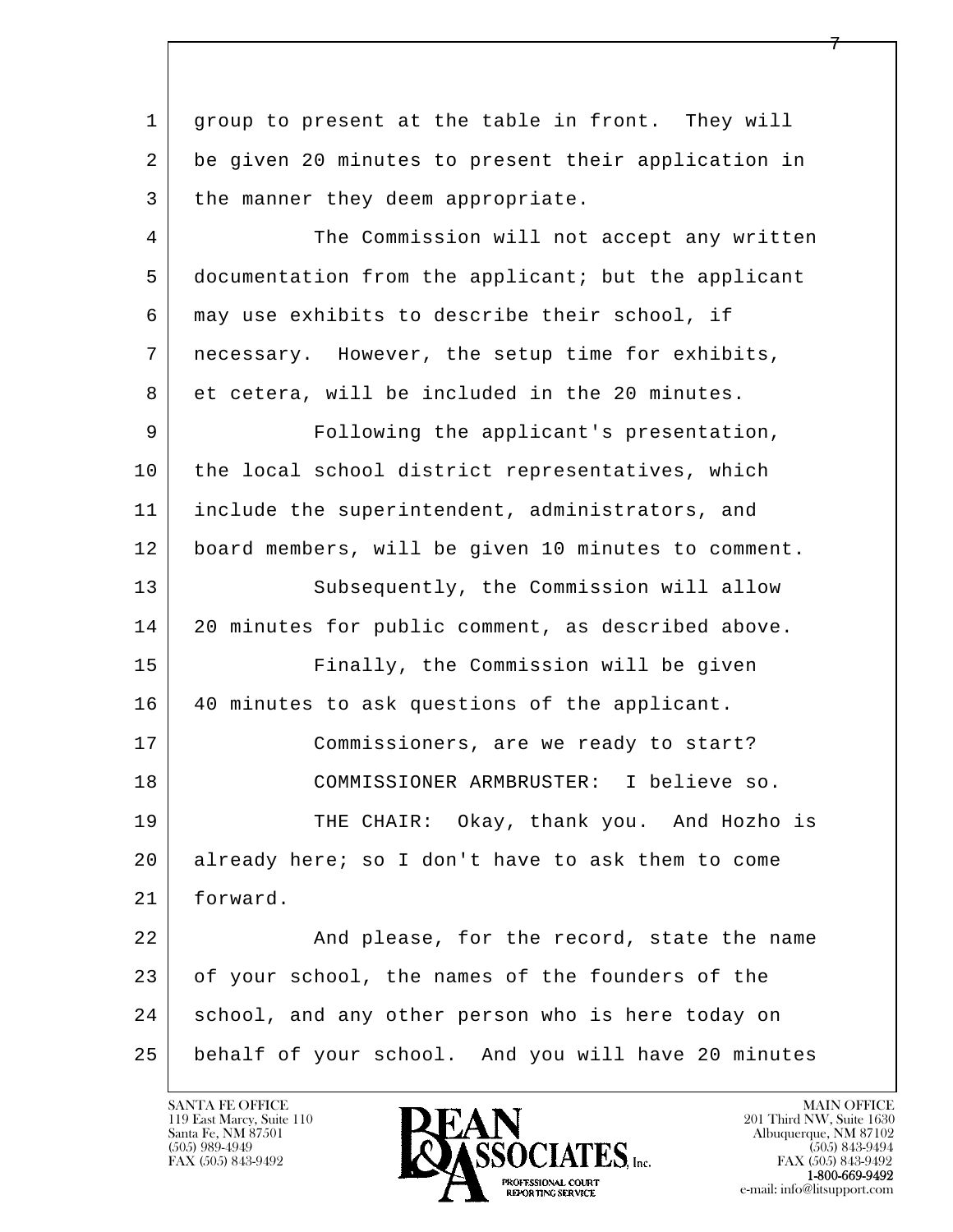l  $\overline{\phantom{a}}$  1 group to present at the table in front. They will 2 be given 20 minutes to present their application in 3 | the manner they deem appropriate. 4 The Commission will not accept any written 5 documentation from the applicant; but the applicant 6 may use exhibits to describe their school, if 7 necessary. However, the setup time for exhibits, 8 et cetera, will be included in the 20 minutes. 9 Following the applicant's presentation, 10 the local school district representatives, which 11 include the superintendent, administrators, and 12 board members, will be given 10 minutes to comment. 13 Subsequently, the Commission will allow 14 20 minutes for public comment, as described above. 15 Finally, the Commission will be given 16 40 minutes to ask questions of the applicant. 17 Commissioners, are we ready to start? 18 COMMISSIONER ARMBRUSTER: I believe so. 19 THE CHAIR: Okay, thank you. And Hozho is 20 already here; so I don't have to ask them to come 21 forward. 22 And please, for the record, state the name 23 of your school, the names of the founders of the 24 school, and any other person who is here today on 25 behalf of your school. And you will have 20 minutes

119 East Marcy, Suite 110<br>Santa Fe, NM 87501

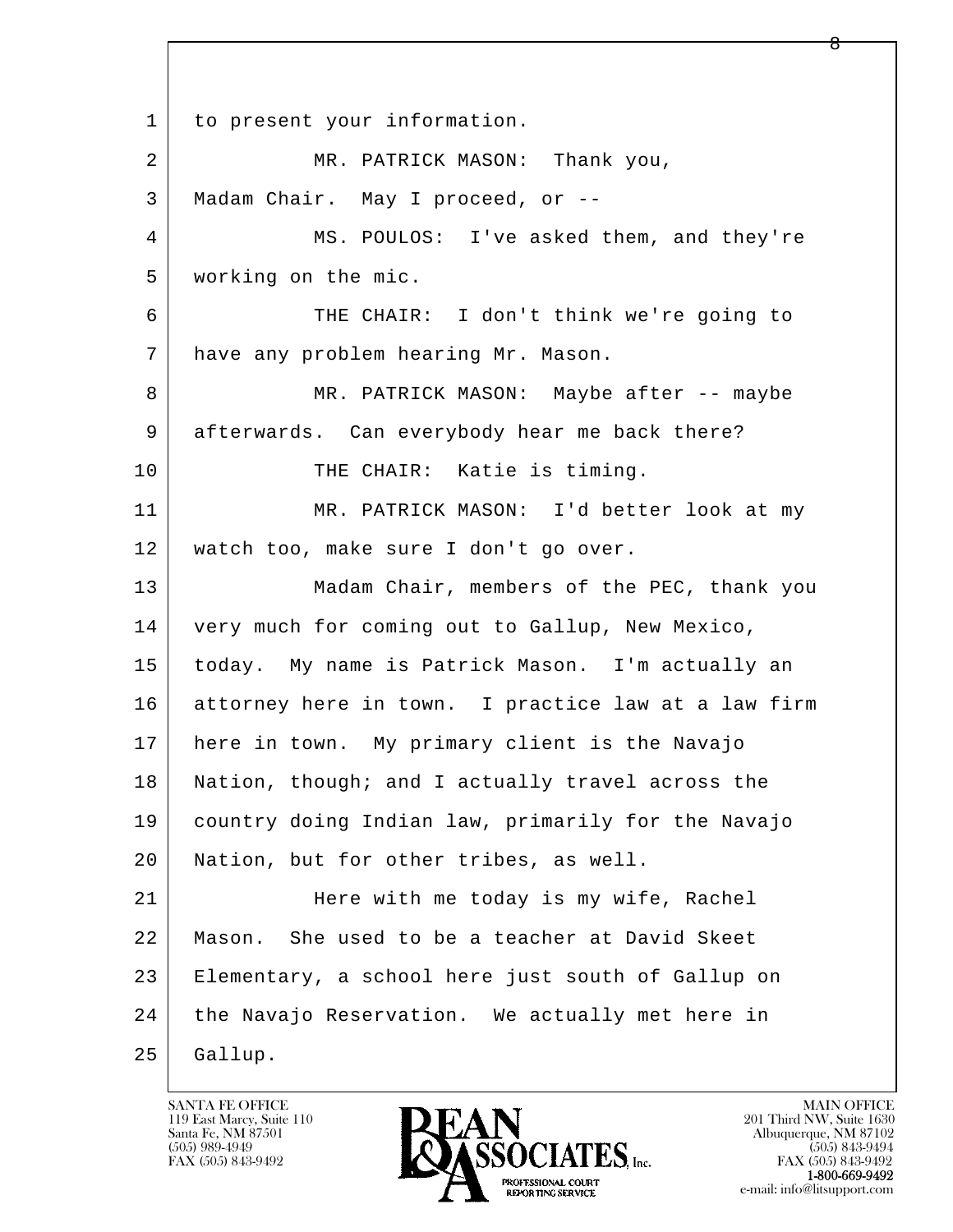l  $\overline{\phantom{a}}$ 1 to present your information. 2 MR. PATRICK MASON: Thank you, 3 | Madam Chair. May I proceed, or -- 4 MS. POULOS: I've asked them, and they're 5 working on the mic. 6 THE CHAIR: I don't think we're going to 7 have any problem hearing Mr. Mason. 8 MR. PATRICK MASON: Maybe after -- maybe 9 afterwards. Can everybody hear me back there? 10 THE CHAIR: Katie is timing. 11 MR. PATRICK MASON: I'd better look at my 12 watch too, make sure I don't go over. 13 Madam Chair, members of the PEC, thank you 14 very much for coming out to Gallup, New Mexico, 15 today. My name is Patrick Mason. I'm actually an 16 attorney here in town. I practice law at a law firm 17 here in town. My primary client is the Navajo 18 | Nation, though; and I actually travel across the 19 country doing Indian law, primarily for the Navajo 20 Nation, but for other tribes, as well. 21 Here with me today is my wife, Rachel 22 Mason. She used to be a teacher at David Skeet 23 Elementary, a school here just south of Gallup on 24 the Navajo Reservation. We actually met here in 25 Gallup.

119 East Marcy, Suite 110<br>Santa Fe, NM 87501



FAX (505) 843-9492<br>**1-800-669-9492**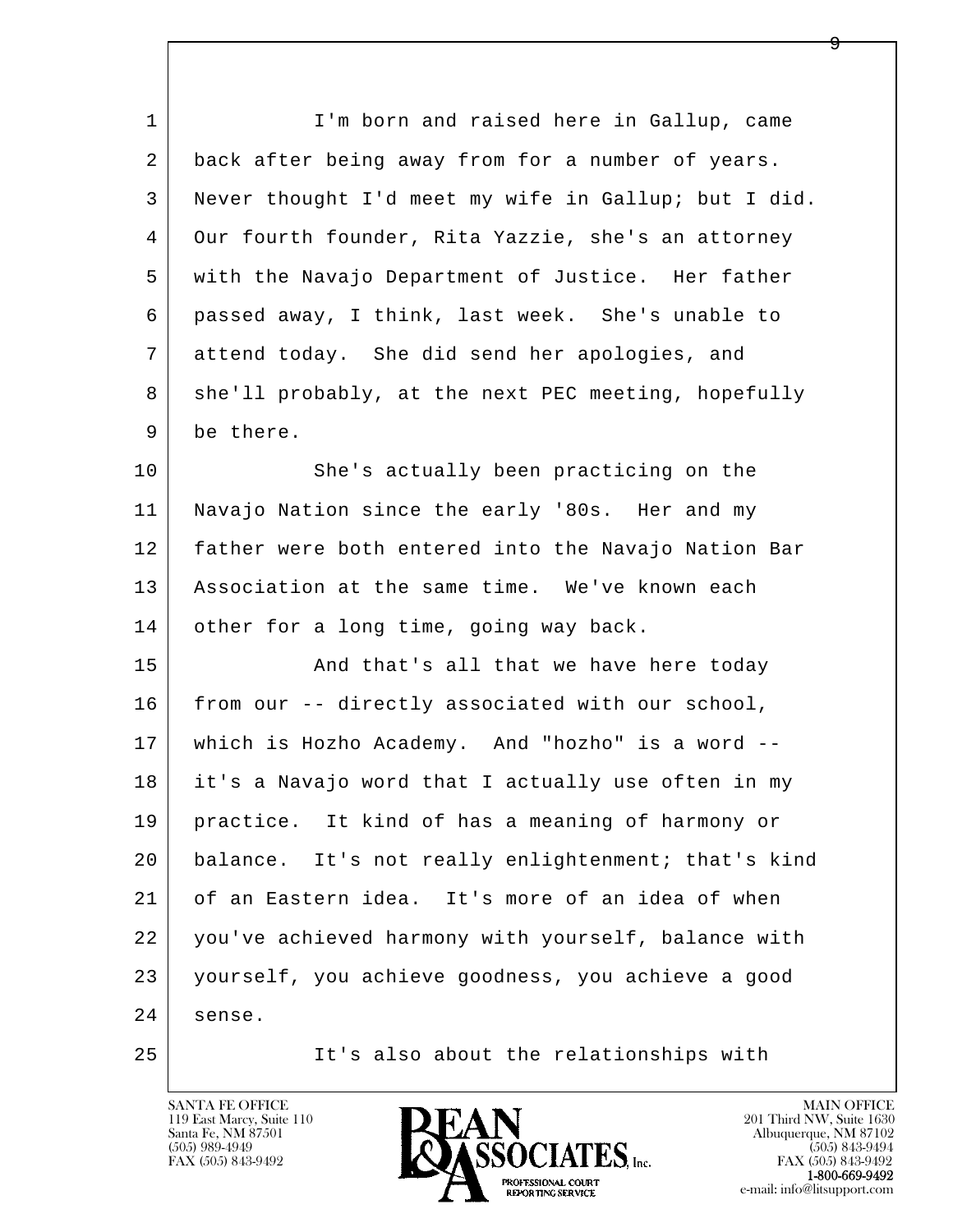| $\mathbf{1}$ | I'm born and raised here in Gallup, came             |
|--------------|------------------------------------------------------|
| 2            | back after being away from for a number of years.    |
| 3            | Never thought I'd meet my wife in Gallup; but I did. |
| 4            | Our fourth founder, Rita Yazzie, she's an attorney   |
| 5            | with the Navajo Department of Justice. Her father    |
| 6            | passed away, I think, last week. She's unable to     |
| 7            | attend today. She did send her apologies, and        |
| 8            | she'll probably, at the next PEC meeting, hopefully  |
| 9            | be there.                                            |
| 10           | She's actually been practicing on the                |
| 11           | Navajo Nation since the early '80s. Her and my       |
| 12           | father were both entered into the Navajo Nation Bar  |
| 13           | Association at the same time. We've known each       |
| 14           | other for a long time, going way back.               |
| 15           | And that's all that we have here today               |
| 16           | from our -- directly associated with our school,     |
| 17           | which is Hozho Academy. And "hozho" is a word --     |
| 18           | it's a Navajo word that I actually use often in my   |
| 19           | practice. It kind of has a meaning of harmony or     |
| 20           | balance. It's not really enlightenment; that's kind  |
| 21           | of an Eastern idea. It's more of an idea of when     |
| 22           | you've achieved harmony with yourself, balance with  |
| 23           | yourself, you achieve goodness, you achieve a good   |
| 24           | sense.                                               |
| 25           | It's also about the relationships with               |

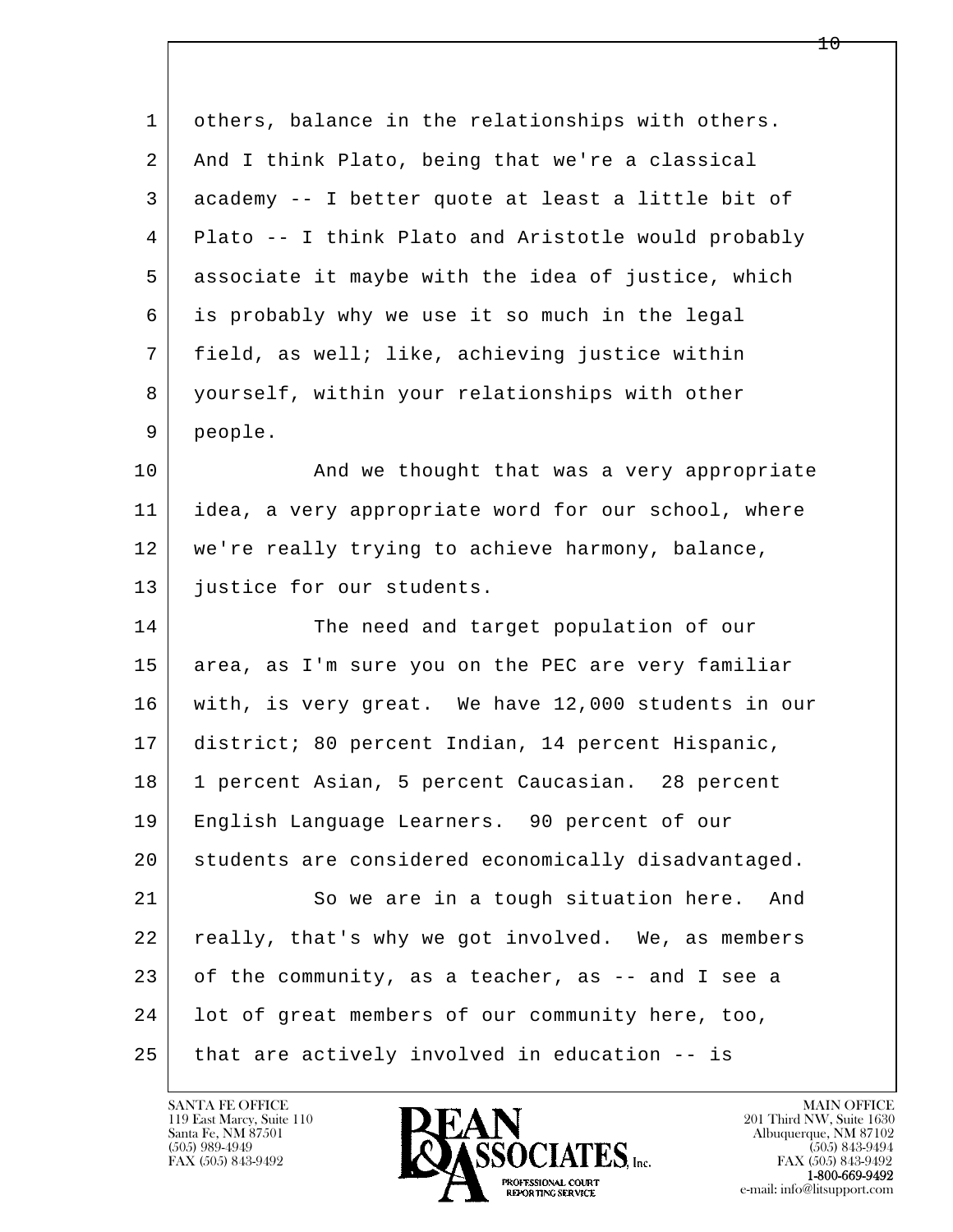| $\mathbf 1$ | others, balance in the relationships with others.   |
|-------------|-----------------------------------------------------|
| 2           | And I think Plato, being that we're a classical     |
| 3           | academy -- I better quote at least a little bit of  |
| 4           | Plato -- I think Plato and Aristotle would probably |
| 5           | associate it maybe with the idea of justice, which  |
| 6           | is probably why we use it so much in the legal      |
| 7           | field, as well; like, achieving justice within      |
| 8           | yourself, within your relationships with other      |
| 9           | people.                                             |
| 10          | And we thought that was a very appropriate          |
| 11          | idea, a very appropriate word for our school, where |
| 12          | we're really trying to achieve harmony, balance,    |
| 13          | justice for our students.                           |
| 14          | The need and target population of our               |
| 15          | area, as I'm sure you on the PEC are very familiar  |
| 16          | with, is very great. We have 12,000 students in our |
| 17          | district; 80 percent Indian, 14 percent Hispanic,   |
| 18          | 1 percent Asian, 5 percent Caucasian. 28 percent    |
| 19          | English Language Learners. 90 percent of our        |
| 20          | students are considered economically disadvantaged. |
| 21          | So we are in a tough situation here.<br>And         |
| 22          | really, that's why we got involved. We, as members  |
| 23          | of the community, as a teacher, as -- and I see a   |
| 24          | lot of great members of our community here, too,    |
| 25          | that are actively involved in education -- is       |

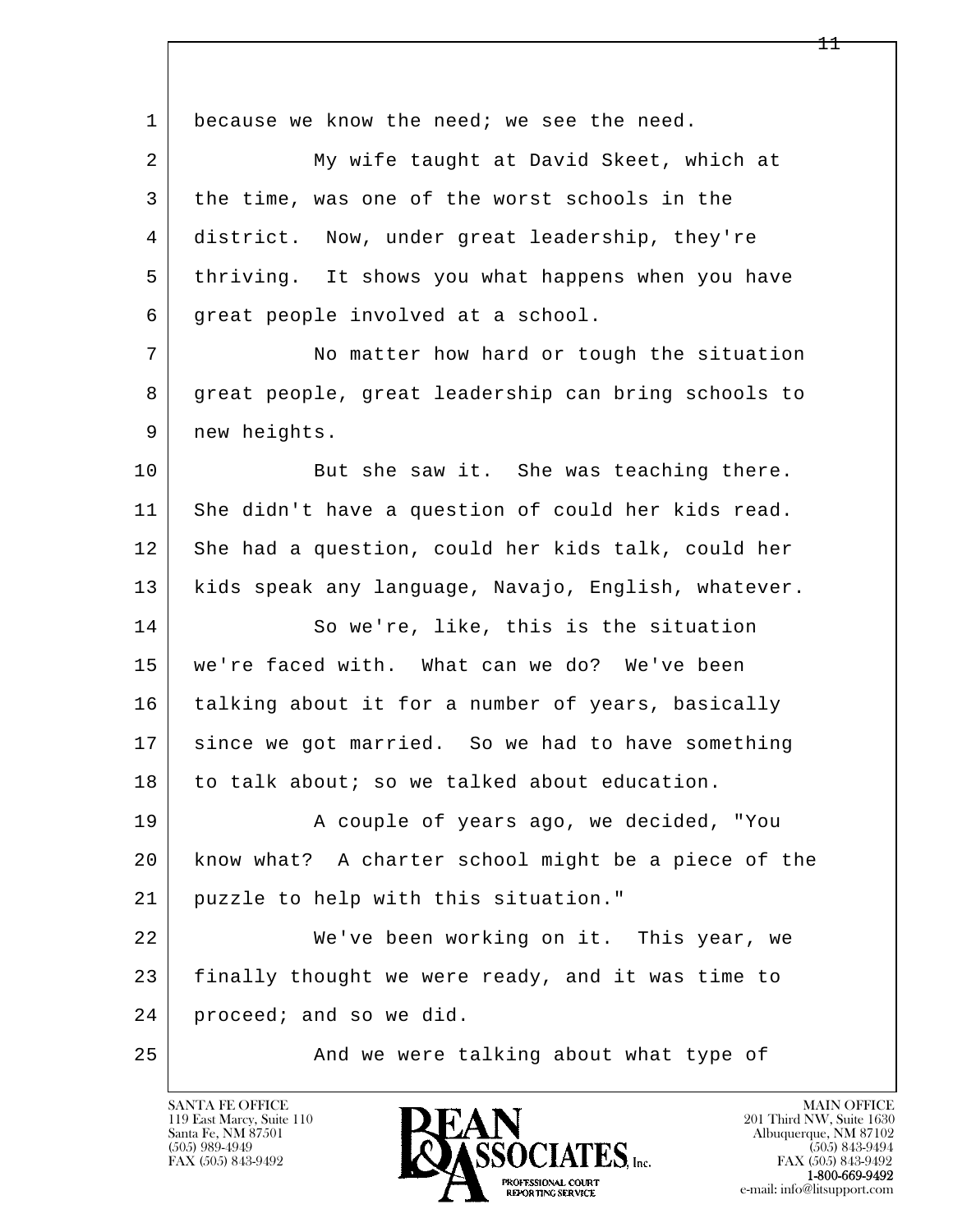l  $\overline{\phantom{a}}$ 1 because we know the need; we see the need. 2 My wife taught at David Skeet, which at 3 the time, was one of the worst schools in the 4 district. Now, under great leadership, they're 5 thriving. It shows you what happens when you have 6 great people involved at a school. 7 No matter how hard or tough the situation 8 great people, great leadership can bring schools to 9 | new heights. 10 But she saw it. She was teaching there. 11 She didn't have a question of could her kids read. 12 She had a question, could her kids talk, could her 13 kids speak any language, Navajo, English, whatever. 14 So we're, like, this is the situation 15 we're faced with. What can we do? We've been 16 talking about it for a number of years, basically 17 since we got married. So we had to have something  $18$  to talk about; so we talked about education. 19 | A couple of years ago, we decided, "You 20 know what? A charter school might be a piece of the 21 puzzle to help with this situation." 22 We've been working on it. This year, we 23 finally thought we were ready, and it was time to 24 proceed; and so we did. 25 | And we were talking about what type of

119 East Marcy, Suite 110<br>Santa Fe, NM 87501

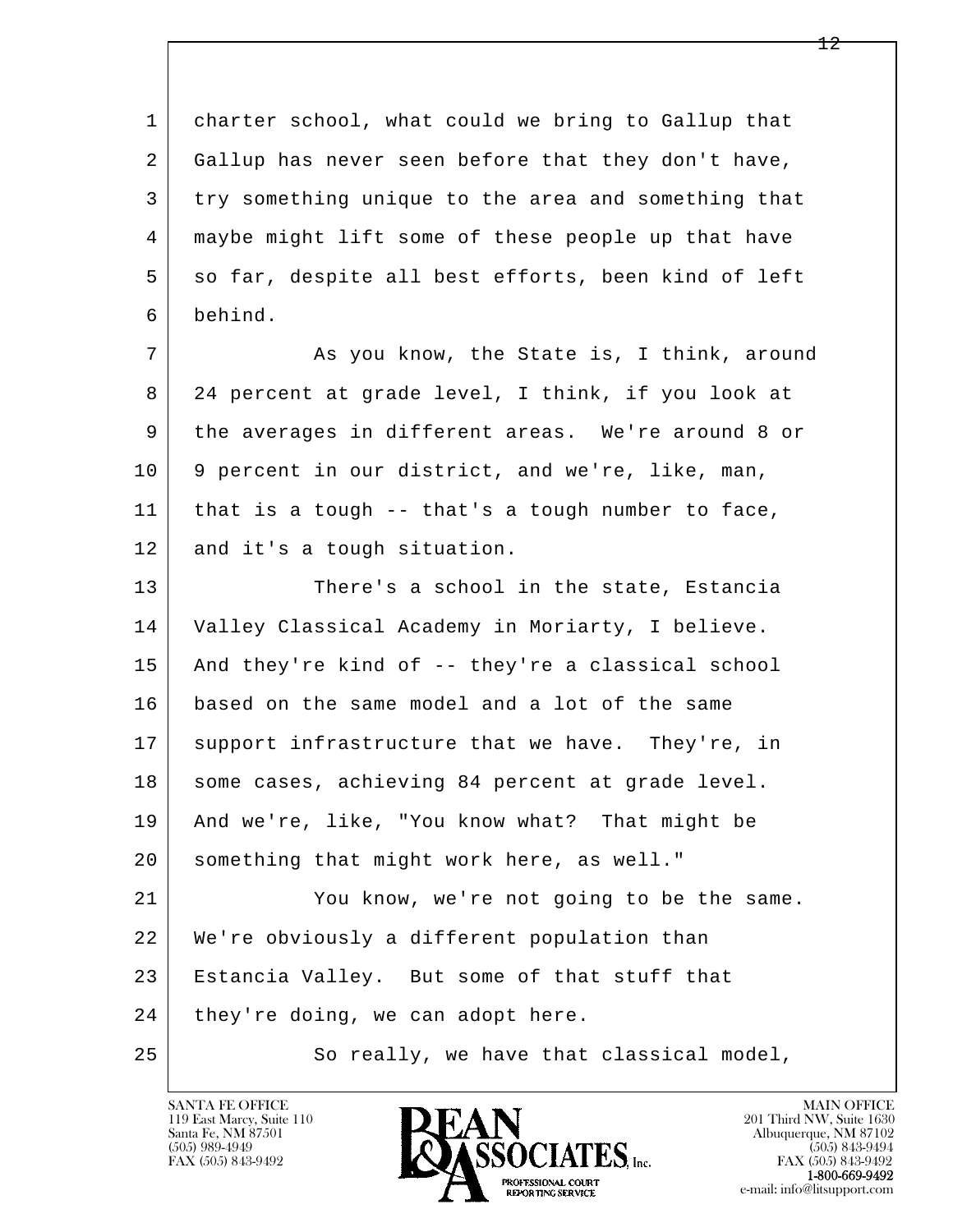1 charter school, what could we bring to Gallup that 2 Gallup has never seen before that they don't have, 3 try something unique to the area and something that 4 maybe might lift some of these people up that have 5 so far, despite all best efforts, been kind of left 6 behind. 7 As you know, the State is, I think, around 8 24 percent at grade level, I think, if you look at 9 the averages in different areas. We're around 8 or 10 9 percent in our district, and we're, like, man, 11 that is a tough -- that's a tough number to face, 12 and it's a tough situation. 13 There's a school in the state, Estancia 14 Valley Classical Academy in Moriarty, I believe. 15 | And they're kind of -- they're a classical school 16 based on the same model and a lot of the same

17 support infrastructure that we have. They're, in

 19 And we're, like, "You know what? That might be 20 something that might work here, as well."

18 | some cases, achieving 84 percent at grade level.

l  $\overline{\phantom{a}}$  21 You know, we're not going to be the same. 22 We're obviously a different population than 23 Estancia Valley. But some of that stuff that 24 they're doing, we can adopt here.

25 So really, we have that classical model,

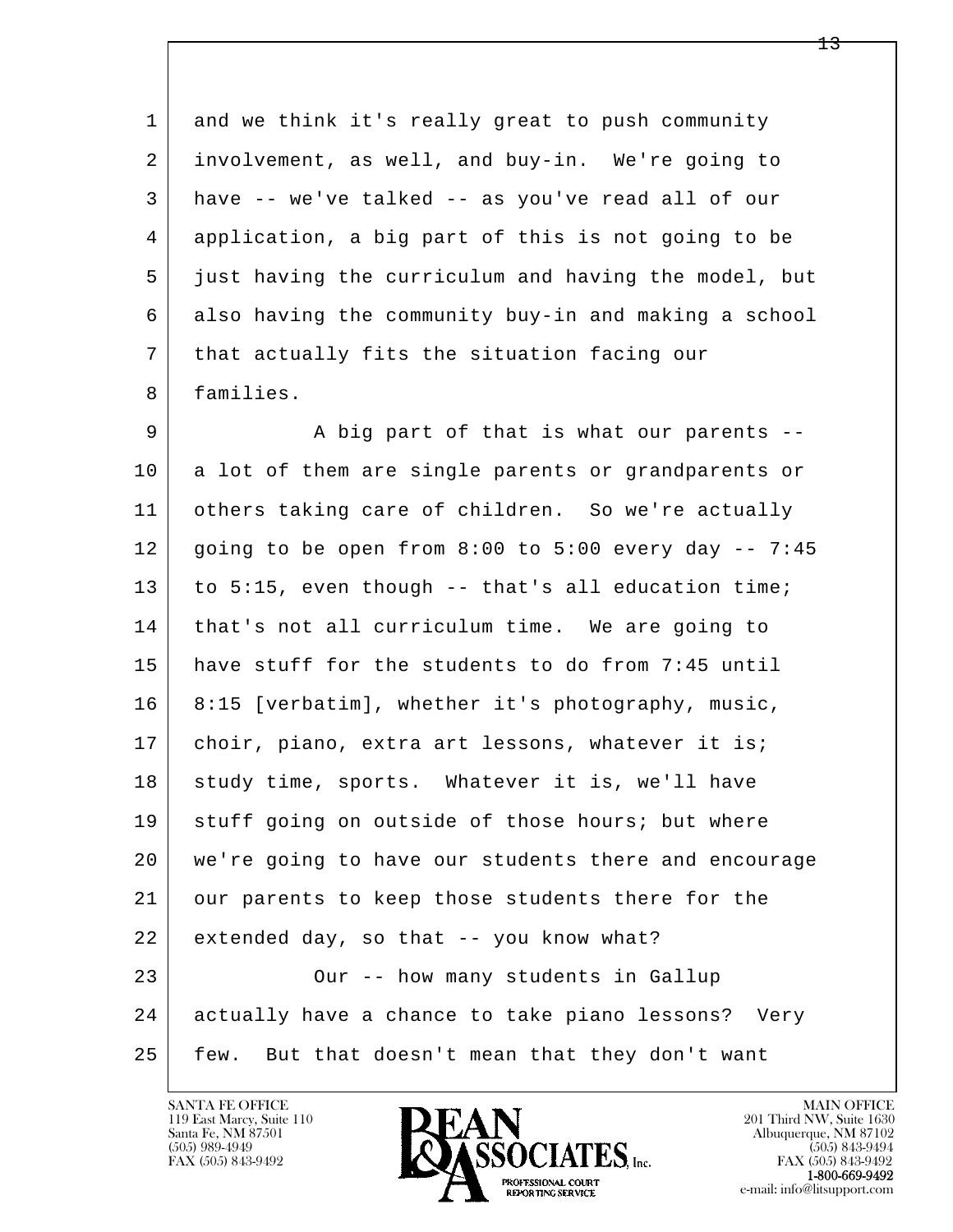1 and we think it's really great to push community 2 involvement, as well, and buy-in. We're going to 3 have -- we've talked -- as you've read all of our 4 application, a big part of this is not going to be 5 just having the curriculum and having the model, but 6 also having the community buy-in and making a school 7 that actually fits the situation facing our 8 families.

l  $\overline{\phantom{a}}$ 9 A big part of that is what our parents --10 a lot of them are single parents or grandparents or 11 others taking care of children. So we're actually  $12$  going to be open from 8:00 to 5:00 every day  $-7:45$ 13 to 5:15, even though -- that's all education time; 14 | that's not all curriculum time. We are going to 15 have stuff for the students to do from 7:45 until 16 8:15 [verbatim], whether it's photography, music, 17 | choir, piano, extra art lessons, whatever it is; 18 study time, sports. Whatever it is, we'll have 19 stuff going on outside of those hours; but where 20 we're going to have our students there and encourage 21 our parents to keep those students there for the  $22$  extended day, so that  $-$ - you know what? 23 Our -- how many students in Gallup 24 actually have a chance to take piano lessons? Very 25 few. But that doesn't mean that they don't want

119 East Marcy, Suite 110<br>Santa Fe, NM 87501

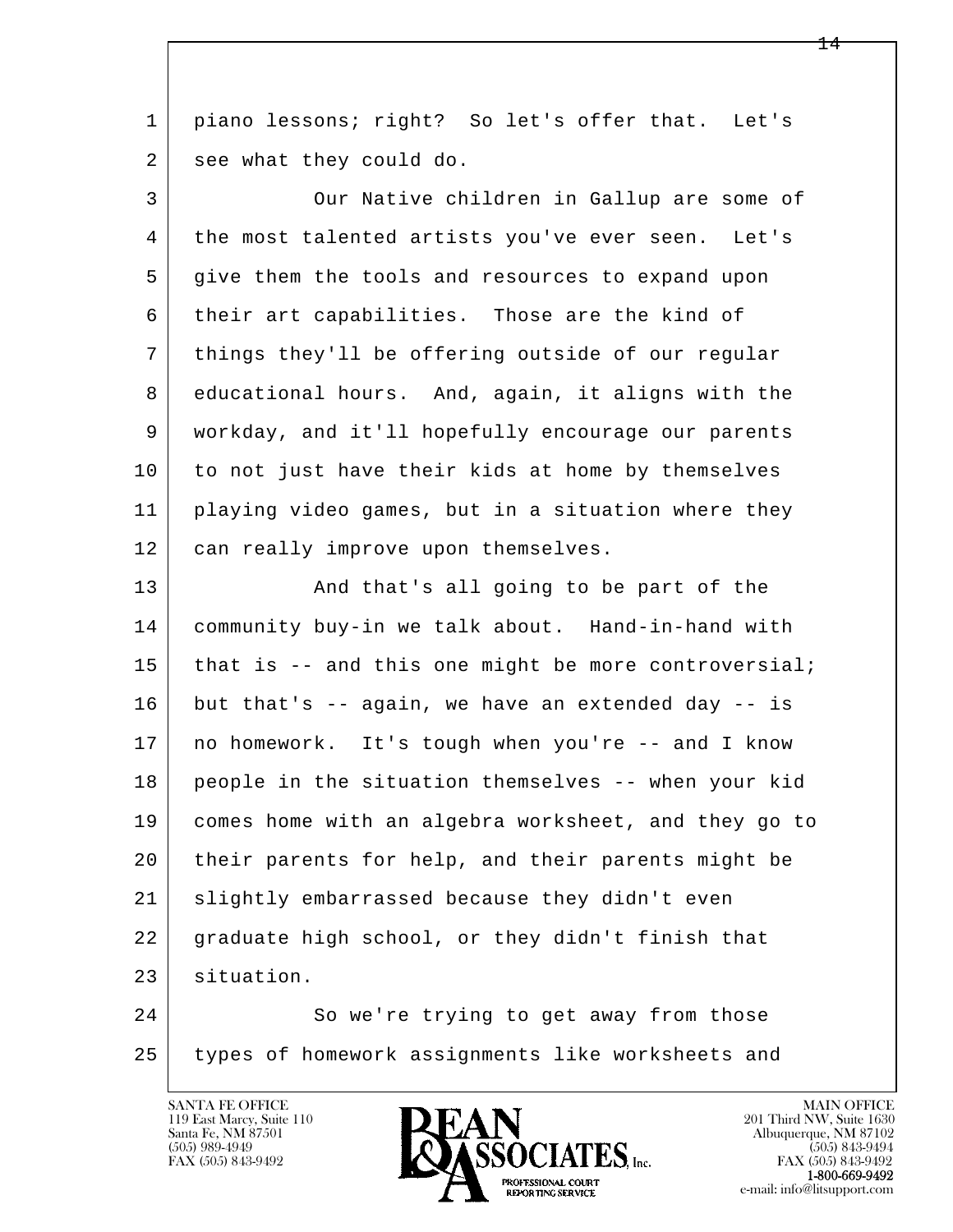1 piano lessons; right? So let's offer that. Let's 2 see what they could do.

 3 Our Native children in Gallup are some of 4 the most talented artists you've ever seen. Let's 5 give them the tools and resources to expand upon 6 their art capabilities. Those are the kind of 7 things they'll be offering outside of our regular 8 educational hours. And, again, it aligns with the 9 workday, and it'll hopefully encourage our parents 10 to not just have their kids at home by themselves 11 playing video games, but in a situation where they 12 can really improve upon themselves.

13 | And that's all going to be part of the 14 community buy-in we talk about. Hand-in-hand with 15 that is  $-$  and this one might be more controversial;  $16$  but that's -- again, we have an extended day -- is 17 no homework. It's tough when you're -- and I know 18 people in the situation themselves -- when your kid 19 comes home with an algebra worksheet, and they go to 20 their parents for help, and their parents might be 21 | slightly embarrassed because they didn't even 22 graduate high school, or they didn't finish that 23 situation.

l  $\overline{\phantom{a}}$ 24 So we're trying to get away from those 25 types of homework assignments like worksheets and

119 East Marcy, Suite 110<br>Santa Fe, NM 87501



FAX (505) 843-9492<br>**1-800-669-9492**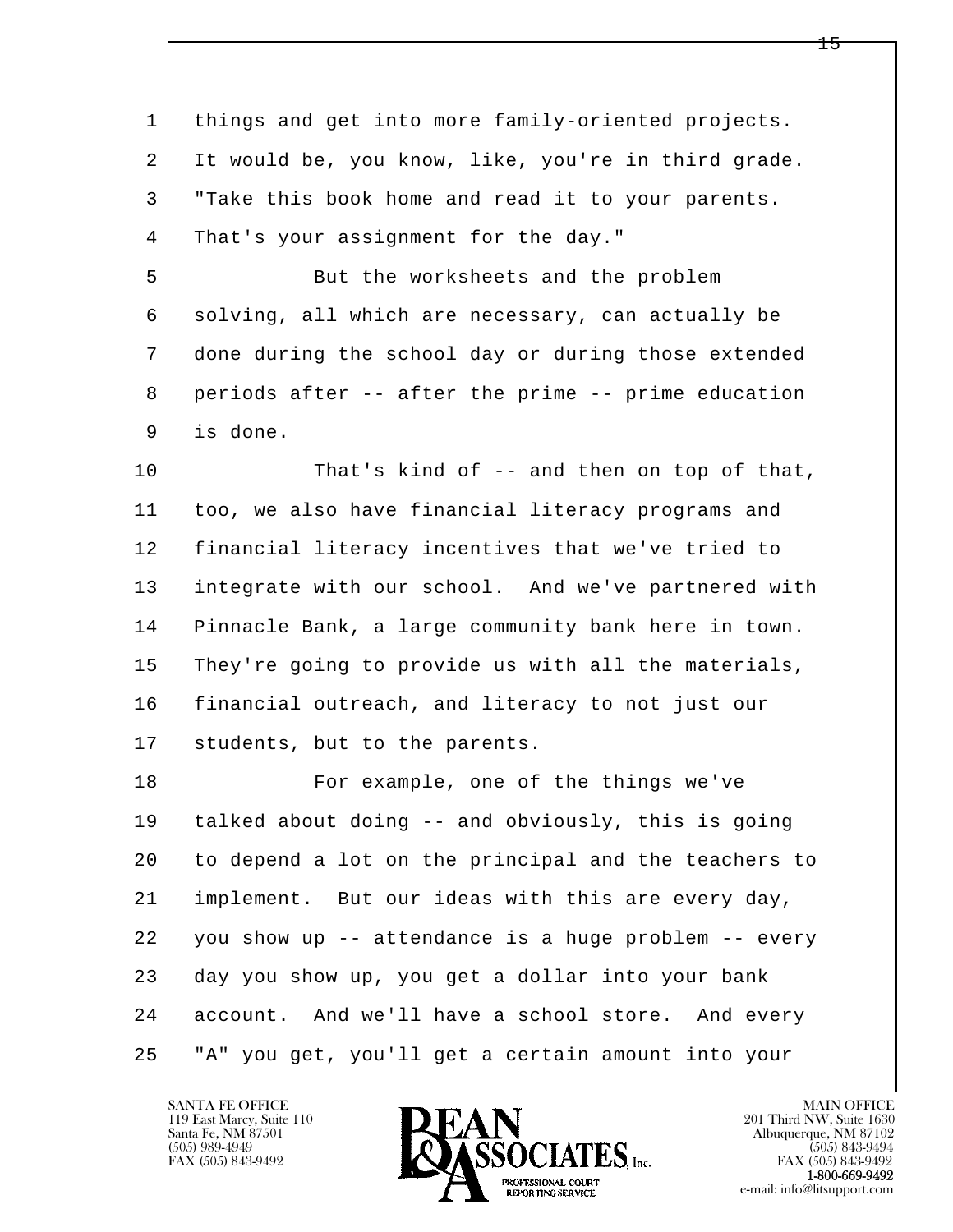| $\mathbf{1}$ | things and get into more family-oriented projects.   |
|--------------|------------------------------------------------------|
| 2            | It would be, you know, like, you're in third grade.  |
| 3            | "Take this book home and read it to your parents.    |
| 4            | That's your assignment for the day."                 |
| 5            | But the worksheets and the problem                   |
| 6            | solving, all which are necessary, can actually be    |
| 7            | done during the school day or during those extended  |
| 8            | periods after -- after the prime -- prime education  |
| 9            | is done.                                             |
| 10           | That's kind of -- and then on top of that,           |
| 11           | too, we also have financial literacy programs and    |
| 12           | financial literacy incentives that we've tried to    |
| 13           | integrate with our school. And we've partnered with  |
| 14           | Pinnacle Bank, a large community bank here in town.  |
| 15           | They're going to provide us with all the materials,  |
| 16           | financial outreach, and literacy to not just our     |
| 17           | students, but to the parents.                        |
| 18           | For example, one of the things we've                 |
| 19           | talked about doing -- and obviously, this is going   |
| 20           | to depend a lot on the principal and the teachers to |
| 21           | implement. But our ideas with this are every day,    |
| 22           | you show up -- attendance is a huge problem -- every |
| 23           | day you show up, you get a dollar into your bank     |
| 24           | account. And we'll have a school store. And every    |
| 25           | "A" you get, you'll get a certain amount into your   |
|              |                                                      |

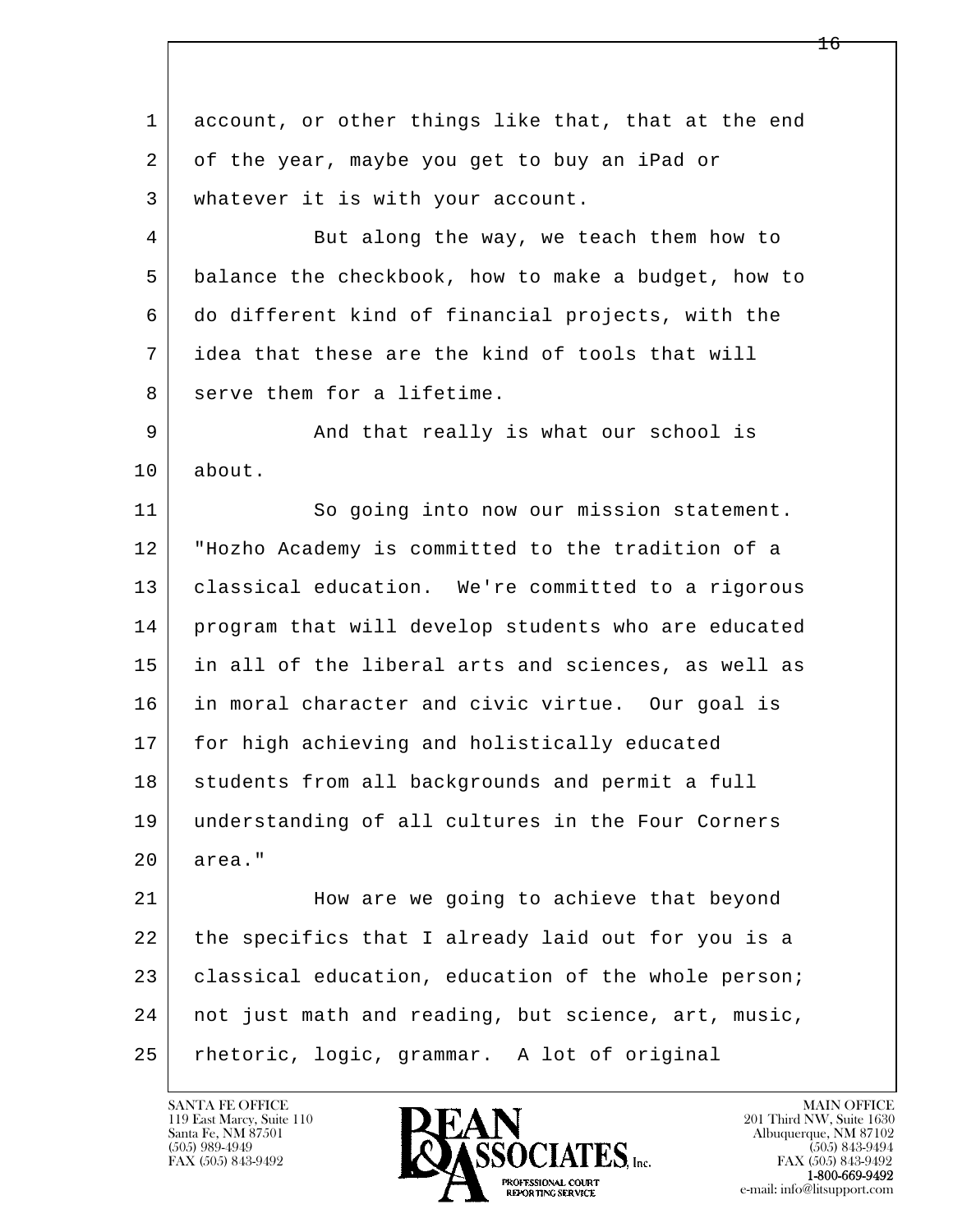l  $\overline{\phantom{a}}$ 1 account, or other things like that, that at the end 2 of the year, maybe you get to buy an iPad or 3 whatever it is with your account. 4 But along the way, we teach them how to 5 balance the checkbook, how to make a budget, how to 6 do different kind of financial projects, with the 7 idea that these are the kind of tools that will 8 serve them for a lifetime. 9 and that really is what our school is 10 about. 11 So going into now our mission statement. 12 "Hozho Academy is committed to the tradition of a 13 classical education. We're committed to a rigorous 14 program that will develop students who are educated 15 in all of the liberal arts and sciences, as well as 16 in moral character and civic virtue. Our goal is 17 for high achieving and holistically educated 18 students from all backgrounds and permit a full 19 understanding of all cultures in the Four Corners 20 area." 21 How are we going to achieve that beyond 22 the specifics that I already laid out for you is a 23 classical education, education of the whole person; 24 not just math and reading, but science, art, music, 25 rhetoric, logic, grammar. A lot of original

119 East Marcy, Suite 110<br>Santa Fe, NM 87501



FAX (505) 843-9492<br>1-800-669-9492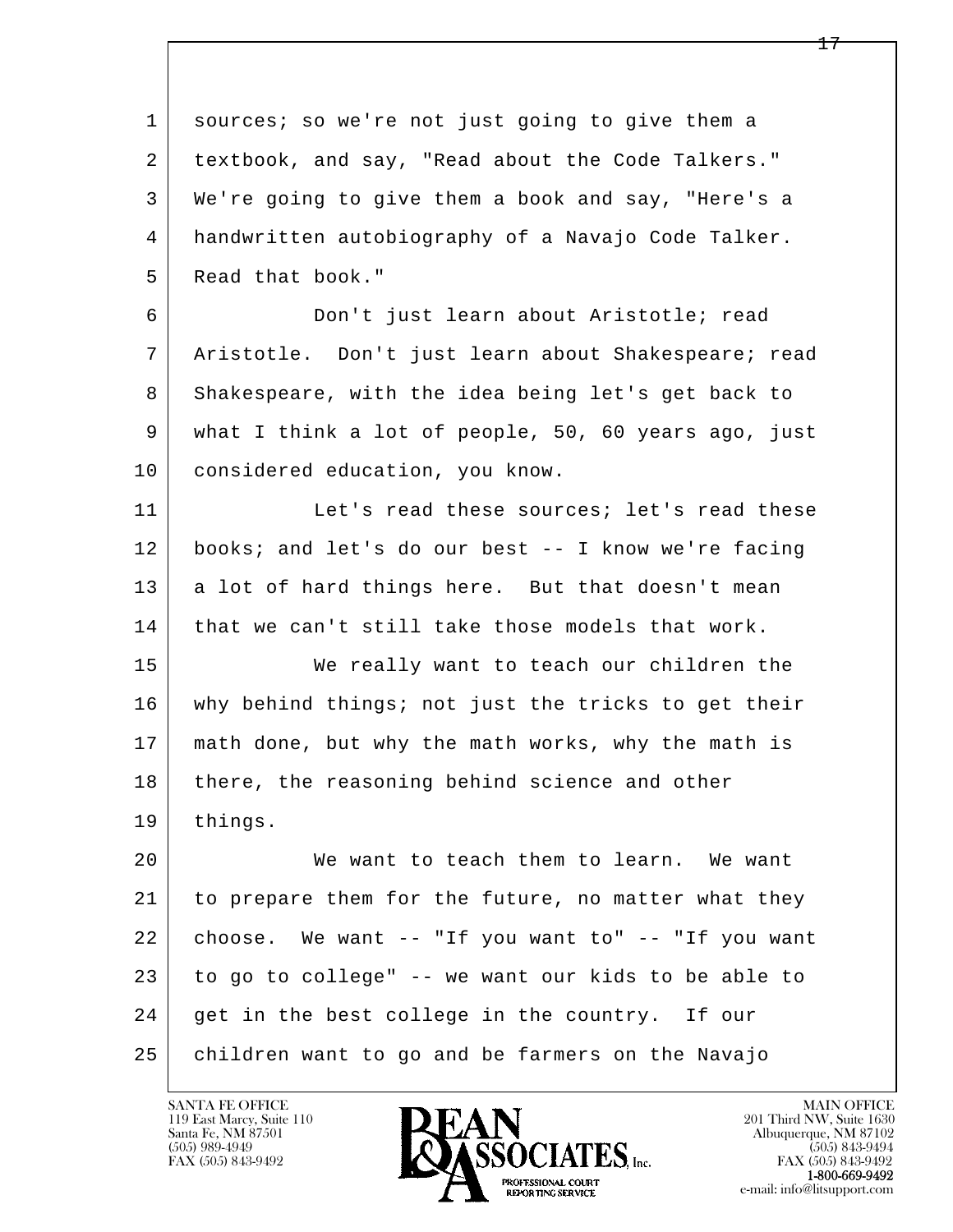l  $\overline{\phantom{a}}$  1 sources; so we're not just going to give them a 2 textbook, and say, "Read about the Code Talkers." 3 We're going to give them a book and say, "Here's a 4 handwritten autobiography of a Navajo Code Talker. 5 Read that book." 6 Don't just learn about Aristotle; read 7 Aristotle. Don't just learn about Shakespeare; read 8 Shakespeare, with the idea being let's get back to 9 what I think a lot of people, 50, 60 years ago, just 10 considered education, you know. 11 Let's read these sources; let's read these 12 books; and let's do our best -- I know we're facing 13 a lot of hard things here. But that doesn't mean 14 that we can't still take those models that work. 15 | We really want to teach our children the 16 why behind things; not just the tricks to get their 17 math done, but why the math works, why the math is 18 there, the reasoning behind science and other 19 things. 20 We want to teach them to learn. We want 21 to prepare them for the future, no matter what they 22 choose. We want -- "If you want to" -- "If you want 23 to go to college" -- we want our kids to be able to 24 get in the best college in the country. If our 25 children want to go and be farmers on the Navajo

119 East Marcy, Suite 110<br>Santa Fe, NM 87501



FAX (505) 843-9492<br>**1-800-669-9492**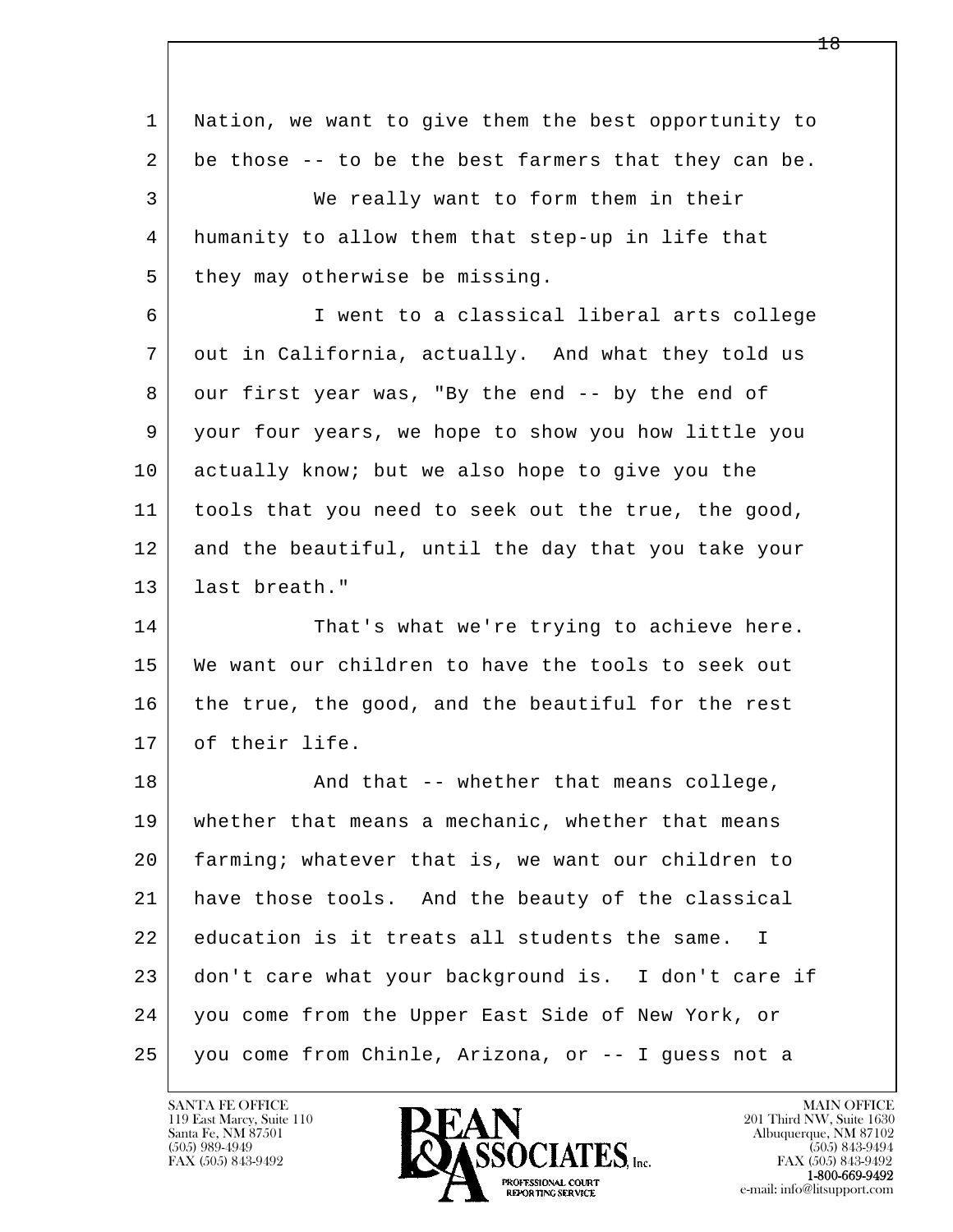| 1  | Nation, we want to give them the best opportunity to |
|----|------------------------------------------------------|
| 2  | be those -- to be the best farmers that they can be. |
| 3  | We really want to form them in their                 |
| 4  | humanity to allow them that step-up in life that     |
| 5  | they may otherwise be missing.                       |
| 6  | I went to a classical liberal arts college           |
| 7  | out in California, actually. And what they told us   |
| 8  | our first year was, "By the end -- by the end of     |
| 9  | your four years, we hope to show you how little you  |
| 10 | actually know; but we also hope to give you the      |
| 11 | tools that you need to seek out the true, the good,  |
| 12 | and the beautiful, until the day that you take your  |
| 13 | last breath."                                        |
| 14 | That's what we're trying to achieve here.            |
| 15 | We want our children to have the tools to seek out   |
| 16 | the true, the good, and the beautiful for the rest   |
| 17 | of their life.                                       |
| 18 | And that -- whether that means college,              |
| 19 | whether that means a mechanic, whether that means    |
| 20 | farming; whatever that is, we want our children to   |
| 21 | have those tools. And the beauty of the classical    |
| 22 | education is it treats all students the same. I      |
| 23 | don't care what your background is. I don't care if  |
| 24 | you come from the Upper East Side of New York, or    |
| 25 | you come from Chinle, Arizona, or -- I guess not a   |

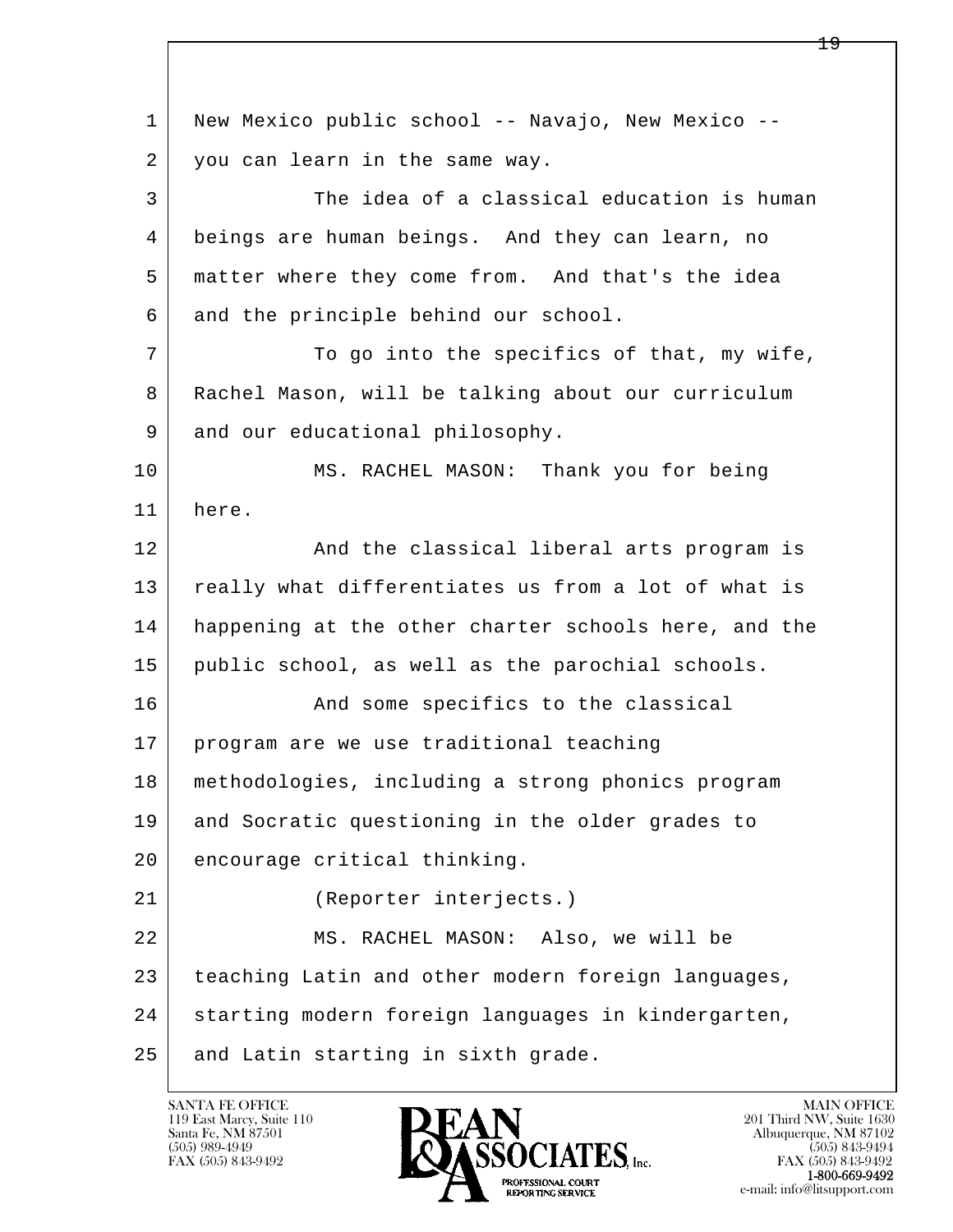l  $\overline{\phantom{a}}$  1 New Mexico public school -- Navajo, New Mexico -- 2 you can learn in the same way. 3 The idea of a classical education is human 4 beings are human beings. And they can learn, no 5 matter where they come from. And that's the idea 6 and the principle behind our school. 7 To go into the specifics of that, my wife, 8 Rachel Mason, will be talking about our curriculum 9 and our educational philosophy. 10 MS. RACHEL MASON: Thank you for being 11 here. 12 And the classical liberal arts program is 13 really what differentiates us from a lot of what is 14 happening at the other charter schools here, and the 15 public school, as well as the parochial schools. 16 And some specifics to the classical 17 program are we use traditional teaching 18 methodologies, including a strong phonics program 19 and Socratic questioning in the older grades to 20 encourage critical thinking. 21 (Reporter interjects.) 22 MS. RACHEL MASON: Also, we will be 23 teaching Latin and other modern foreign languages, 24 | starting modern foreign languages in kindergarten, 25 and Latin starting in sixth grade.

119 East Marcy, Suite 110<br>Santa Fe, NM 87501

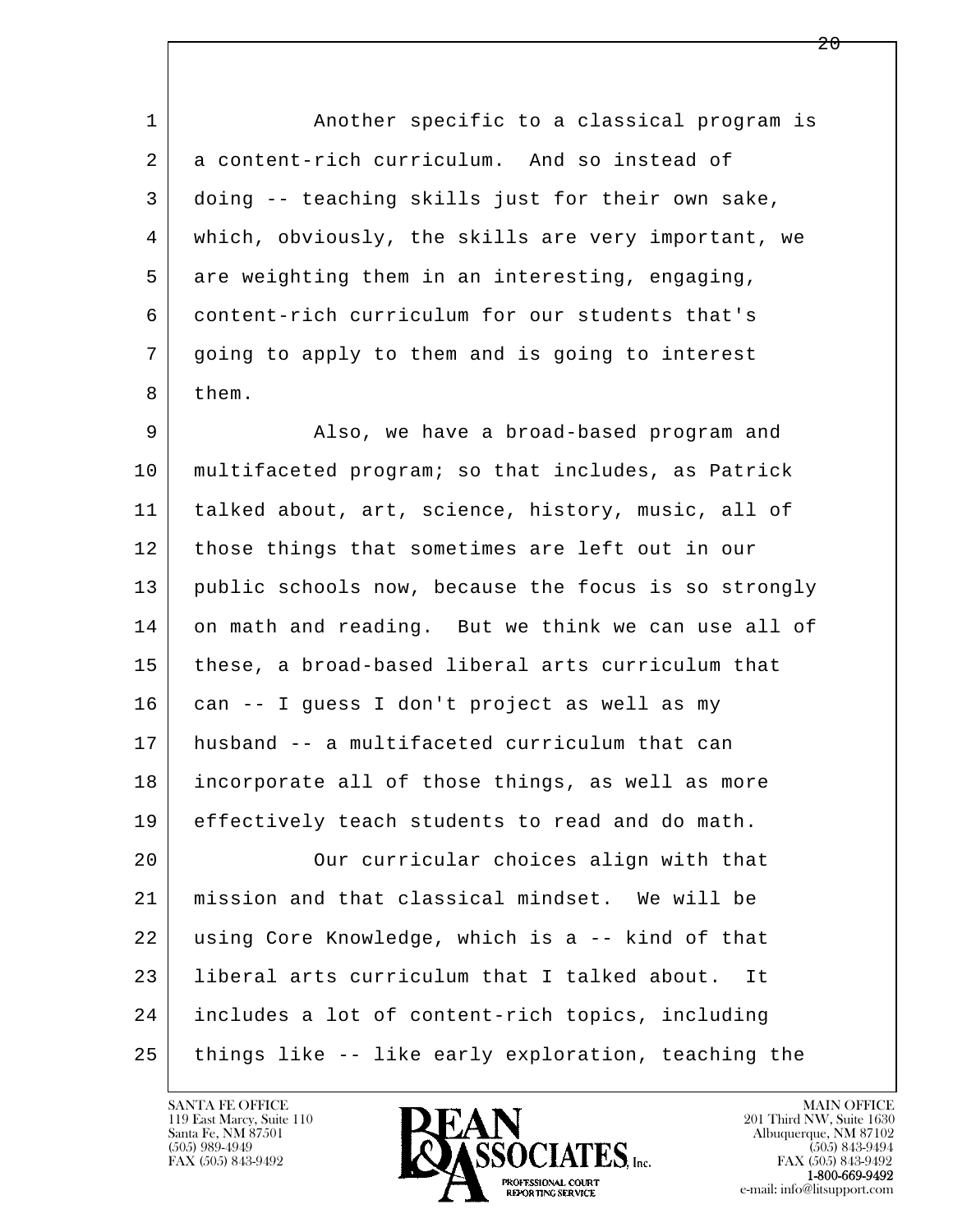1 1 Another specific to a classical program is 2 a content-rich curriculum. And so instead of 3 doing -- teaching skills just for their own sake, 4 which, obviously, the skills are very important, we 5 are weighting them in an interesting, engaging, 6 content-rich curriculum for our students that's 7 going to apply to them and is going to interest 8 them.

l  $\overline{\phantom{a}}$  9 Also, we have a broad-based program and 10 multifaceted program; so that includes, as Patrick 11 talked about, art, science, history, music, all of 12 | those things that sometimes are left out in our 13 public schools now, because the focus is so strongly 14 on math and reading. But we think we can use all of 15 these, a broad-based liberal arts curriculum that 16 can -- I guess I don't project as well as my 17 husband -- a multifaceted curriculum that can 18 incorporate all of those things, as well as more 19 effectively teach students to read and do math. 20 | Cur curricular choices align with that 21 mission and that classical mindset. We will be 22 using Core Knowledge, which is a -- kind of that 23 liberal arts curriculum that I talked about. It 24 includes a lot of content-rich topics, including 25 things like -- like early exploration, teaching the

119 East Marcy, Suite 110<br>Santa Fe, NM 87501



FAX (505) 843-9492<br>**1-800-669-9492**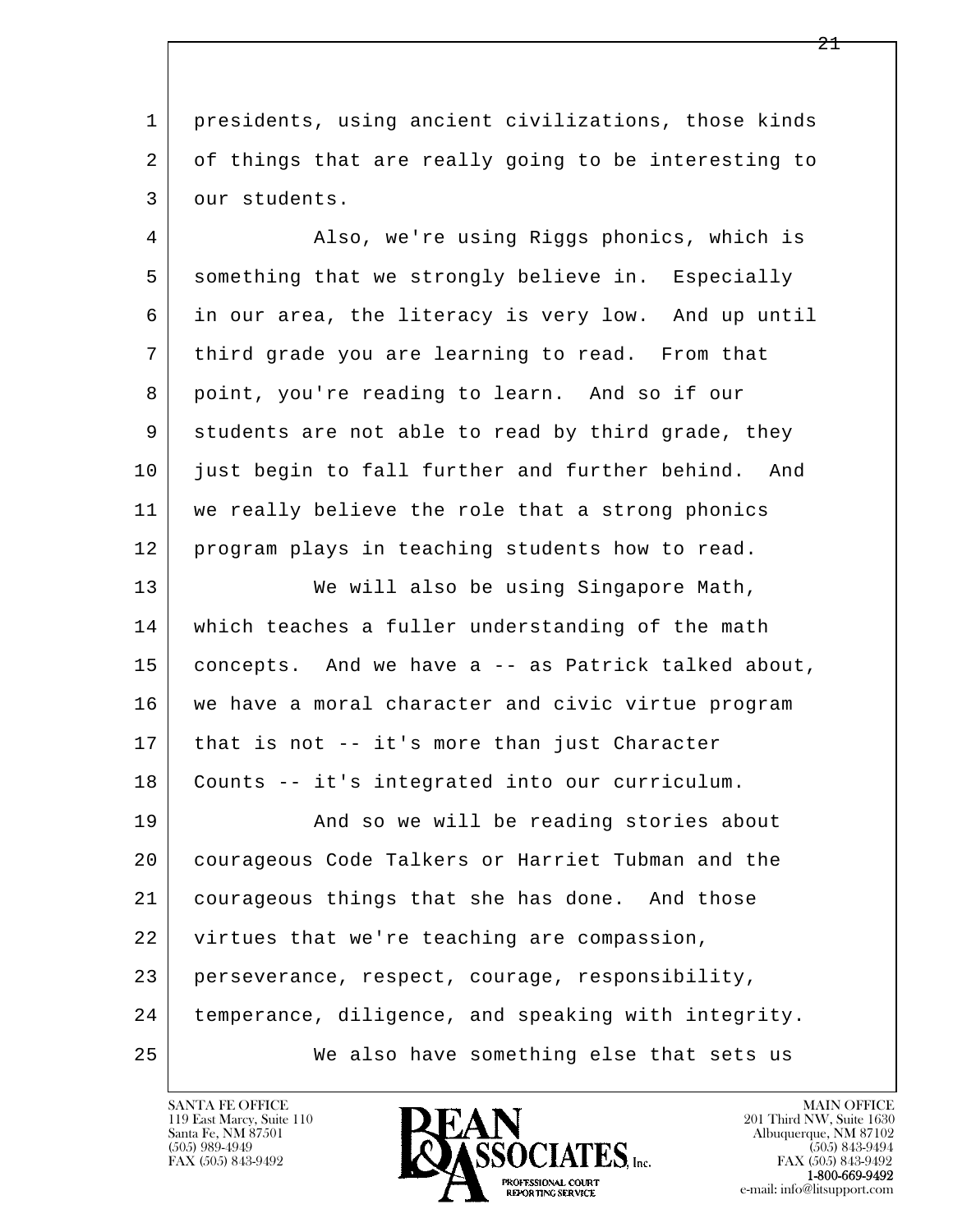1 presidents, using ancient civilizations, those kinds 2 of things that are really going to be interesting to 3 our students.

 4 Also, we're using Riggs phonics, which is 5 something that we strongly believe in. Especially 6 in our area, the literacy is very low. And up until 7 third grade you are learning to read. From that 8 point, you're reading to learn. And so if our 9 students are not able to read by third grade, they 10 just begin to fall further and further behind. And 11 we really believe the role that a strong phonics 12 program plays in teaching students how to read.

l  $\overline{\phantom{a}}$ 13 | We will also be using Singapore Math, 14 which teaches a fuller understanding of the math 15 concepts. And we have a -- as Patrick talked about, 16 we have a moral character and civic virtue program 17 that is not -- it's more than just Character 18 Counts -- it's integrated into our curriculum. 19 | The Rand so we will be reading stories about 20 courageous Code Talkers or Harriet Tubman and the 21 courageous things that she has done. And those 22 virtues that we're teaching are compassion, 23 perseverance, respect, courage, responsibility, 24 temperance, diligence, and speaking with integrity. 25 We also have something else that sets us



FAX (505) 843-9492<br>**1-800-669-9492**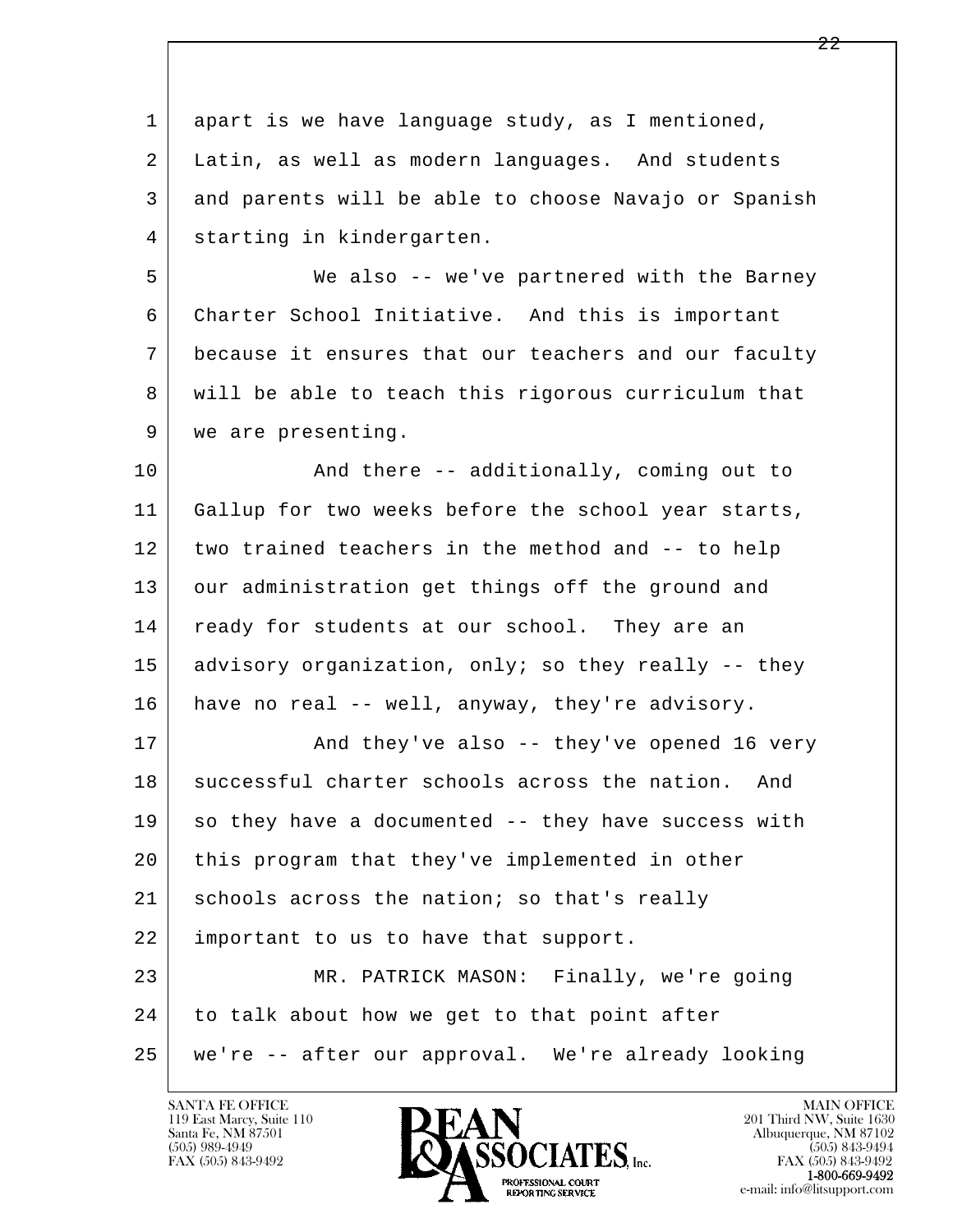l  $\overline{\phantom{a}}$  1 apart is we have language study, as I mentioned, 2 Latin, as well as modern languages. And students 3 and parents will be able to choose Navajo or Spanish 4 starting in kindergarten. 5 We also -- we've partnered with the Barney 6 Charter School Initiative. And this is important 7 because it ensures that our teachers and our faculty 8 will be able to teach this rigorous curriculum that 9 | we are presenting. 10 | Richard there -- additionally, coming out to 11 Gallup for two weeks before the school year starts, 12 two trained teachers in the method and -- to help 13 our administration get things off the ground and 14 ready for students at our school. They are an 15 advisory organization, only; so they really -- they 16 have no real -- well, anyway, they're advisory. 17 | And they've also -- they've opened 16 very 18 successful charter schools across the nation. And 19 so they have a documented -- they have success with 20 this program that they've implemented in other 21 schools across the nation; so that's really 22 important to us to have that support. 23 MR. PATRICK MASON: Finally, we're going 24 to talk about how we get to that point after 25 we're -- after our approval. We're already looking

119 East Marcy, Suite 110<br>Santa Fe, NM 87501



FAX (505) 843-9492<br>**1-800-669-9492**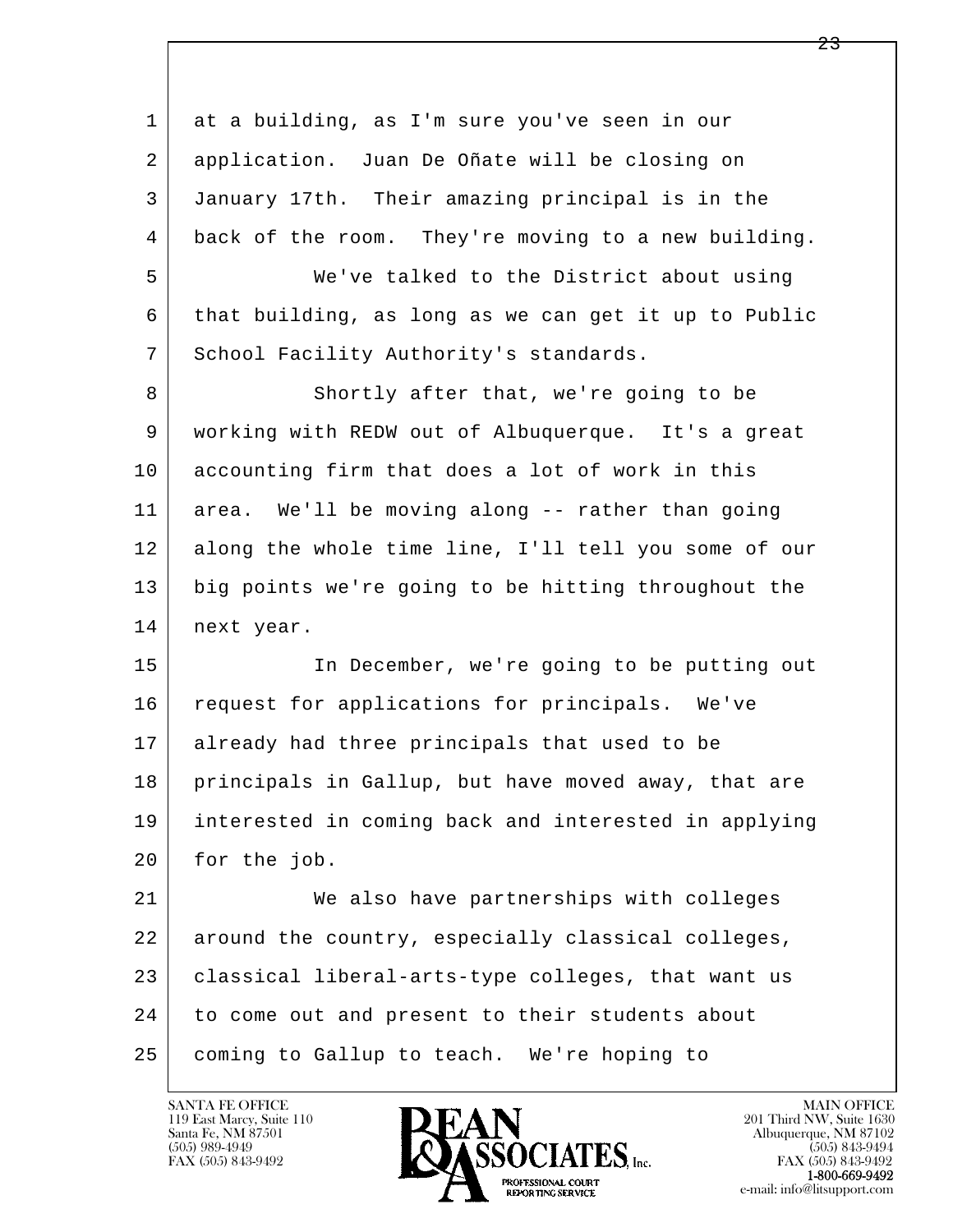| 1  | at a building, as I'm sure you've seen in our        |
|----|------------------------------------------------------|
| 2  | application. Juan De Oñate will be closing on        |
| 3  | January 17th. Their amazing principal is in the      |
| 4  | back of the room. They're moving to a new building.  |
| 5  | We've talked to the District about using             |
| 6  | that building, as long as we can get it up to Public |
| 7  | School Facility Authority's standards.               |
| 8  | Shortly after that, we're going to be                |
| 9  | working with REDW out of Albuquerque. It's a great   |
| 10 | accounting firm that does a lot of work in this      |
| 11 | area. We'll be moving along -- rather than going     |
| 12 | along the whole time line, I'll tell you some of our |
| 13 | big points we're going to be hitting throughout the  |
| 14 | next year.                                           |
| 15 | In December, we're going to be putting out           |
| 16 | request for applications for principals. We've       |
| 17 | already had three principals that used to be         |
| 18 | principals in Gallup, but have moved away, that are  |
| 19 | interested in coming back and interested in applying |
| 20 | for the job.                                         |
| 21 | We also have partnerships with colleges              |
| 22 | around the country, especially classical colleges,   |
| 23 | classical liberal-arts-type colleges, that want us   |
| 24 | to come out and present to their students about      |
| 25 | coming to Gallup to teach. We're hoping to           |

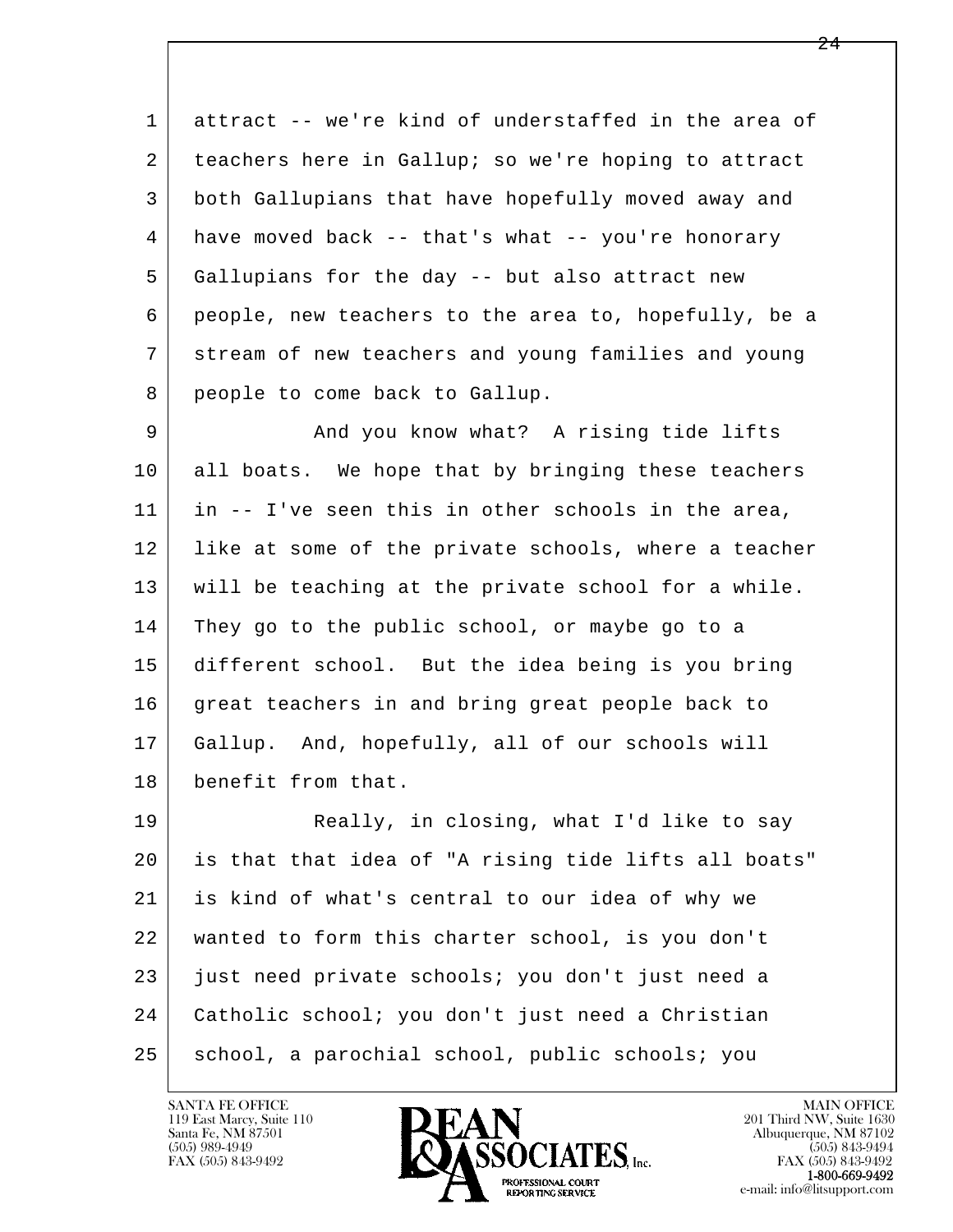1 attract -- we're kind of understaffed in the area of 2 teachers here in Gallup; so we're hoping to attract 3 both Gallupians that have hopefully moved away and 4 have moved back -- that's what -- you're honorary 5 Gallupians for the day -- but also attract new 6 people, new teachers to the area to, hopefully, be a 7 stream of new teachers and young families and young 8 people to come back to Gallup.

9 And you know what? A rising tide lifts 10 all boats. We hope that by bringing these teachers 11 in -- I've seen this in other schools in the area, 12 like at some of the private schools, where a teacher 13 will be teaching at the private school for a while. 14 They go to the public school, or maybe go to a 15 different school. But the idea being is you bring 16 great teachers in and bring great people back to 17 Gallup. And, hopefully, all of our schools will 18 benefit from that.

l  $\overline{\phantom{a}}$ 19 Really, in closing, what I'd like to say 20 is that that idea of "A rising tide lifts all boats" 21 is kind of what's central to our idea of why we 22 wanted to form this charter school, is you don't 23 just need private schools; you don't just need a 24 Catholic school; you don't just need a Christian 25 school, a parochial school, public schools; you

119 East Marcy, Suite 110<br>Santa Fe, NM 87501



FAX (505) 843-9492<br>1-800-669-9492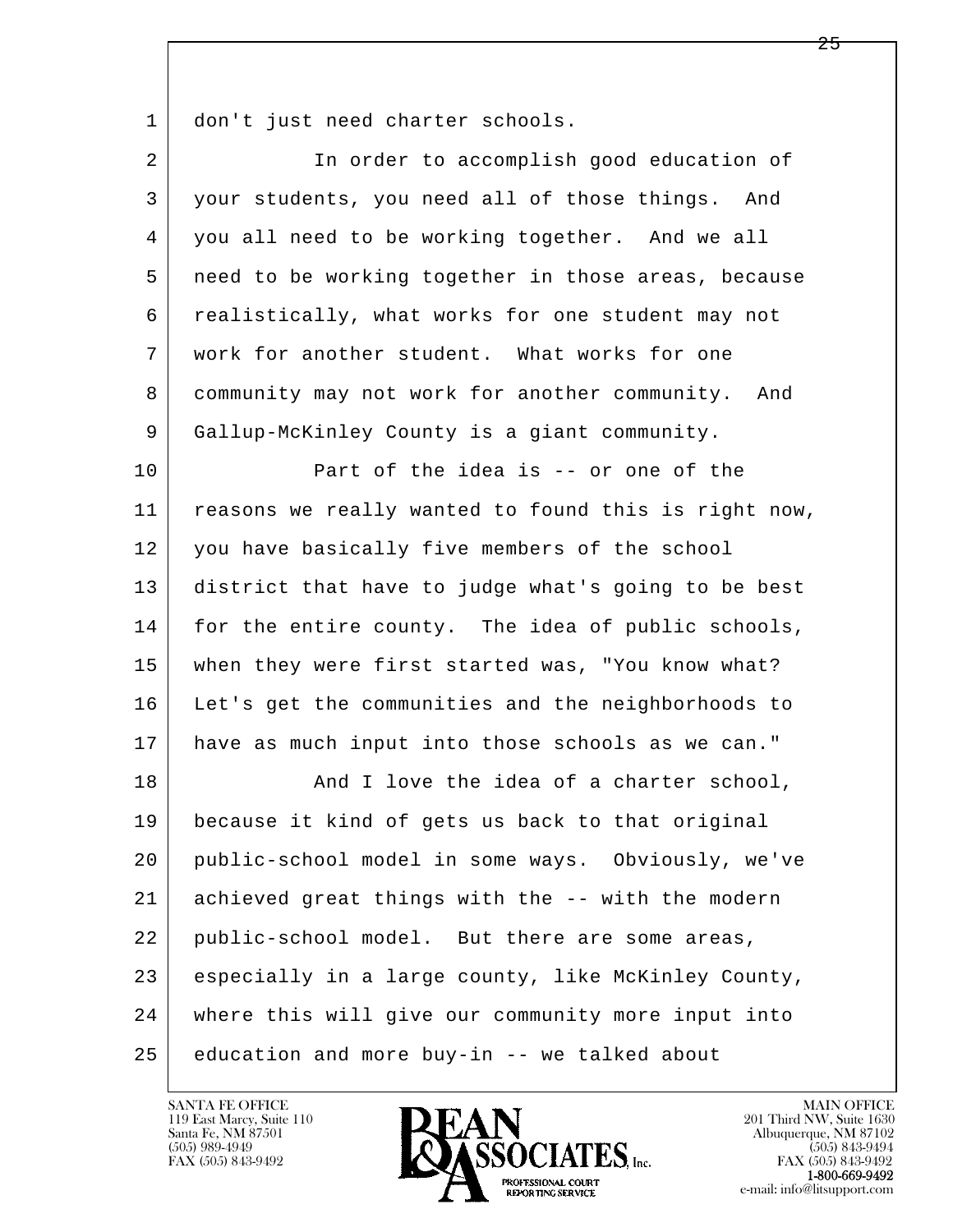1 don't just need charter schools.

| $\overline{2}$ | In order to accomplish good education of             |
|----------------|------------------------------------------------------|
| 3              | your students, you need all of those things.<br>And  |
| 4              | you all need to be working together. And we all      |
| 5              | need to be working together in those areas, because  |
| 6              | realistically, what works for one student may not    |
| 7              | work for another student. What works for one         |
| 8              | community may not work for another community.<br>And |
| 9              | Gallup-McKinley County is a giant community.         |
| 10             | Part of the idea is -- or one of the                 |
| 11             | reasons we really wanted to found this is right now, |
| 12             | you have basically five members of the school        |
| 13             | district that have to judge what's going to be best  |
| 14             | for the entire county. The idea of public schools,   |
| 15             | when they were first started was, "You know what?    |
| 16             | Let's get the communities and the neighborhoods to   |
| 17             | have as much input into those schools as we can."    |
| 18             | And I love the idea of a charter school,             |
| 19             | because it kind of gets us back to that original     |
| 20             | public-school model in some ways. Obviously, we've   |
| 21             | achieved great things with the -- with the modern    |
| 22             | public-school model. But there are some areas,       |
| 23             | especially in a large county, like McKinley County,  |
| 24             | where this will give our community more input into   |
| 25             | education and more buy-in -- we talked about         |

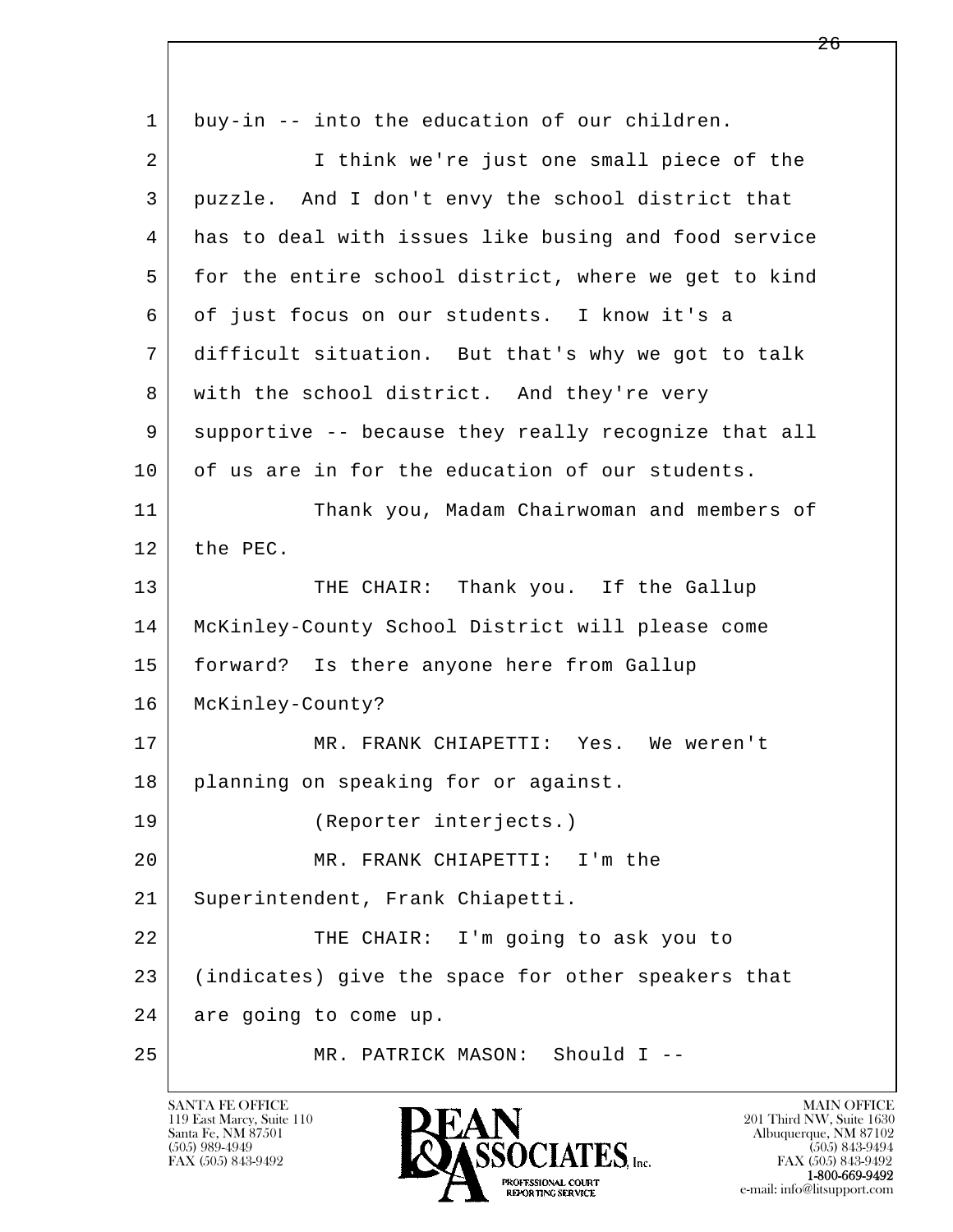l  $\overline{\phantom{a}}$  1 buy-in -- into the education of our children. 2 | Think we're just one small piece of the 3 puzzle. And I don't envy the school district that 4 has to deal with issues like busing and food service 5 for the entire school district, where we get to kind 6 of just focus on our students. I know it's a 7 difficult situation. But that's why we got to talk 8 with the school district. And they're very 9 supportive -- because they really recognize that all 10 of us are in for the education of our students. 11 Thank you, Madam Chairwoman and members of 12 the PEC. 13 THE CHAIR: Thank you. If the Gallup 14 McKinley-County School District will please come 15 forward? Is there anyone here from Gallup 16 McKinley-County? 17 MR. FRANK CHIAPETTI: Yes. We weren't 18 planning on speaking for or against. 19 (Reporter interjects.) 20 MR. FRANK CHIAPETTI: I'm the 21 Superintendent, Frank Chiapetti. 22 THE CHAIR: I'm going to ask you to 23 (indicates) give the space for other speakers that 24 are going to come up. 25 MR. PATRICK MASON: Should I --

119 East Marcy, Suite 110<br>Santa Fe, NM 87501

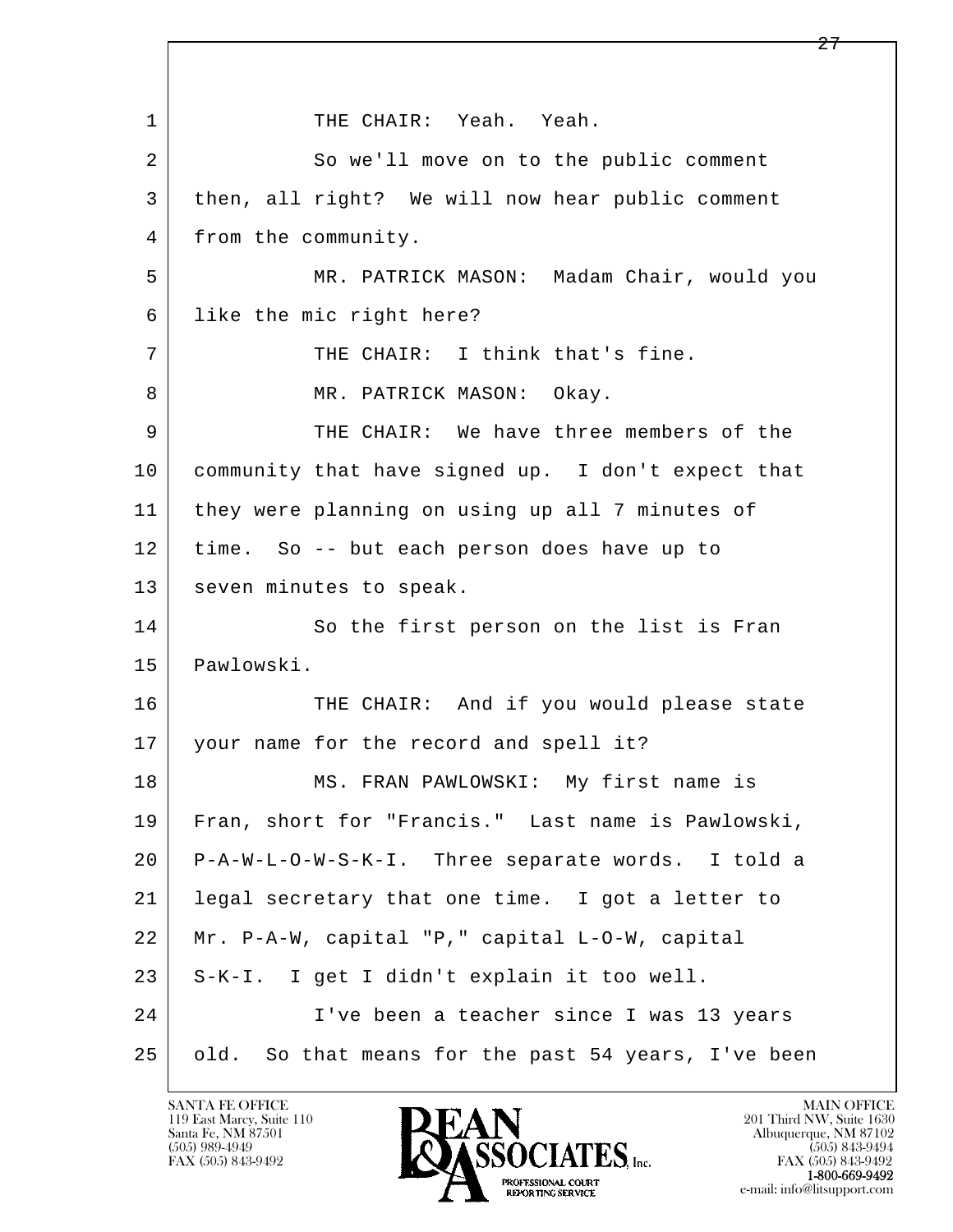l  $\overline{\phantom{a}}$ 1 | THE CHAIR: Yeah. Yeah. 2 So we'll move on to the public comment 3 then, all right? We will now hear public comment 4 | from the community. 5 MR. PATRICK MASON: Madam Chair, would you 6 like the mic right here? 7 THE CHAIR: I think that's fine. 8 MR. PATRICK MASON: Okay. 9 THE CHAIR: We have three members of the 10 community that have signed up. I don't expect that 11 they were planning on using up all 7 minutes of 12 time. So -- but each person does have up to 13 | seven minutes to speak. 14 So the first person on the list is Fran 15 Pawlowski. 16 THE CHAIR: And if you would please state 17 your name for the record and spell it? 18 | MS. FRAN PAWLOWSKI: My first name is 19 Fran, short for "Francis." Last name is Pawlowski, 20 P-A-W-L-O-W-S-K-I. Three separate words. I told a 21 legal secretary that one time. I got a letter to 22 Mr. P-A-W, capital "P," capital L-O-W, capital 23 S-K-I. I get I didn't explain it too well. 24 I've been a teacher since I was 13 years 25 old. So that means for the past 54 years, I've been

119 East Marcy, Suite 110<br>Santa Fe, NM 87501

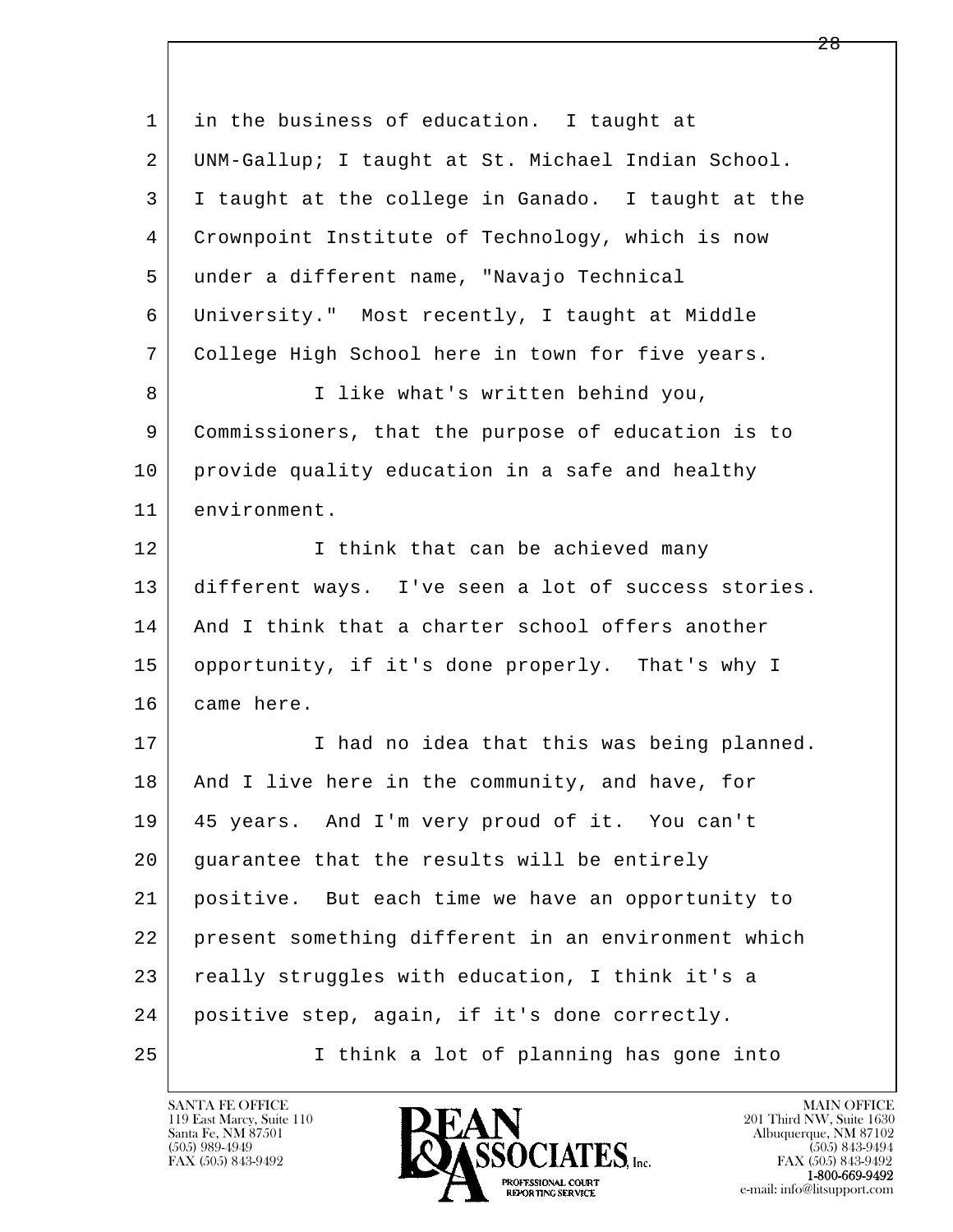| $\mathbf{1}$ | in the business of education. I taught at           |
|--------------|-----------------------------------------------------|
| 2            | UNM-Gallup; I taught at St. Michael Indian School.  |
| 3            | I taught at the college in Ganado. I taught at the  |
| 4            | Crownpoint Institute of Technology, which is now    |
| 5            | under a different name, "Navajo Technical           |
| 6            | University." Most recently, I taught at Middle      |
| 7            | College High School here in town for five years.    |
| 8            | I like what's written behind you,                   |
| 9            | Commissioners, that the purpose of education is to  |
| 10           | provide quality education in a safe and healthy     |
| 11           | environment.                                        |
| 12           | I think that can be achieved many                   |
| 13           | different ways. I've seen a lot of success stories. |
| 14           | And I think that a charter school offers another    |
| 15           | opportunity, if it's done properly. That's why I    |
| 16           | came here.                                          |
| 17           | I had no idea that this was being planned.          |
| 18           | And I live here in the community, and have, for     |
| 19           | 45 years. And I'm very proud of it. You can't       |
| 20           | guarantee that the results will be entirely         |
| 21           | positive. But each time we have an opportunity to   |
| 22           | present something different in an environment which |
| 23           | really struggles with education, I think it's a     |
| 24           | positive step, again, if it's done correctly.       |
| 25           | I think a lot of planning has gone into             |

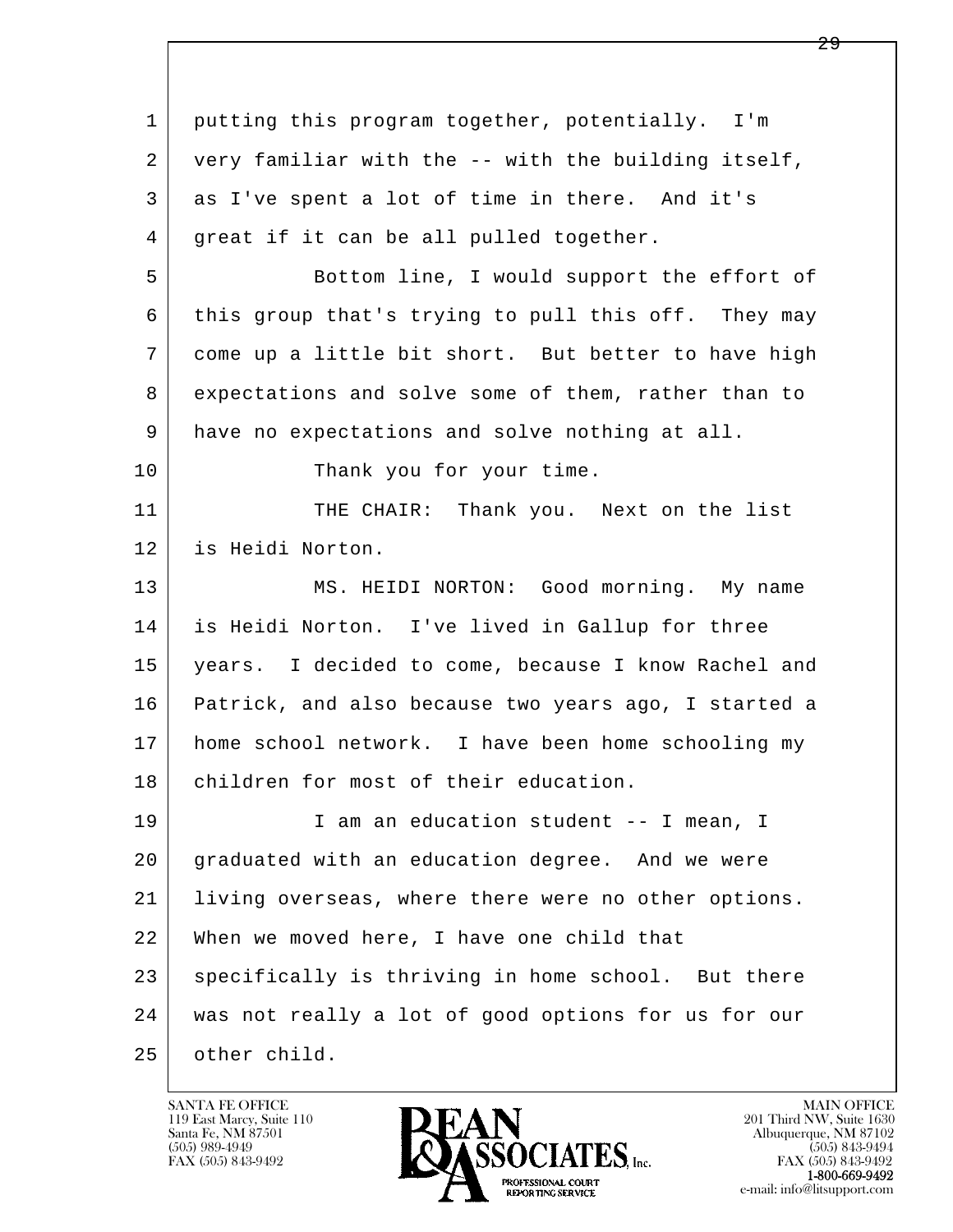| $\mathbf 1$ | putting this program together, potentially. I'm      |
|-------------|------------------------------------------------------|
| 2           | very familiar with the -- with the building itself,  |
| 3           | as I've spent a lot of time in there. And it's       |
| 4           | great if it can be all pulled together.              |
| 5           | Bottom line, I would support the effort of           |
| 6           | this group that's trying to pull this off. They may  |
| 7           | come up a little bit short. But better to have high  |
| 8           | expectations and solve some of them, rather than to  |
| 9           | have no expectations and solve nothing at all.       |
| 10          | Thank you for your time.                             |
| 11          | THE CHAIR: Thank you. Next on the list               |
| 12          | is Heidi Norton.                                     |
| 13          | MS. HEIDI NORTON: Good morning. My name              |
| 14          | is Heidi Norton. I've lived in Gallup for three      |
| 15          | years. I decided to come, because I know Rachel and  |
| 16          | Patrick, and also because two years ago, I started a |
| 17          | home school network. I have been home schooling my   |
| 18          | children for most of their education.                |
| 19          | I am an education student -- I mean, I               |
| 20          | graduated with an education degree. And we were      |
| 21          | living overseas, where there were no other options.  |
| 22          | When we moved here, I have one child that            |
| 23          | specifically is thriving in home school. But there   |
| 24          | was not really a lot of good options for us for our  |
| 25          | other child.                                         |

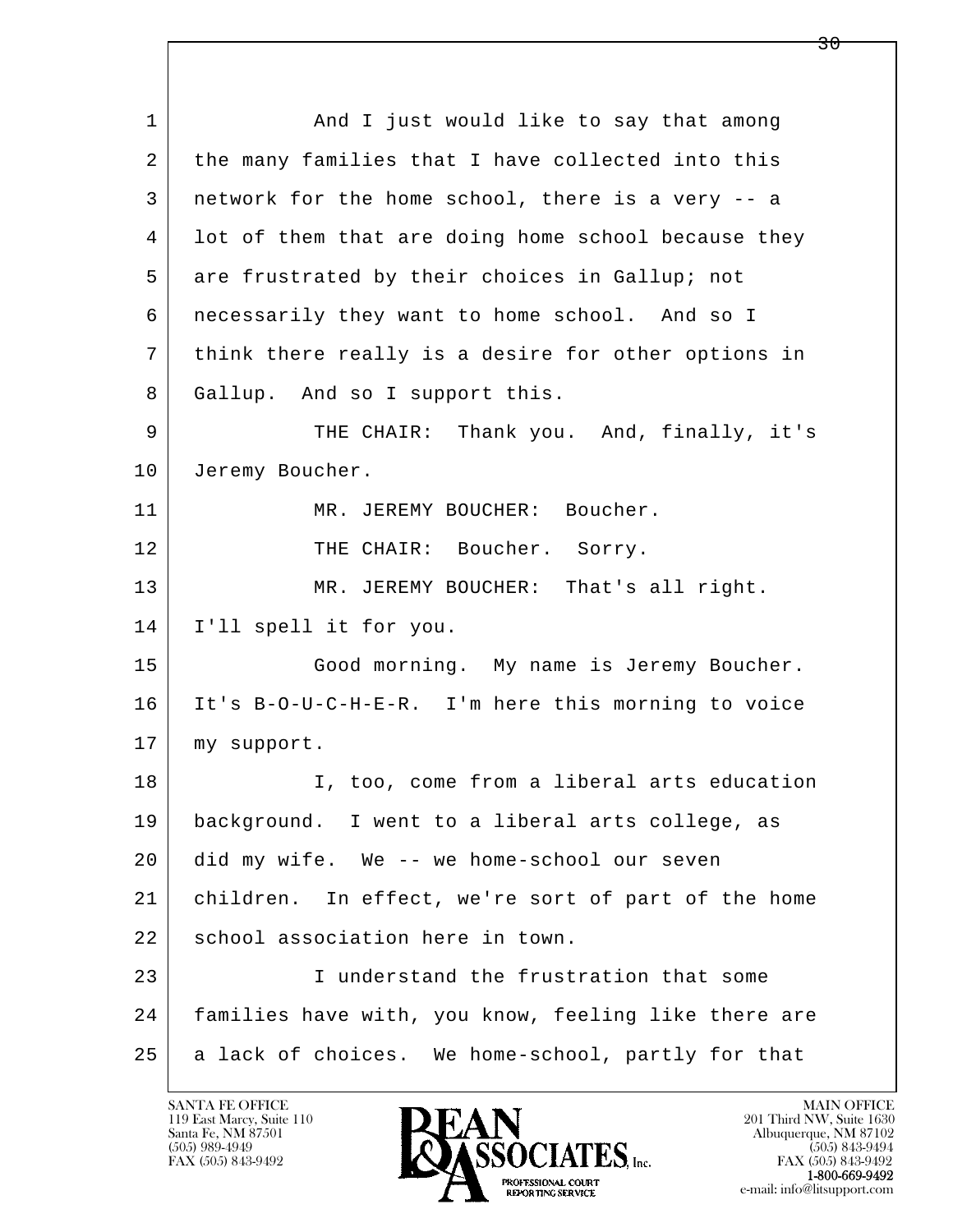l  $\overline{\phantom{a}}$ 1 and I just would like to say that among 2 the many families that I have collected into this 3 network for the home school, there is a very -- a 4 lot of them that are doing home school because they 5 are frustrated by their choices in Gallup; not 6 necessarily they want to home school. And so I 7 think there really is a desire for other options in 8 Gallup. And so I support this. 9 THE CHAIR: Thank you. And, finally, it's 10 Jeremy Boucher. 11 MR. JEREMY BOUCHER: Boucher. 12 THE CHAIR: Boucher. Sorry. 13 | MR. JEREMY BOUCHER: That's all right. 14 I'll spell it for you. 15 | Good morning. My name is Jeremy Boucher. 16 It's B-O-U-C-H-E-R. I'm here this morning to voice 17 my support. 18 I, too, come from a liberal arts education 19 background. I went to a liberal arts college, as 20 did my wife. We -- we home-school our seven 21 children. In effect, we're sort of part of the home 22 school association here in town. 23 I understand the frustration that some 24 families have with, you know, feeling like there are 25 a lack of choices. We home-school, partly for that

119 East Marcy, Suite 110<br>Santa Fe, NM 87501

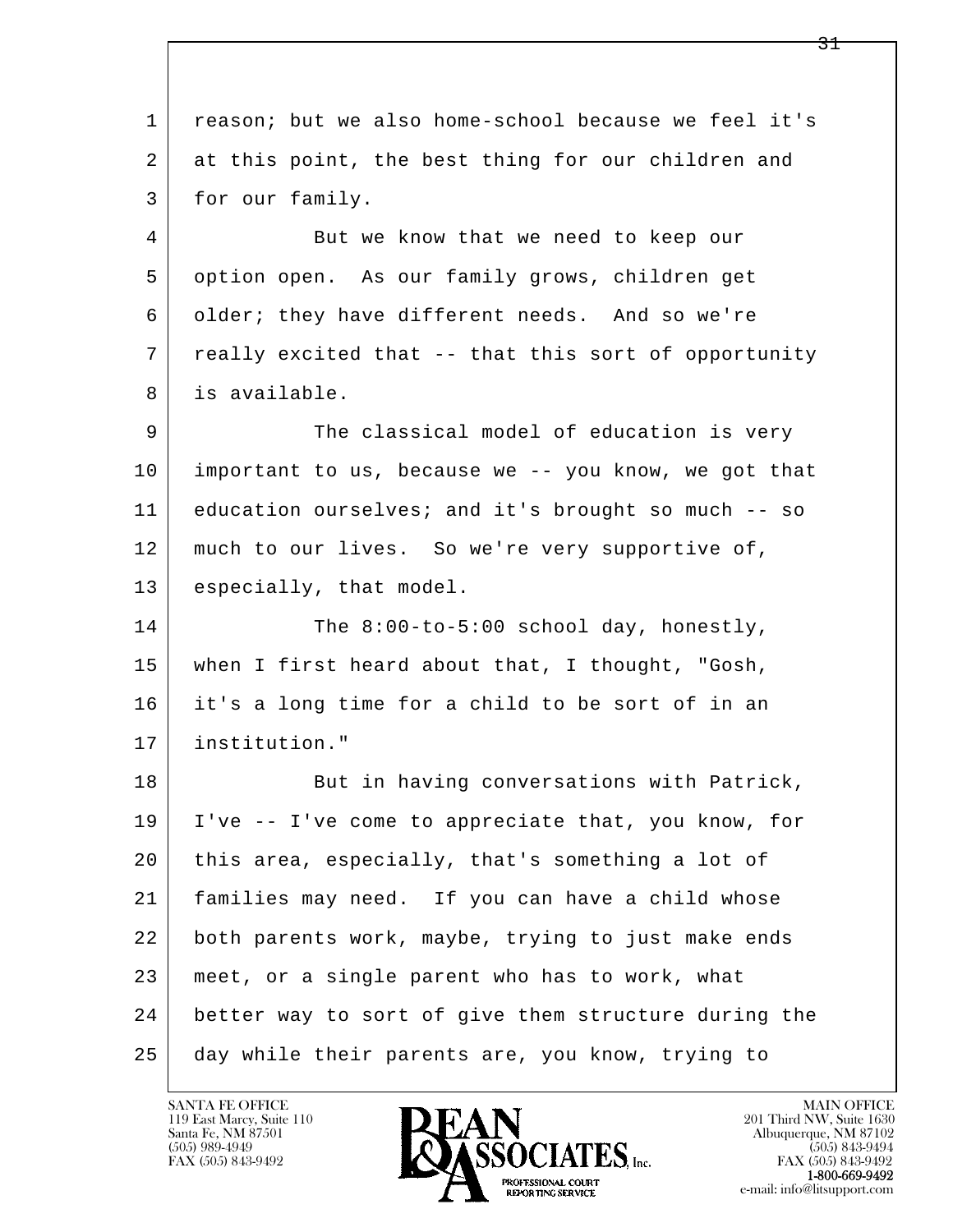l  $\overline{\phantom{a}}$  1 reason; but we also home-school because we feel it's 2 at this point, the best thing for our children and 3 for our family. 4 But we know that we need to keep our 5 option open. As our family grows, children get 6 older; they have different needs. And so we're 7 really excited that -- that this sort of opportunity 8 is available. 9 The classical model of education is very 10 important to us, because we -- you know, we got that 11 education ourselves; and it's brought so much -- so 12 | much to our lives. So we're very supportive of, 13 especially, that model. 14 The 8:00-to-5:00 school day, honestly, 15 when I first heard about that, I thought, "Gosh, 16 it's a long time for a child to be sort of in an 17 institution." 18 But in having conversations with Patrick, 19 I've -- I've come to appreciate that, you know, for 20 this area, especially, that's something a lot of 21 families may need. If you can have a child whose 22 both parents work, maybe, trying to just make ends 23 meet, or a single parent who has to work, what 24 better way to sort of give them structure during the 25 day while their parents are, you know, trying to

119 East Marcy, Suite 110<br>Santa Fe, NM 87501

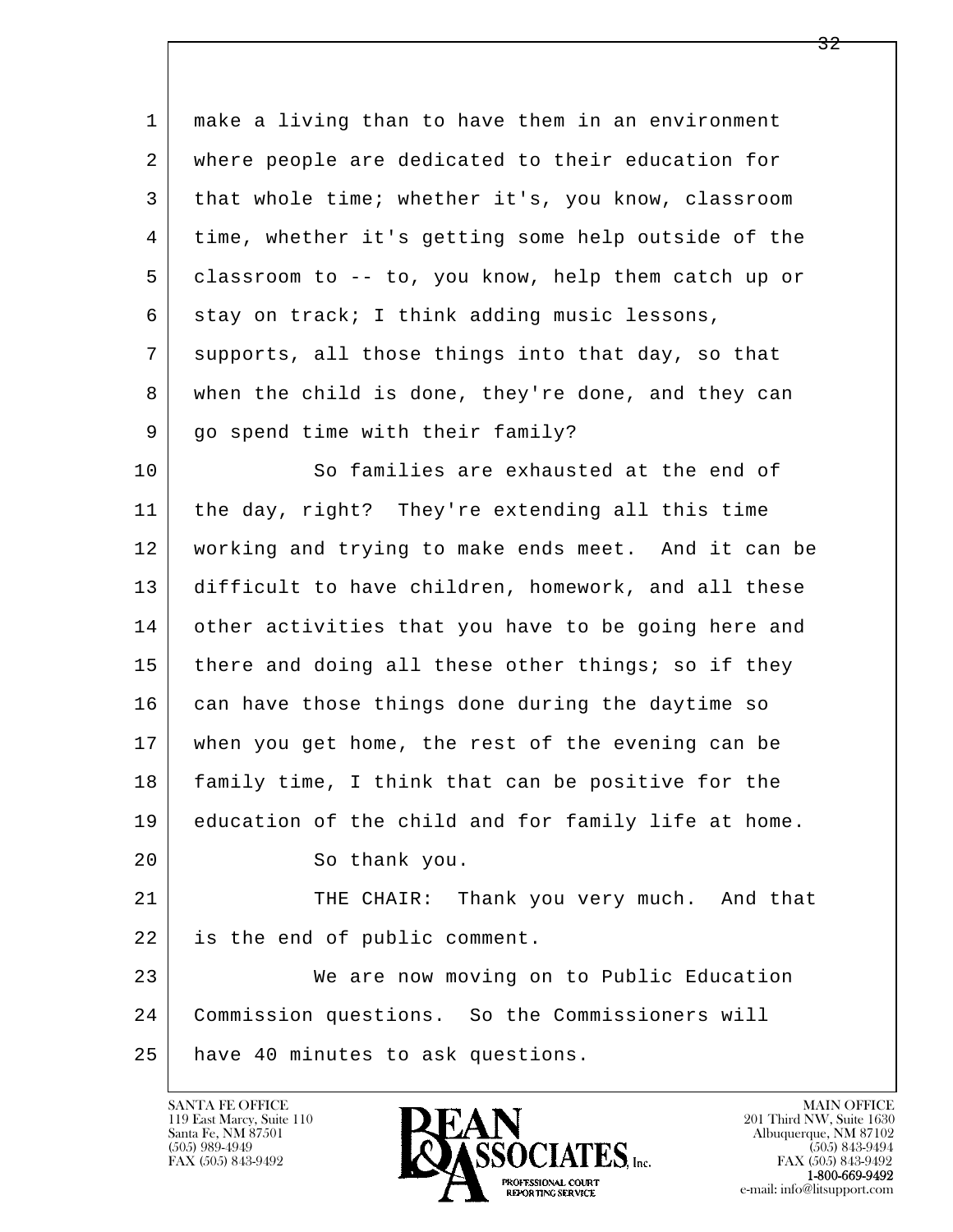| 1  | make a living than to have them in an environment   |
|----|-----------------------------------------------------|
| 2  | where people are dedicated to their education for   |
| 3  | that whole time; whether it's, you know, classroom  |
| 4  | time, whether it's getting some help outside of the |
| 5  | classroom to -- to, you know, help them catch up or |
| 6  | stay on track; I think adding music lessons,        |
| 7  | supports, all those things into that day, so that   |
| 8  | when the child is done, they're done, and they can  |
| 9  | go spend time with their family?                    |
| 10 | So families are exhausted at the end of             |
| 11 | the day, right? They're extending all this time     |
| 12 | working and trying to make ends meet. And it can be |
| 13 | difficult to have children, homework, and all these |
| 14 | other activities that you have to be going here and |
| 15 | there and doing all these other things; so if they  |
| 16 | can have those things done during the daytime so    |
| 17 | when you get home, the rest of the evening can be   |
| 18 | family time, I think that can be positive for the   |
| 19 | education of the child and for family life at home. |
| 20 | So thank you.                                       |
| 21 | THE CHAIR: Thank you very much. And that            |
| 22 | is the end of public comment.                       |
| 23 | We are now moving on to Public Education            |
| 24 | Commission questions. So the Commissioners will     |
| 25 | have 40 minutes to ask questions.                   |
|    |                                                     |

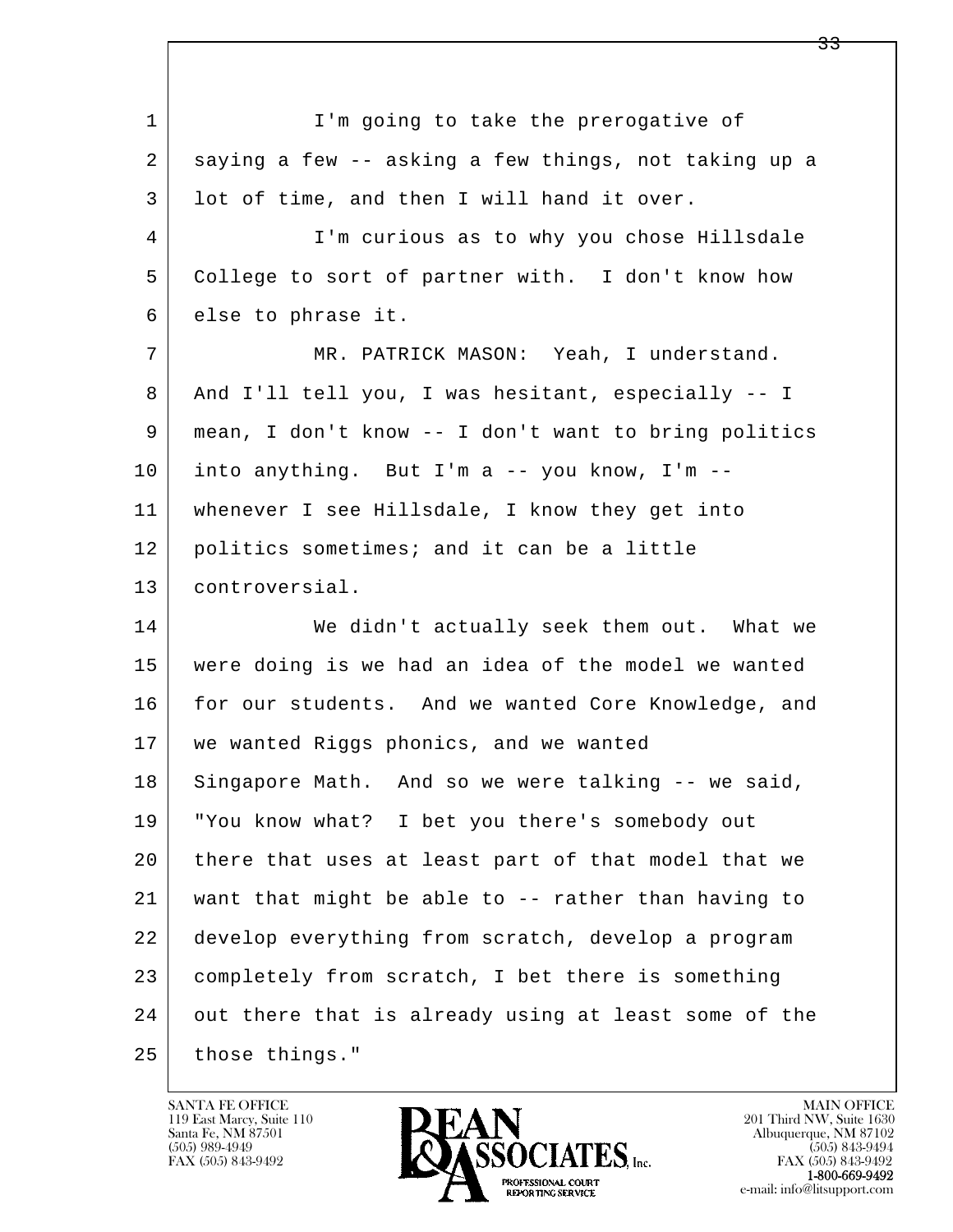l  $\overline{\phantom{a}}$ 1 I'm going to take the prerogative of 2 saying a few -- asking a few things, not taking up a 3 | lot of time, and then I will hand it over. 4 I'm curious as to why you chose Hillsdale 5 College to sort of partner with. I don't know how 6 else to phrase it. 7 MR. PATRICK MASON: Yeah, I understand. 8 And I'll tell you, I was hesitant, especially -- I 9 mean, I don't know -- I don't want to bring politics  $10$  into anything. But I'm a -- you know, I'm -- 11 whenever I see Hillsdale, I know they get into 12 politics sometimes; and it can be a little 13 controversial. 14 We didn't actually seek them out. What we 15 were doing is we had an idea of the model we wanted 16 for our students. And we wanted Core Knowledge, and 17 we wanted Riggs phonics, and we wanted 18 Singapore Math. And so we were talking -- we said, 19 "You know what? I bet you there's somebody out 20 there that uses at least part of that model that we 21 want that might be able to -- rather than having to 22 develop everything from scratch, develop a program 23 completely from scratch, I bet there is something 24 out there that is already using at least some of the 25 those things."

119 East Marcy, Suite 110<br>Santa Fe, NM 87501

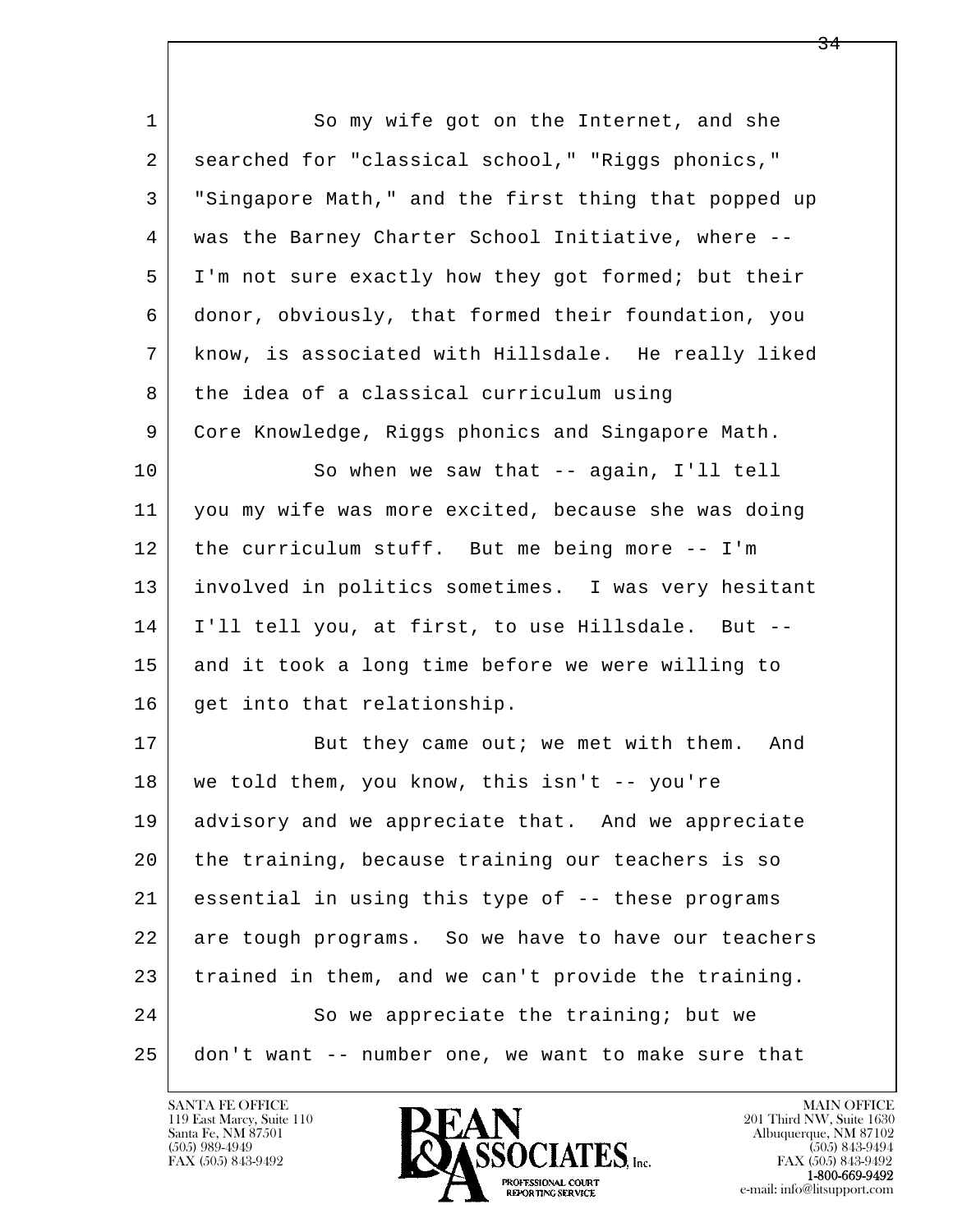l  $\overline{\phantom{a}}$ 1 So my wife got on the Internet, and she 2 searched for "classical school," "Riggs phonics," 3 "Singapore Math," and the first thing that popped up 4 was the Barney Charter School Initiative, where -- 5 I'm not sure exactly how they got formed; but their 6 donor, obviously, that formed their foundation, you 7 know, is associated with Hillsdale. He really liked 8 the idea of a classical curriculum using 9 Core Knowledge, Riggs phonics and Singapore Math. 10 So when we saw that -- again, I'll tell 11 you my wife was more excited, because she was doing 12 the curriculum stuff. But me being more -- I'm 13 involved in politics sometimes. I was very hesitant 14 I'll tell you, at first, to use Hillsdale. But -- 15 and it took a long time before we were willing to 16 get into that relationship. 17 But they came out; we met with them. And 18 we told them, you know, this isn't -- you're 19 advisory and we appreciate that. And we appreciate 20 the training, because training our teachers is so 21 essential in using this type of -- these programs 22 are tough programs. So we have to have our teachers 23 trained in them, and we can't provide the training. 24 So we appreciate the training; but we 25 don't want -- number one, we want to make sure that

119 East Marcy, Suite 110<br>Santa Fe, NM 87501

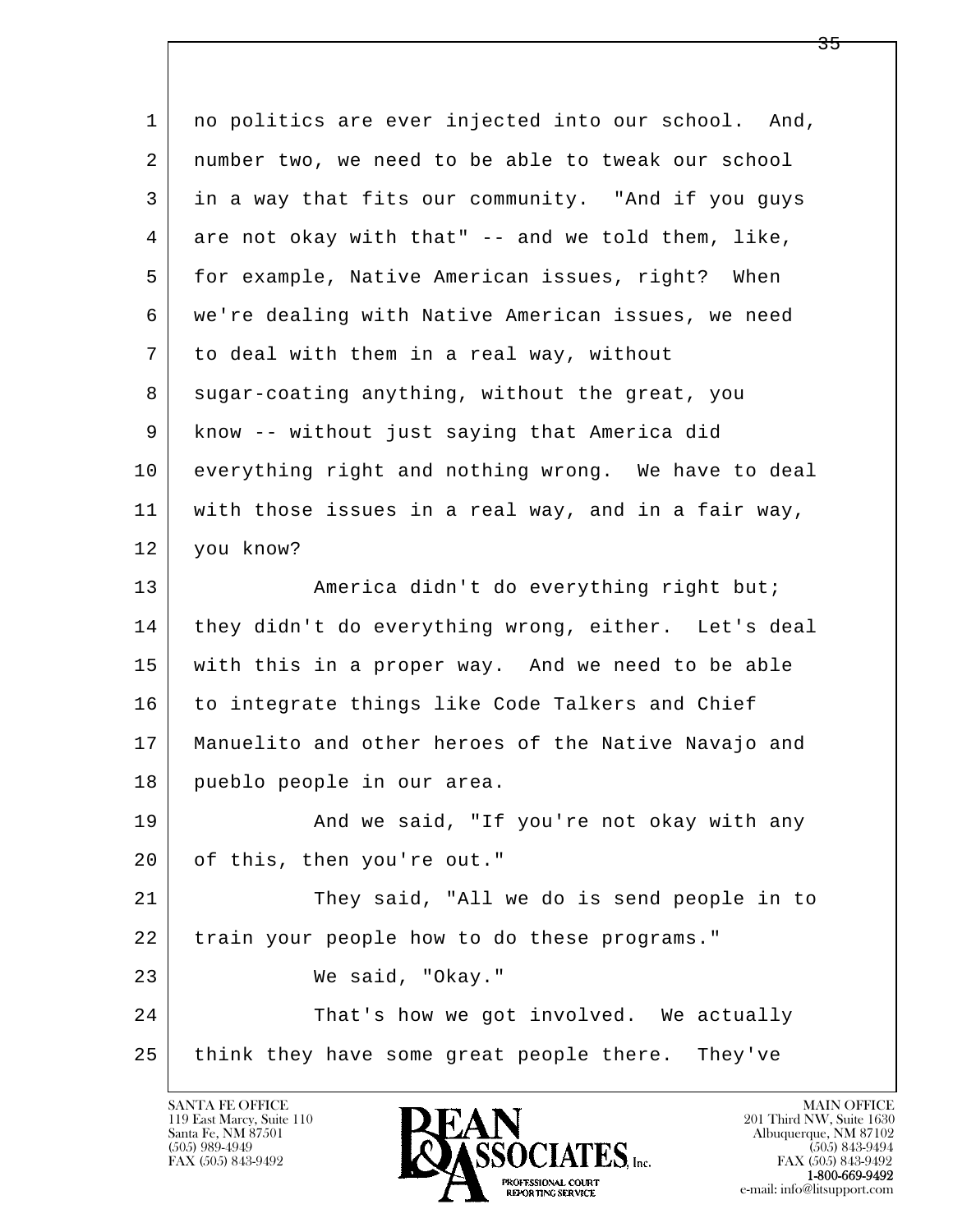l  $\overline{\phantom{a}}$ 1 no politics are ever injected into our school. And, 2 number two, we need to be able to tweak our school 3 in a way that fits our community. "And if you guys  $4 \mid$  are not okay with that"  $-$  and we told them, like, 5 for example, Native American issues, right? When 6 we're dealing with Native American issues, we need 7 to deal with them in a real way, without 8 sugar-coating anything, without the great, you 9 know -- without just saying that America did 10 everything right and nothing wrong. We have to deal 11 with those issues in a real way, and in a fair way, 12 you know? 13 | America didn't do everything right but; 14 | they didn't do everything wrong, either. Let's deal 15 with this in a proper way. And we need to be able 16 to integrate things like Code Talkers and Chief 17 Manuelito and other heroes of the Native Navajo and 18 pueblo people in our area. 19 | And we said, "If you're not okay with any 20 of this, then you're out." 21 They said, "All we do is send people in to 22 train your people how to do these programs." 23 We said, "Okay." 24 That's how we got involved. We actually 25 think they have some great people there. They've

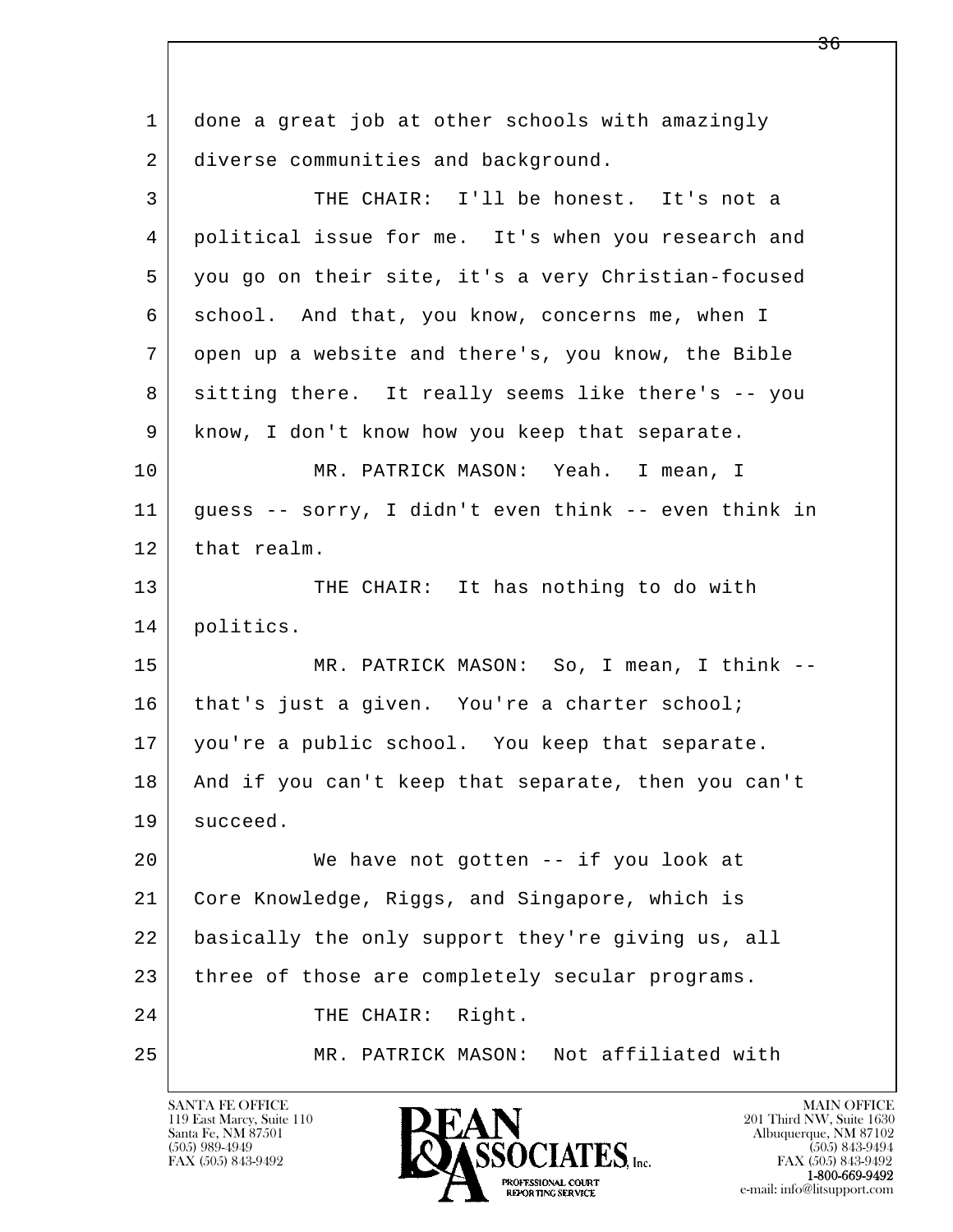l  $\overline{\phantom{a}}$  1 done a great job at other schools with amazingly 2 diverse communities and background. 3 THE CHAIR: I'll be honest. It's not a 4 political issue for me. It's when you research and 5 you go on their site, it's a very Christian-focused 6 school. And that, you know, concerns me, when I 7 open up a website and there's, you know, the Bible 8 sitting there. It really seems like there's -- you 9 know, I don't know how you keep that separate. 10 | MR. PATRICK MASON: Yeah. I mean, I 11 guess -- sorry, I didn't even think -- even think in 12 | that realm. 13 THE CHAIR: It has nothing to do with 14 | politics. 15 | MR. PATRICK MASON: So, I mean, I think --16 | that's just a given. You're a charter school; 17 you're a public school. You keep that separate. 18 And if you can't keep that separate, then you can't 19 succeed. 20 We have not gotten -- if you look at 21 Core Knowledge, Riggs, and Singapore, which is 22 basically the only support they're giving us, all 23 three of those are completely secular programs. 24 THE CHAIR: Right. 25 MR. PATRICK MASON: Not affiliated with

119 East Marcy, Suite 110<br>Santa Fe, NM 87501

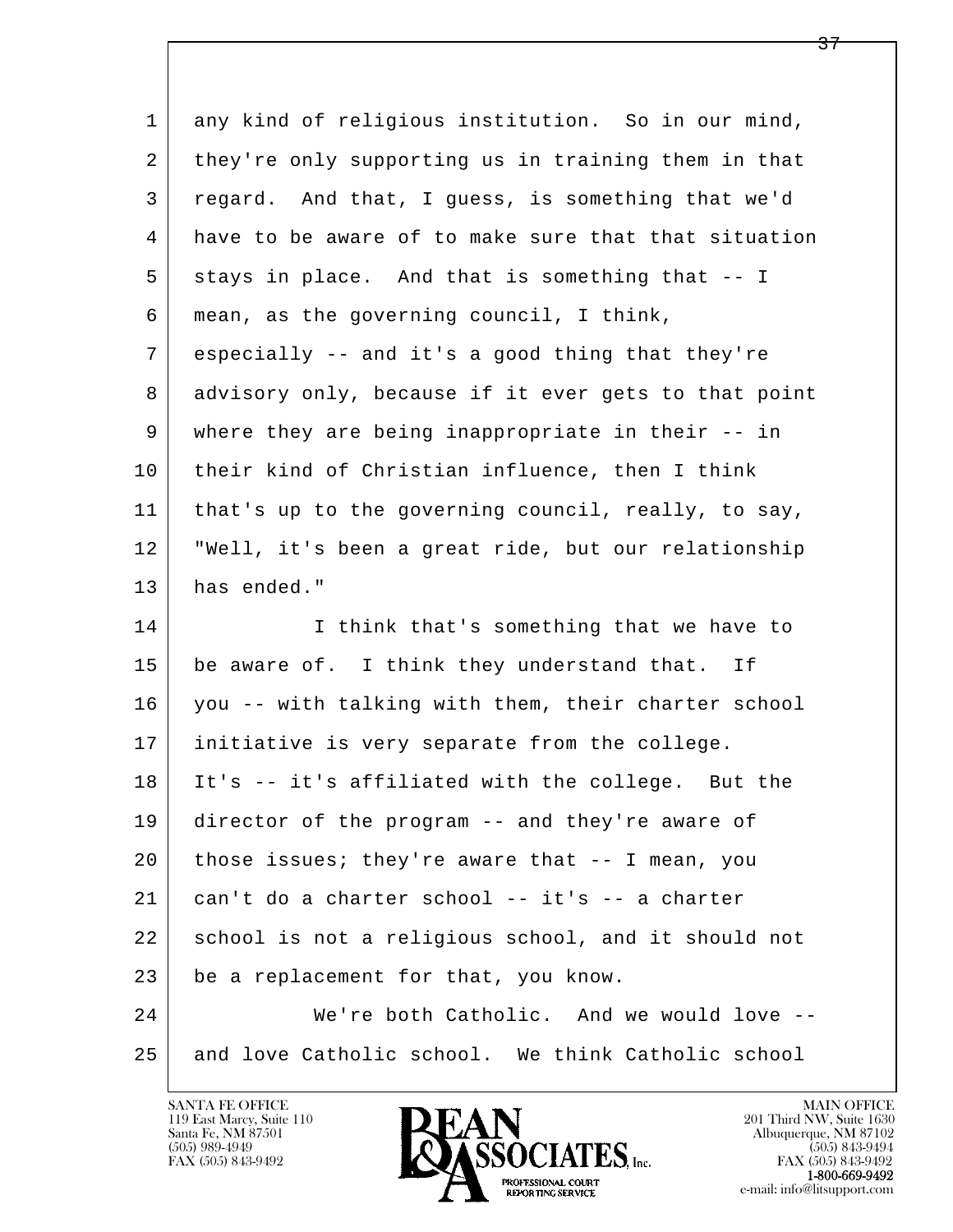| $\mathbf 1$ | any kind of religious institution. So in our mind,   |
|-------------|------------------------------------------------------|
| 2           | they're only supporting us in training them in that  |
| 3           | regard. And that, I guess, is something that we'd    |
| 4           | have to be aware of to make sure that that situation |
| 5           | stays in place. And that is something that -- I      |
| 6           | mean, as the governing council, I think,             |
| 7           | especially -- and it's a good thing that they're     |
| 8           | advisory only, because if it ever gets to that point |
| 9           | where they are being inappropriate in their -- in    |
| 10          | their kind of Christian influence, then I think      |
| 11          | that's up to the governing council, really, to say,  |
| 12          | "Well, it's been a great ride, but our relationship  |
| 13          | has ended."                                          |
| 14          | I think that's something that we have to             |
| 15          | be aware of. I think they understand that. If        |
| 16          | you -- with talking with them, their charter school  |
| 17          | initiative is very separate from the college.        |
| 18          | It's -- it's affiliated with the college. But the    |
| 19          | director of the program -- and they're aware of      |
| 20          | those issues; they're aware that $-$ - I mean, you   |
| 21          | can't do a charter school -- it's -- a charter       |
| 22          | school is not a religious school, and it should not  |
| 23          | be a replacement for that, you know.                 |
| 24          | We're both Catholic. And we would love --            |
| 25          | and love Catholic school. We think Catholic school   |

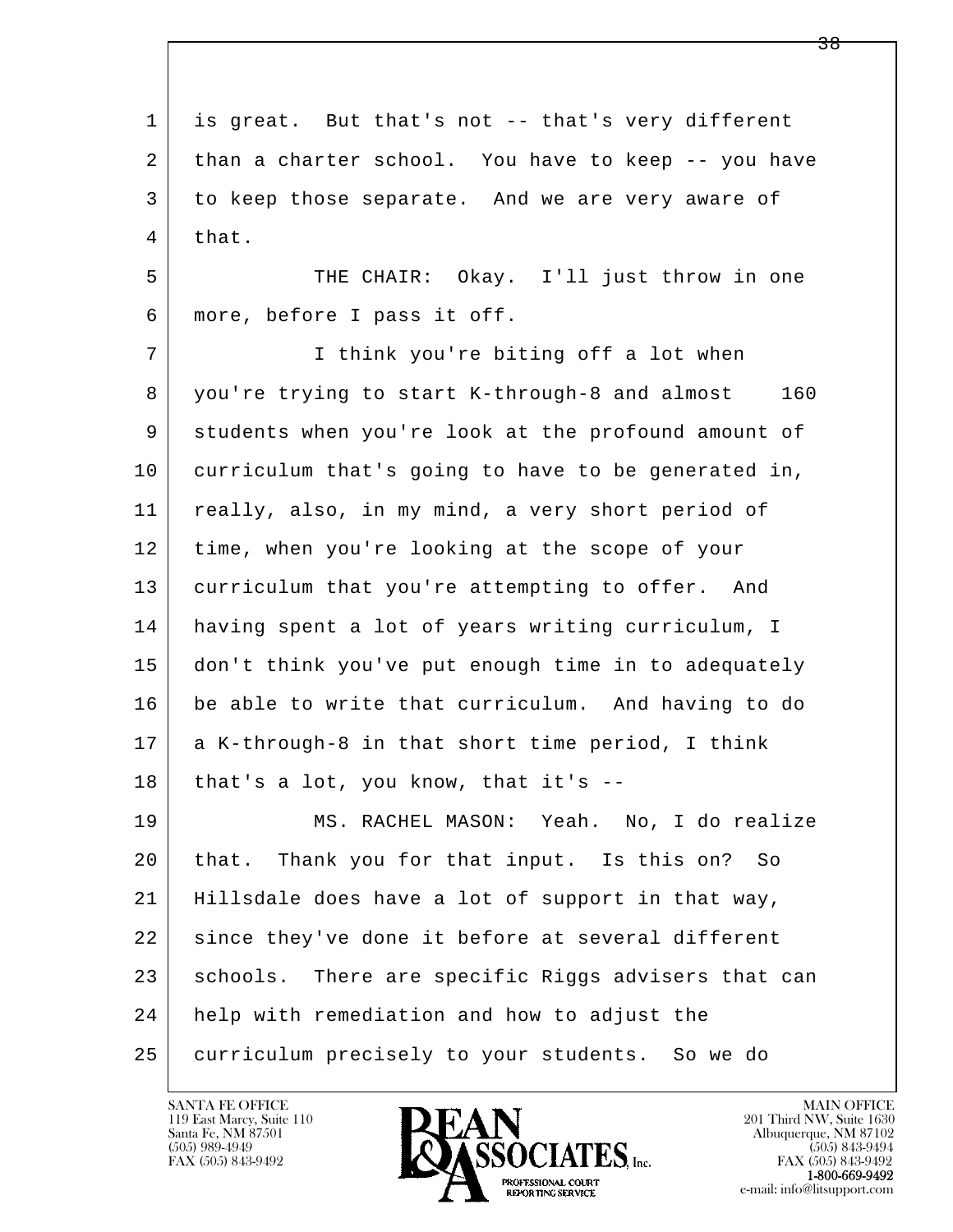l  $\overline{\phantom{a}}$  1 is great. But that's not -- that's very different 2 than a charter school. You have to keep -- you have 3 to keep those separate. And we are very aware of 4 that. 5 THE CHAIR: Okay. I'll just throw in one 6 more, before I pass it off. 7 | I think you're biting off a lot when 8 you're trying to start K-through-8 and almost 160 9 students when you're look at the profound amount of 10 curriculum that's going to have to be generated in, 11 | really, also, in my mind, a very short period of 12 time, when you're looking at the scope of your 13 curriculum that you're attempting to offer. And 14 having spent a lot of years writing curriculum, I 15 don't think you've put enough time in to adequately 16 be able to write that curriculum. And having to do 17 a K-through-8 in that short time period, I think  $18$  that's a lot, you know, that it's  $-$  19 MS. RACHEL MASON: Yeah. No, I do realize 20 that. Thank you for that input. Is this on? So 21 Hillsdale does have a lot of support in that way, 22 since they've done it before at several different 23 schools. There are specific Riggs advisers that can 24 | help with remediation and how to adjust the 25 curriculum precisely to your students. So we do

119 East Marcy, Suite 110<br>Santa Fe, NM 87501

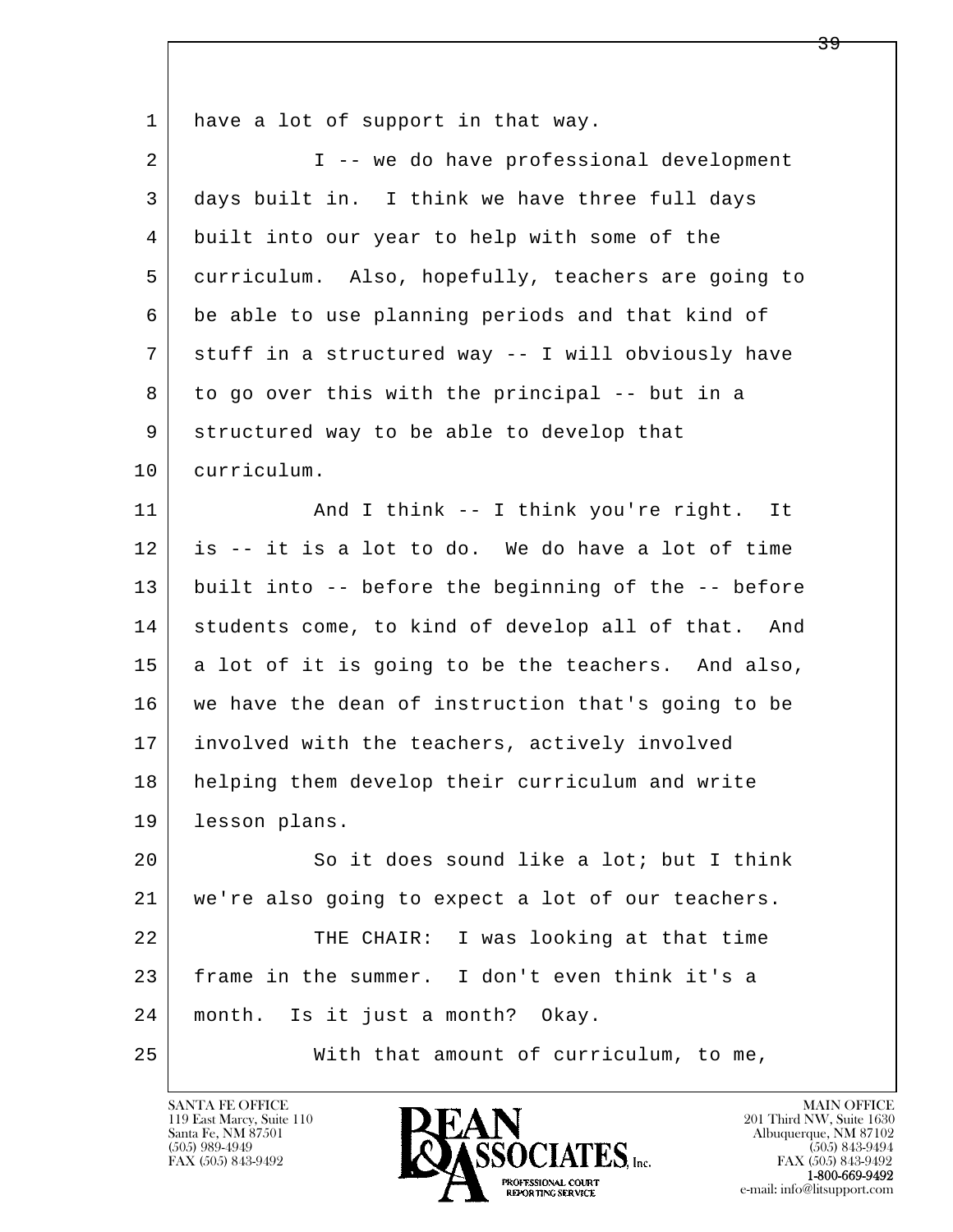l  $\overline{\phantom{a}}$ 1 have a lot of support in that way. 2 I -- we do have professional development 3 days built in. I think we have three full days 4 built into our year to help with some of the 5 curriculum. Also, hopefully, teachers are going to 6 be able to use planning periods and that kind of 7 stuff in a structured way -- I will obviously have 8 to go over this with the principal -- but in a 9 structured way to be able to develop that 10 curriculum. 11 | And I think -- I think you're right. It 12 is -- it is a lot to do. We do have a lot of time 13 built into -- before the beginning of the -- before 14 students come, to kind of develop all of that. And 15 a lot of it is going to be the teachers. And also, 16 we have the dean of instruction that's going to be 17 involved with the teachers, actively involved 18 helping them develop their curriculum and write 19 lesson plans. 20 So it does sound like a lot; but I think 21 we're also going to expect a lot of our teachers. 22 THE CHAIR: I was looking at that time 23 frame in the summer. I don't even think it's a 24 month. Is it just a month? Okay. 25 With that amount of curriculum, to me,

119 East Marcy, Suite 110<br>Santa Fe, NM 87501

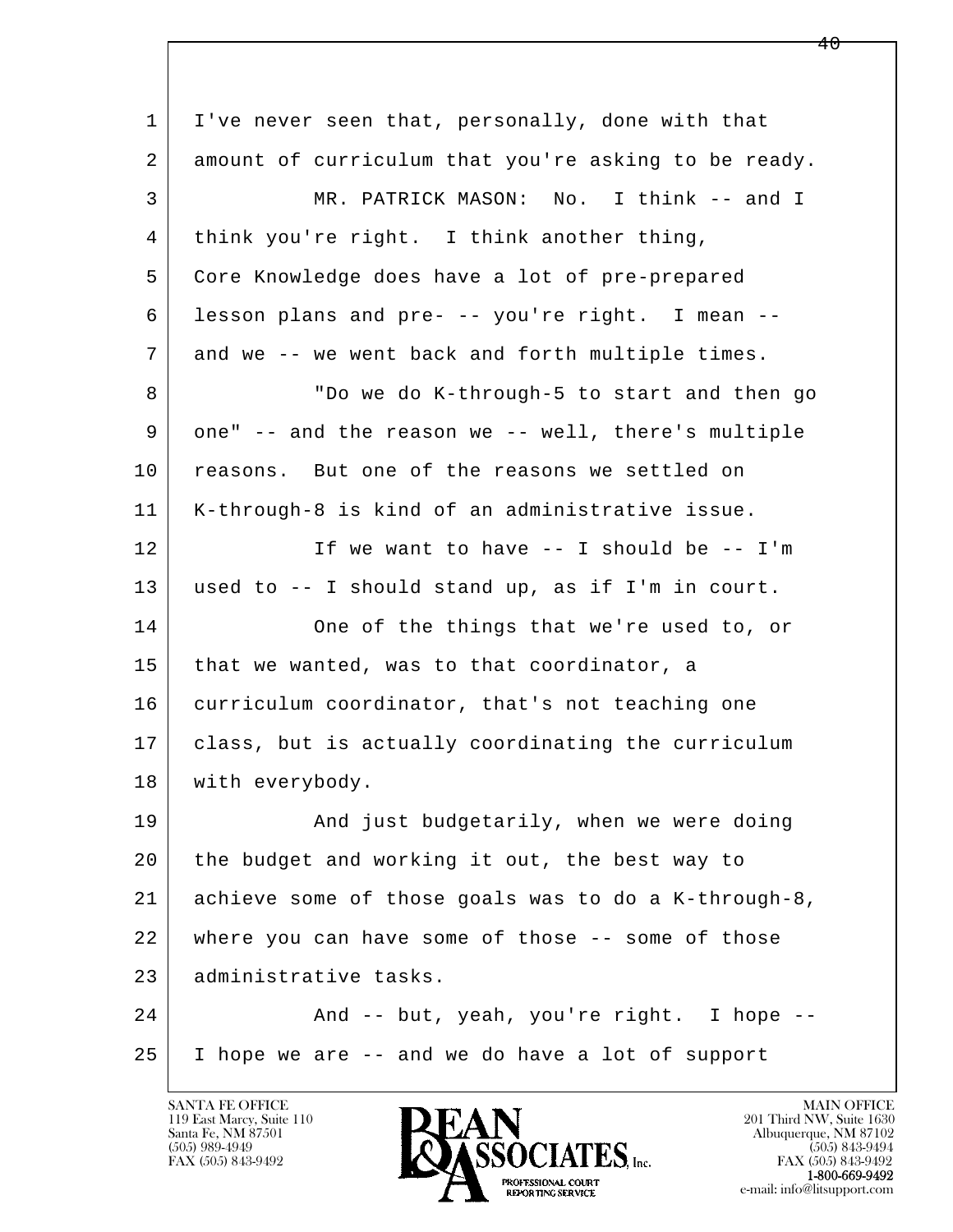| $\mathbf{1}$ | I've never seen that, personally, done with that     |
|--------------|------------------------------------------------------|
| 2            | amount of curriculum that you're asking to be ready. |
| 3            | MR. PATRICK MASON: No. I think -- and I              |
| 4            | think you're right. I think another thing,           |
| 5            | Core Knowledge does have a lot of pre-prepared       |
| 6            | lesson plans and pre- -- you're right. I mean --     |
| 7            | and we -- we went back and forth multiple times.     |
| 8            | "Do we do K-through-5 to start and then go           |
| 9            | one" -- and the reason we -- well, there's multiple  |
| 10           | reasons. But one of the reasons we settled on        |
| 11           | K-through-8 is kind of an administrative issue.      |
| 12           | If we want to have -- I should be -- I'm             |
| 13           | used to $--$ I should stand up, as if I'm in court.  |
| 14           | One of the things that we're used to, or             |
| 15           | that we wanted, was to that coordinator, a           |
| 16           | curriculum coordinator, that's not teaching one      |
| 17           | class, but is actually coordinating the curriculum   |
| 18           | with everybody.                                      |
| 19           | And just budgetarily, when we were doing             |
| 20           | the budget and working it out, the best way to       |
| 21           | achieve some of those goals was to do a K-through-8, |
| 22           | where you can have some of those -- some of those    |
| 23           | administrative tasks.                                |
| 24           | And -- but, yeah, you're right. I hope --            |
| 25           | I hope we are -- and we do have a lot of support     |

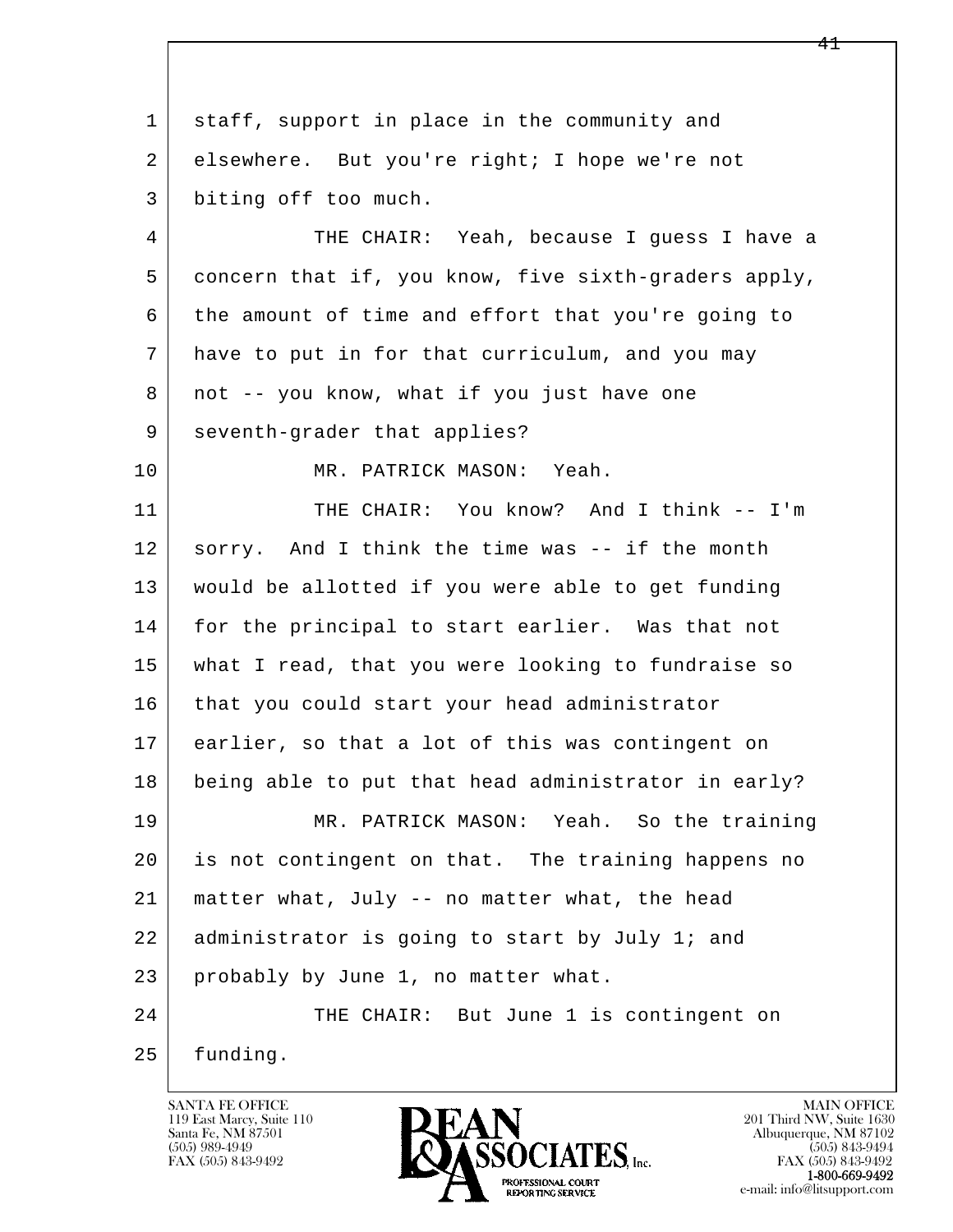l  $\overline{\phantom{a}}$  1 staff, support in place in the community and 2 | elsewhere. But you're right; I hope we're not 3 biting off too much. 4 THE CHAIR: Yeah, because I guess I have a 5 concern that if, you know, five sixth-graders apply, 6 the amount of time and effort that you're going to 7 have to put in for that curriculum, and you may 8 | not -- you know, what if you just have one 9 | seventh-grader that applies? 10 MR. PATRICK MASON: Yeah. 11 THE CHAIR: You know? And I think -- I'm 12 sorry. And I think the time was -- if the month 13 would be allotted if you were able to get funding 14 for the principal to start earlier. Was that not 15 what I read, that you were looking to fundraise so 16 that you could start your head administrator 17 earlier, so that a lot of this was contingent on 18 being able to put that head administrator in early? 19 MR. PATRICK MASON: Yeah. So the training 20 is not contingent on that. The training happens no 21 matter what, July -- no matter what, the head 22 administrator is going to start by July 1; and 23 probably by June 1, no matter what. 24 THE CHAIR: But June 1 is contingent on 25 funding.

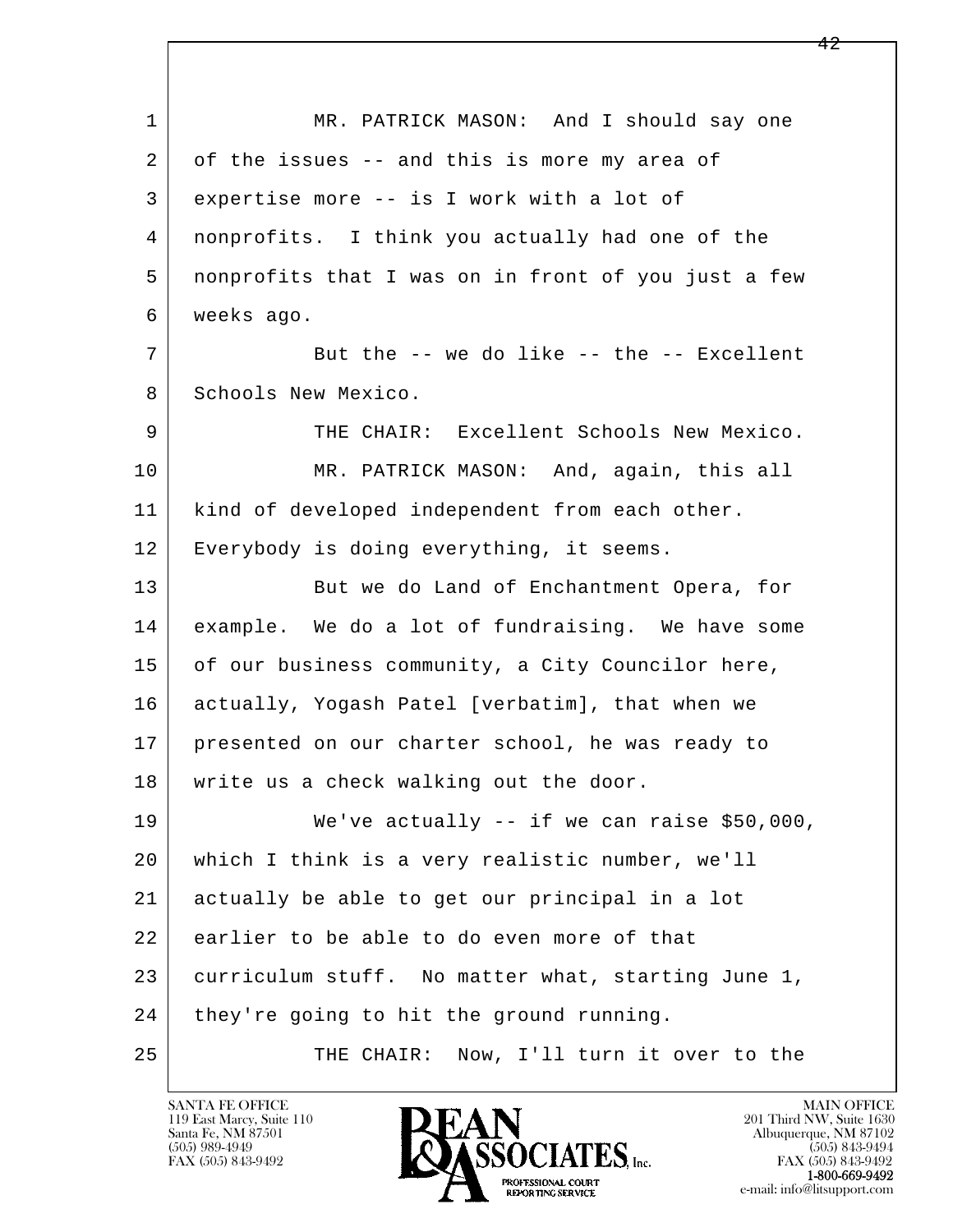l  $\overline{\phantom{a}}$ 1 | MR. PATRICK MASON: And I should say one 2 of the issues -- and this is more my area of 3 expertise more -- is I work with a lot of 4 nonprofits. I think you actually had one of the 5 nonprofits that I was on in front of you just a few 6 weeks ago. 7 But the -- we do like -- the -- Excellent 8 Schools New Mexico. 9 THE CHAIR: Excellent Schools New Mexico. 10 MR. PATRICK MASON: And, again, this all 11 | kind of developed independent from each other. 12 | Everybody is doing everything, it seems. 13 But we do Land of Enchantment Opera, for 14 example. We do a lot of fundraising. We have some 15 of our business community, a City Councilor here, 16 actually, Yogash Patel [verbatim], that when we 17 presented on our charter school, he was ready to 18 | write us a check walking out the door. 19 We've actually -- if we can raise \$50,000, 20 which I think is a very realistic number, we'll 21 actually be able to get our principal in a lot 22 earlier to be able to do even more of that 23 curriculum stuff. No matter what, starting June 1, 24 | they're going to hit the ground running. 25 THE CHAIR: Now, I'll turn it over to the

119 East Marcy, Suite 110<br>Santa Fe, NM 87501

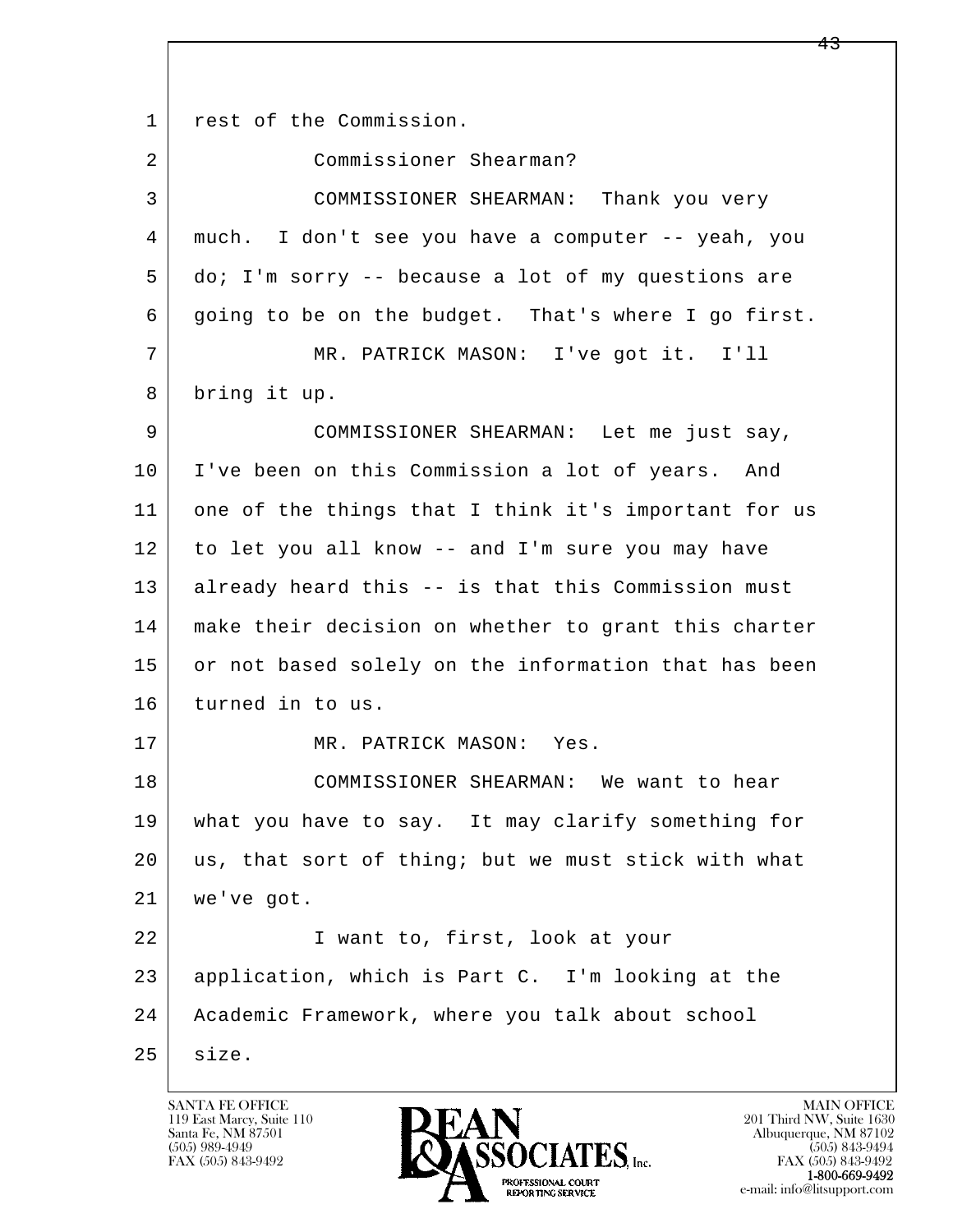l  $\overline{\phantom{a}}$ 1 rest of the Commission. 2 Commissioner Shearman? 3 COMMISSIONER SHEARMAN: Thank you very 4 much. I don't see you have a computer -- yeah, you 5 do; I'm sorry -- because a lot of my questions are 6 going to be on the budget. That's where I go first. 7 MR. PATRICK MASON: I've got it. I'll 8 bring it up. 9 COMMISSIONER SHEARMAN: Let me just say, 10 | I've been on this Commission a lot of years. And 11 one of the things that I think it's important for us 12 to let you all know -- and I'm sure you may have 13 already heard this -- is that this Commission must 14 make their decision on whether to grant this charter 15 or not based solely on the information that has been 16 turned in to us. 17 MR. PATRICK MASON: Yes. 18 COMMISSIONER SHEARMAN: We want to hear 19 what you have to say. It may clarify something for 20 us, that sort of thing; but we must stick with what 21 we've got. 22 | Twant to, first, look at your 23 application, which is Part C. I'm looking at the 24 Academic Framework, where you talk about school 25 size.

119 East Marcy, Suite 110<br>Santa Fe, NM 87501

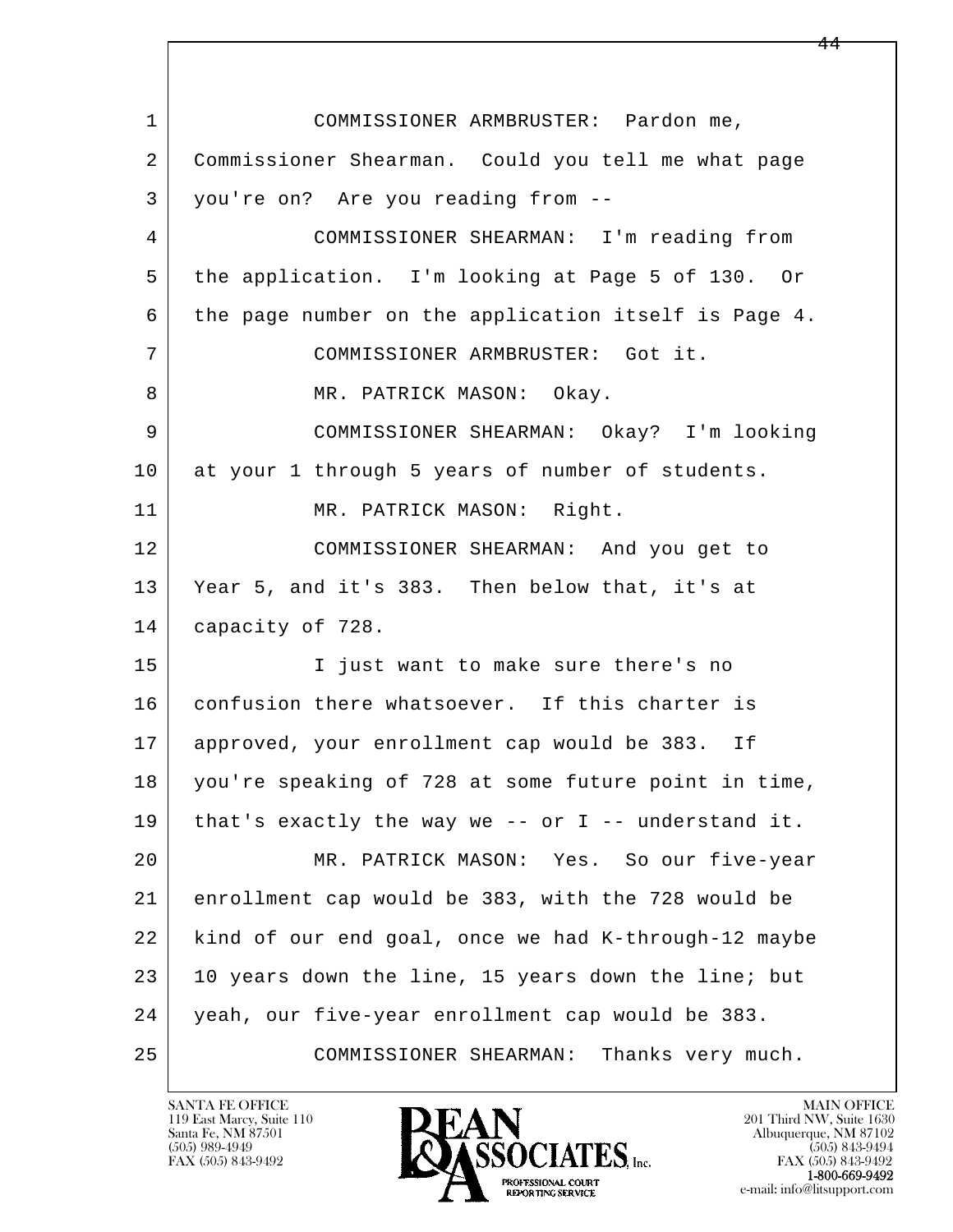l  $\overline{\phantom{a}}$  1 COMMISSIONER ARMBRUSTER: Pardon me, 2 Commissioner Shearman. Could you tell me what page 3 you're on? Are you reading from -- 4 COMMISSIONER SHEARMAN: I'm reading from 5 the application. I'm looking at Page 5 of 130. Or 6 the page number on the application itself is Page 4. 7 COMMISSIONER ARMBRUSTER: Got it. 8 MR. PATRICK MASON: Okay. 9 COMMISSIONER SHEARMAN: Okay? I'm looking 10 at your 1 through 5 years of number of students. 11 MR. PATRICK MASON: Right. 12 COMMISSIONER SHEARMAN: And you get to 13 Year 5, and it's 383. Then below that, it's at 14 capacity of 728. 15 | Tiust want to make sure there's no 16 confusion there whatsoever. If this charter is 17 approved, your enrollment cap would be 383. If 18 you're speaking of 728 at some future point in time, 19 that's exactly the way we -- or I -- understand it. 20 MR. PATRICK MASON: Yes. So our five-year 21 enrollment cap would be 383, with the 728 would be 22 kind of our end goal, once we had K-through-12 maybe 23 10 years down the line, 15 years down the line; but 24 yeah, our five-year enrollment cap would be 383. 25 COMMISSIONER SHEARMAN: Thanks very much.

119 East Marcy, Suite 110<br>Santa Fe, NM 87501

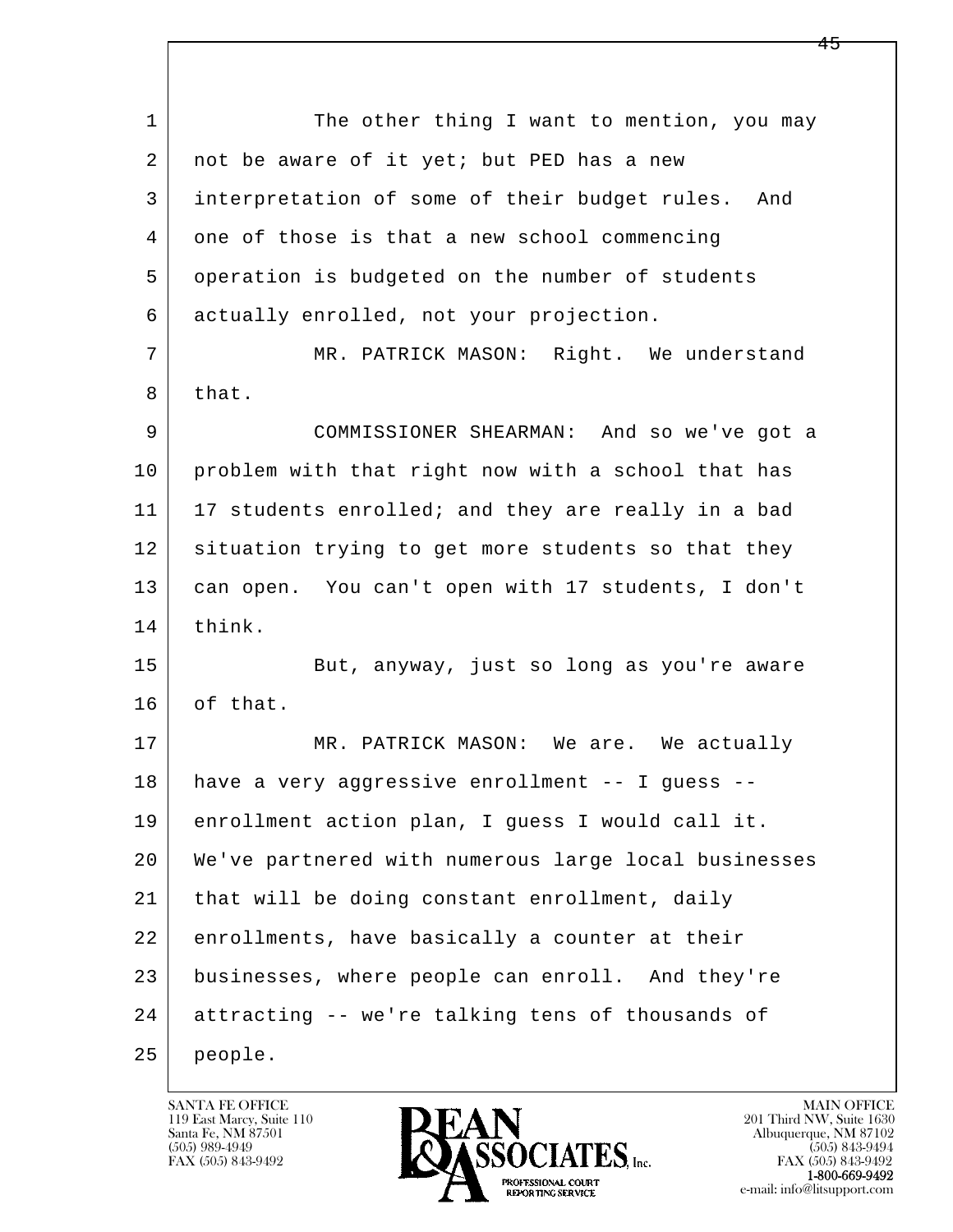l  $\overline{\phantom{a}}$ 1 The other thing I want to mention, you may 2 | not be aware of it yet; but PED has a new 3 interpretation of some of their budget rules. And 4 one of those is that a new school commencing 5 operation is budgeted on the number of students 6 actually enrolled, not your projection. 7 MR. PATRICK MASON: Right. We understand 8 that. 9 COMMISSIONER SHEARMAN: And so we've got a 10 problem with that right now with a school that has 11 | 17 students enrolled; and they are really in a bad 12 situation trying to get more students so that they 13 can open. You can't open with 17 students, I don't 14 think. 15 But, anyway, just so long as you're aware 16 of that. 17 MR. PATRICK MASON: We are. We actually 18 have a very aggressive enrollment -- I guess -- 19 enrollment action plan, I guess I would call it. 20 We've partnered with numerous large local businesses 21 that will be doing constant enrollment, daily 22 enrollments, have basically a counter at their 23 businesses, where people can enroll. And they're 24 attracting -- we're talking tens of thousands of 25 people.

119 East Marcy, Suite 110<br>Santa Fe, NM 87501



FAX (505) 843-9492 FAX (505) 843-9492 e-mail: info@litsupport.com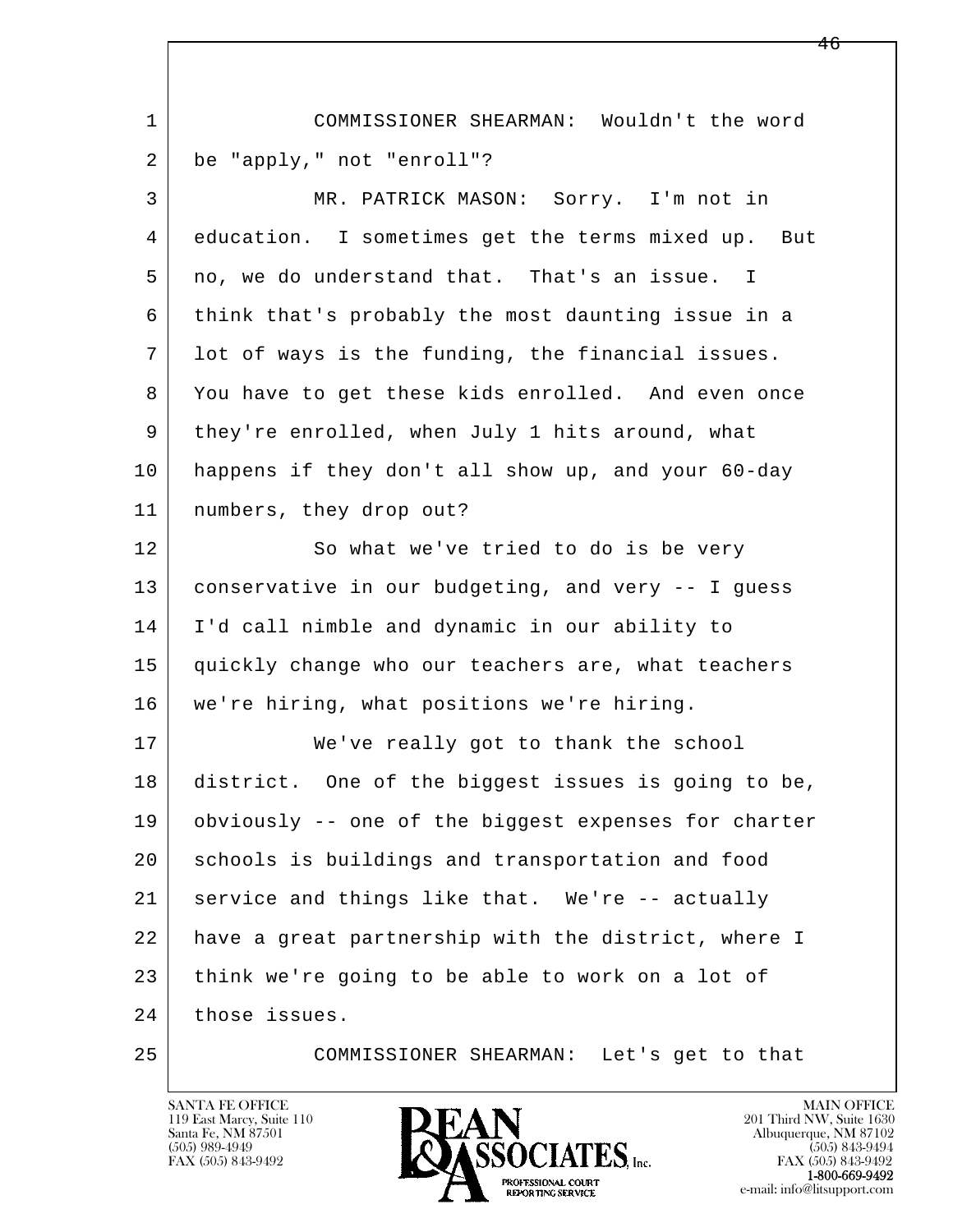| $\mathbf{1}$ | COMMISSIONER SHEARMAN: Wouldn't the word             |
|--------------|------------------------------------------------------|
| 2            | be "apply," not "enroll"?                            |
| 3            | MR. PATRICK MASON: Sorry. I'm not in                 |
| 4            | education. I sometimes get the terms mixed up. But   |
| 5            | no, we do understand that. That's an issue. I        |
| 6            | think that's probably the most daunting issue in a   |
| 7            | lot of ways is the funding, the financial issues.    |
| 8            | You have to get these kids enrolled. And even once   |
| 9            | they're enrolled, when July 1 hits around, what      |
| 10           | happens if they don't all show up, and your 60-day   |
| 11           | numbers, they drop out?                              |
| 12           | So what we've tried to do is be very                 |
| 13           | conservative in our budgeting, and very -- I guess   |
| 14           | I'd call nimble and dynamic in our ability to        |
| 15           | quickly change who our teachers are, what teachers   |
| 16           | we're hiring, what positions we're hiring.           |
| 17           | We've really got to thank the school                 |
| 18           | district. One of the biggest issues is going to be,  |
| 19           | obviously -- one of the biggest expenses for charter |
| 20           | schools is buildings and transportation and food     |
| 21           | service and things like that. We're -- actually      |
| 22           | have a great partnership with the district, where I  |
| 23           | think we're going to be able to work on a lot of     |
| 24           | those issues.                                        |
| 25           | COMMISSIONER SHEARMAN: Let's get to that             |

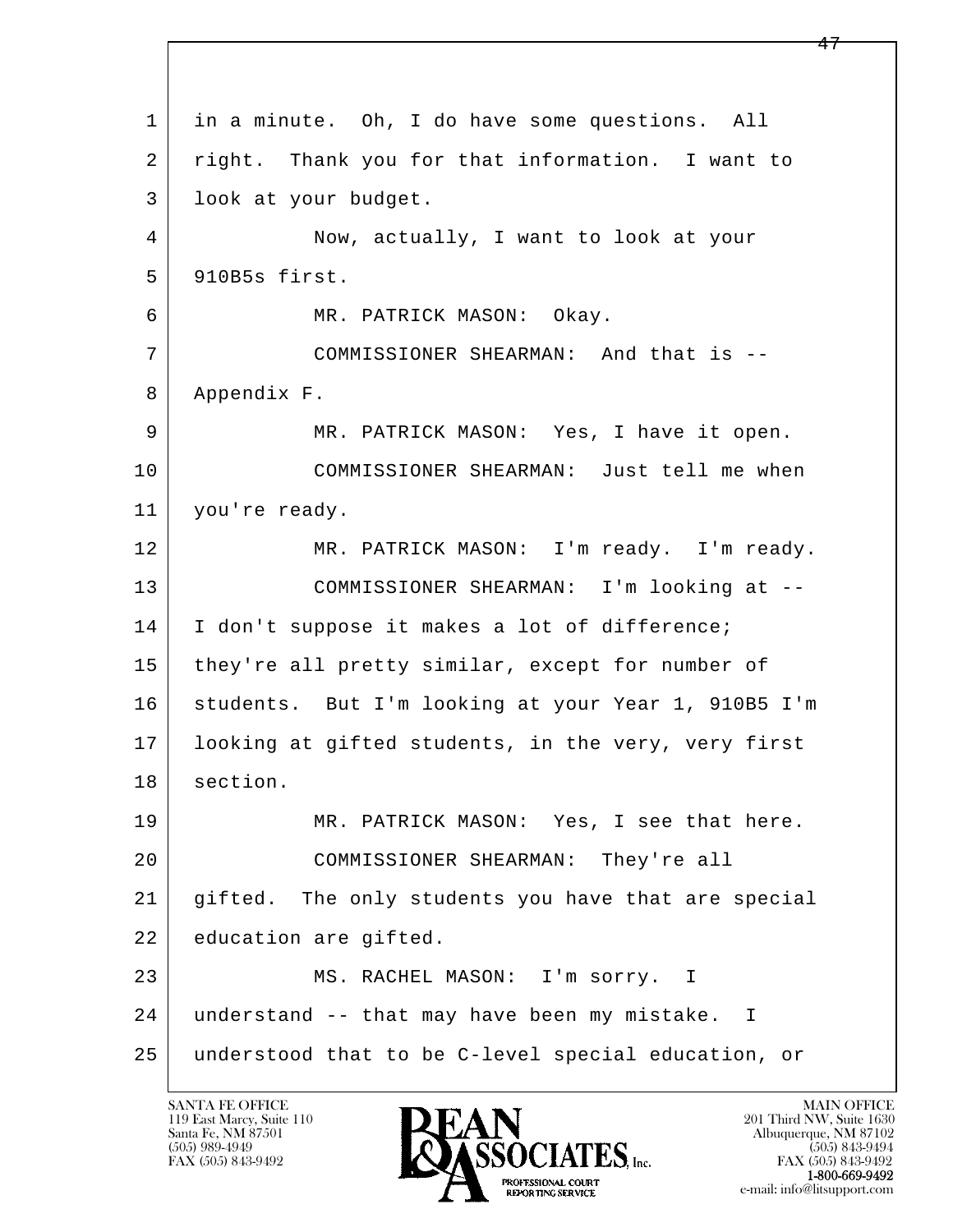l  $\overline{\phantom{a}}$  1 in a minute. Oh, I do have some questions. All 2 | right. Thank you for that information. I want to 3 look at your budget. 4 Now, actually, I want to look at your 5 910B5s first. 6 MR. PATRICK MASON: Okay. 7 COMMISSIONER SHEARMAN: And that is -- 8 Appendix F. 9 MR. PATRICK MASON: Yes, I have it open. 10 COMMISSIONER SHEARMAN: Just tell me when 11 you're ready. 12 MR. PATRICK MASON: I'm ready. I'm ready. 13 COMMISSIONER SHEARMAN: I'm looking at -- 14 | I don't suppose it makes a lot of difference; 15 | they're all pretty similar, except for number of 16 students. But I'm looking at your Year 1, 910B5 I'm 17 looking at gifted students, in the very, very first 18 section. 19 MR. PATRICK MASON: Yes, I see that here. 20 COMMISSIONER SHEARMAN: They're all 21 gifted. The only students you have that are special 22 education are gifted. 23 MS. RACHEL MASON: I'm sorry. I 24 understand -- that may have been my mistake. I 25 understood that to be C-level special education, or

119 East Marcy, Suite 110<br>Santa Fe, NM 87501

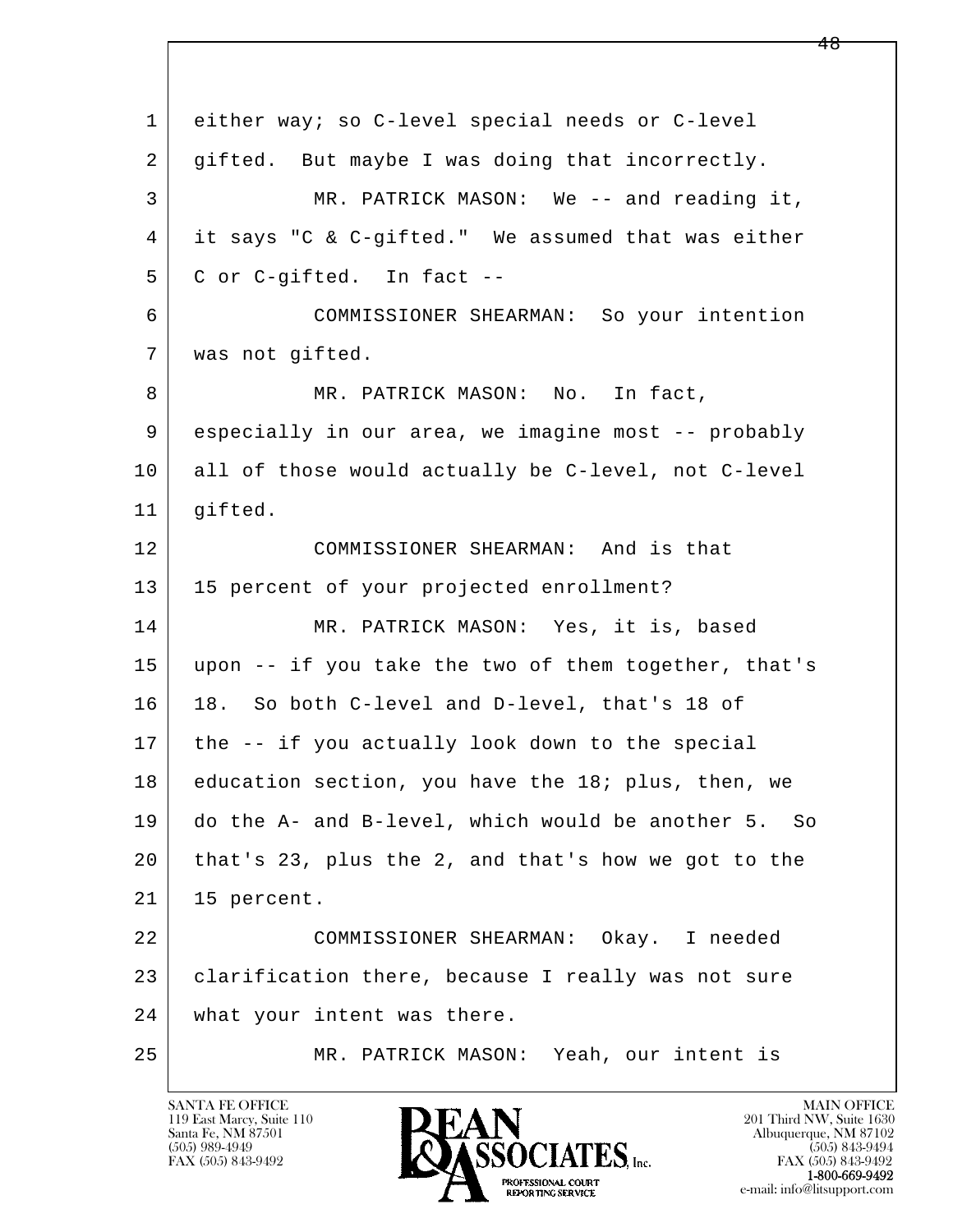l  $\overline{\phantom{a}}$  1 either way; so C-level special needs or C-level 2 gifted. But maybe I was doing that incorrectly. 3 MR. PATRICK MASON: We -- and reading it, 4 it says "C & C-gifted." We assumed that was either 5 C or C-gifted. In fact -- 6 COMMISSIONER SHEARMAN: So your intention 7 was not gifted. 8 MR. PATRICK MASON: No. In fact, 9 | especially in our area, we imagine most -- probably 10 all of those would actually be C-level, not C-level 11 | gifted. 12 COMMISSIONER SHEARMAN: And is that 13 | 15 percent of your projected enrollment? 14 MR. PATRICK MASON: Yes, it is, based 15 upon -- if you take the two of them together, that's 16 18. So both C-level and D-level, that's 18 of 17 the -- if you actually look down to the special 18 education section, you have the 18; plus, then, we 19 do the A- and B-level, which would be another 5. So 20 that's 23, plus the 2, and that's how we got to the 21 15 percent. 22 COMMISSIONER SHEARMAN: Okay. I needed 23 clarification there, because I really was not sure 24 what your intent was there. 25 MR. PATRICK MASON: Yeah, our intent is

119 East Marcy, Suite 110<br>Santa Fe, NM 87501

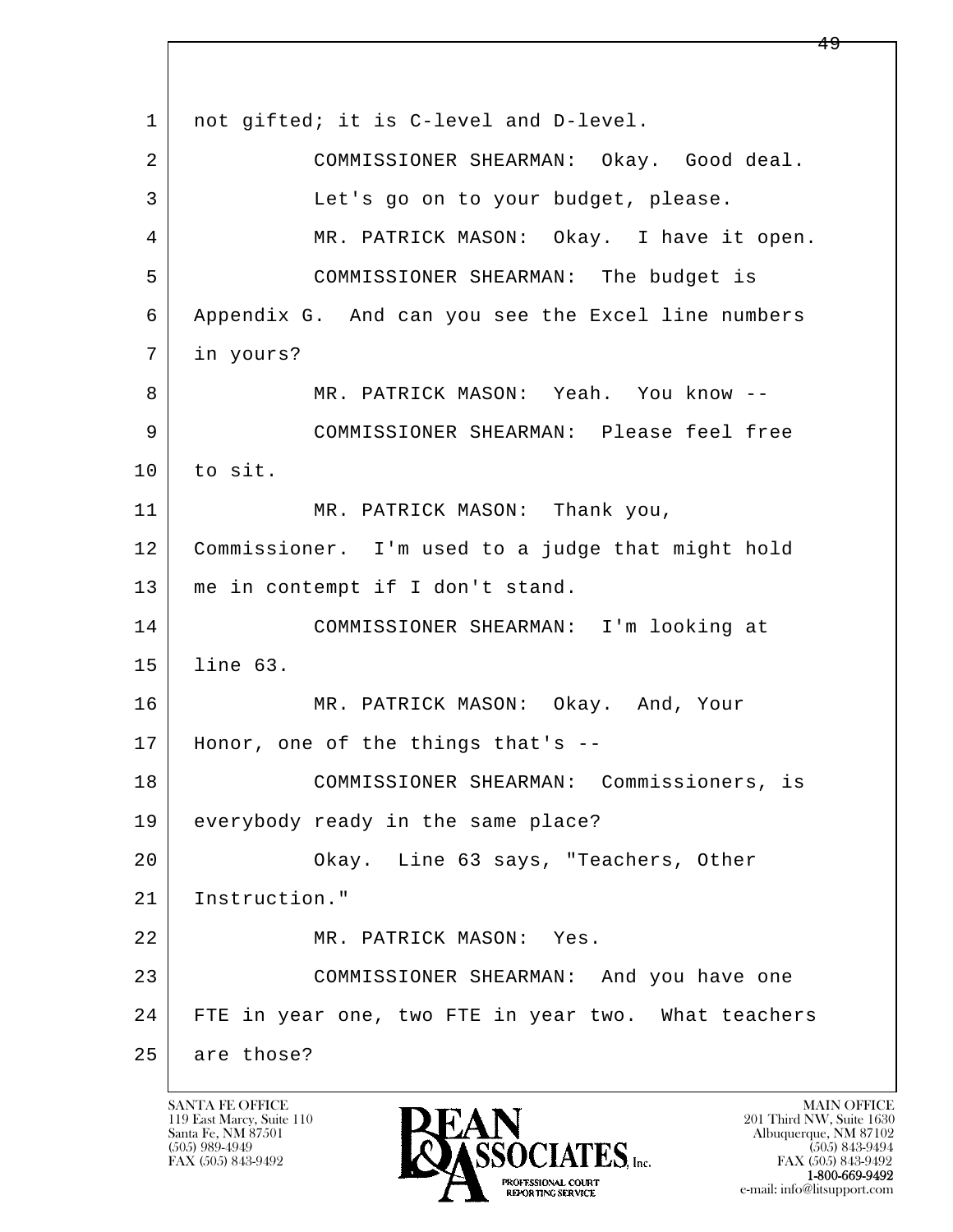l  $\overline{\phantom{a}}$ 1 | not gifted; it is C-level and D-level. 2 COMMISSIONER SHEARMAN: Okay. Good deal. 3 Let's go on to your budget, please. 4 MR. PATRICK MASON: Okay. I have it open. 5 COMMISSIONER SHEARMAN: The budget is 6 Appendix G. And can you see the Excel line numbers 7 in yours? 8 | MR. PATRICK MASON: Yeah. You know -- 9 COMMISSIONER SHEARMAN: Please feel free  $10$  to sit. 11 | MR. PATRICK MASON: Thank you, 12 Commissioner. I'm used to a judge that might hold 13 me in contempt if I don't stand. 14 COMMISSIONER SHEARMAN: I'm looking at 15 line 63. 16 MR. PATRICK MASON: Okay. And, Your 17 Honor, one of the things that's -- 18 COMMISSIONER SHEARMAN: Commissioners, is 19 everybody ready in the same place? 20 Okay. Line 63 says, "Teachers, Other 21 Instruction." 22 MR. PATRICK MASON: Yes. 23 COMMISSIONER SHEARMAN: And you have one 24 FTE in year one, two FTE in year two. What teachers 25 are those?

119 East Marcy, Suite 110<br>Santa Fe, NM 87501

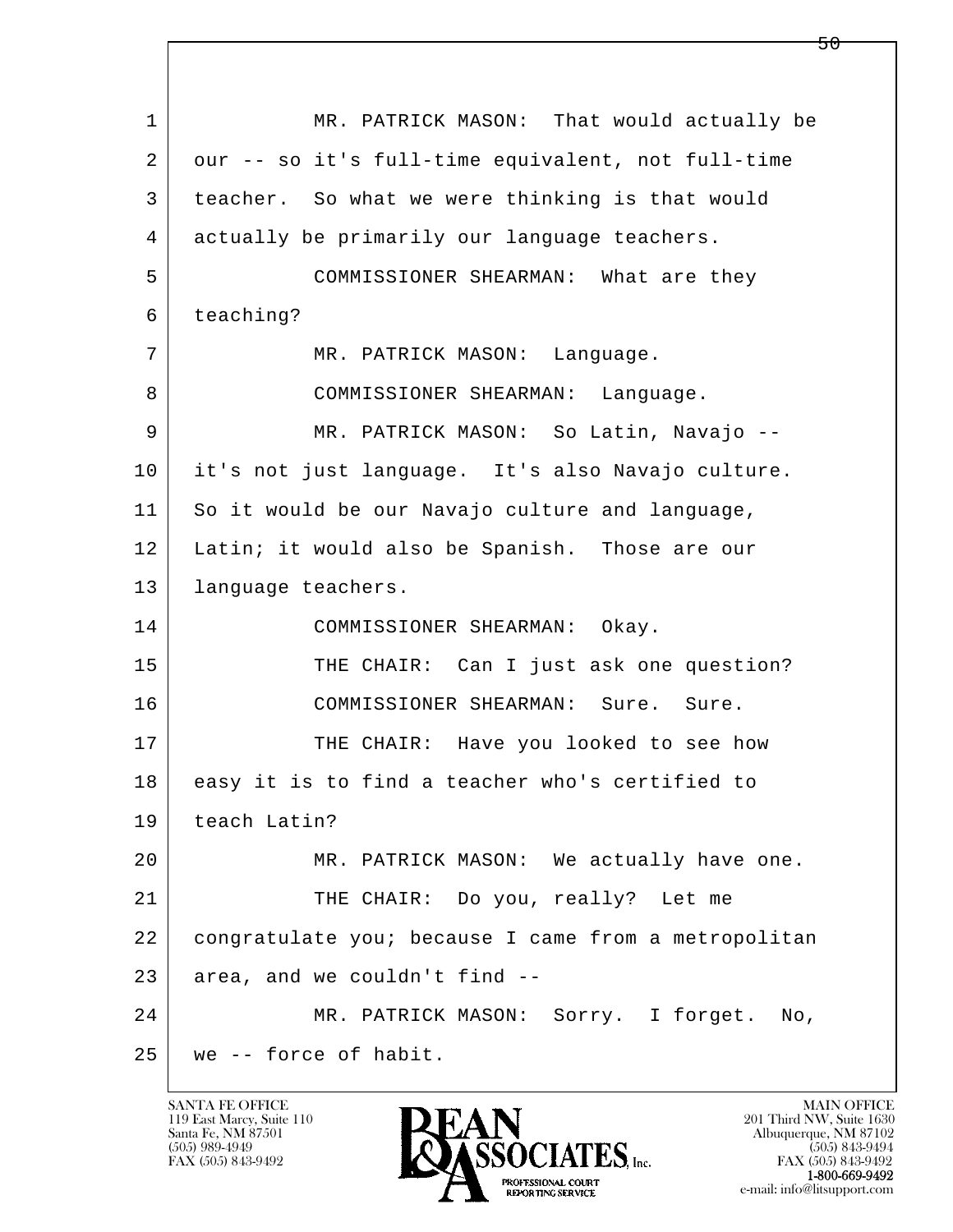l  $\overline{\phantom{a}}$ 1 MR. PATRICK MASON: That would actually be 2 | our -- so it's full-time equivalent, not full-time 3 teacher. So what we were thinking is that would 4 actually be primarily our language teachers. 5 COMMISSIONER SHEARMAN: What are they 6 teaching? 7 MR. PATRICK MASON: Language. 8 COMMISSIONER SHEARMAN: Language. 9 MR. PATRICK MASON: So Latin, Navajo -- 10 it's not just language. It's also Navajo culture. 11 So it would be our Navajo culture and language, 12 Latin; it would also be Spanish. Those are our 13 | language teachers. 14 COMMISSIONER SHEARMAN: Okay. 15 THE CHAIR: Can I just ask one question? 16 COMMISSIONER SHEARMAN: Sure. Sure. 17 THE CHAIR: Have you looked to see how 18 | easy it is to find a teacher who's certified to 19 teach Latin? 20 MR. PATRICK MASON: We actually have one. 21 | THE CHAIR: Do you, really? Let me 22 congratulate you; because I came from a metropolitan  $23$  area, and we couldn't find  $-$  24 MR. PATRICK MASON: Sorry. I forget. No, 25 we -- force of habit.

119 East Marcy, Suite 110<br>Santa Fe, NM 87501

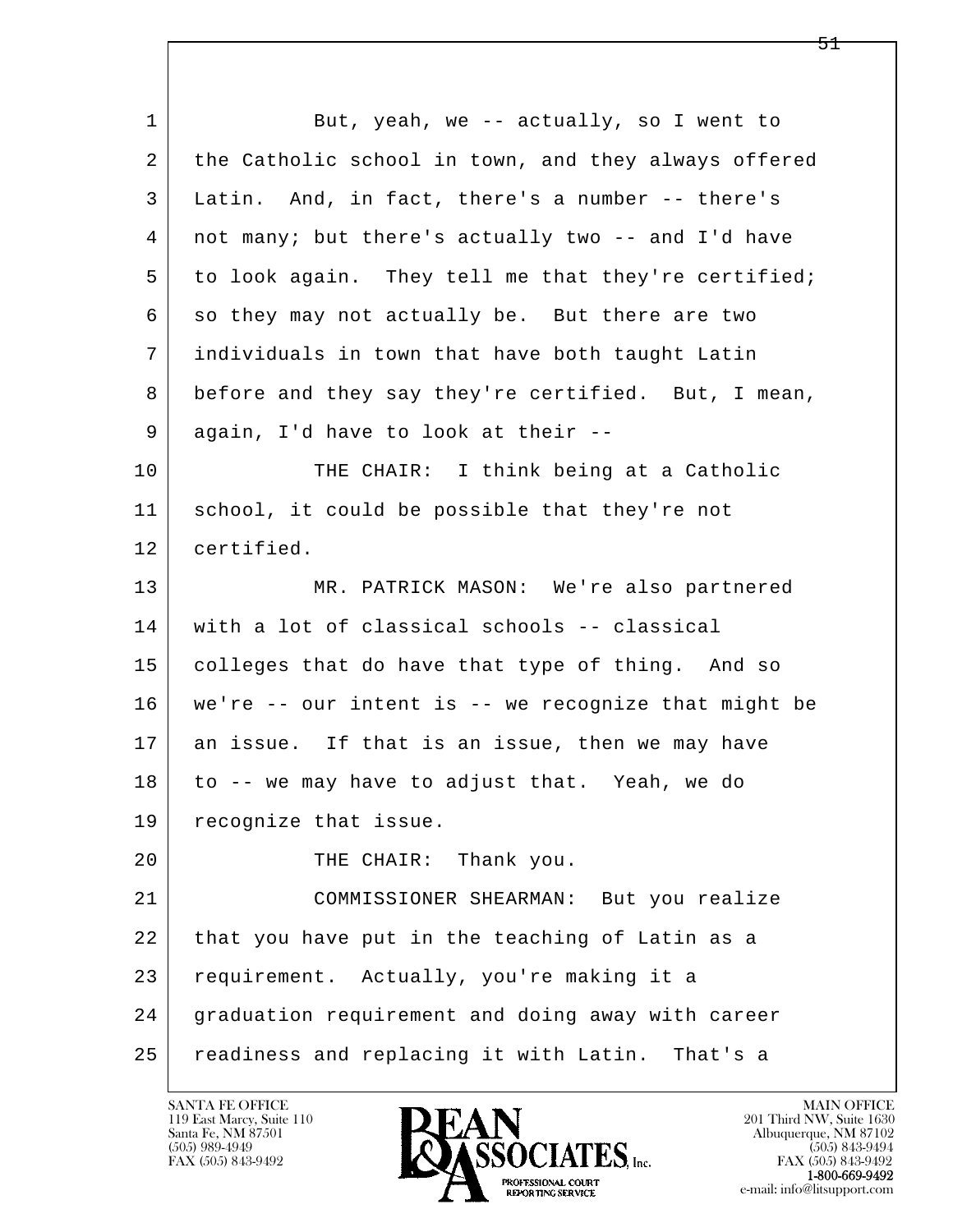l  $\overline{\phantom{a}}$ 1 But, yeah, we -- actually, so I went to 2 the Catholic school in town, and they always offered 3 Latin. And, in fact, there's a number -- there's 4 not many; but there's actually two -- and I'd have 5 to look again. They tell me that they're certified; 6 so they may not actually be. But there are two 7 individuals in town that have both taught Latin 8 before and they say they're certified. But, I mean, 9 again, I'd have to look at their -- 10 THE CHAIR: I think being at a Catholic 11 school, it could be possible that they're not 12 certified. 13 MR. PATRICK MASON: We're also partnered 14 with a lot of classical schools -- classical 15 colleges that do have that type of thing. And so 16 we're -- our intent is -- we recognize that might be 17 an issue. If that is an issue, then we may have 18 to -- we may have to adjust that. Yeah, we do 19 | recognize that issue. 20 THE CHAIR: Thank you. 21 COMMISSIONER SHEARMAN: But you realize 22 that you have put in the teaching of Latin as a 23 requirement. Actually, you're making it a 24 graduation requirement and doing away with career 25 readiness and replacing it with Latin. That's a

119 East Marcy, Suite 110<br>Santa Fe, NM 87501

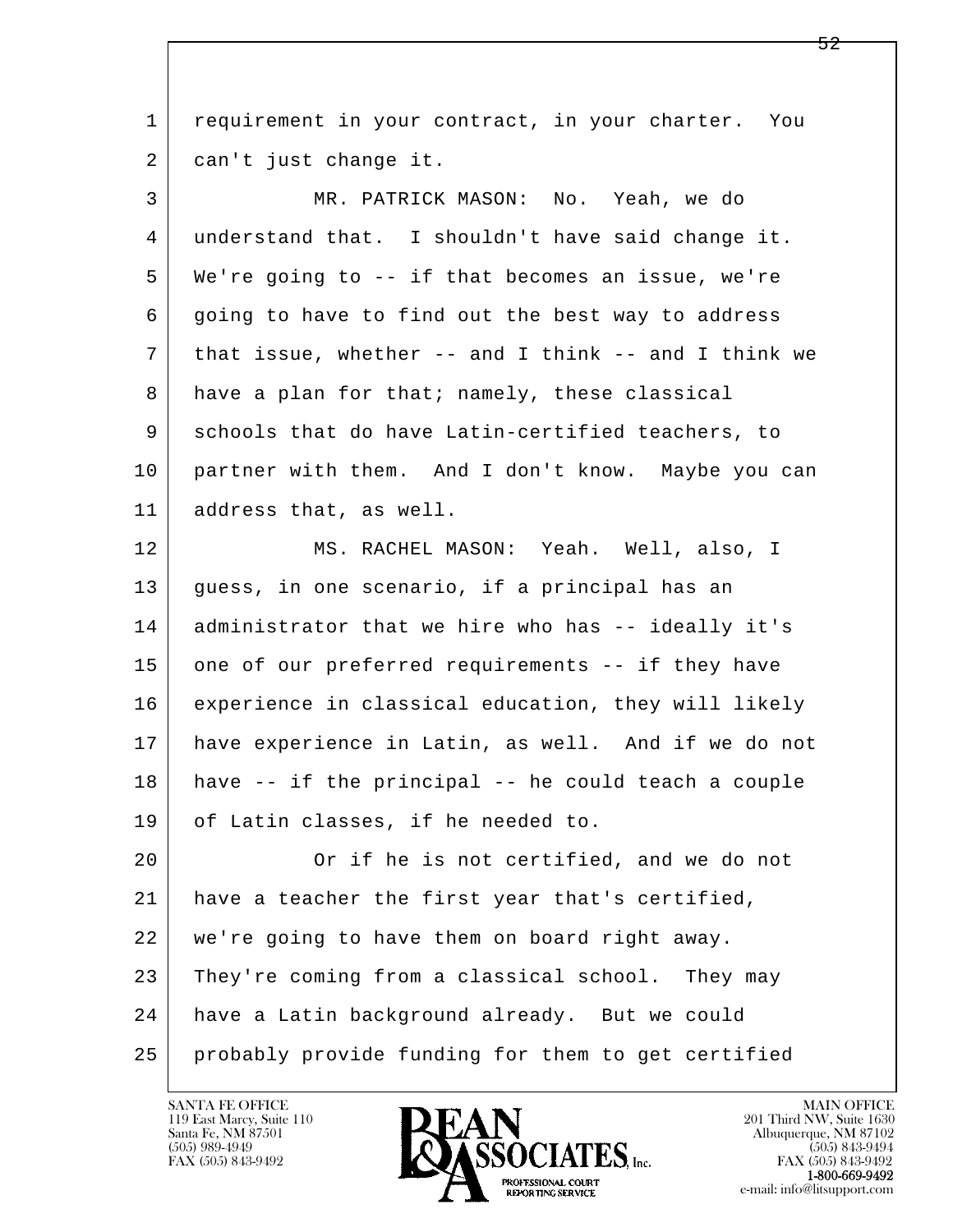l  $\overline{\phantom{a}}$  1 requirement in your contract, in your charter. You 2 | can't just change it. 3 MR. PATRICK MASON: No. Yeah, we do 4 understand that. I shouldn't have said change it. 5 We're going to -- if that becomes an issue, we're 6 going to have to find out the best way to address 7 that issue, whether -- and I think -- and I think we 8 have a plan for that; namely, these classical 9 schools that do have Latin-certified teachers, to 10 partner with them. And I don't know. Maybe you can 11 address that, as well. 12 MS. RACHEL MASON: Yeah. Well, also, I 13 guess, in one scenario, if a principal has an 14 administrator that we hire who has -- ideally it's 15 one of our preferred requirements -- if they have 16 experience in classical education, they will likely 17 have experience in Latin, as well. And if we do not 18 have -- if the principal -- he could teach a couple 19 of Latin classes, if he needed to. 20 Or if he is not certified, and we do not 21 have a teacher the first year that's certified, 22 we're going to have them on board right away. 23 They're coming from a classical school. They may 24 have a Latin background already. But we could 25 probably provide funding for them to get certified

119 East Marcy, Suite 110<br>Santa Fe, NM 87501

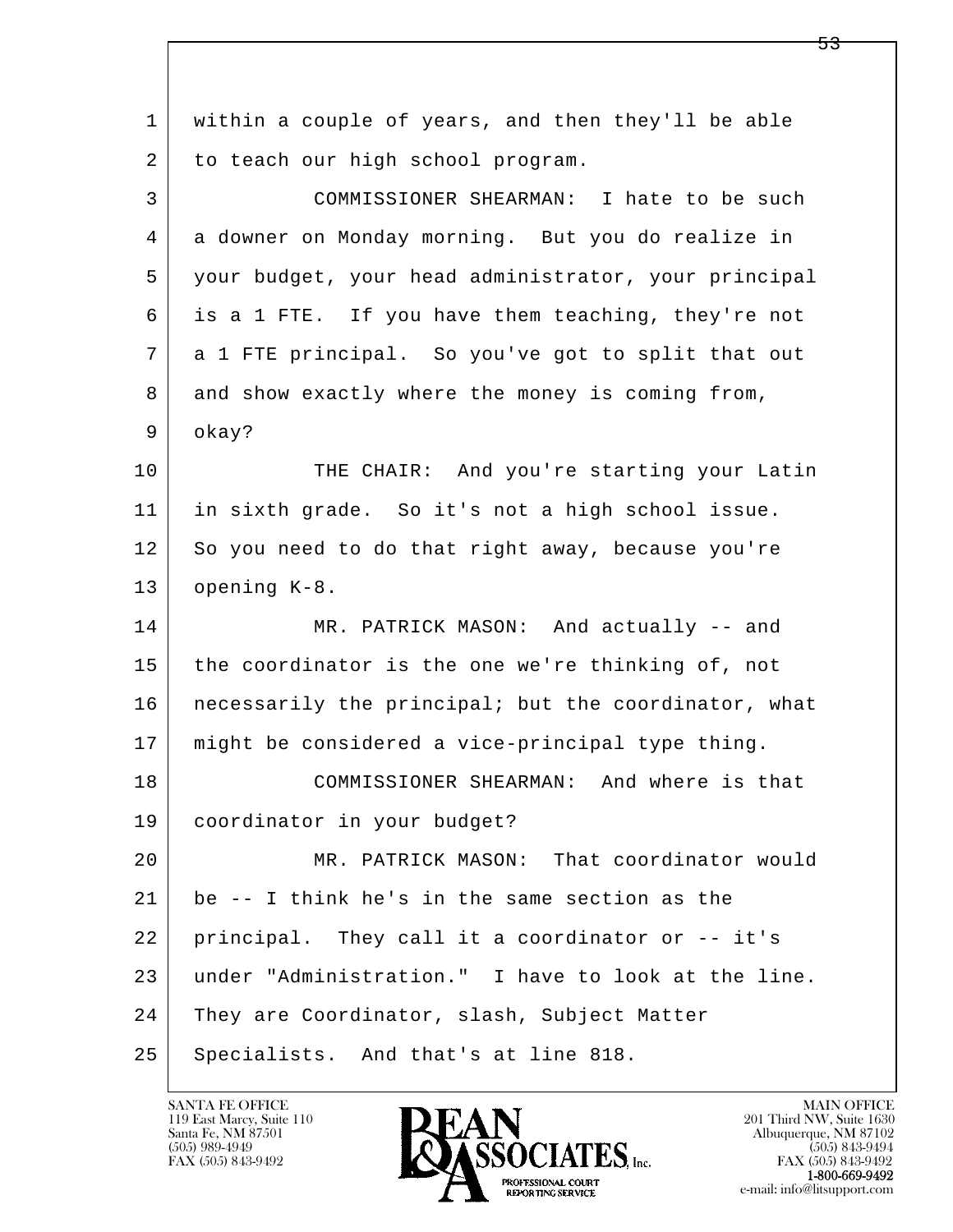| $\mathbf{1}$ | within a couple of years, and then they'll be able   |
|--------------|------------------------------------------------------|
| 2            | to teach our high school program.                    |
| 3            | COMMISSIONER SHEARMAN: I hate to be such             |
| 4            | a downer on Monday morning. But you do realize in    |
| 5            | your budget, your head administrator, your principal |
| 6            | is a 1 FTE. If you have them teaching, they're not   |
| 7            | a 1 FTE principal. So you've got to split that out   |
| 8            | and show exactly where the money is coming from,     |
| 9            | okay?                                                |
| 10           | THE CHAIR: And you're starting your Latin            |
| 11           | in sixth grade. So it's not a high school issue.     |
| 12           | So you need to do that right away, because you're    |
| 13           | opening K-8.                                         |
| 14           | MR. PATRICK MASON: And actually -- and               |
| 15           | the coordinator is the one we're thinking of, not    |
| 16           | necessarily the principal; but the coordinator, what |
| 17           | might be considered a vice-principal type thing.     |
| 18           | COMMISSIONER SHEARMAN: And where is that             |
| 19           | coordinator in your budget?                          |
| 20           | MR. PATRICK MASON: That coordinator would            |
| 21           | be -- I think he's in the same section as the        |
| 22           | principal. They call it a coordinator or -- it's     |
| 23           | under "Administration." I have to look at the line.  |
| 24           | They are Coordinator, slash, Subject Matter          |
| 25           | Specialists. And that's at line 818.                 |

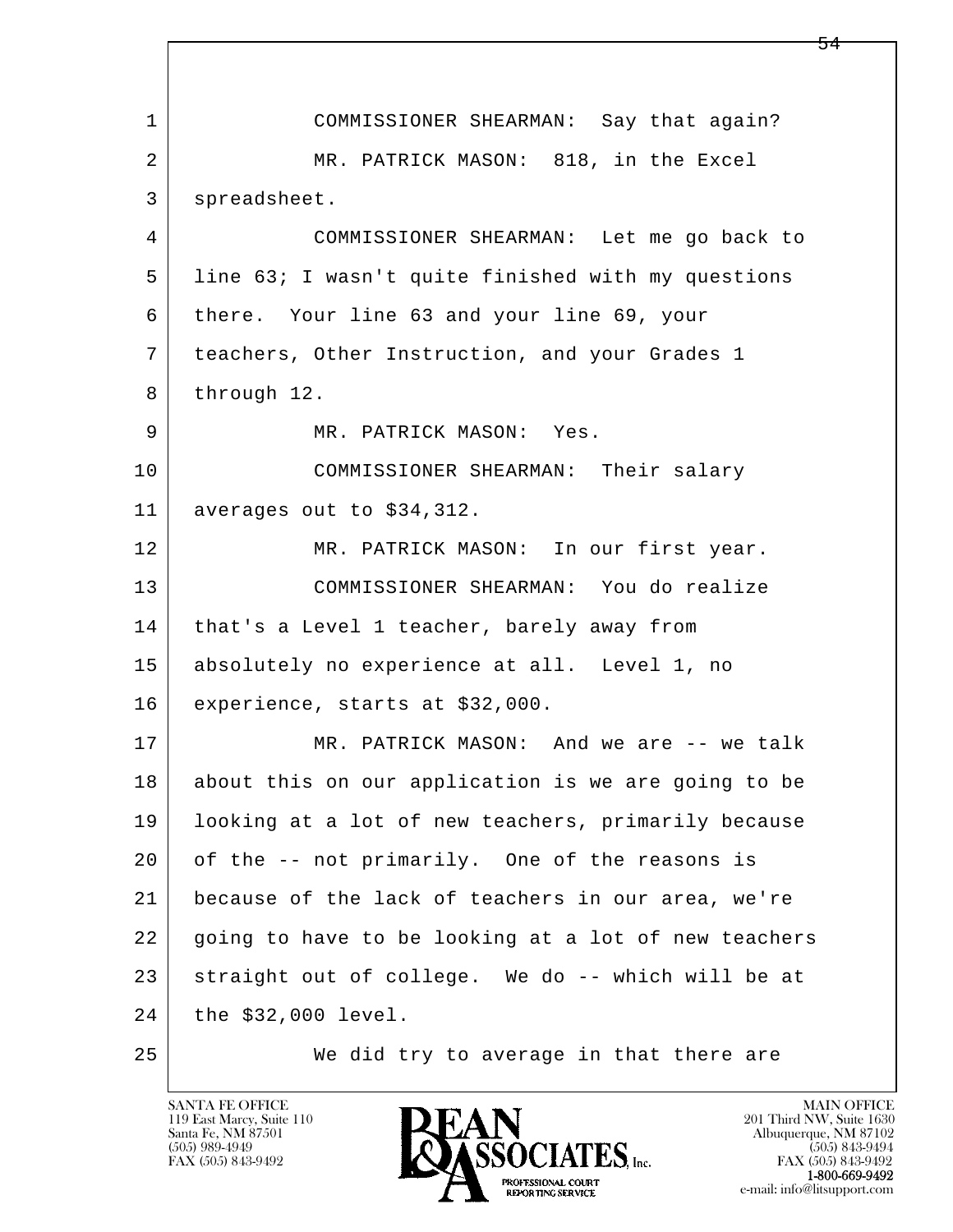l  $\overline{\phantom{a}}$  1 COMMISSIONER SHEARMAN: Say that again? 2 MR. PATRICK MASON: 818, in the Excel 3 spreadsheet. 4 COMMISSIONER SHEARMAN: Let me go back to 5 line 63; I wasn't quite finished with my questions 6 there. Your line 63 and your line 69, your 7 teachers, Other Instruction, and your Grades 1 8 through 12. 9 MR. PATRICK MASON: Yes. 10 COMMISSIONER SHEARMAN: Their salary 11 averages out to \$34,312. 12 MR. PATRICK MASON: In our first year. 13 COMMISSIONER SHEARMAN: You do realize 14 that's a Level 1 teacher, barely away from 15 absolutely no experience at all. Level 1, no 16 experience, starts at \$32,000. 17 MR. PATRICK MASON: And we are -- we talk 18 about this on our application is we are going to be 19 looking at a lot of new teachers, primarily because 20 of the -- not primarily. One of the reasons is 21 because of the lack of teachers in our area, we're 22 going to have to be looking at a lot of new teachers 23 straight out of college. We do -- which will be at 24 the \$32,000 level. 25 We did try to average in that there are

119 East Marcy, Suite 110<br>Santa Fe, NM 87501

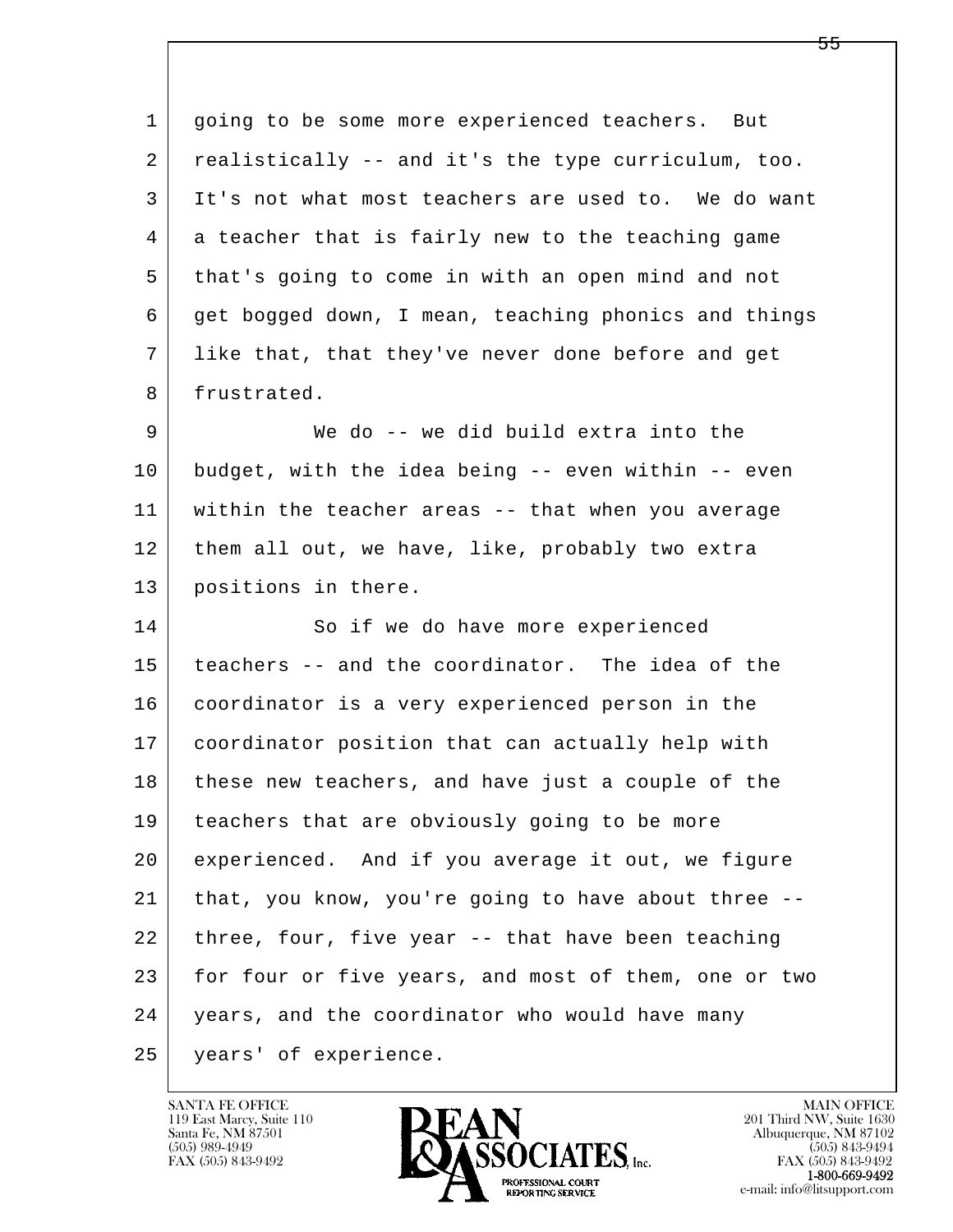l  $\overline{\phantom{a}}$  1 going to be some more experienced teachers. But 2 realistically -- and it's the type curriculum, too. 3 It's not what most teachers are used to. We do want 4 a teacher that is fairly new to the teaching game 5 that's going to come in with an open mind and not 6 get bogged down, I mean, teaching phonics and things 7 like that, that they've never done before and get 8 frustrated. 9 We do -- we did build extra into the 10 budget, with the idea being -- even within -- even 11 within the teacher areas -- that when you average 12 them all out, we have, like, probably two extra 13 positions in there. 14 So if we do have more experienced 15 teachers -- and the coordinator. The idea of the 16 coordinator is a very experienced person in the 17 coordinator position that can actually help with 18 these new teachers, and have just a couple of the 19 | teachers that are obviously going to be more 20 experienced. And if you average it out, we figure 21 that, you know, you're going to have about three -- 22 three, four, five year -- that have been teaching 23 for four or five years, and most of them, one or two 24 | years, and the coordinator who would have many 25 years' of experience.

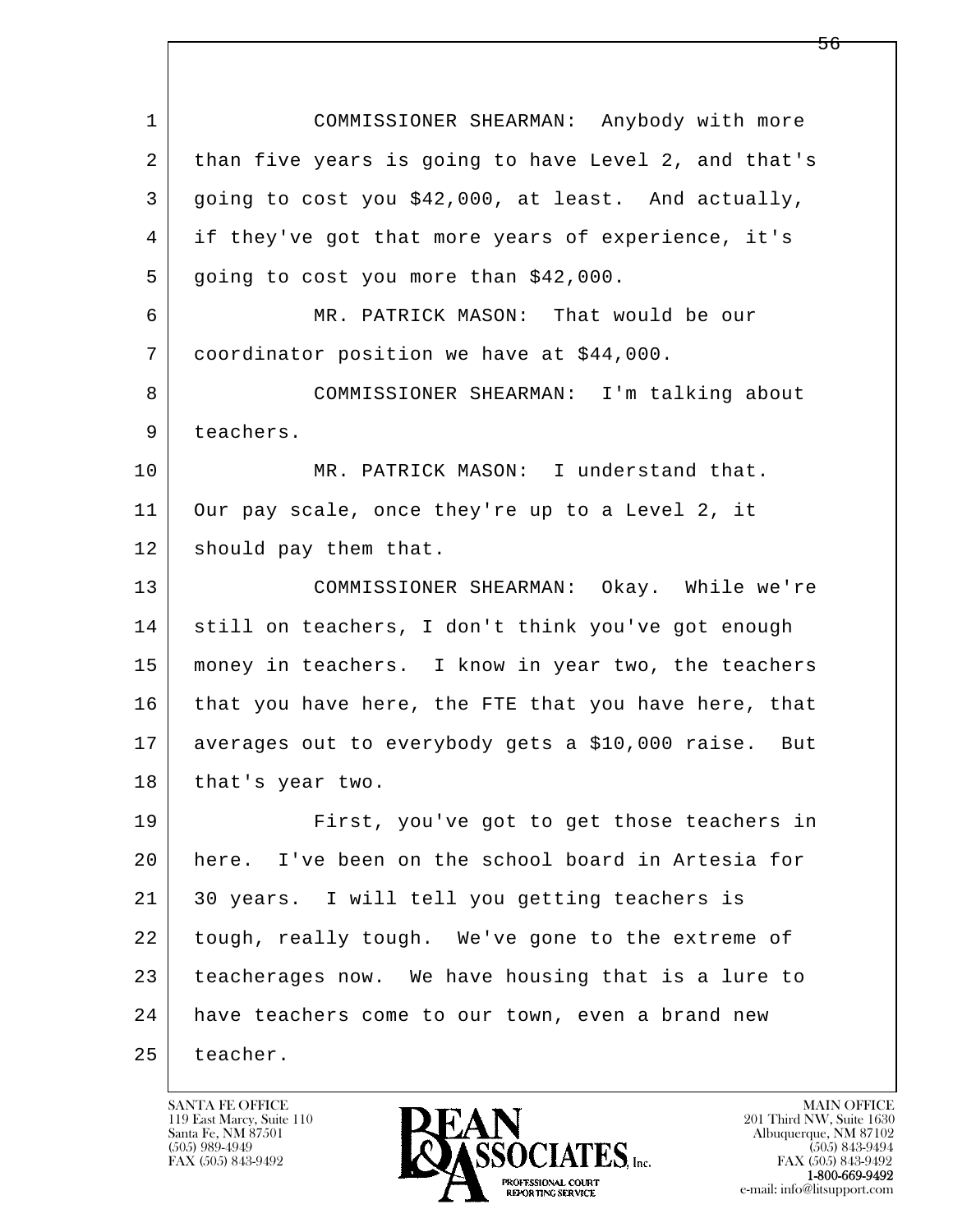| $\mathbf{1}$ | COMMISSIONER SHEARMAN: Anybody with more             |
|--------------|------------------------------------------------------|
| 2            | than five years is going to have Level 2, and that's |
| 3            | going to cost you \$42,000, at least. And actually,  |
| 4            | if they've got that more years of experience, it's   |
| 5            | going to cost you more than \$42,000.                |
| 6            | MR. PATRICK MASON: That would be our                 |
| 7            | coordinator position we have at \$44,000.            |
| 8            | COMMISSIONER SHEARMAN: I'm talking about             |
| 9            | teachers.                                            |
| 10           | MR. PATRICK MASON: I understand that.                |
| 11           | Our pay scale, once they're up to a Level 2, it      |
| 12           | should pay them that.                                |
| 13           | COMMISSIONER SHEARMAN: Okay. While we're             |
| 14           | still on teachers, I don't think you've got enough   |
| 15           | money in teachers. I know in year two, the teachers  |
| 16           | that you have here, the FTE that you have here, that |
| 17           | averages out to everybody gets a \$10,000 raise. But |
| 18           | that's year two.                                     |
| 19           | First, you've got to get those teachers in           |
| 20           | here. I've been on the school board in Artesia for   |
| 21           | 30 years. I will tell you getting teachers is        |
| 22           | tough, really tough. We've gone to the extreme of    |
| 23           | teacherages now. We have housing that is a lure to   |
| 24           | have teachers come to our town, even a brand new     |
| 25           | teacher.                                             |

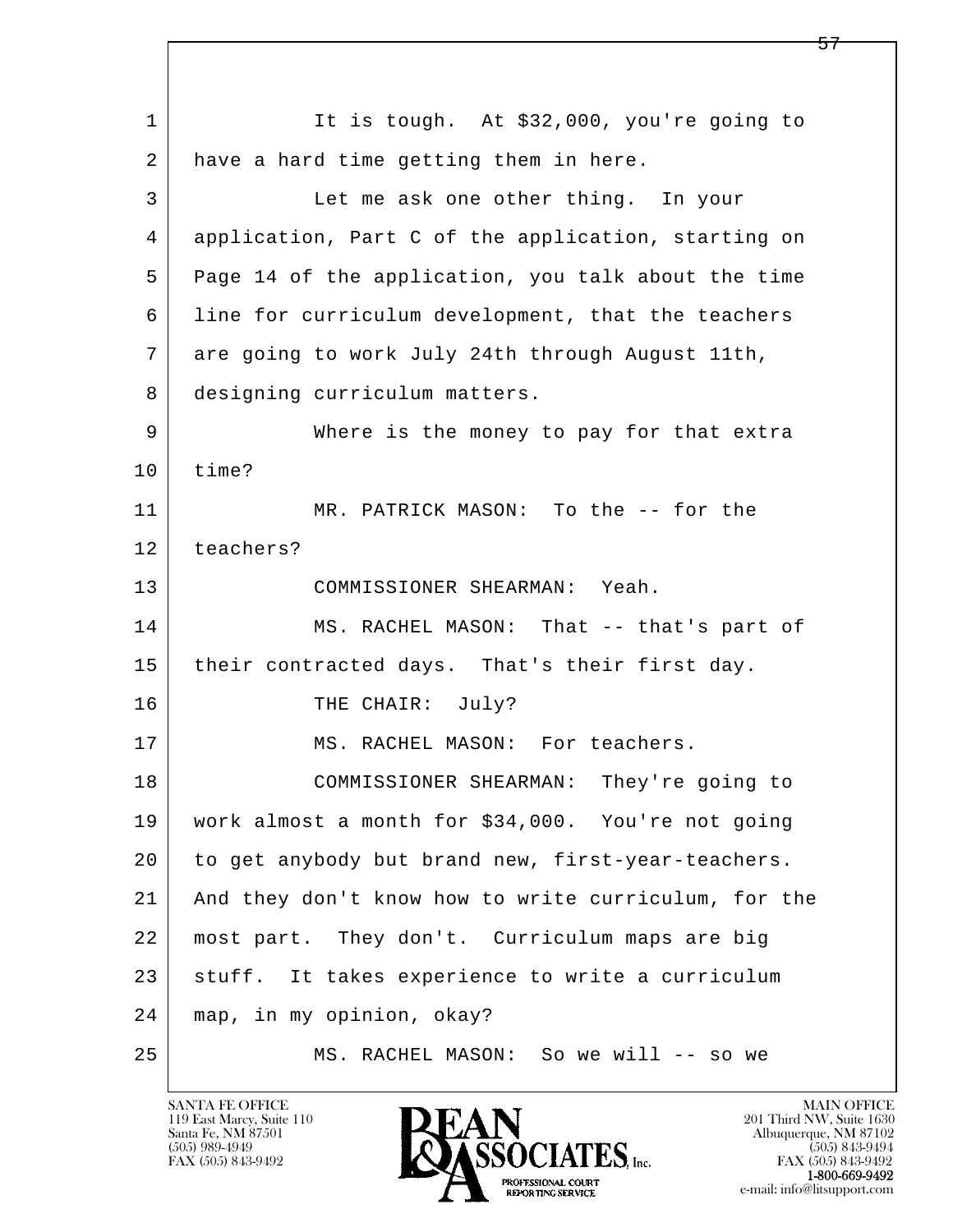l  $\overline{\phantom{a}}$ 1 It is tough. At \$32,000, you're going to 2 have a hard time getting them in here. 3 Let me ask one other thing. In your 4 application, Part C of the application, starting on 5 Page 14 of the application, you talk about the time 6 line for curriculum development, that the teachers 7 are going to work July 24th through August 11th, 8 designing curriculum matters. 9 Where is the money to pay for that extra 10 time? 11 MR. PATRICK MASON: To the -- for the 12 teachers? 13 COMMISSIONER SHEARMAN: Yeah. 14 MS. RACHEL MASON: That -- that's part of 15 | their contracted days. That's their first day. 16 THE CHAIR: July? 17 MS. RACHEL MASON: For teachers. 18 COMMISSIONER SHEARMAN: They're going to 19 work almost a month for \$34,000. You're not going 20 to get anybody but brand new, first-year-teachers. 21 And they don't know how to write curriculum, for the 22 most part. They don't. Curriculum maps are big 23 | stuff. It takes experience to write a curriculum 24 map, in my opinion, okay? 25 MS. RACHEL MASON: So we will -- so we

119 East Marcy, Suite 110<br>Santa Fe, NM 87501

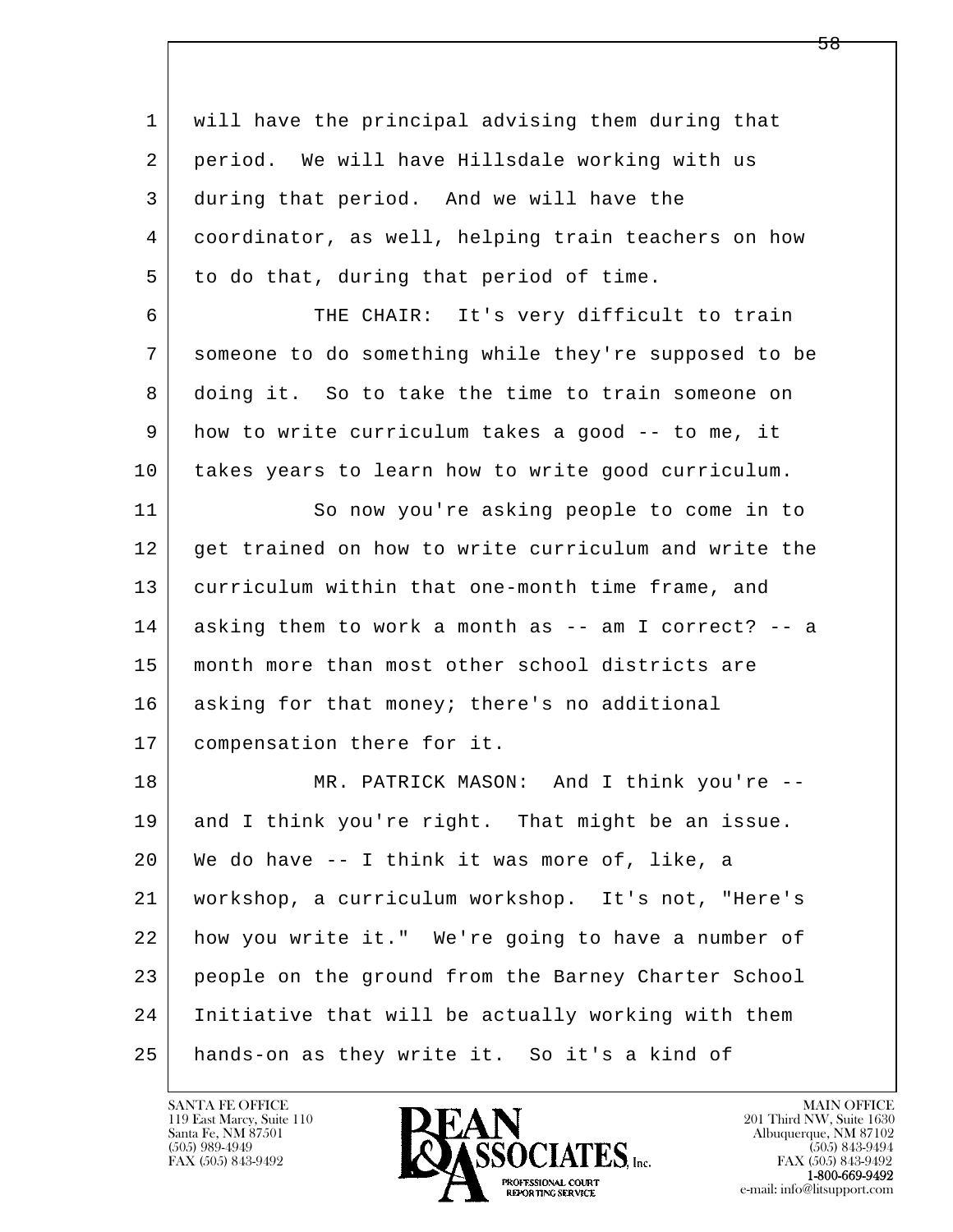| 1  | will have the principal advising them during that    |
|----|------------------------------------------------------|
| 2  | period. We will have Hillsdale working with us       |
| 3  | during that period. And we will have the             |
| 4  | coordinator, as well, helping train teachers on how  |
| 5  | to do that, during that period of time.              |
| 6  | THE CHAIR: It's very difficult to train              |
| 7  | someone to do something while they're supposed to be |
| 8  | doing it. So to take the time to train someone on    |
| 9  | how to write curriculum takes a good -- to me, it    |
| 10 | takes years to learn how to write good curriculum.   |
| 11 | So now you're asking people to come in to            |
| 12 | get trained on how to write curriculum and write the |
| 13 | curriculum within that one-month time frame, and     |
| 14 | asking them to work a month as -- am I correct? -- a |
| 15 | month more than most other school districts are      |
| 16 | asking for that money; there's no additional         |
| 17 | compensation there for it.                           |
| 18 | MR. PATRICK MASON: And I think you're --             |
| 19 | and I think you're right. That might be an issue.    |
| 20 | We do have -- I think it was more of, like, a        |
| 21 | workshop, a curriculum workshop. It's not, "Here's   |
| 22 | how you write it." We're going to have a number of   |
| 23 | people on the ground from the Barney Charter School  |
| 24 | Initiative that will be actually working with them   |
| 25 | hands-on as they write it. So it's a kind of         |

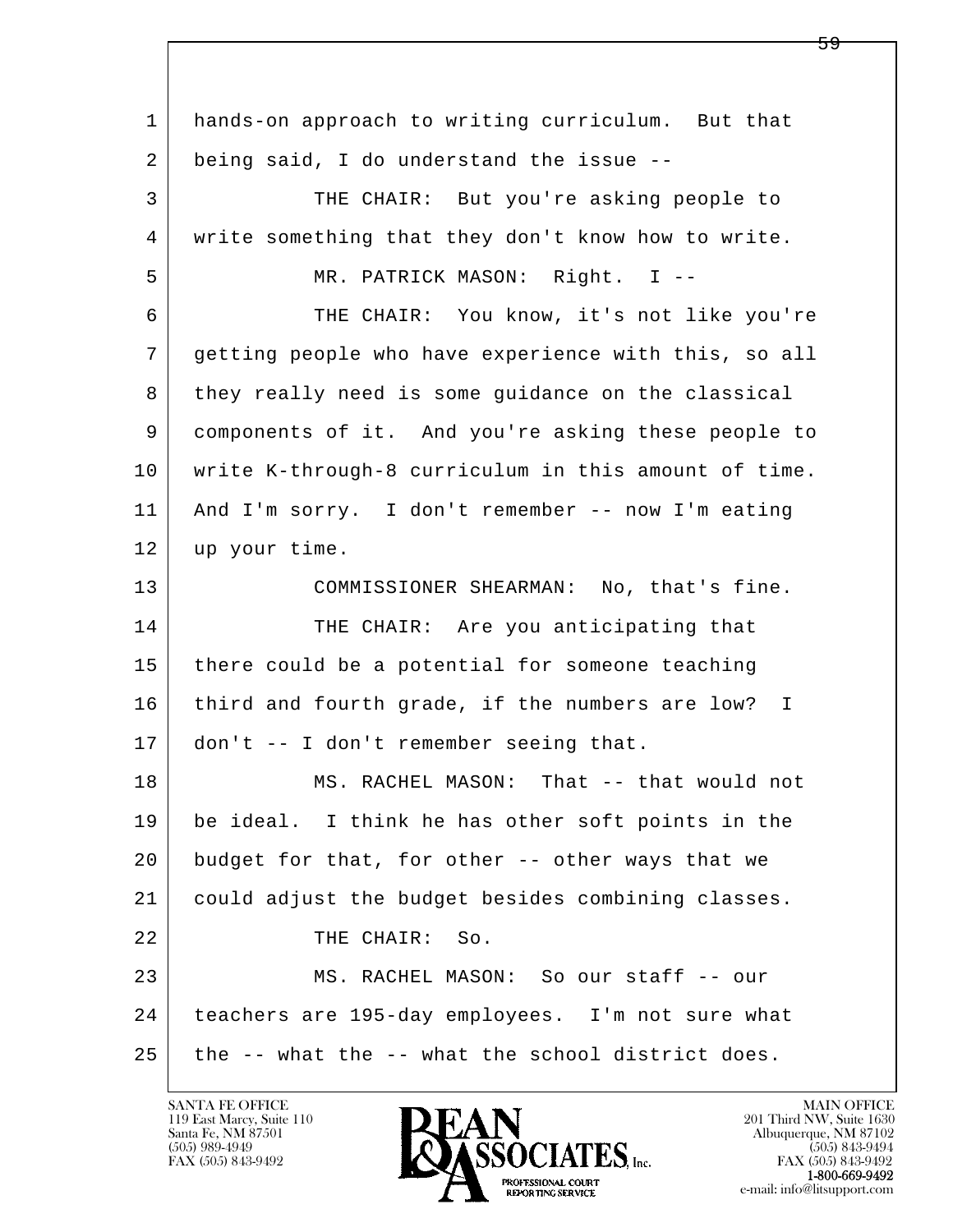l  $\overline{\phantom{a}}$  1 hands-on approach to writing curriculum. But that 2 being said, I do understand the issue -- 3 THE CHAIR: But you're asking people to 4 write something that they don't know how to write. 5 MR. PATRICK MASON: Right. I -- 6 THE CHAIR: You know, it's not like you're 7 getting people who have experience with this, so all 8 they really need is some guidance on the classical 9 components of it. And you're asking these people to 10 write K-through-8 curriculum in this amount of time. 11 And I'm sorry. I don't remember -- now I'm eating 12 up your time. 13 | COMMISSIONER SHEARMAN: No, that's fine. 14 THE CHAIR: Are you anticipating that 15 | there could be a potential for someone teaching 16 third and fourth grade, if the numbers are low? I 17 don't -- I don't remember seeing that. 18 MS. RACHEL MASON: That -- that would not 19 be ideal. I think he has other soft points in the 20 budget for that, for other -- other ways that we 21 could adjust the budget besides combining classes. 22 THE CHAIR: So. 23 MS. RACHEL MASON: So our staff -- our 24 teachers are 195-day employees. I'm not sure what  $25$  the  $-$ - what the  $-$ - what the school district does.

119 East Marcy, Suite 110<br>Santa Fe, NM 87501

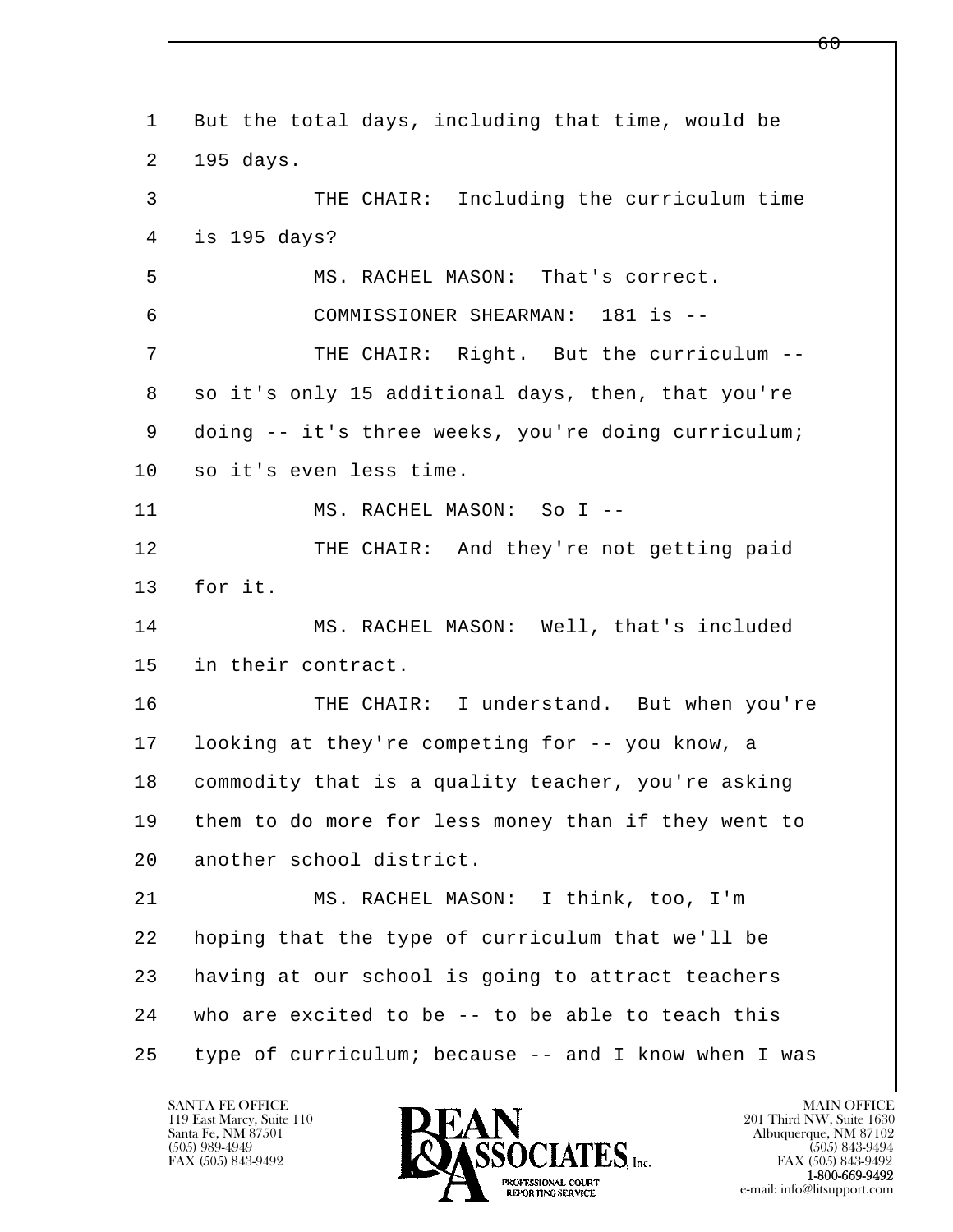| 1  | But the total days, including that time, would be    |
|----|------------------------------------------------------|
| 2  | 195 days.                                            |
| 3  | THE CHAIR: Including the curriculum time             |
| 4  | is 195 days?                                         |
| 5  | MS. RACHEL MASON: That's correct.                    |
| 6  | COMMISSIONER SHEARMAN: 181 is --                     |
| 7  | THE CHAIR: Right. But the curriculum --              |
| 8  | so it's only 15 additional days, then, that you're   |
| 9  | doing -- it's three weeks, you're doing curriculum;  |
| 10 | so it's even less time.                              |
| 11 | MS. RACHEL MASON: So I --                            |
| 12 | THE CHAIR: And they're not getting paid              |
| 13 | for it.                                              |
| 14 | MS. RACHEL MASON: Well, that's included              |
| 15 | in their contract.                                   |
| 16 | THE CHAIR: I understand. But when you're             |
| 17 | looking at they're competing for -- you know, a      |
| 18 | commodity that is a quality teacher, you're asking   |
| 19 | them to do more for less money than if they went to  |
| 20 | another school district.                             |
| 21 | MS. RACHEL MASON: I think, too, I'm                  |
| 22 | hoping that the type of curriculum that we'll be     |
| 23 | having at our school is going to attract teachers    |
| 24 | who are excited to be -- to be able to teach this    |
| 25 | type of curriculum; because -- and I know when I was |

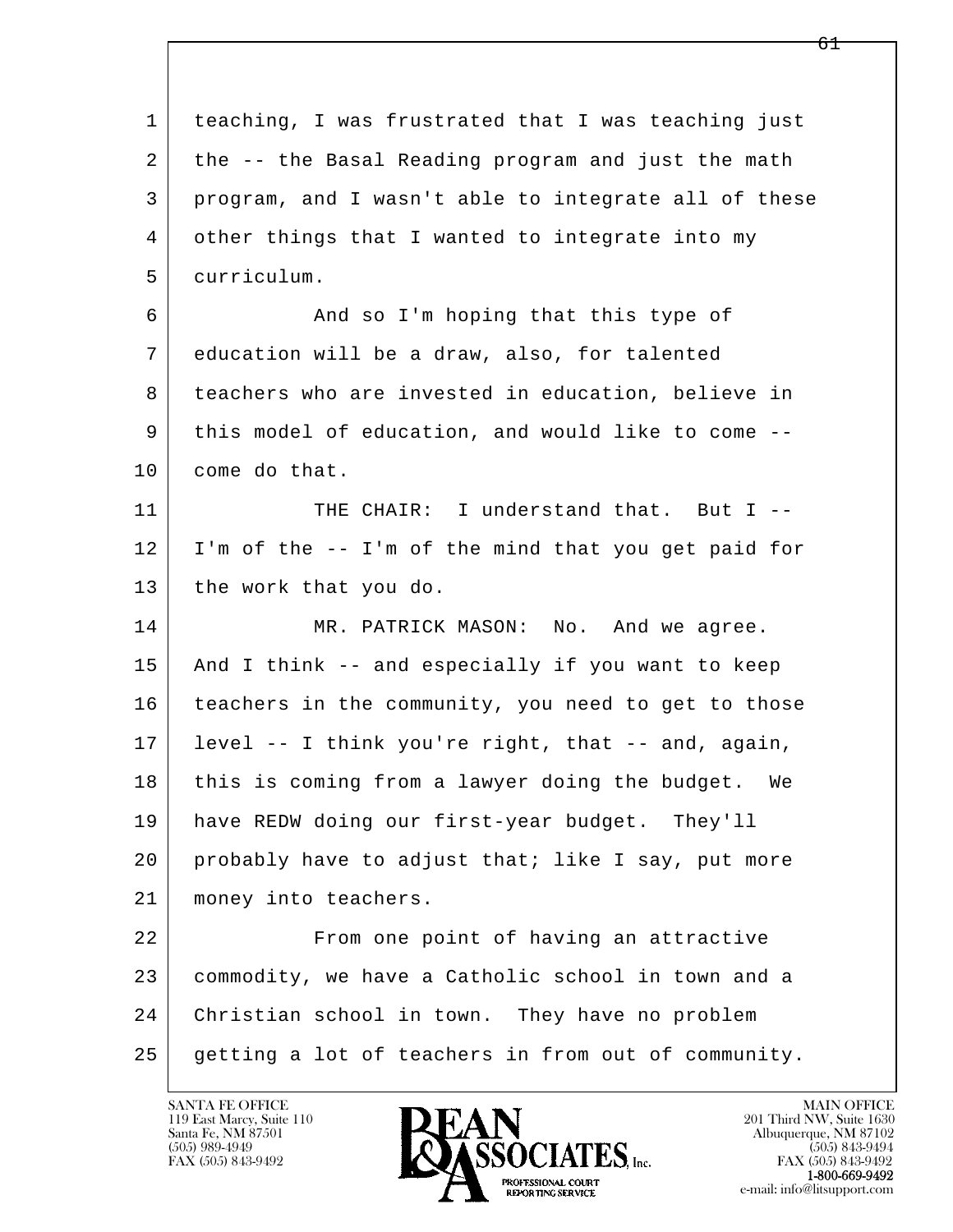| 1  | teaching, I was frustrated that I was teaching just  |
|----|------------------------------------------------------|
| 2  | the -- the Basal Reading program and just the math   |
| 3  | program, and I wasn't able to integrate all of these |
| 4  | other things that I wanted to integrate into my      |
| 5  | curriculum.                                          |
| 6  | And so I'm hoping that this type of                  |
| 7  | education will be a draw, also, for talented         |
| 8  | teachers who are invested in education, believe in   |
| 9  | this model of education, and would like to come --   |
| 10 | come do that.                                        |
| 11 | THE CHAIR: I understand that. But I --               |
| 12 | I'm of the -- I'm of the mind that you get paid for  |
| 13 | the work that you do.                                |
| 14 | MR. PATRICK MASON:<br>No. And we agree.              |
| 15 | And I think -- and especially if you want to keep    |
| 16 | teachers in the community, you need to get to those  |
| 17 | level -- I think you're right, that -- and, again,   |
| 18 | this is coming from a lawyer doing the budget. We    |
| 19 | have REDW doing our first-year budget. They'll       |
| 20 | probably have to adjust that; like I say, put more   |
| 21 | money into teachers.                                 |
| 22 | From one point of having an attractive               |
| 23 | commodity, we have a Catholic school in town and a   |
| 24 | Christian school in town. They have no problem       |
| 25 | getting a lot of teachers in from out of community.  |

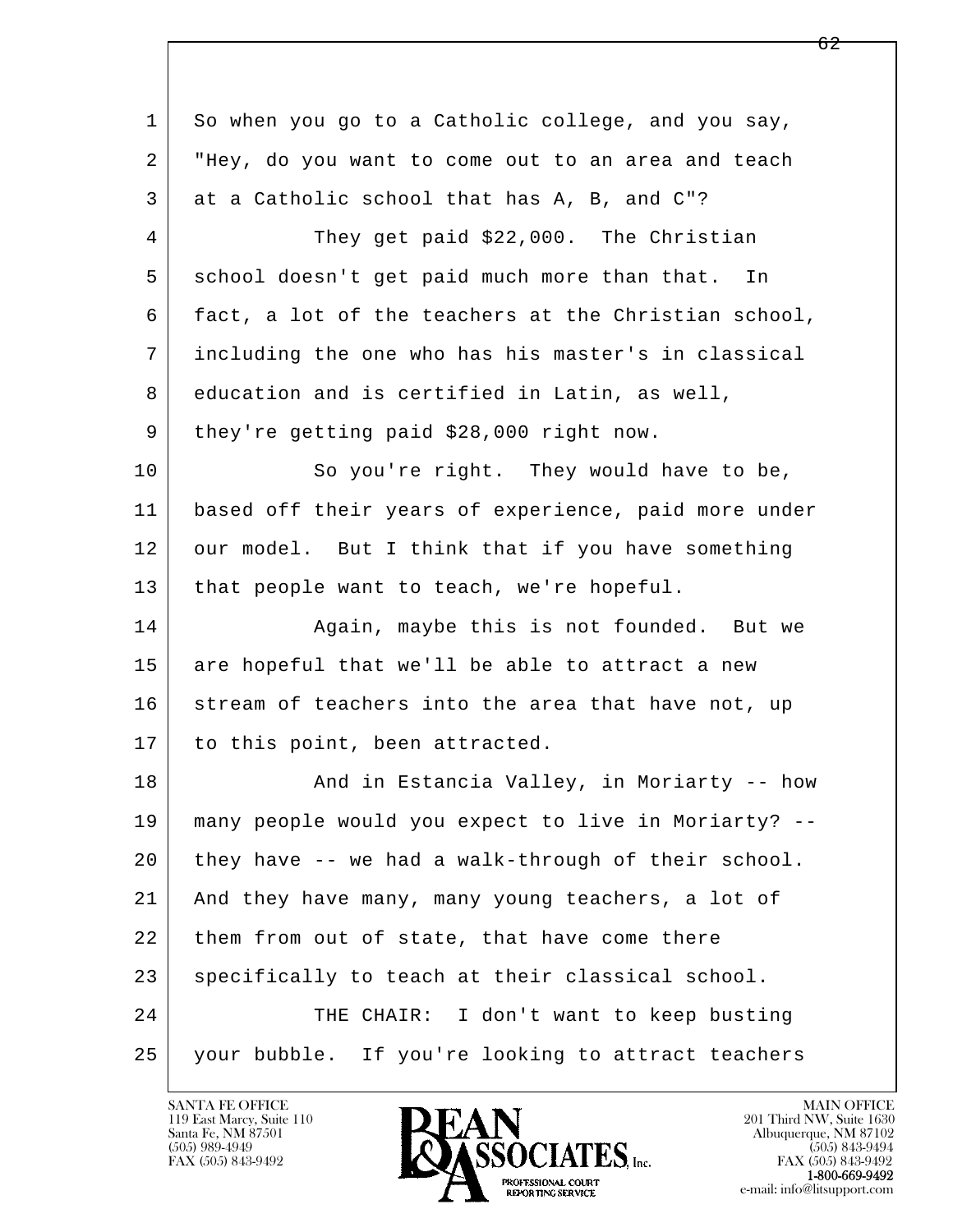| 1  | So when you go to a Catholic college, and you say,   |
|----|------------------------------------------------------|
| 2  | "Hey, do you want to come out to an area and teach   |
| 3  | at a Catholic school that has A, B, and C"?          |
| 4  | They get paid \$22,000. The Christian                |
| 5  | school doesn't get paid much more than that. In      |
| 6  | fact, a lot of the teachers at the Christian school, |
| 7  | including the one who has his master's in classical  |
| 8  | education and is certified in Latin, as well,        |
| 9  | they're getting paid \$28,000 right now.             |
| 10 | So you're right. They would have to be,              |
| 11 | based off their years of experience, paid more under |
| 12 | our model. But I think that if you have something    |
| 13 | that people want to teach, we're hopeful.            |
| 14 | Again, maybe this is not founded. But we             |
| 15 | are hopeful that we'll be able to attract a new      |
| 16 | stream of teachers into the area that have not, up   |
| 17 | to this point, been attracted.                       |
| 18 | And in Estancia Valley, in Moriarty -- how           |
| 19 | many people would you expect to live in Moriarty? -- |
| 20 | they have -- we had a walk-through of their school.  |
| 21 | And they have many, many young teachers, a lot of    |
| 22 | them from out of state, that have come there         |
| 23 | specifically to teach at their classical school.     |
| 24 | THE CHAIR: I don't want to keep busting              |
| 25 | your bubble. If you're looking to attract teachers   |

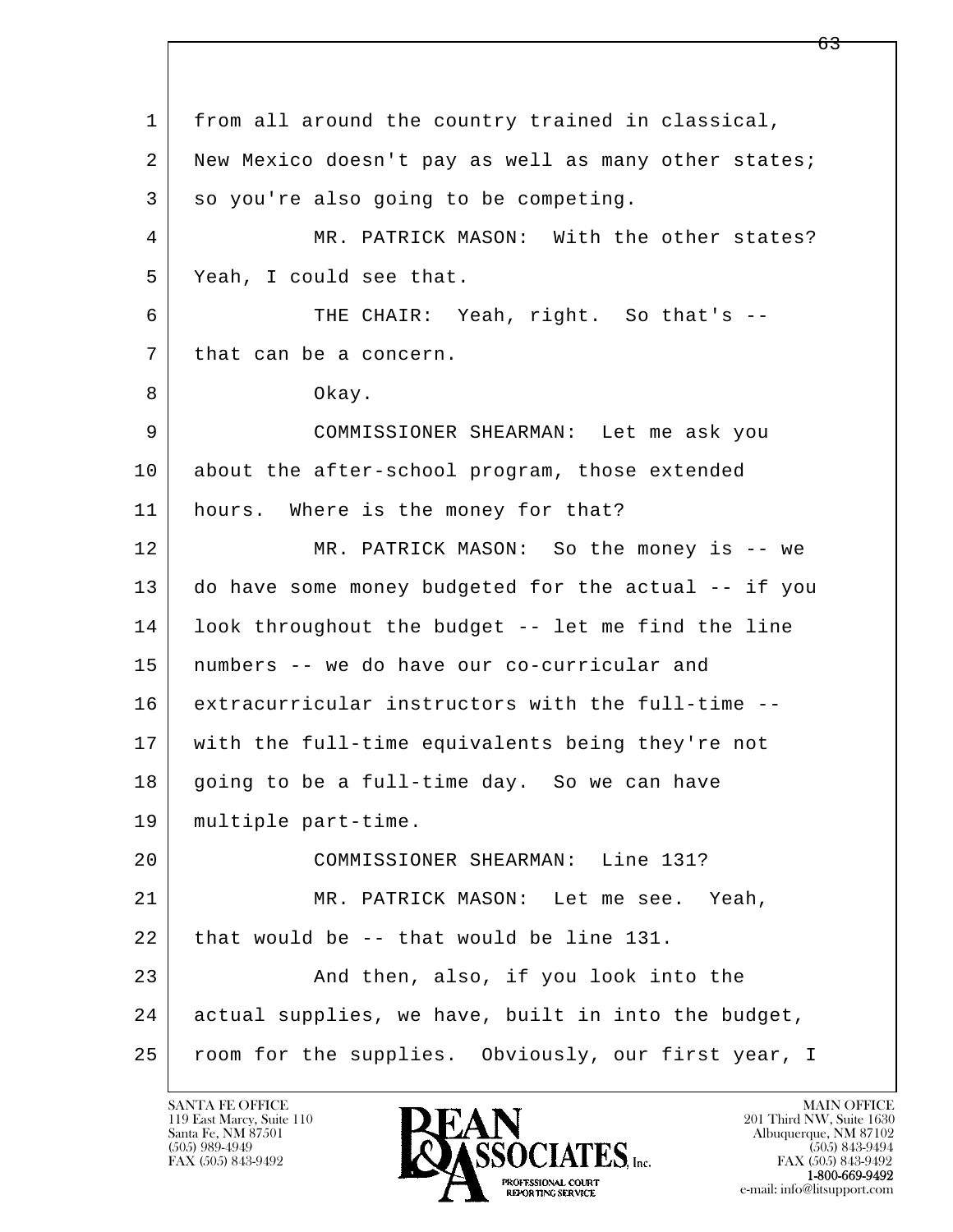l  $\overline{\phantom{a}}$  1 from all around the country trained in classical, 2 New Mexico doesn't pay as well as many other states;  $3$  so you're also going to be competing. 4 MR. PATRICK MASON: With the other states? 5 Yeah, I could see that. 6 THE CHAIR: Yeah, right. So that's -- 7 | that can be a concern. 8 Okay. 9 COMMISSIONER SHEARMAN: Let me ask you 10 about the after-school program, those extended 11 hours. Where is the money for that? 12 MR. PATRICK MASON: So the money is -- we 13 do have some money budgeted for the actual -- if you 14 look throughout the budget -- let me find the line 15 numbers -- we do have our co-curricular and 16 extracurricular instructors with the full-time -- 17 with the full-time equivalents being they're not 18 going to be a full-time day. So we can have 19 multiple part-time. 20 COMMISSIONER SHEARMAN: Line 131? 21 MR. PATRICK MASON: Let me see. Yeah,  $22$  that would be  $-$ - that would be line 131. 23 And then, also, if you look into the 24 actual supplies, we have, built in into the budget, 25 room for the supplies. Obviously, our first year, I

119 East Marcy, Suite 110<br>Santa Fe, NM 87501

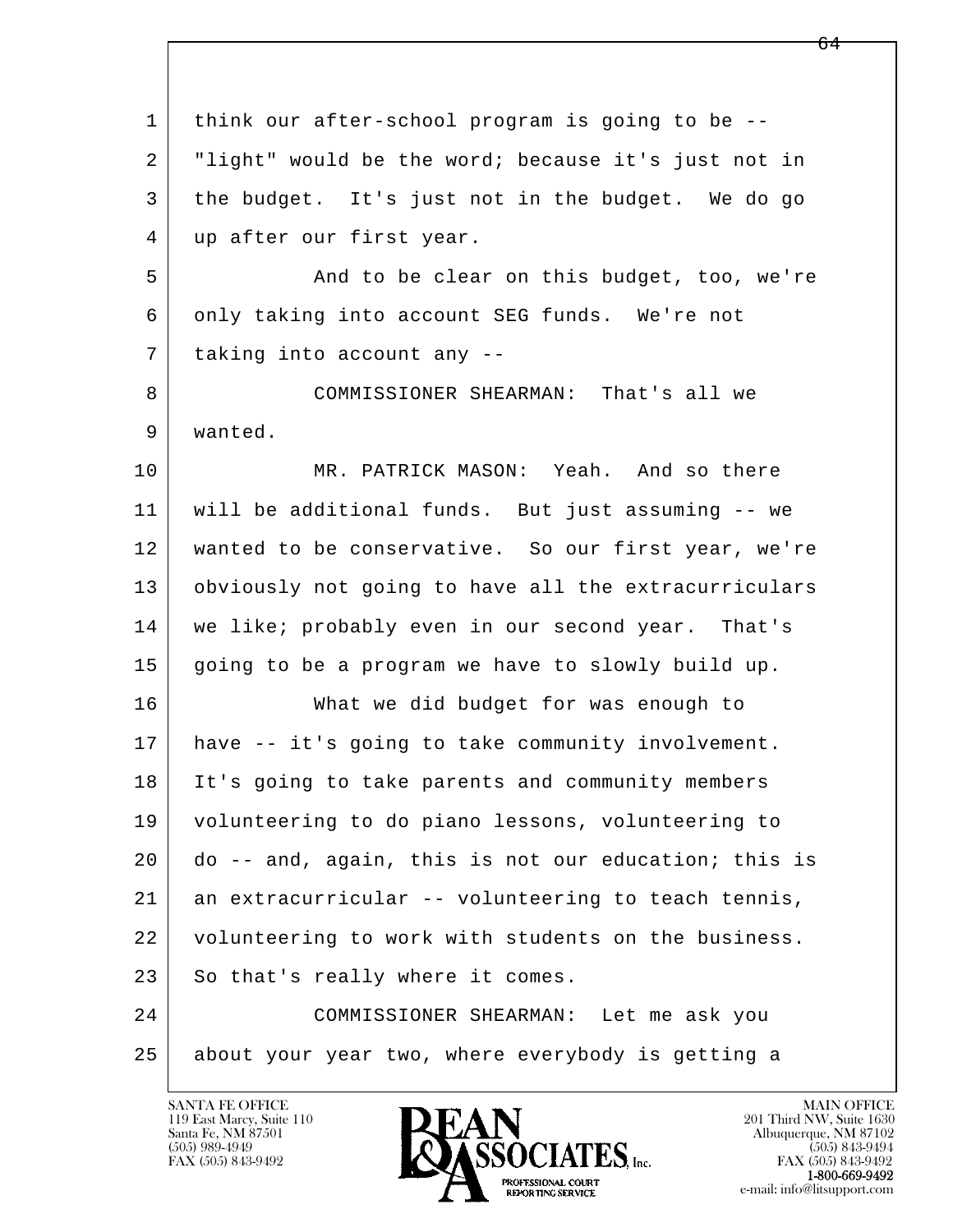| $\mathbf{1}$   | think our after-school program is going to be --     |
|----------------|------------------------------------------------------|
| $\overline{2}$ | "light" would be the word; because it's just not in  |
| 3              | the budget. It's just not in the budget. We do go    |
| 4              | up after our first year.                             |
| 5              | And to be clear on this budget, too, we're           |
| 6              | only taking into account SEG funds. We're not        |
| 7              | taking into account any --                           |
| 8              | COMMISSIONER SHEARMAN: That's all we                 |
| 9              | wanted.                                              |
| 10             | MR. PATRICK MASON: Yeah. And so there                |
| 11             | will be additional funds. But just assuming -- we    |
| 12             | wanted to be conservative. So our first year, we're  |
| 13             | obviously not going to have all the extracurriculars |
| 14             | we like; probably even in our second year. That's    |
| 15             | going to be a program we have to slowly build up.    |
| 16             | What we did budget for was enough to                 |
| 17             | have -- it's going to take community involvement.    |
| 18             | It's going to take parents and community members     |
| 19             | volunteering to do piano lessons, volunteering to    |
| 20             | do -- and, again, this is not our education; this is |
| 21             | an extracurricular -- volunteering to teach tennis,  |
| 22             | volunteering to work with students on the business.  |
| 23             | So that's really where it comes.                     |
| 24             | COMMISSIONER SHEARMAN: Let me ask you                |
| 25             | about your year two, where everybody is getting a    |
|                |                                                      |

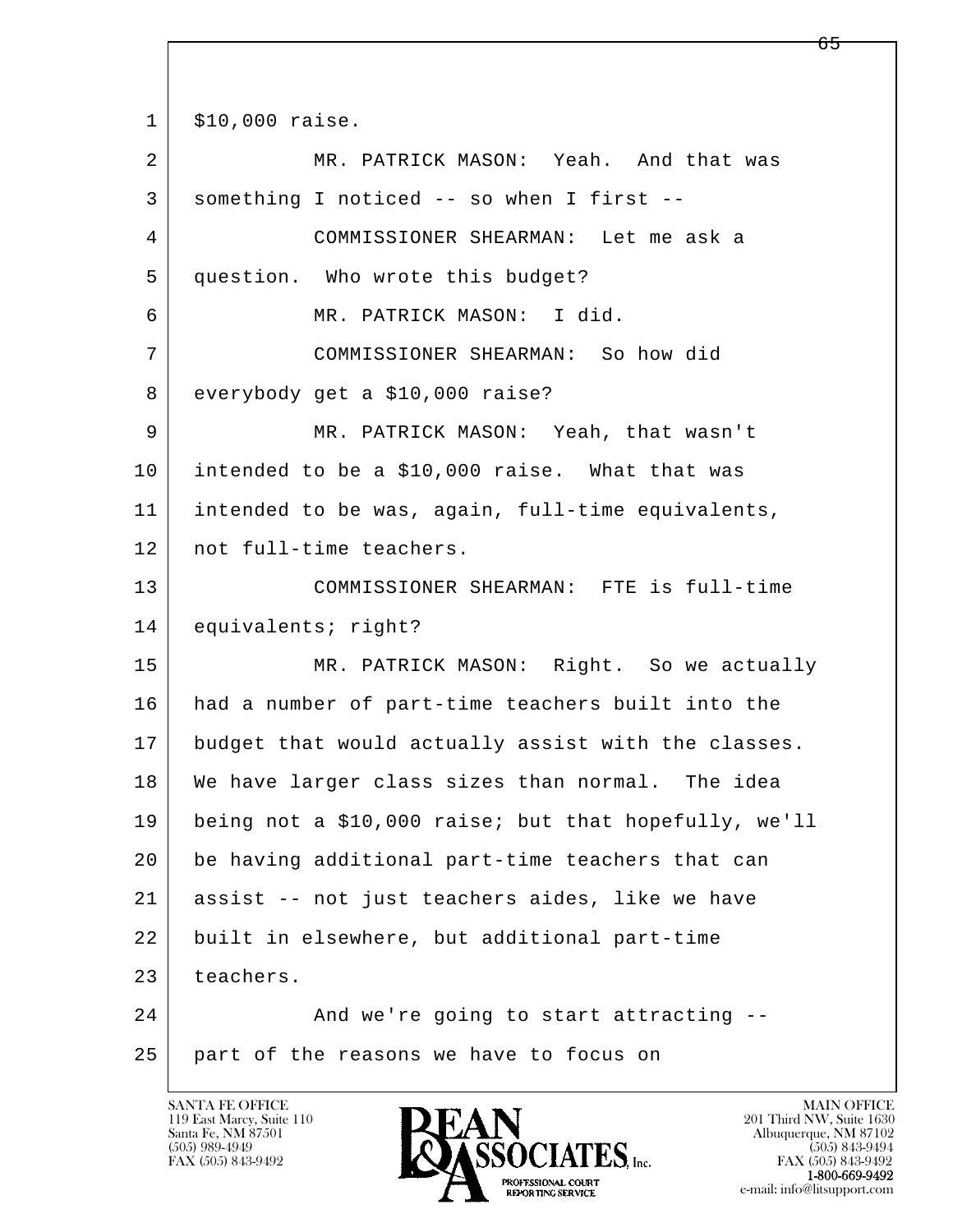l  $\overline{\phantom{a}}$ 1 \$10,000 raise. 2 MR. PATRICK MASON: Yeah. And that was 3 something I noticed -- so when I first -- 4 COMMISSIONER SHEARMAN: Let me ask a 5 question. Who wrote this budget? 6 MR. PATRICK MASON: I did. 7 COMMISSIONER SHEARMAN: So how did 8 everybody get a \$10,000 raise? 9 MR. PATRICK MASON: Yeah, that wasn't 10 intended to be a \$10,000 raise. What that was 11 intended to be was, again, full-time equivalents, 12 not full-time teachers. 13 COMMISSIONER SHEARMAN: FTE is full-time 14 equivalents; right? 15 | MR. PATRICK MASON: Right. So we actually 16 had a number of part-time teachers built into the 17 budget that would actually assist with the classes. 18 We have larger class sizes than normal. The idea 19 being not a \$10,000 raise; but that hopefully, we'll 20 be having additional part-time teachers that can 21 assist -- not just teachers aides, like we have 22 built in elsewhere, but additional part-time 23 teachers. 24 And we're going to start attracting --25 part of the reasons we have to focus on

119 East Marcy, Suite 110<br>Santa Fe, NM 87501



FAX (505) 843-9492<br>1-800-669-9492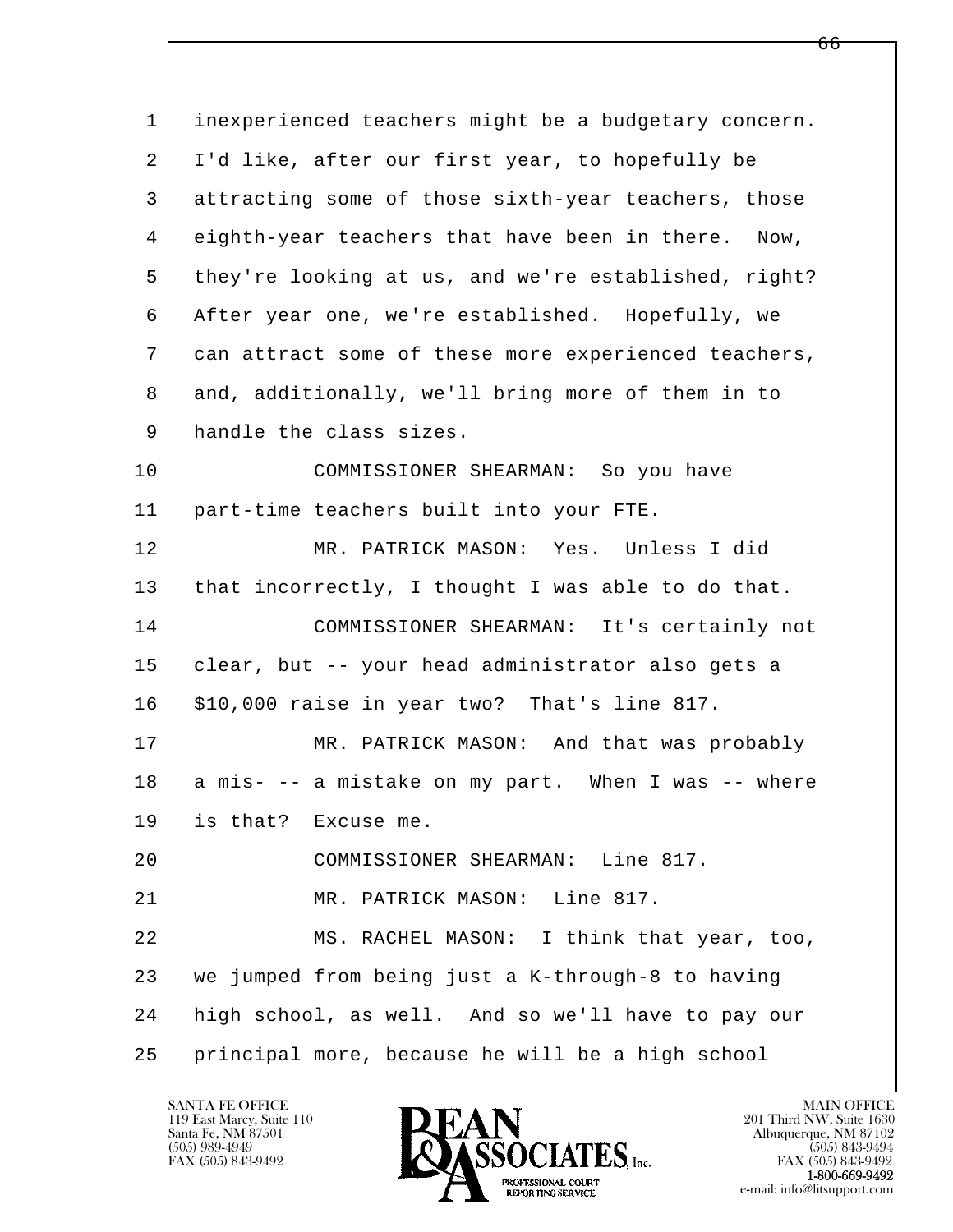l  $\overline{\phantom{a}}$  1 inexperienced teachers might be a budgetary concern. 2 I'd like, after our first year, to hopefully be 3 attracting some of those sixth-year teachers, those 4 eighth-year teachers that have been in there. Now, 5 they're looking at us, and we're established, right? 6 After year one, we're established. Hopefully, we 7 can attract some of these more experienced teachers, 8 and, additionally, we'll bring more of them in to 9 handle the class sizes. 10 COMMISSIONER SHEARMAN: So you have 11 part-time teachers built into your FTE. 12 MR. PATRICK MASON: Yes. Unless I did 13 | that incorrectly, I thought I was able to do that. 14 COMMISSIONER SHEARMAN: It's certainly not 15 clear, but -- your head administrator also gets a 16 | \$10,000 raise in year two? That's line 817. 17 MR. PATRICK MASON: And that was probably 18 a mis- -- a mistake on my part. When I was -- where 19 is that? Excuse me. 20 COMMISSIONER SHEARMAN: Line 817. 21 MR. PATRICK MASON: Line 817. 22 MS. RACHEL MASON: I think that year, too, 23 we jumped from being just a K-through-8 to having 24 high school, as well. And so we'll have to pay our 25 principal more, because he will be a high school

119 East Marcy, Suite 110<br>Santa Fe, NM 87501



FAX (505) 843-9492<br>**1-800-669-9492**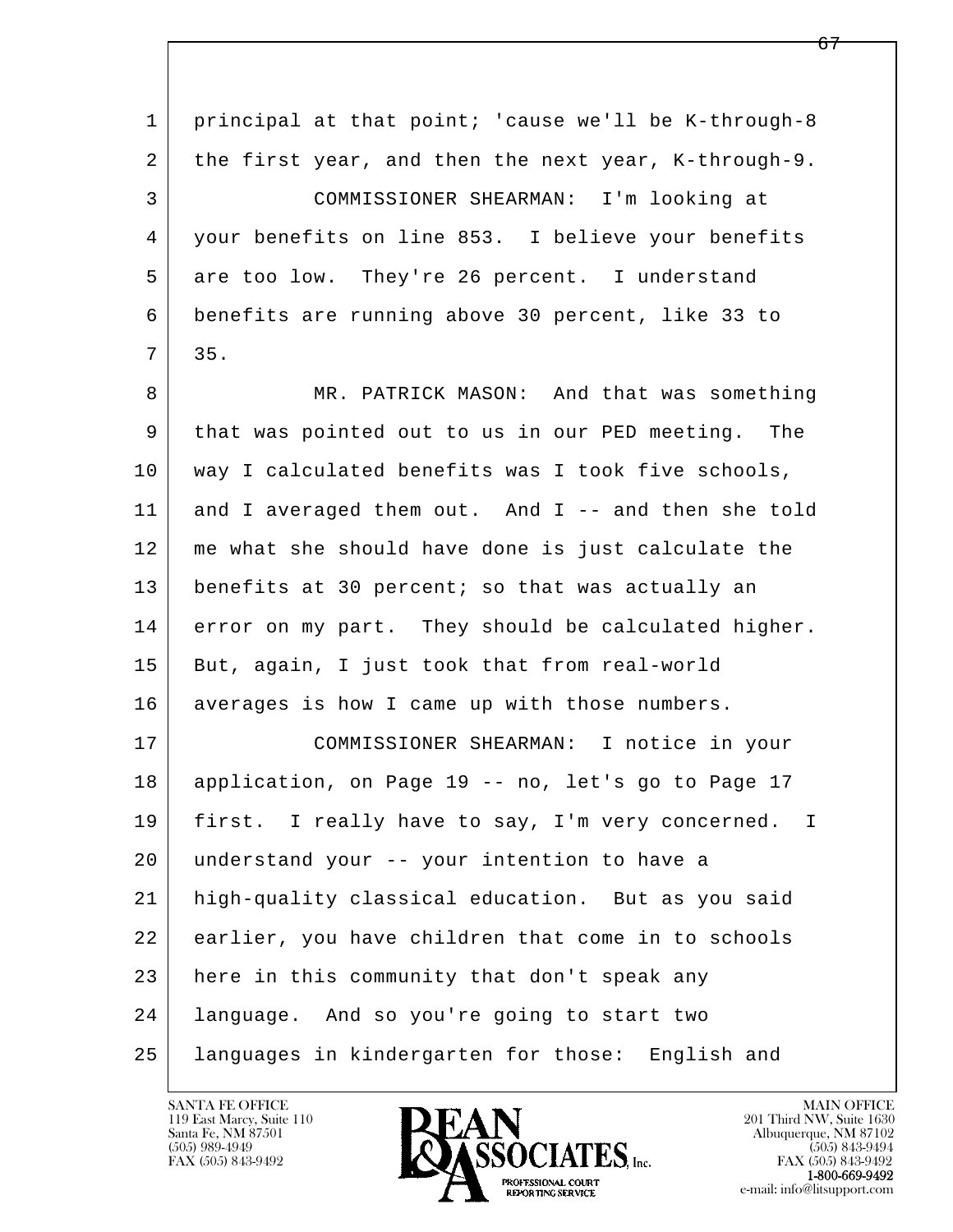| $\mathbf{1}$ | principal at that point; 'cause we'll be K-through-8            |
|--------------|-----------------------------------------------------------------|
| 2            | the first year, and then the next year, K-through-9.            |
| 3            | COMMISSIONER SHEARMAN: I'm looking at                           |
| 4            | your benefits on line 853. I believe your benefits              |
| 5            | are too low. They're 26 percent. I understand                   |
| 6            | benefits are running above 30 percent, like 33 to               |
| 7            | 35.                                                             |
| 8            | MR. PATRICK MASON: And that was something                       |
| 9            | that was pointed out to us in our PED meeting. The              |
| 10           | way I calculated benefits was I took five schools,              |
| 11           | and I averaged them out. And I -- and then she told             |
| 12           | me what she should have done is just calculate the              |
| 13           | benefits at 30 percent; so that was actually an                 |
| 14           | error on my part. They should be calculated higher.             |
| 15           | But, again, I just took that from real-world                    |
| 16           | averages is how I came up with those numbers.                   |
| 17           | COMMISSIONER SHEARMAN: I notice in your                         |
| 18           | application, on Page 19 -- no, let's go to Page 17              |
| 19           | first. I really have to say, I'm very concerned.<br>$\mathbf I$ |
| 20           | understand your -- your intention to have a                     |
| 21           | high-quality classical education. But as you said               |
| 22           | earlier, you have children that come in to schools              |
| 23           | here in this community that don't speak any                     |
| 24           | language. And so you're going to start two                      |
| 25           | languages in kindergarten for those: English and                |

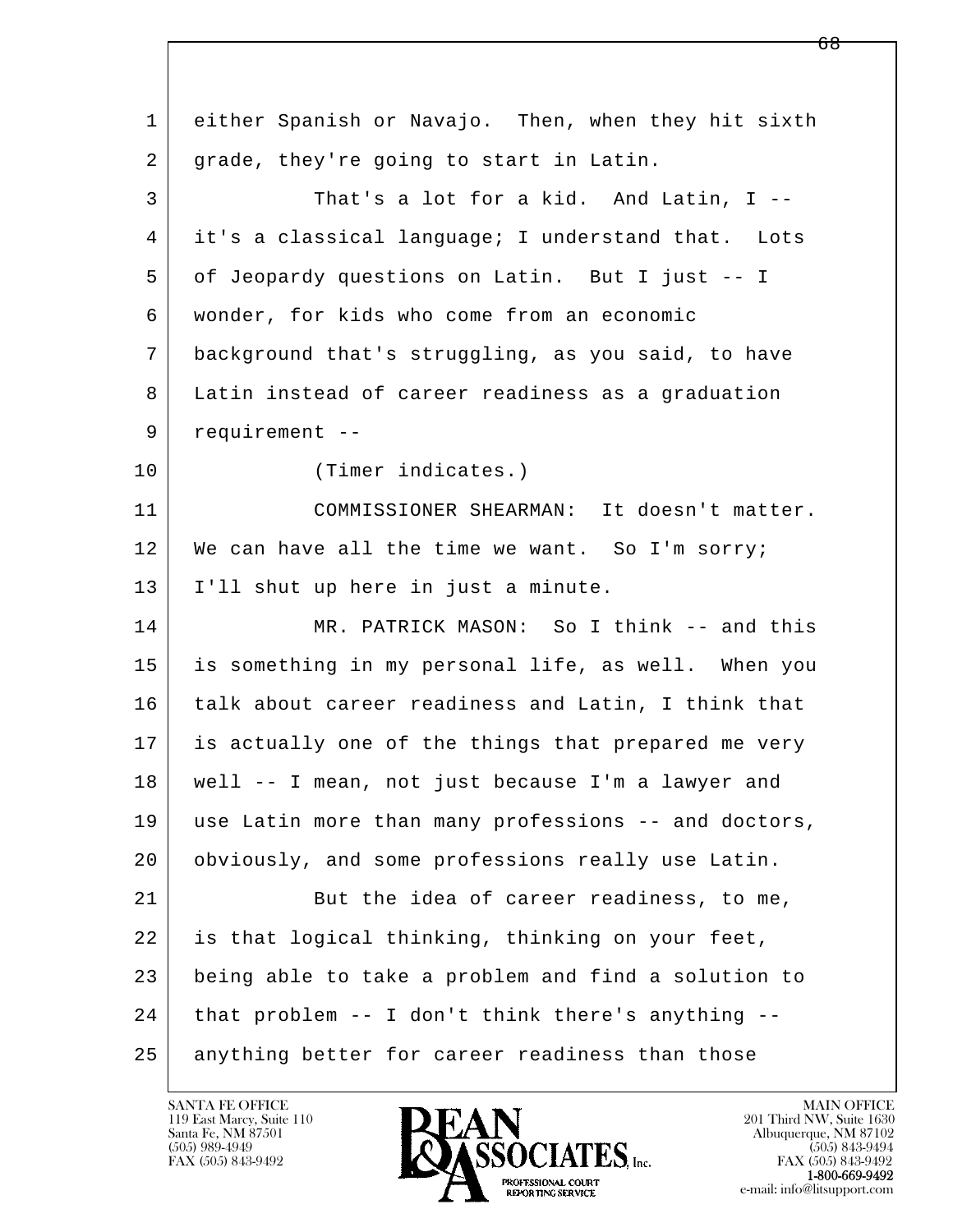l  $\overline{\phantom{a}}$  1 either Spanish or Navajo. Then, when they hit sixth 2 grade, they're going to start in Latin. 3 That's a lot for a kid. And Latin, I -- 4 it's a classical language; I understand that. Lots 5 of Jeopardy questions on Latin. But I just -- I 6 wonder, for kids who come from an economic 7 background that's struggling, as you said, to have 8 Latin instead of career readiness as a graduation 9 requirement -- 10 (Timer indicates.) 11 COMMISSIONER SHEARMAN: It doesn't matter. 12 We can have all the time we want. So I'm sorry; 13 I'll shut up here in just a minute. 14 MR. PATRICK MASON: So I think -- and this 15 is something in my personal life, as well. When you 16 talk about career readiness and Latin, I think that 17 is actually one of the things that prepared me very 18 well -- I mean, not just because I'm a lawyer and 19 use Latin more than many professions -- and doctors, 20 obviously, and some professions really use Latin. 21 But the idea of career readiness, to me, 22 is that logical thinking, thinking on your feet, 23 being able to take a problem and find a solution to 24 that problem -- I don't think there's anything -- 25 anything better for career readiness than those

119 East Marcy, Suite 110<br>Santa Fe, NM 87501



FAX (505) 843-9492<br>**1-800-669-9492**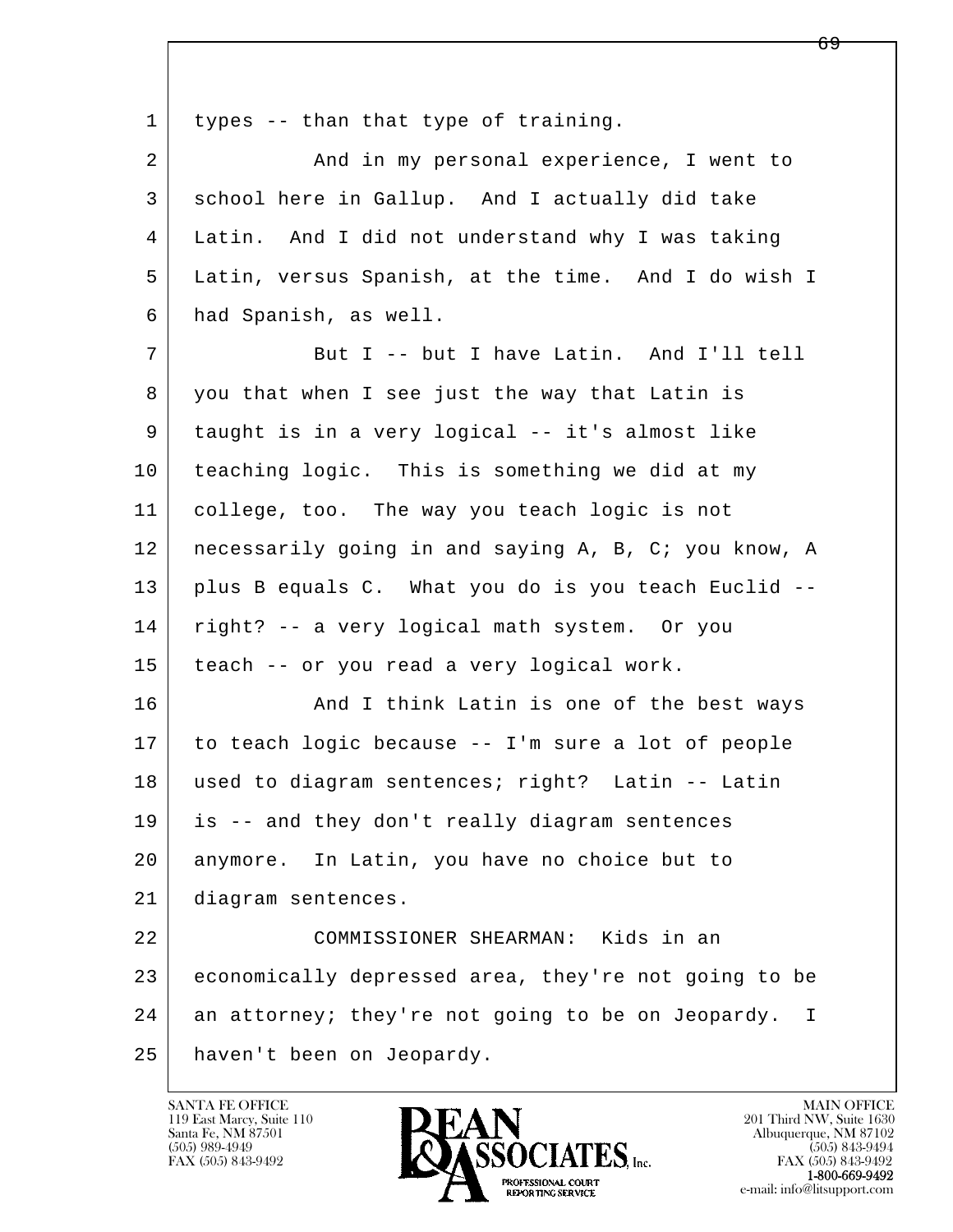| $\mathbf 1$ | types -- than that type of training.                              |
|-------------|-------------------------------------------------------------------|
| 2           | And in my personal experience, I went to                          |
| 3           | school here in Gallup. And I actually did take                    |
| 4           | Latin. And I did not understand why I was taking                  |
| 5           | Latin, versus Spanish, at the time. And I do wish I               |
| 6           | had Spanish, as well.                                             |
| 7           | But I -- but I have Latin. And I'll tell                          |
| 8           | you that when I see just the way that Latin is                    |
| 9           | taught is in a very logical -- it's almost like                   |
| 10          | teaching logic. This is something we did at my                    |
| 11          | college, too. The way you teach logic is not                      |
| 12          | necessarily going in and saying A, B, C; you know, A              |
| 13          | plus B equals C. What you do is you teach Euclid --               |
| 14          | right? -- a very logical math system. Or you                      |
| 15          | teach -- or you read a very logical work.                         |
| 16          | And I think Latin is one of the best ways                         |
| 17          | to teach logic because -- I'm sure a lot of people                |
| 18          | used to diagram sentences; right? Latin -- Latin                  |
| 19          | is -- and they don't really diagram sentences                     |
| 20          | anymore. In Latin, you have no choice but to                      |
| 21          | diagram sentences.                                                |
| 22          | COMMISSIONER SHEARMAN: Kids in an                                 |
| 23          | economically depressed area, they're not going to be              |
| 24          | an attorney; they're not going to be on Jeopardy.<br>$\mathbf{I}$ |
| 25          | haven't been on Jeopardy.                                         |

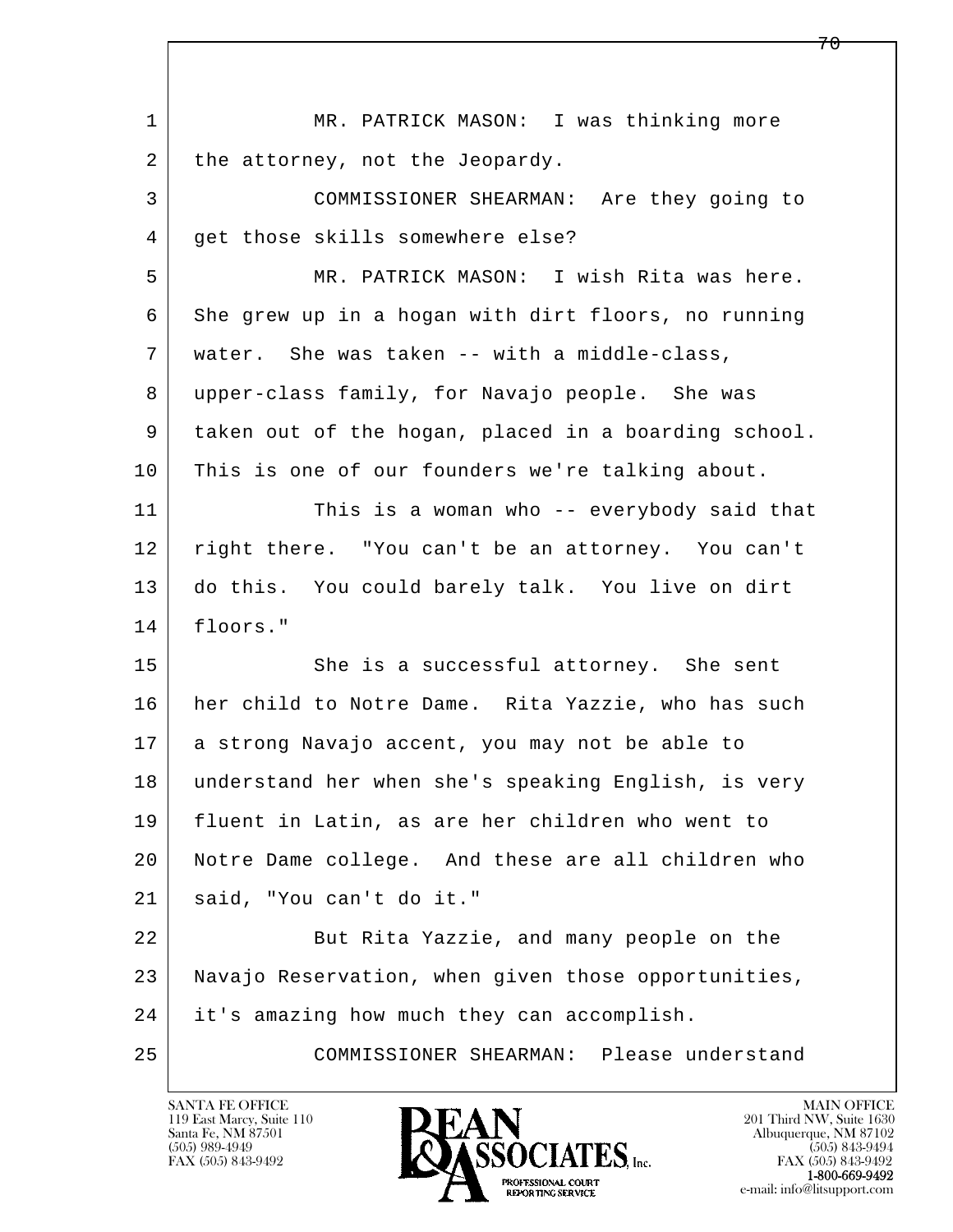| 1  | MR. PATRICK MASON: I was thinking more               |
|----|------------------------------------------------------|
| 2  | the attorney, not the Jeopardy.                      |
| 3  | COMMISSIONER SHEARMAN: Are they going to             |
| 4  | get those skills somewhere else?                     |
| 5  | MR. PATRICK MASON: I wish Rita was here.             |
| 6  | She grew up in a hogan with dirt floors, no running  |
| 7  | water. She was taken -- with a middle-class,         |
| 8  | upper-class family, for Navajo people. She was       |
| 9  | taken out of the hogan, placed in a boarding school. |
| 10 | This is one of our founders we're talking about.     |
| 11 | This is a woman who -- everybody said that           |
| 12 | right there. "You can't be an attorney. You can't    |
| 13 | do this. You could barely talk. You live on dirt     |
| 14 | floors."                                             |
| 15 | She is a successful attorney. She sent               |
| 16 | her child to Notre Dame. Rita Yazzie, who has such   |
| 17 | a strong Navajo accent, you may not be able to       |
| 18 | understand her when she's speaking English, is very  |
| 19 | fluent in Latin, as are her children who went to     |
| 20 | Notre Dame college. And these are all children who   |
| 21 | said, "You can't do it."                             |
| 22 | But Rita Yazzie, and many people on the              |
| 23 | Navajo Reservation, when given those opportunities,  |
| 24 | it's amazing how much they can accomplish.           |
| 25 | Please understand<br>COMMISSIONER SHEARMAN:          |

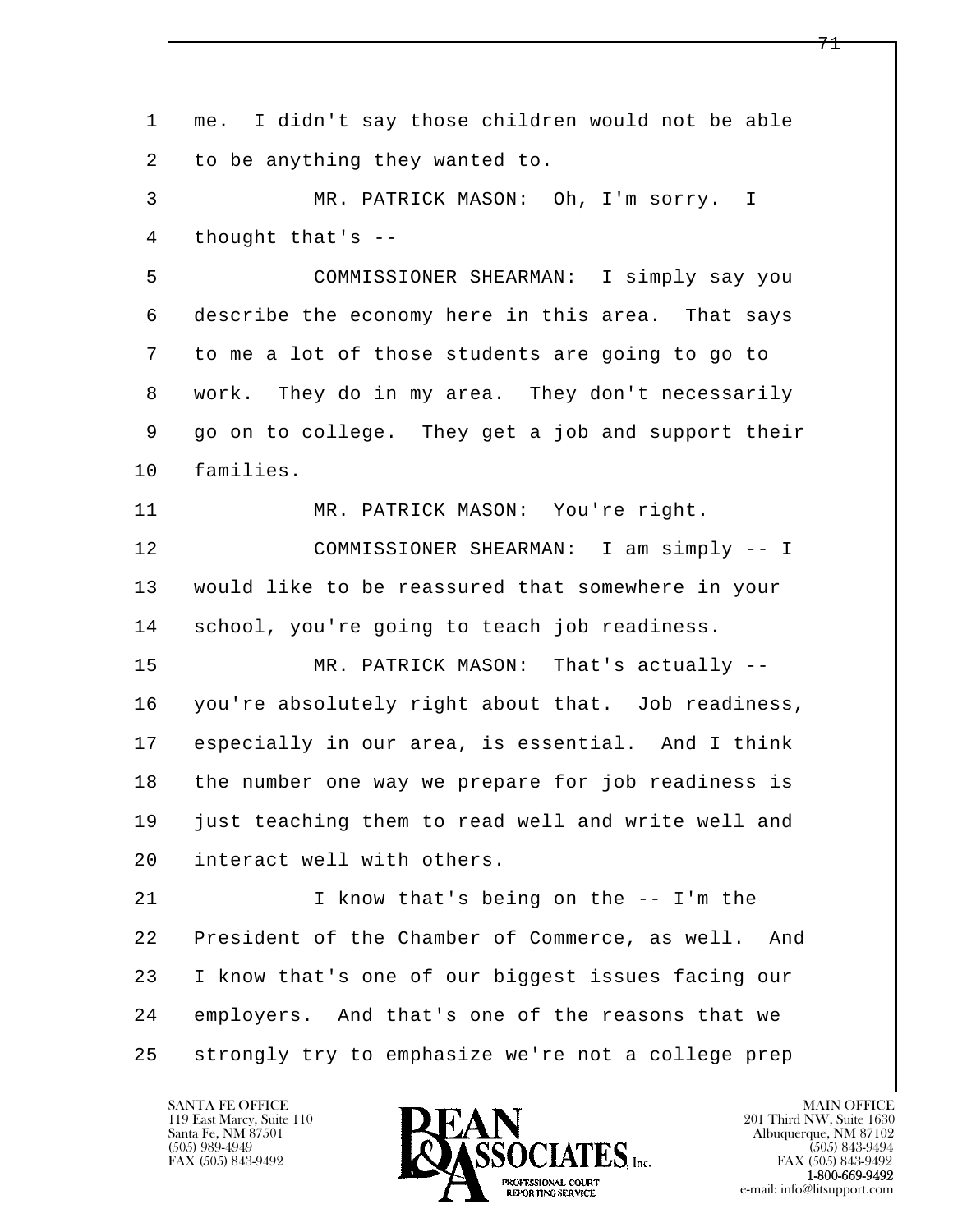l  $\overline{\phantom{a}}$  1 me. I didn't say those children would not be able 2 to be anything they wanted to. 3 MR. PATRICK MASON: Oh, I'm sorry. I  $4$  thought that's  $-$  5 COMMISSIONER SHEARMAN: I simply say you 6 describe the economy here in this area. That says 7 to me a lot of those students are going to go to 8 work. They do in my area. They don't necessarily 9 go on to college. They get a job and support their 10 families. 11 | MR. PATRICK MASON: You're right. 12 COMMISSIONER SHEARMAN: I am simply -- I 13 would like to be reassured that somewhere in your 14 | school, you're going to teach job readiness. 15 | MR. PATRICK MASON: That's actually -- 16 you're absolutely right about that. Job readiness, 17 especially in our area, is essential. And I think 18 the number one way we prepare for job readiness is 19 just teaching them to read well and write well and 20 interact well with others. 21 I know that's being on the -- I'm the 22 President of the Chamber of Commerce, as well. And 23 I know that's one of our biggest issues facing our 24 employers. And that's one of the reasons that we 25 strongly try to emphasize we're not a college prep

119 East Marcy, Suite 110<br>Santa Fe, NM 87501

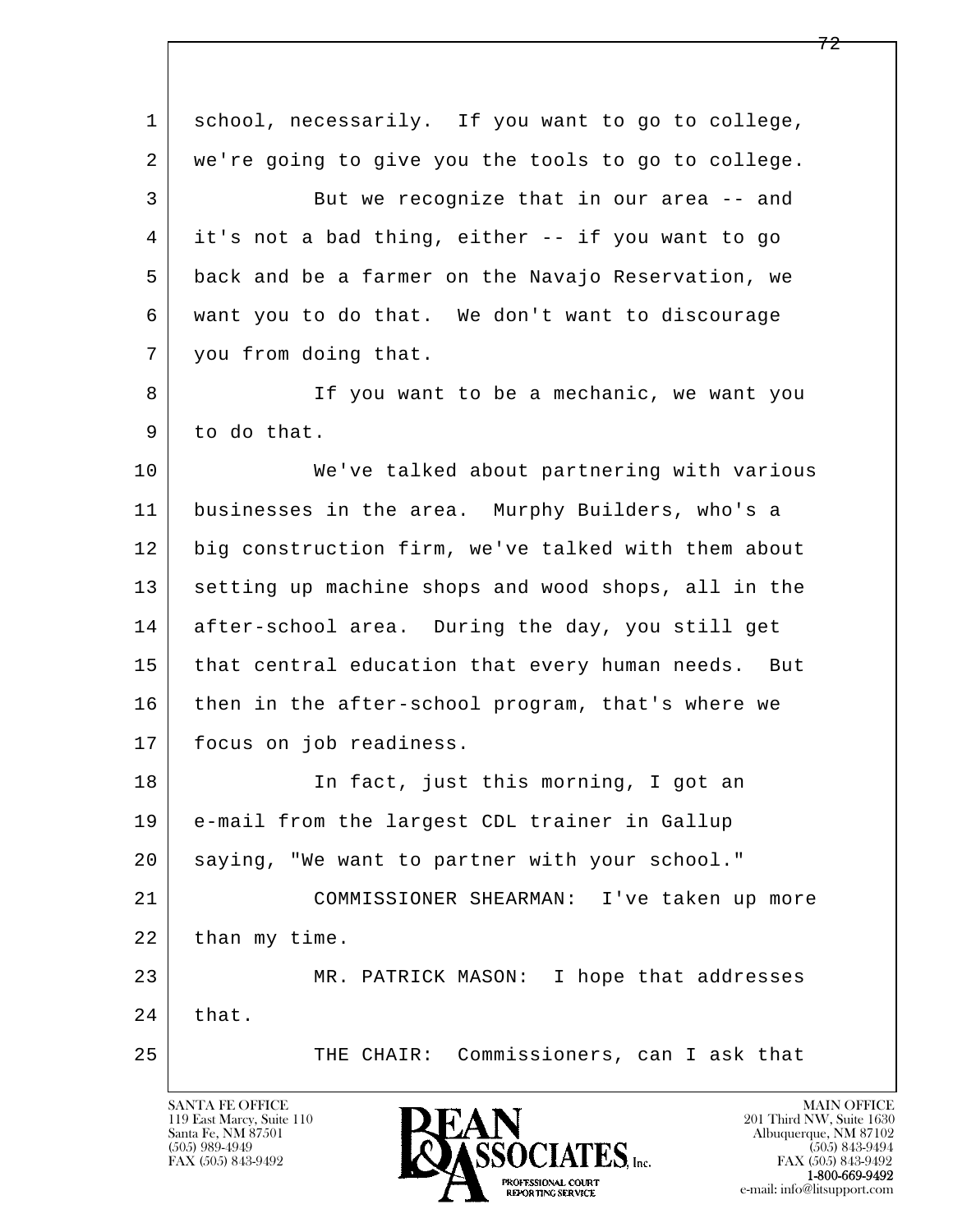| $\mathbf{1}$ | school, necessarily. If you want to go to college,  |
|--------------|-----------------------------------------------------|
| 2            | we're going to give you the tools to go to college. |
| 3            | But we recognize that in our area -- and            |
| 4            | it's not a bad thing, either -- if you want to go   |
| 5            | back and be a farmer on the Navajo Reservation, we  |
| 6            | want you to do that. We don't want to discourage    |
| 7            | you from doing that.                                |
| 8            | If you want to be a mechanic, we want you           |
| 9            | to do that.                                         |
| 10           | We've talked about partnering with various          |
| 11           | businesses in the area. Murphy Builders, who's a    |
| 12           | big construction firm, we've talked with them about |
| 13           | setting up machine shops and wood shops, all in the |
| 14           | after-school area. During the day, you still get    |
| 15           | that central education that every human needs. But  |
| 16           | then in the after-school program, that's where we   |
| 17           | focus on job readiness.                             |
| 18           | In fact, just this morning, I got an                |
| 19           | e-mail from the largest CDL trainer in Gallup       |
| 20           | saying, "We want to partner with your school."      |
| 21           | COMMISSIONER SHEARMAN: I've taken up more           |
| 22           | than my time.                                       |
| 23           | MR. PATRICK MASON: I hope that addresses            |
| 24           | that.                                               |
| 25           | THE CHAIR: Commissioners, can I ask that            |
|              |                                                     |

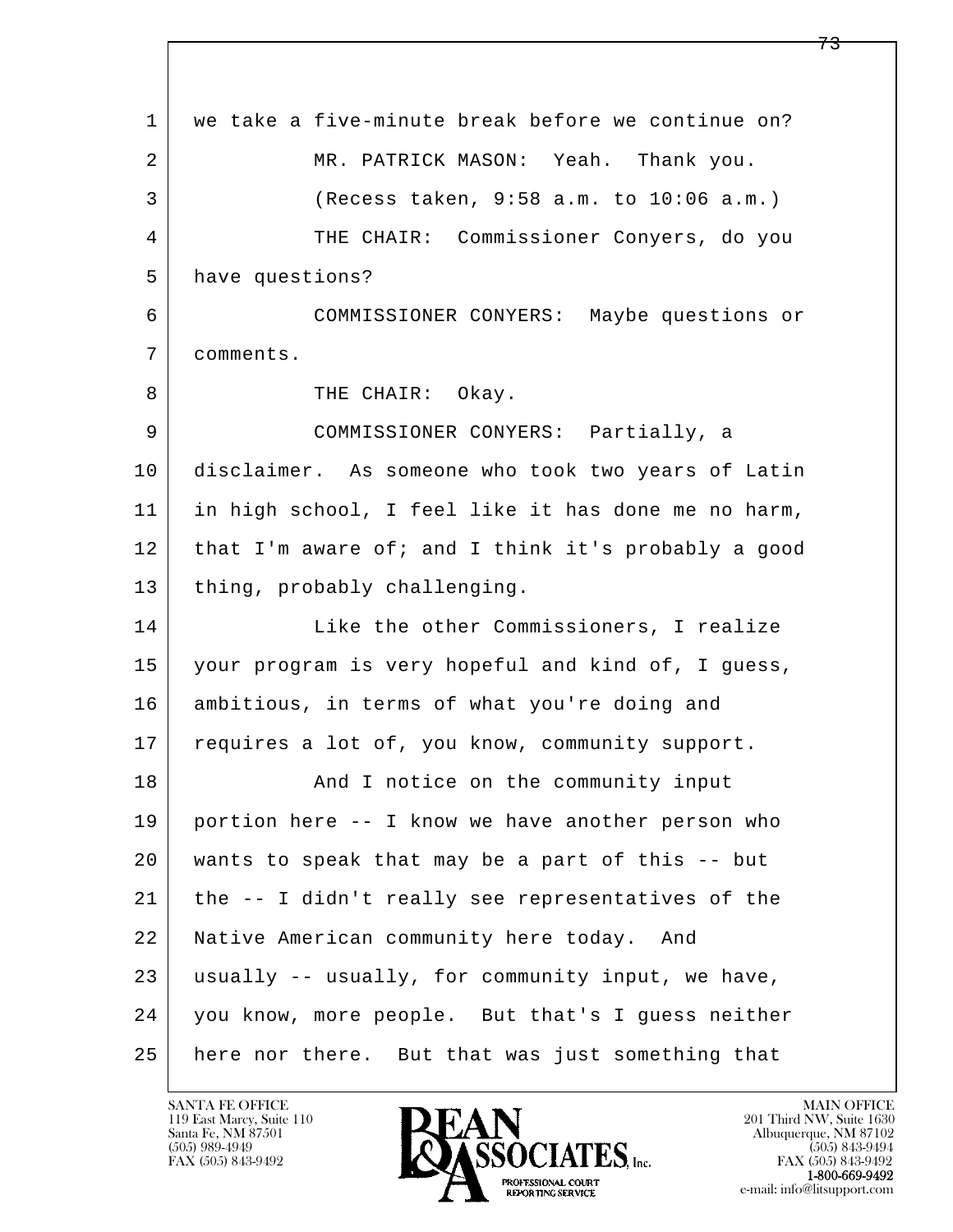l  $\overline{\phantom{a}}$  1 we take a five-minute break before we continue on? 2 MR. PATRICK MASON: Yeah. Thank you. 3 (Recess taken, 9:58 a.m. to 10:06 a.m.) 4 THE CHAIR: Commissioner Conyers, do you 5 have questions? 6 COMMISSIONER CONYERS: Maybe questions or 7 comments. 8 | THE CHAIR: Okay. 9 COMMISSIONER CONYERS: Partially, a 10 disclaimer. As someone who took two years of Latin 11 in high school, I feel like it has done me no harm, 12 that I'm aware of; and I think it's probably a good 13 | thing, probably challenging. 14 Like the other Commissioners, I realize 15 your program is very hopeful and kind of, I guess, 16 ambitious, in terms of what you're doing and 17 requires a lot of, you know, community support. 18 | The Community input and I notice on the community input 19 portion here -- I know we have another person who 20 wants to speak that may be a part of this -- but 21 the -- I didn't really see representatives of the 22 Native American community here today. And 23 usually -- usually, for community input, we have, 24 you know, more people. But that's I guess neither 25 here nor there. But that was just something that

119 East Marcy, Suite 110<br>Santa Fe, NM 87501



FAX (505) 843-9492<br>**1-800-669-9492**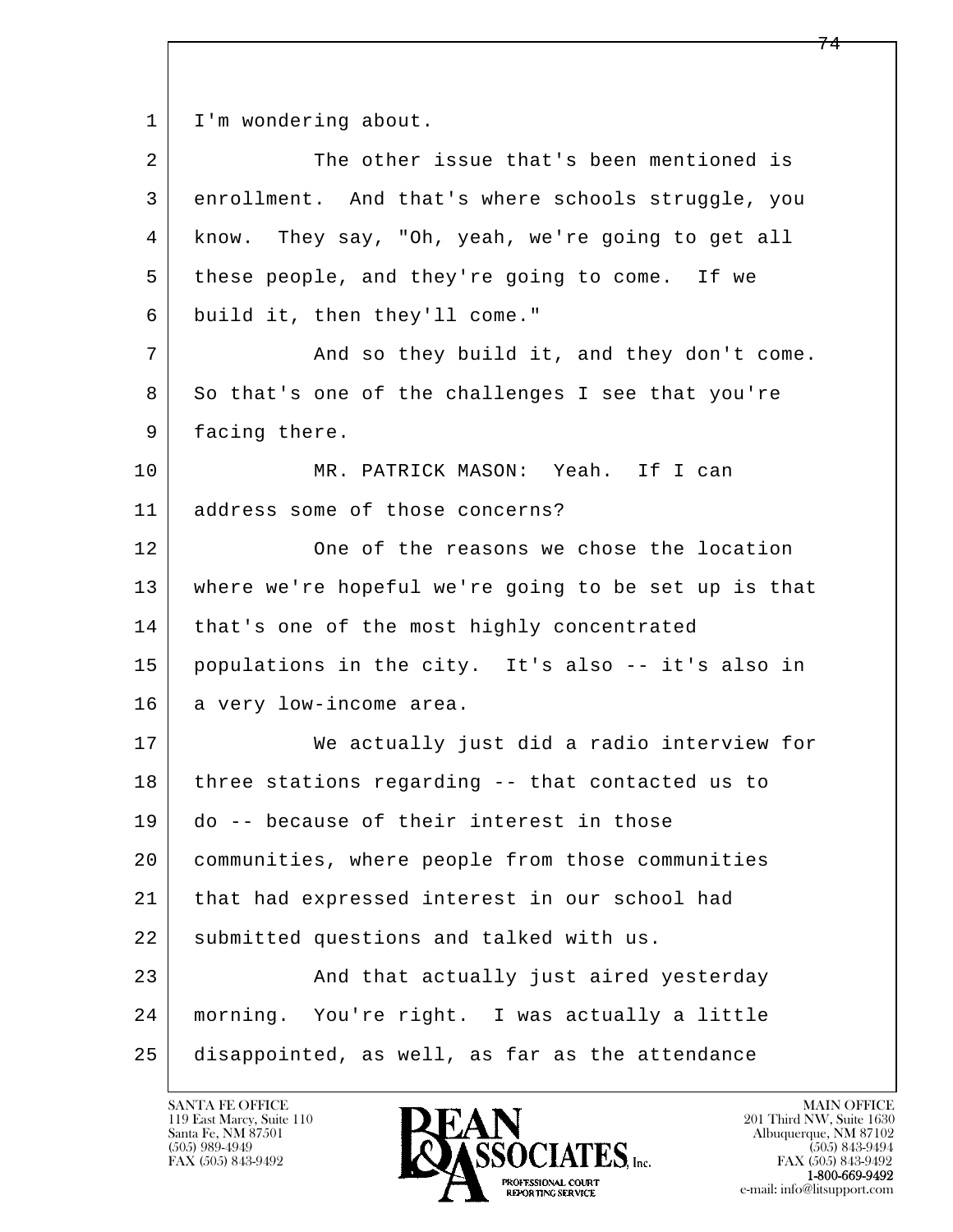1 | I'm wondering about.

| $\overline{a}$ | The other issue that's been mentioned is             |
|----------------|------------------------------------------------------|
| 3              | enrollment. And that's where schools struggle, you   |
| 4              | know. They say, "Oh, yeah, we're going to get all    |
| 5              | these people, and they're going to come. If we       |
| 6              | build it, then they'll come."                        |
| 7              | And so they build it, and they don't come.           |
| 8              | So that's one of the challenges I see that you're    |
| 9              | facing there.                                        |
| 10             | MR. PATRICK MASON: Yeah. If I can                    |
| 11             | address some of those concerns?                      |
| 12             | One of the reasons we chose the location             |
| 13             | where we're hopeful we're going to be set up is that |
| 14             | that's one of the most highly concentrated           |
| 15             | populations in the city. It's also -- it's also in   |
| 16             | a very low-income area.                              |
| 17             | We actually just did a radio interview for           |
| 18             | three stations regarding -- that contacted us to     |
| 19             | do -- because of their interest in those             |
| 20             | communities, where people from those communities     |
| 21             | that had expressed interest in our school had        |
| 22             | submitted questions and talked with us.              |
| 23             | And that actually just aired yesterday               |
| 24             | morning. You're right. I was actually a little       |
| 25             | disappointed, as well, as far as the attendance      |

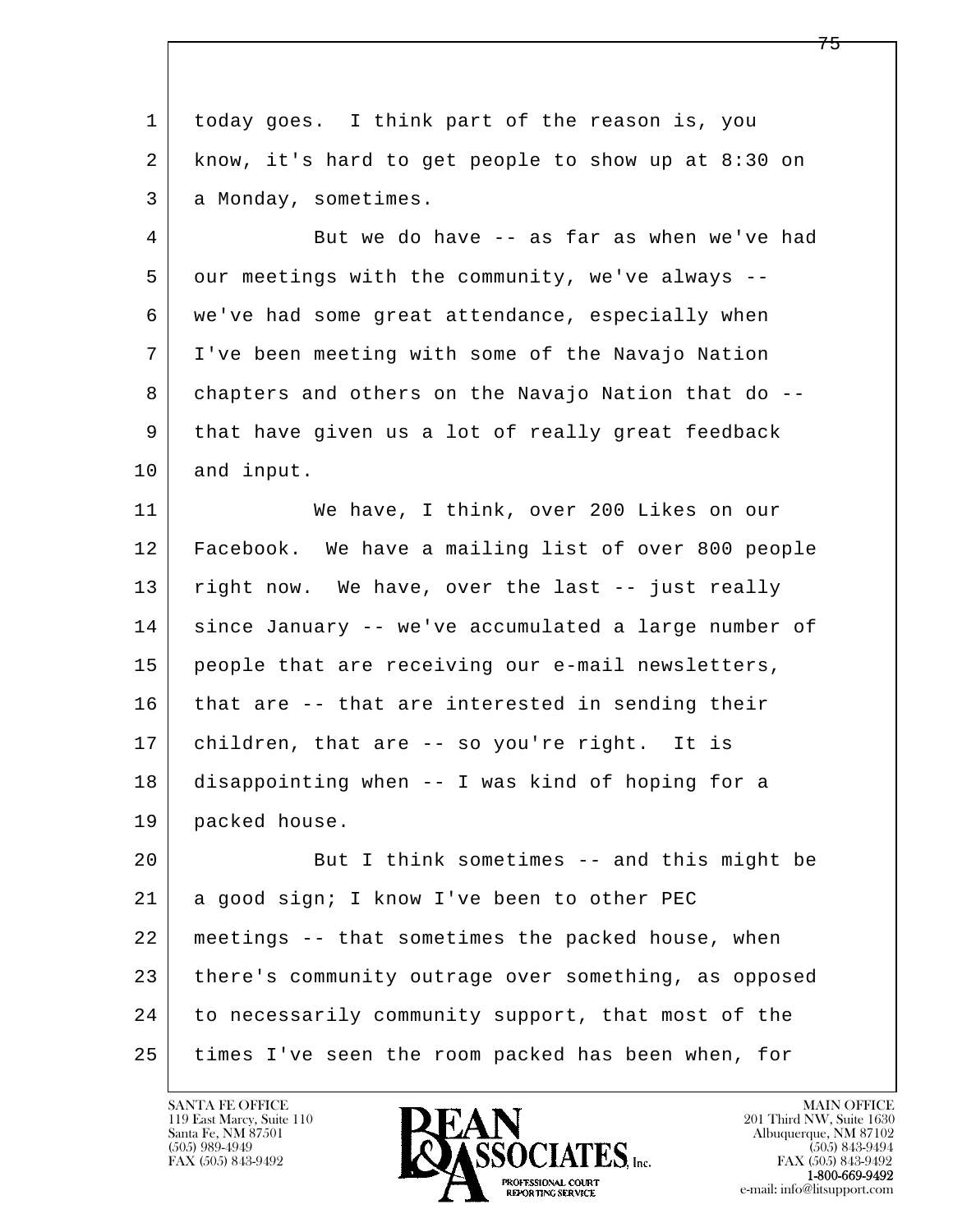| $\mathbf{1}$ | today goes. I think part of the reason is, you        |
|--------------|-------------------------------------------------------|
| 2            | know, it's hard to get people to show up at $8:30$ on |
| 3            | a Monday, sometimes.                                  |
| 4            | But we do have -- as far as when we've had            |
| 5            | our meetings with the community, we've always --      |
| 6            | we've had some great attendance, especially when      |
| 7            | I've been meeting with some of the Navajo Nation      |
| 8            | chapters and others on the Navajo Nation that do --   |
| 9            | that have given us a lot of really great feedback     |
| 10           | and input.                                            |
| 11           | We have, I think, over 200 Likes on our               |
| 12           | Facebook. We have a mailing list of over 800 people   |
| 13           | right now. We have, over the last -- just really      |
| 14           | since January -- we've accumulated a large number of  |
| 15           | people that are receiving our e-mail newsletters,     |
| 16           | that are -- that are interested in sending their      |
| 17           | children, that are -- so you're right. It is          |
| 18           | disappointing when -- I was kind of hoping for a      |
| 19           | packed house.                                         |
| 20           | But I think sometimes -- and this might be            |
| 21           | a good sign; I know I've been to other PEC            |
| 22           | meetings -- that sometimes the packed house, when     |
| 23           | there's community outrage over something, as opposed  |
| 24           | to necessarily community support, that most of the    |
| 25           | times I've seen the room packed has been when, for    |

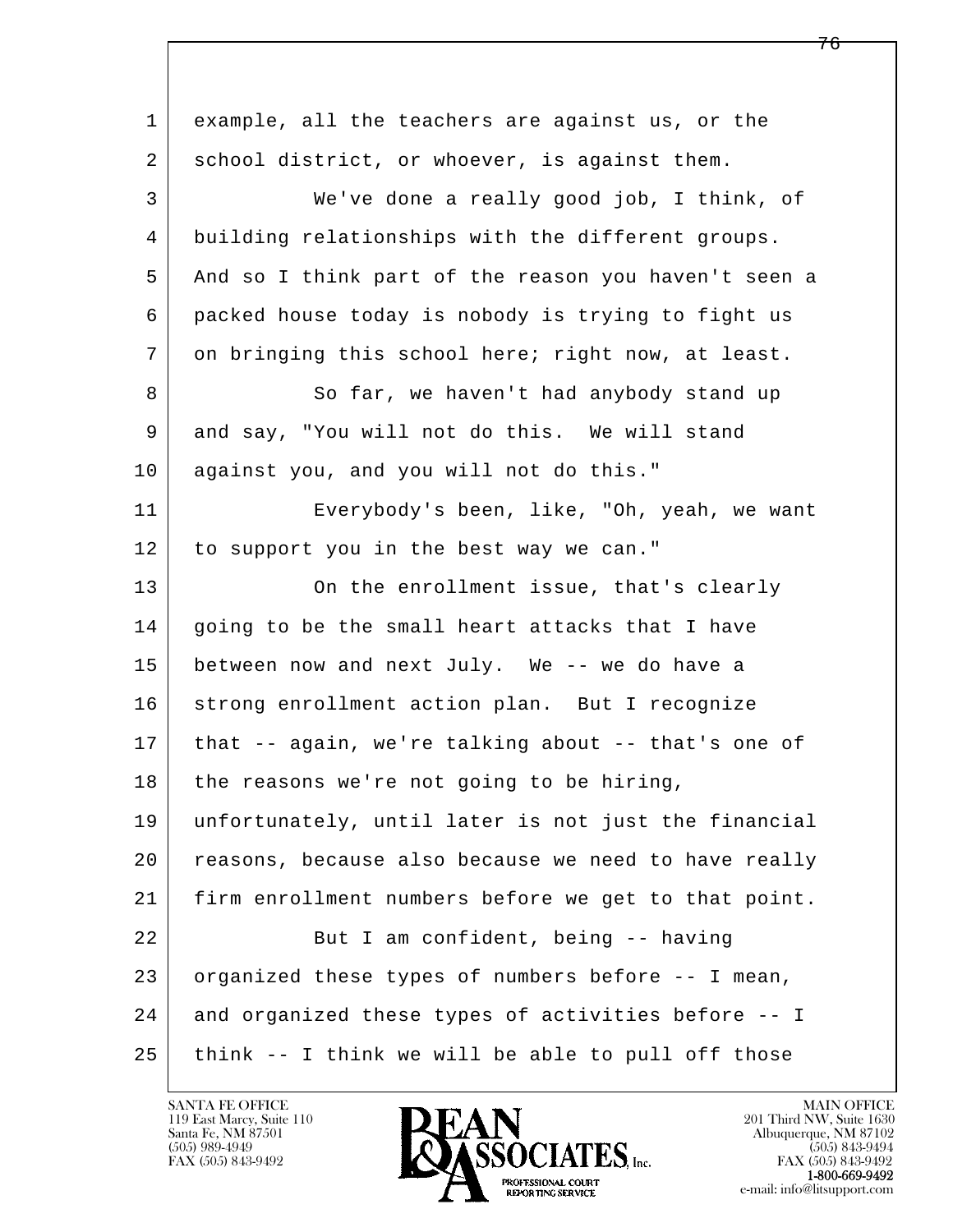| $\mathbf 1$ | example, all the teachers are against us, or the     |
|-------------|------------------------------------------------------|
| 2           | school district, or whoever, is against them.        |
| 3           | We've done a really good job, I think, of            |
| 4           | building relationships with the different groups.    |
| 5           | And so I think part of the reason you haven't seen a |
| 6           | packed house today is nobody is trying to fight us   |
| 7           | on bringing this school here; right now, at least.   |
| 8           | So far, we haven't had anybody stand up              |
| 9           | and say, "You will not do this. We will stand        |
| 10          | against you, and you will not do this."              |
| 11          | Everybody's been, like, "Oh, yeah, we want           |
| 12          | to support you in the best way we can."              |
| 13          | On the enrollment issue, that's clearly              |
| 14          | going to be the small heart attacks that I have      |
| 15          | between now and next July. We -- we do have a        |
| 16          | strong enrollment action plan. But I recognize       |
| 17          | that -- again, we're talking about -- that's one of  |
| 18          | the reasons we're not going to be hiring,            |
| 19          | unfortunately, until later is not just the financial |
| 20          | reasons, because also because we need to have really |
| 21          | firm enrollment numbers before we get to that point. |
| 22          | But I am confident, being -- having                  |
| 23          | organized these types of numbers before -- I mean,   |
| 24          | and organized these types of activities before -- I  |
| 25          | think -- I think we will be able to pull off those   |

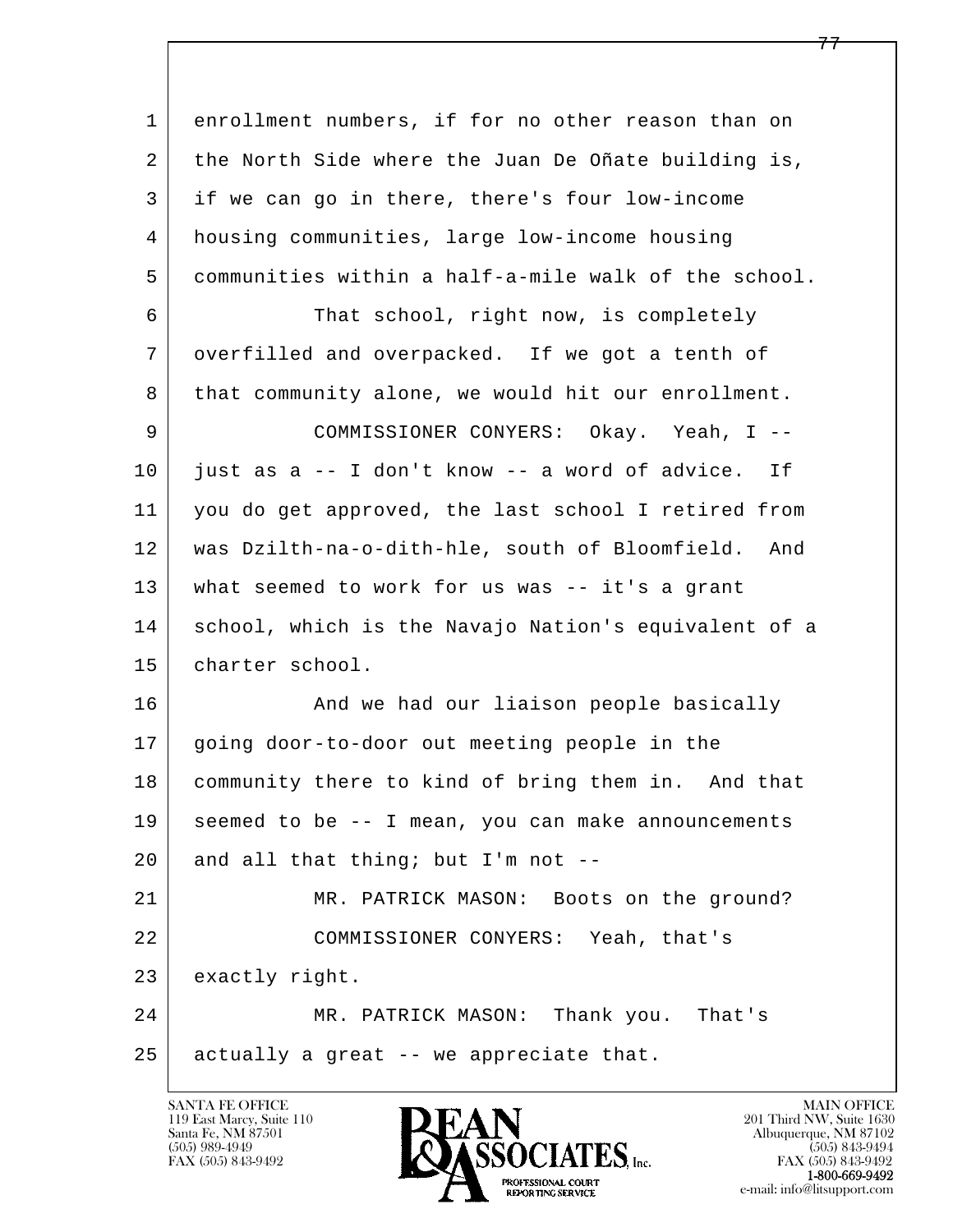l  $\overline{\phantom{a}}$  1 enrollment numbers, if for no other reason than on 2 the North Side where the Juan De Oñate building is, 3 if we can go in there, there's four low-income 4 housing communities, large low-income housing 5 communities within a half-a-mile walk of the school. 6 That school, right now, is completely 7 overfilled and overpacked. If we got a tenth of 8 that community alone, we would hit our enrollment. 9 COMMISSIONER CONYERS: Okay. Yeah, I -- 10 just as a -- I don't know -- a word of advice. If 11 you do get approved, the last school I retired from 12 was Dzilth-na-o-dith-hle, south of Bloomfield. And 13 what seemed to work for us was -- it's a grant 14 school, which is the Navajo Nation's equivalent of a 15 charter school. 16 And we had our liaison people basically 17 going door-to-door out meeting people in the 18 | community there to kind of bring them in. And that 19 seemed to be -- I mean, you can make announcements 20 and all that thing; but I'm not  $-$ - 21 MR. PATRICK MASON: Boots on the ground? 22 COMMISSIONER CONYERS: Yeah, that's 23 exactly right. 24 MR. PATRICK MASON: Thank you. That's  $25$  actually a great  $-$ - we appreciate that.

119 East Marcy, Suite 110<br>Santa Fe, NM 87501



FAX (505) 843-9492<br>1-800-669-9492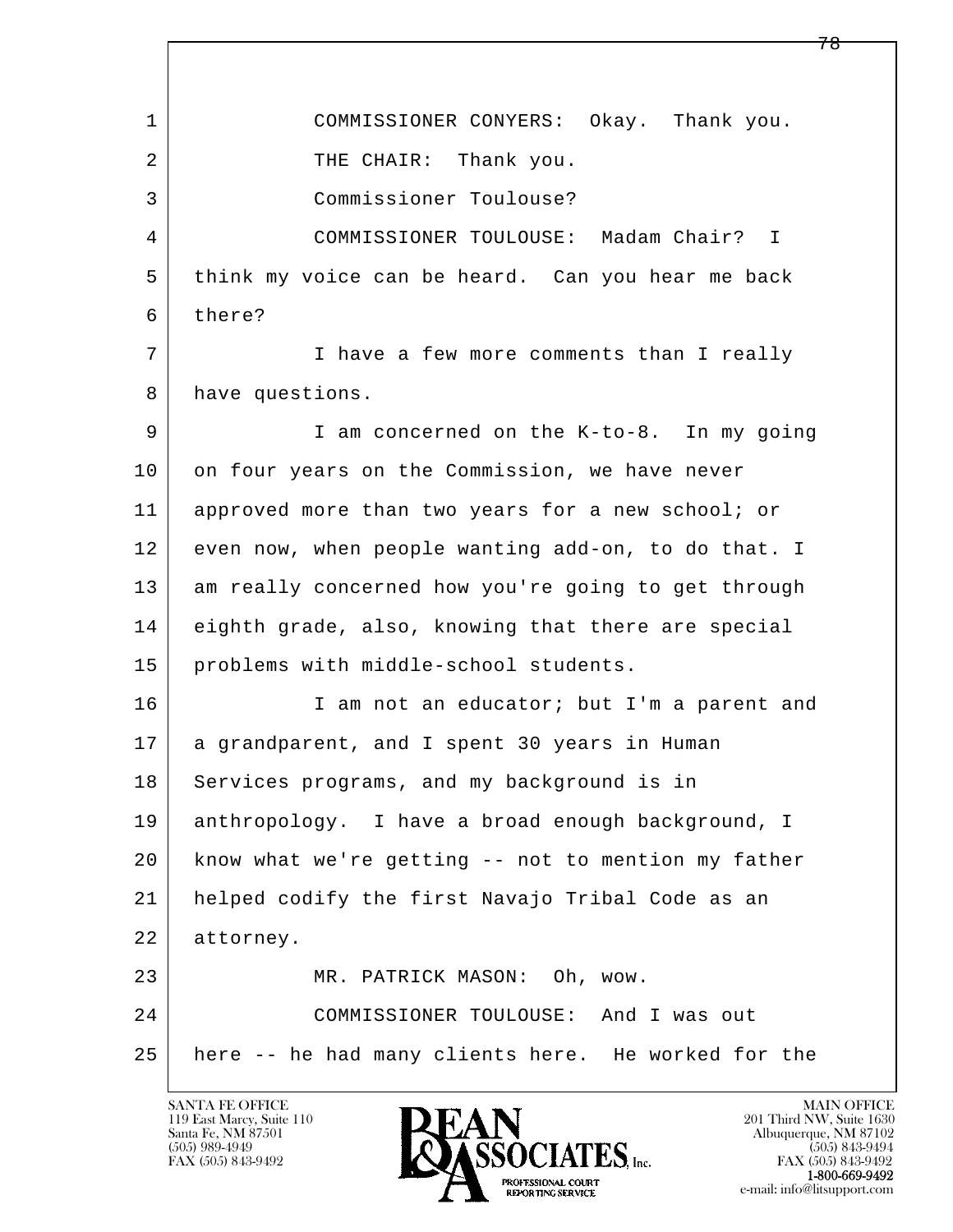l  $\overline{\phantom{a}}$  1 COMMISSIONER CONYERS: Okay. Thank you. 2 THE CHAIR: Thank you. 3 Commissioner Toulouse? 4 COMMISSIONER TOULOUSE: Madam Chair? I 5 think my voice can be heard. Can you hear me back 6 there? 7 I have a few more comments than I really 8 have questions. 9 I am concerned on the K-to-8. In my going 10 on four years on the Commission, we have never 11 approved more than two years for a new school; or 12 even now, when people wanting add-on, to do that. I 13 am really concerned how you're going to get through 14 eighth grade, also, knowing that there are special 15 | problems with middle-school students. 16 I am not an educator; but I'm a parent and 17 a grandparent, and I spent 30 years in Human 18 | Services programs, and my background is in 19 anthropology. I have a broad enough background, I 20 know what we're getting -- not to mention my father 21 helped codify the first Navajo Tribal Code as an 22 attorney. 23 MR. PATRICK MASON: Oh, wow. 24 COMMISSIONER TOULOUSE: And I was out 25 here -- he had many clients here. He worked for the

119 East Marcy, Suite 110<br>Santa Fe, NM 87501



FAX (505) 843-9492<br>**1-800-669-9492**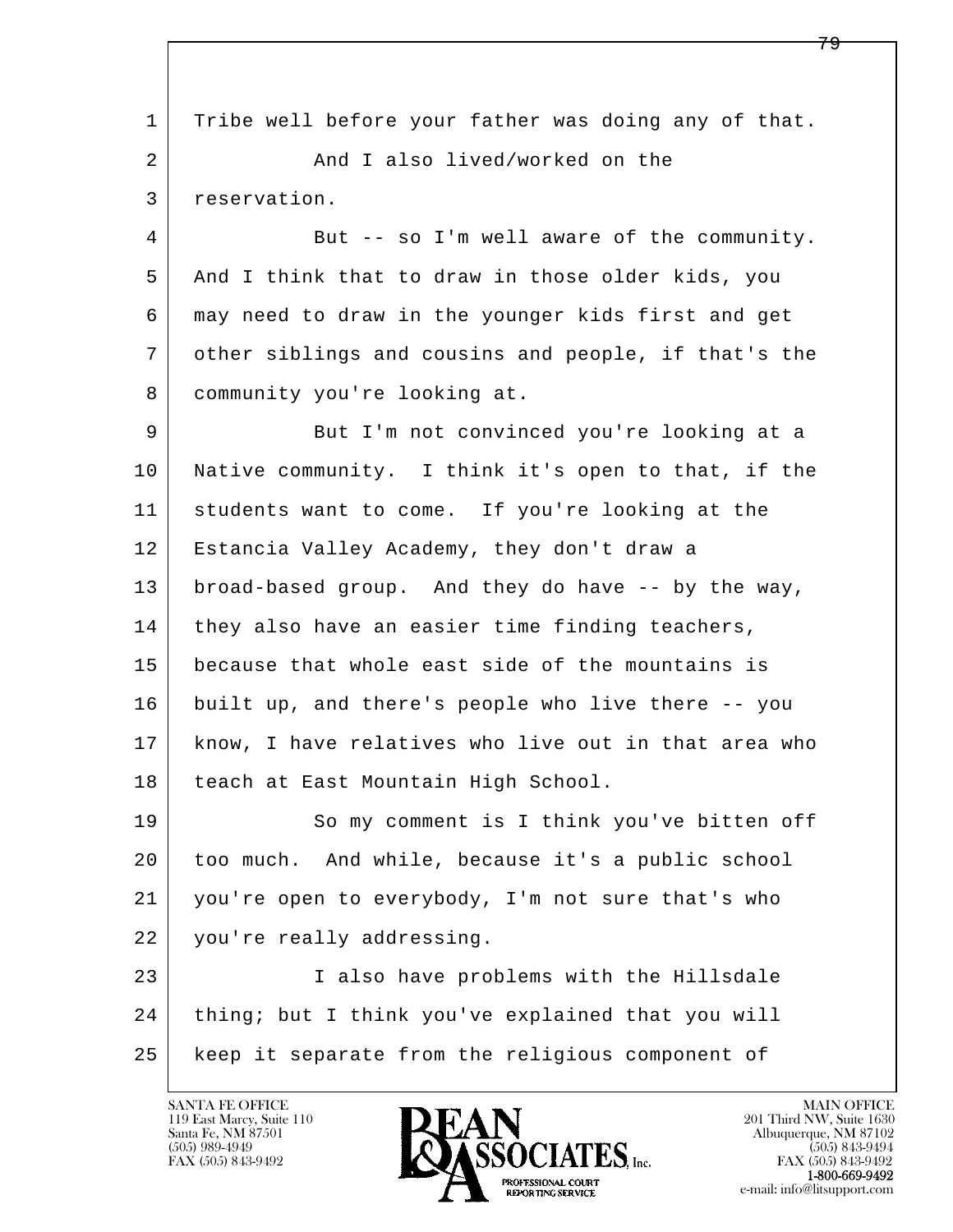l  $\overline{\phantom{a}}$  1 Tribe well before your father was doing any of that. 2 And I also lived/worked on the 3 reservation. 4 But -- so I'm well aware of the community. 5 And I think that to draw in those older kids, you 6 may need to draw in the younger kids first and get 7 other siblings and cousins and people, if that's the 8 community you're looking at. 9 But I'm not convinced you're looking at a 10 Native community. I think it's open to that, if the 11 | students want to come. If you're looking at the 12 Estancia Valley Academy, they don't draw a 13 broad-based group. And they do have -- by the way, 14 they also have an easier time finding teachers, 15 because that whole east side of the mountains is 16 built up, and there's people who live there -- you 17 know, I have relatives who live out in that area who 18 | teach at East Mountain High School. 19 So my comment is I think you've bitten off 20 too much. And while, because it's a public school 21 you're open to everybody, I'm not sure that's who 22 you're really addressing. 23 I also have problems with the Hillsdale 24 | thing; but I think you've explained that you will 25 keep it separate from the religious component of

119 East Marcy, Suite 110<br>Santa Fe, NM 87501

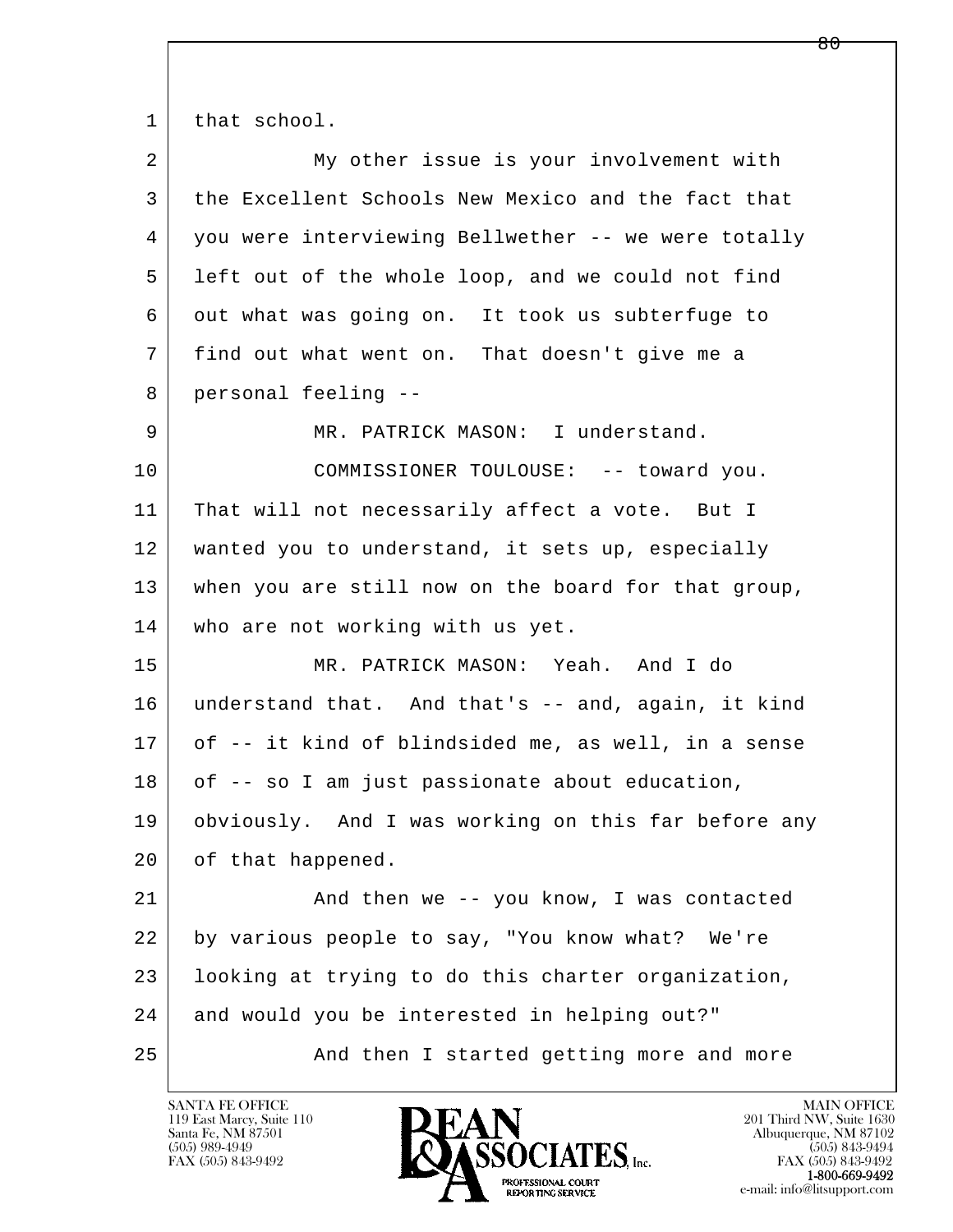1 that school.

| $\overline{a}$ | My other issue is your involvement with             |
|----------------|-----------------------------------------------------|
| 3              | the Excellent Schools New Mexico and the fact that  |
| 4              | you were interviewing Bellwether -- we were totally |
| 5              | left out of the whole loop, and we could not find   |
| 6              | out what was going on. It took us subterfuge to     |
| 7              | find out what went on. That doesn't give me a       |
| 8              | personal feeling --                                 |
| 9              | MR. PATRICK MASON: I understand.                    |
| 10             | COMMISSIONER TOULOUSE: -- toward you.               |
| 11             | That will not necessarily affect a vote. But I      |
| 12             | wanted you to understand, it sets up, especially    |
| 13             | when you are still now on the board for that group, |
| 14             | who are not working with us yet.                    |
| 15             | MR. PATRICK MASON: Yeah. And I do                   |
| 16             | understand that. And that's -- and, again, it kind  |
| 17             | of -- it kind of blindsided me, as well, in a sense |
| 18             | of -- so I am just passionate about education,      |
| 19             | obviously. And I was working on this far before any |
| 20             | of that happened.                                   |
| 21             | And then we -- you know, I was contacted            |
| 22             | by various people to say, "You know what? We're     |
| 23             | looking at trying to do this charter organization,  |
| 24             | and would you be interested in helping out?"        |
| 25             | And then I started getting more and more            |

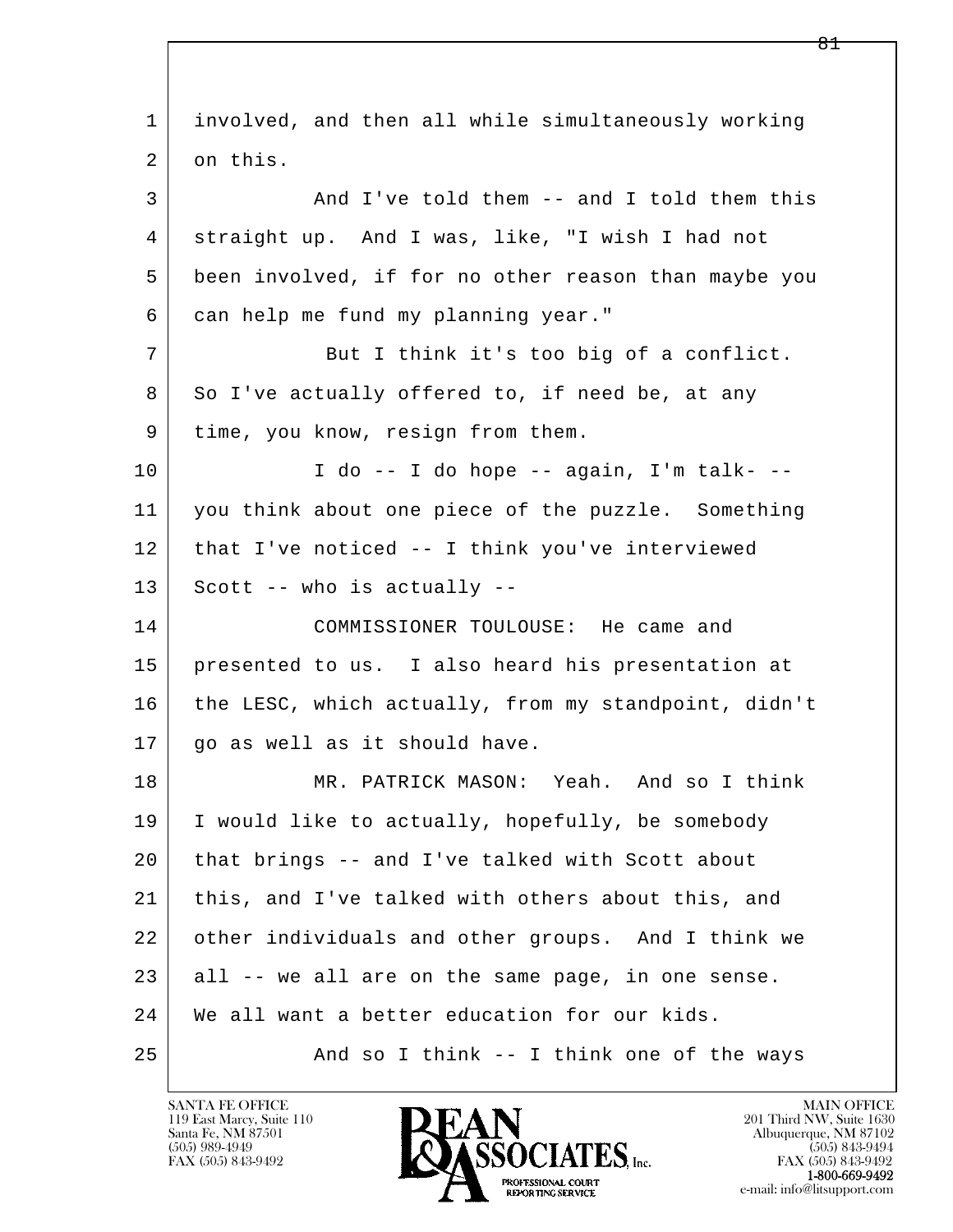l  $\overline{\phantom{a}}$  1 involved, and then all while simultaneously working 2 on this. 3 And I've told them -- and I told them this 4 straight up. And I was, like, "I wish I had not 5 been involved, if for no other reason than maybe you 6 can help me fund my planning year." 7 But I think it's too big of a conflict. 8 So I've actually offered to, if need be, at any 9 | time, you know, resign from them.  $10$  | I do -- I do hope -- again, I'm talk- -- 11 you think about one piece of the puzzle. Something 12 that I've noticed -- I think you've interviewed  $13$  Scott -- who is actually -- 14 COMMISSIONER TOULOUSE: He came and 15 presented to us. I also heard his presentation at 16 the LESC, which actually, from my standpoint, didn't 17 | go as well as it should have. 18 MR. PATRICK MASON: Yeah. And so I think 19 I would like to actually, hopefully, be somebody 20 that brings -- and I've talked with Scott about 21 this, and I've talked with others about this, and 22 other individuals and other groups. And I think we  $23$  all  $-$  we all are on the same page, in one sense. 24 | We all want a better education for our kids. 25 And so I think -- I think one of the ways

119 East Marcy, Suite 110<br>Santa Fe, NM 87501

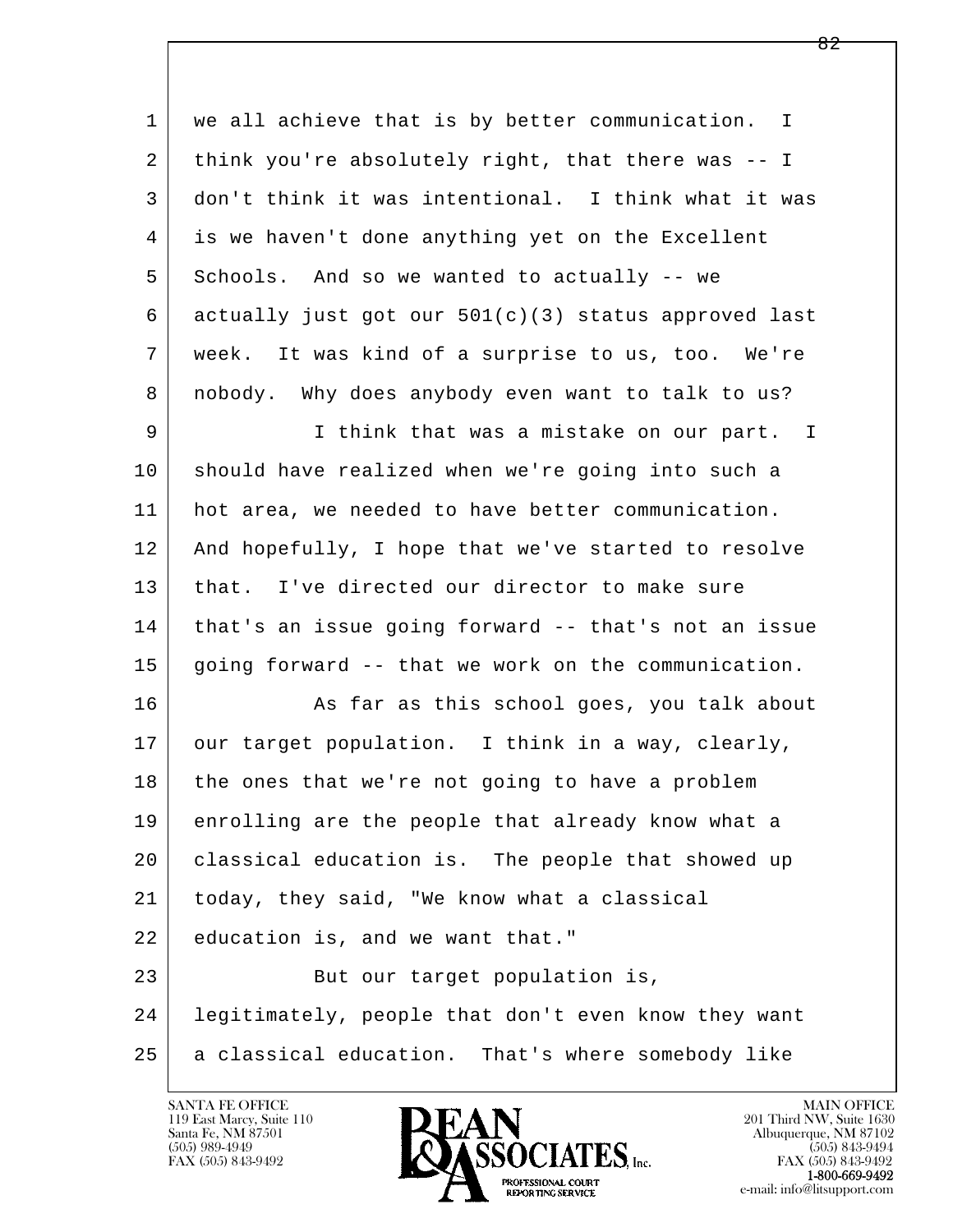l  $\overline{\phantom{a}}$ 1 | we all achieve that is by better communication. I 2 think you're absolutely right, that there was -- I 3 don't think it was intentional. I think what it was 4 is we haven't done anything yet on the Excellent 5 Schools. And so we wanted to actually -- we 6 actually just got our 501(c)(3) status approved last 7 week. It was kind of a surprise to us, too. We're 8 nobody. Why does anybody even want to talk to us? 9 I think that was a mistake on our part. I 10 should have realized when we're going into such a 11 hot area, we needed to have better communication. 12 And hopefully, I hope that we've started to resolve 13 that. I've directed our director to make sure 14 that's an issue going forward -- that's not an issue 15 going forward -- that we work on the communication. 16 As far as this school goes, you talk about 17 our target population. I think in a way, clearly, 18 the ones that we're not going to have a problem 19 enrolling are the people that already know what a 20 classical education is. The people that showed up 21 today, they said, "We know what a classical 22 education is, and we want that." 23 But our target population is, 24 legitimately, people that don't even know they want 25 a classical education. That's where somebody like

119 East Marcy, Suite 110<br>Santa Fe, NM 87501



FAX (505) 843-9492<br>**1-800-669-9492**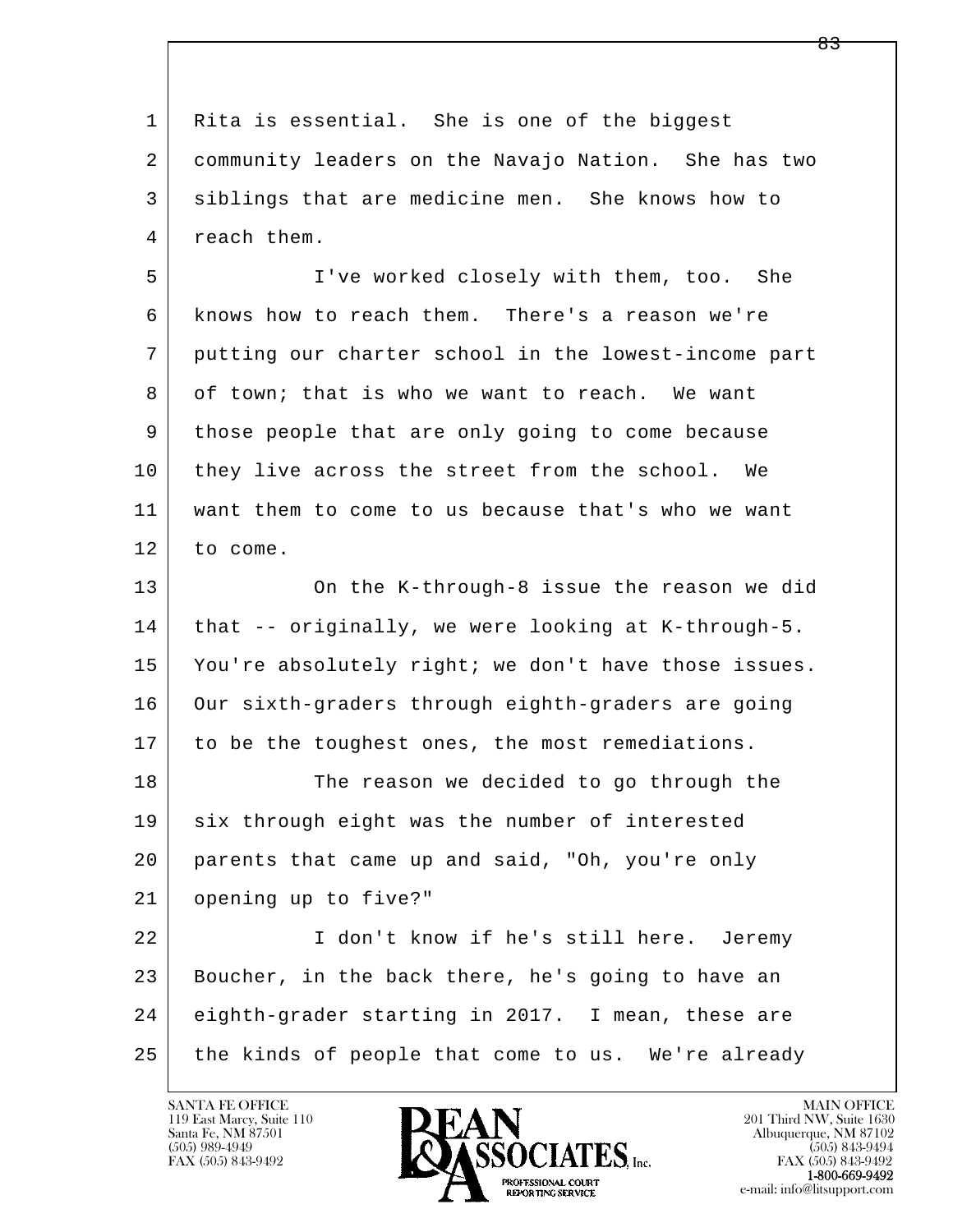l  $\overline{\phantom{a}}$  1 Rita is essential. She is one of the biggest 2 community leaders on the Navajo Nation. She has two 3 siblings that are medicine men. She knows how to 4 reach them. 5 I've worked closely with them, too. She 6 knows how to reach them. There's a reason we're 7 putting our charter school in the lowest-income part 8 of town; that is who we want to reach. We want 9 those people that are only going to come because 10 they live across the street from the school. We 11 want them to come to us because that's who we want 12 to come. 13 On the K-through-8 issue the reason we did 14 | that -- originally, we were looking at K-through-5. 15 | You're absolutely right; we don't have those issues. 16 Our sixth-graders through eighth-graders are going 17 to be the toughest ones, the most remediations. 18 The reason we decided to go through the 19 six through eight was the number of interested 20 parents that came up and said, "Oh, you're only 21 opening up to five?" 22 I don't know if he's still here. Jeremy 23 Boucher, in the back there, he's going to have an 24 eighth-grader starting in 2017. I mean, these are 25 the kinds of people that come to us. We're already

119 East Marcy, Suite 110<br>Santa Fe, NM 87501



FAX (505) 843-9492<br>1-800-669-9492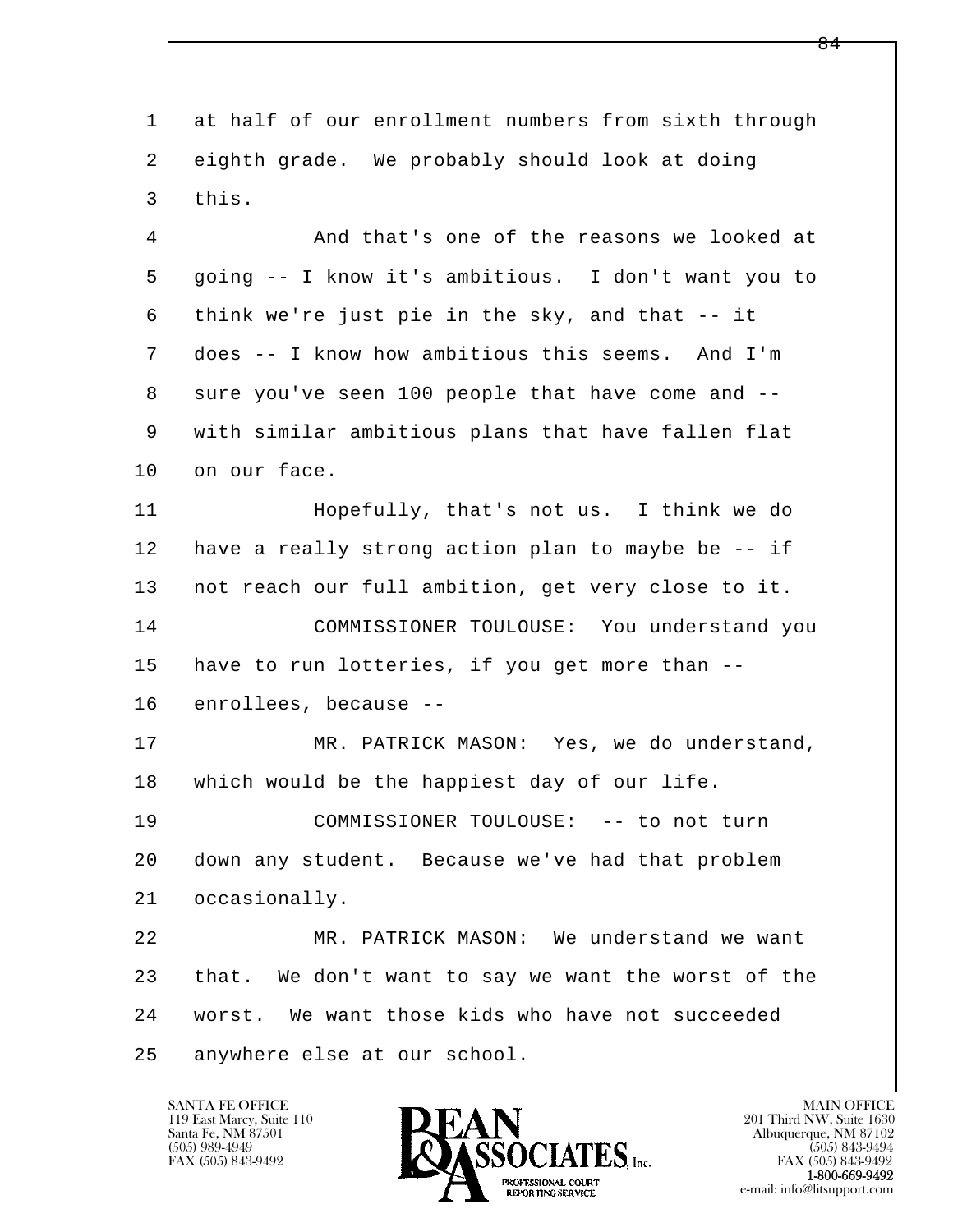l  $\overline{\phantom{a}}$  1 at half of our enrollment numbers from sixth through 2 eighth grade. We probably should look at doing  $3$  this. 4 And that's one of the reasons we looked at 5 going -- I know it's ambitious. I don't want you to 6 think we're just pie in the sky, and that -- it 7 does -- I know how ambitious this seems. And I'm 8 sure you've seen 100 people that have come and -- 9 with similar ambitious plans that have fallen flat 10 on our face. 11 Hopefully, that's not us. I think we do 12 have a really strong action plan to maybe be -- if 13 not reach our full ambition, get very close to it. 14 COMMISSIONER TOULOUSE: You understand you 15 | have to run lotteries, if you get more than -- 16 enrollees, because -- 17 MR. PATRICK MASON: Yes, we do understand, 18 | which would be the happiest day of our life. 19 COMMISSIONER TOULOUSE: -- to not turn 20 down any student. Because we've had that problem 21 occasionally. 22 MR. PATRICK MASON: We understand we want 23 that. We don't want to say we want the worst of the 24 worst. We want those kids who have not succeeded 25 anywhere else at our school.

119 East Marcy, Suite 110<br>Santa Fe, NM 87501

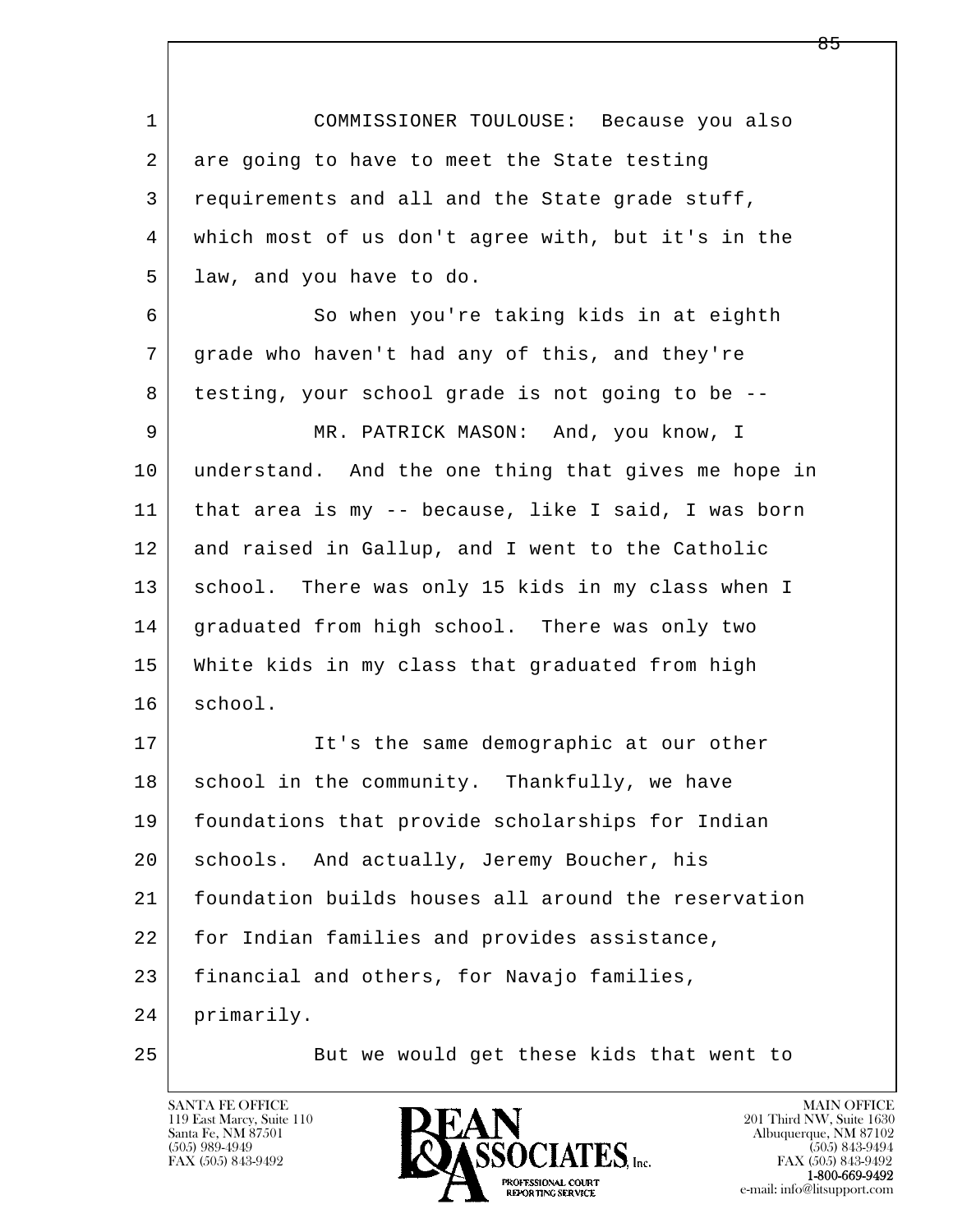| $\mathbf 1$ | COMMISSIONER TOULOUSE: Because you also             |
|-------------|-----------------------------------------------------|
| 2           | are going to have to meet the State testing         |
| 3           | requirements and all and the State grade stuff,     |
| 4           | which most of us don't agree with, but it's in the  |
| 5           | law, and you have to do.                            |
| 6           | So when you're taking kids in at eighth             |
| 7           | grade who haven't had any of this, and they're      |
| 8           | testing, your school grade is not going to be --    |
| 9           | MR. PATRICK MASON: And, you know, I                 |
| 10          | understand. And the one thing that gives me hope in |
| 11          | that area is my -- because, like I said, I was born |
| 12          | and raised in Gallup, and I went to the Catholic    |
| 13          | school. There was only 15 kids in my class when I   |
| 14          | graduated from high school. There was only two      |
| 15          | White kids in my class that graduated from high     |
| 16          | school.                                             |
| 17          | It's the same demographic at our other              |
| $18\,$      | school in the community. Thankfully, we have        |
| 19          | foundations that provide scholarships for Indian    |
| 20          | And actually, Jeremy Boucher, his<br>schools.       |
| 21          | foundation builds houses all around the reservation |
| 22          | for Indian families and provides assistance,        |
| 23          | financial and others, for Navajo families,          |
| 24          | primarily.                                          |
| 25          | But we would get these kids that went to            |

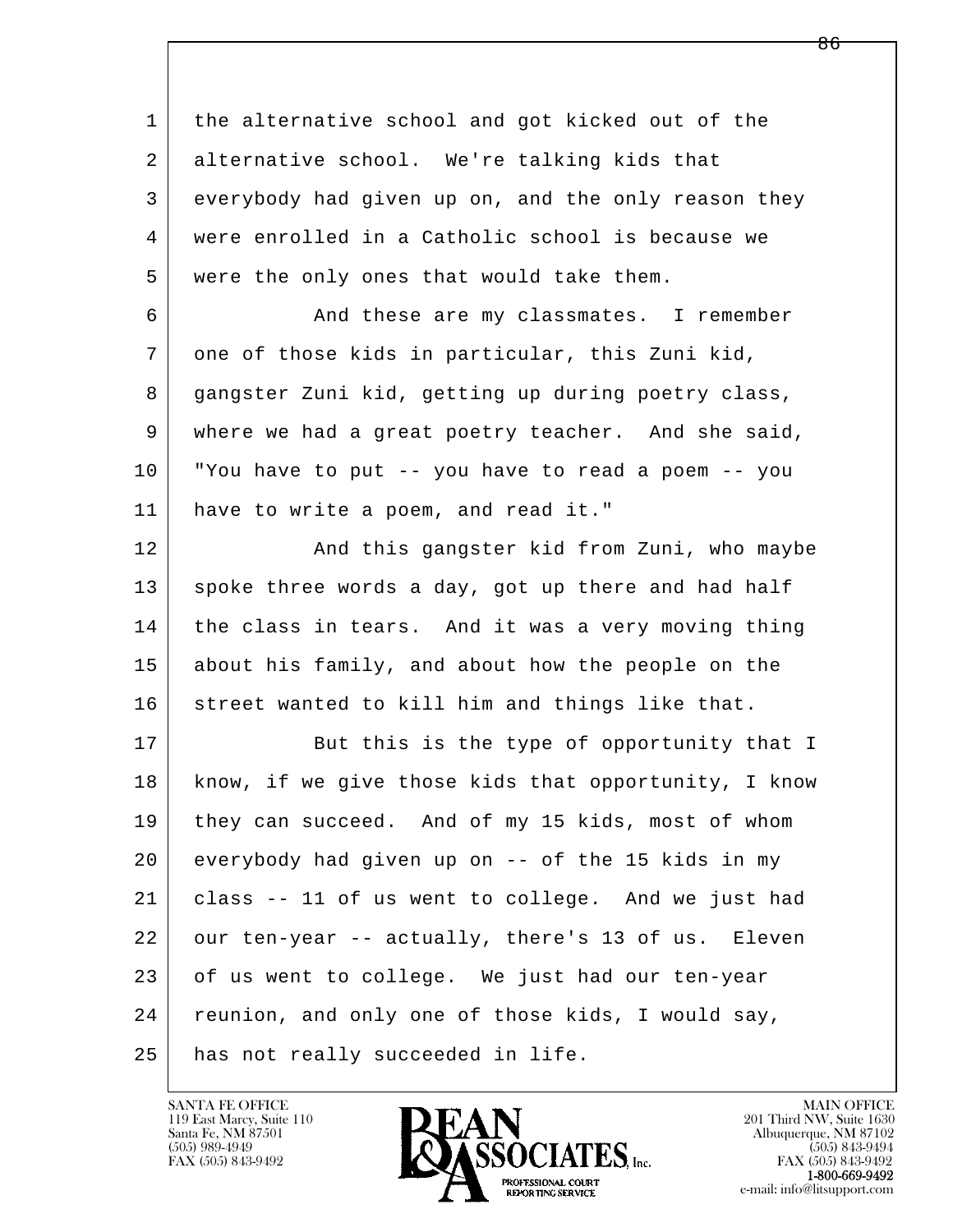l  $\overline{\phantom{a}}$  1 the alternative school and got kicked out of the 2 alternative school. We're talking kids that 3 everybody had given up on, and the only reason they 4 were enrolled in a Catholic school is because we 5 were the only ones that would take them. 6 And these are my classmates. I remember 7 one of those kids in particular, this Zuni kid, 8 gangster Zuni kid, getting up during poetry class, 9 where we had a great poetry teacher. And she said, 10 "You have to put -- you have to read a poem -- you 11 have to write a poem, and read it." 12 And this gangster kid from Zuni, who maybe 13 spoke three words a day, got up there and had half 14 the class in tears. And it was a very moving thing 15 about his family, and about how the people on the 16 street wanted to kill him and things like that. 17 But this is the type of opportunity that I 18 | know, if we give those kids that opportunity, I know 19 they can succeed. And of my 15 kids, most of whom 20 everybody had given up on -- of the 15 kids in my 21 class -- 11 of us went to college. And we just had 22 our ten-year -- actually, there's 13 of us. Eleven 23 of us went to college. We just had our ten-year 24 reunion, and only one of those kids, I would say, 25 has not really succeeded in life.

119 East Marcy, Suite 110<br>Santa Fe, NM 87501

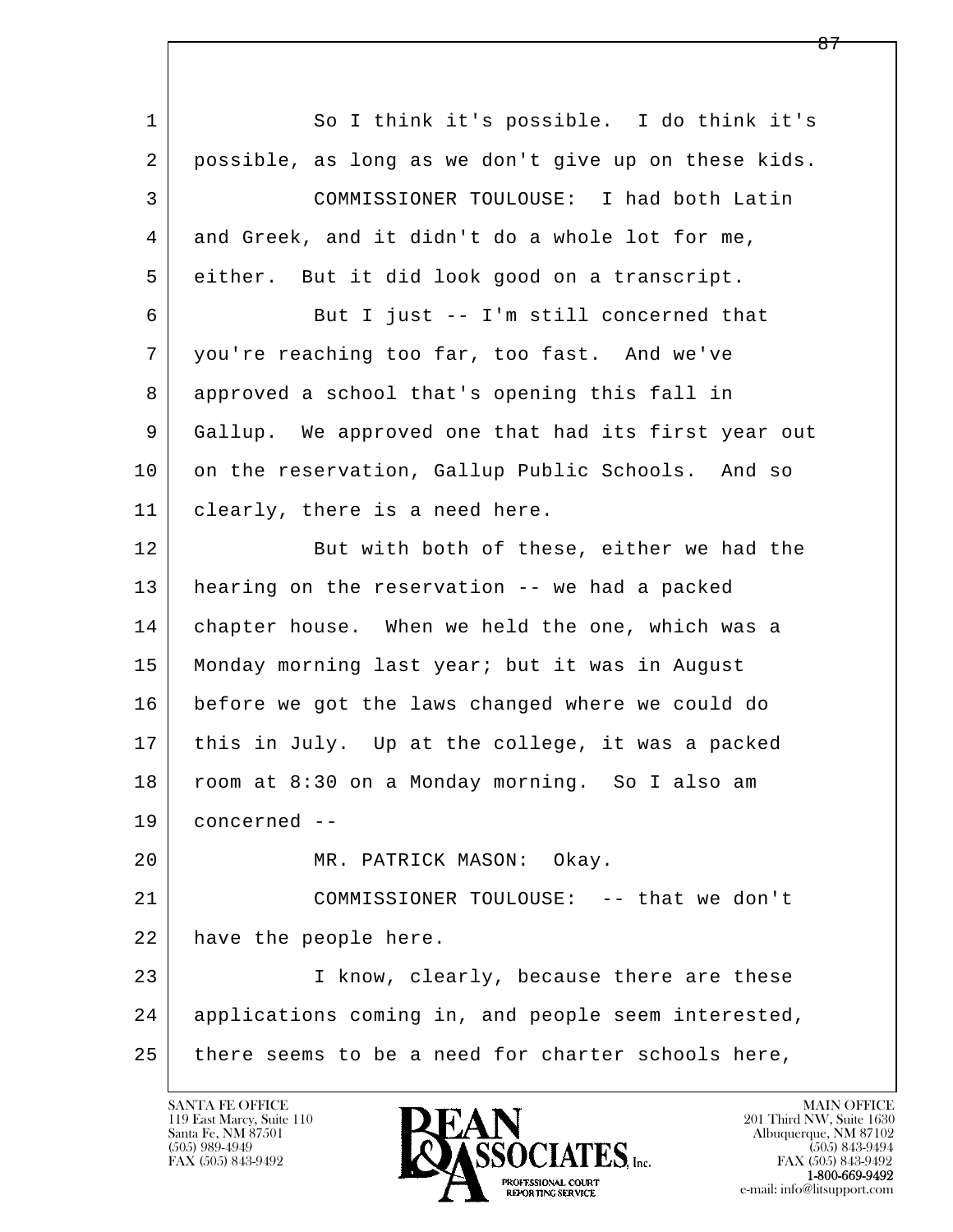l  $\overline{\phantom{a}}$ 1 So I think it's possible. I do think it's 2 possible, as long as we don't give up on these kids. 3 COMMISSIONER TOULOUSE: I had both Latin 4 and Greek, and it didn't do a whole lot for me, 5 either. But it did look good on a transcript. 6 But I just -- I'm still concerned that 7 you're reaching too far, too fast. And we've 8 approved a school that's opening this fall in 9 Gallup. We approved one that had its first year out 10 on the reservation, Gallup Public Schools. And so 11 clearly, there is a need here. 12 | But with both of these, either we had the 13 hearing on the reservation -- we had a packed 14 chapter house. When we held the one, which was a 15 Monday morning last year; but it was in August 16 before we got the laws changed where we could do 17 this in July. Up at the college, it was a packed 18 room at 8:30 on a Monday morning. So I also am 19 concerned -- 20 MR. PATRICK MASON: Okay. 21 COMMISSIONER TOULOUSE: -- that we don't 22 have the people here. 23 I know, clearly, because there are these 24 applications coming in, and people seem interested,  $25$  there seems to be a need for charter schools here,

119 East Marcy, Suite 110<br>Santa Fe, NM 87501

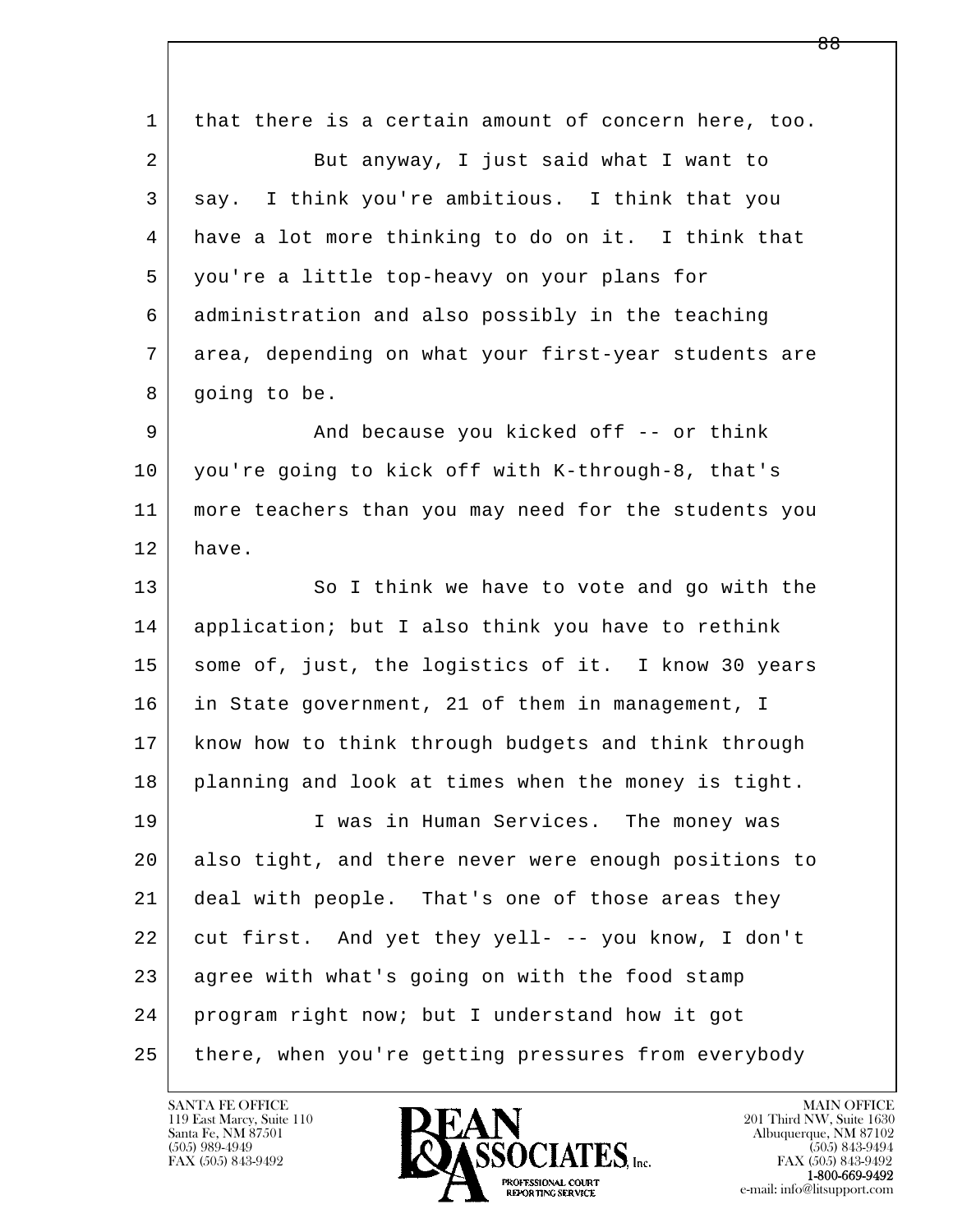l  $\overline{\phantom{a}}$  1 that there is a certain amount of concern here, too. 2 But anyway, I just said what I want to 3 say. I think you're ambitious. I think that you 4 have a lot more thinking to do on it. I think that 5 you're a little top-heavy on your plans for 6 administration and also possibly in the teaching 7 area, depending on what your first-year students are 8 going to be. 9 And because you kicked off -- or think 10 you're going to kick off with K-through-8, that's 11 more teachers than you may need for the students you 12 have. 13 So I think we have to vote and go with the 14 application; but I also think you have to rethink 15 | some of, just, the logistics of it. I know 30 years 16 in State government, 21 of them in management, I 17 know how to think through budgets and think through 18 planning and look at times when the money is tight. 19 I was in Human Services. The money was 20 also tight, and there never were enough positions to 21 deal with people. That's one of those areas they 22 cut first. And yet they yell- -- you know, I don't 23 agree with what's going on with the food stamp 24 program right now; but I understand how it got 25 there, when you're getting pressures from everybody

119 East Marcy, Suite 110<br>Santa Fe, NM 87501



FAX (505) 843-9492<br>**1-800-669-9492**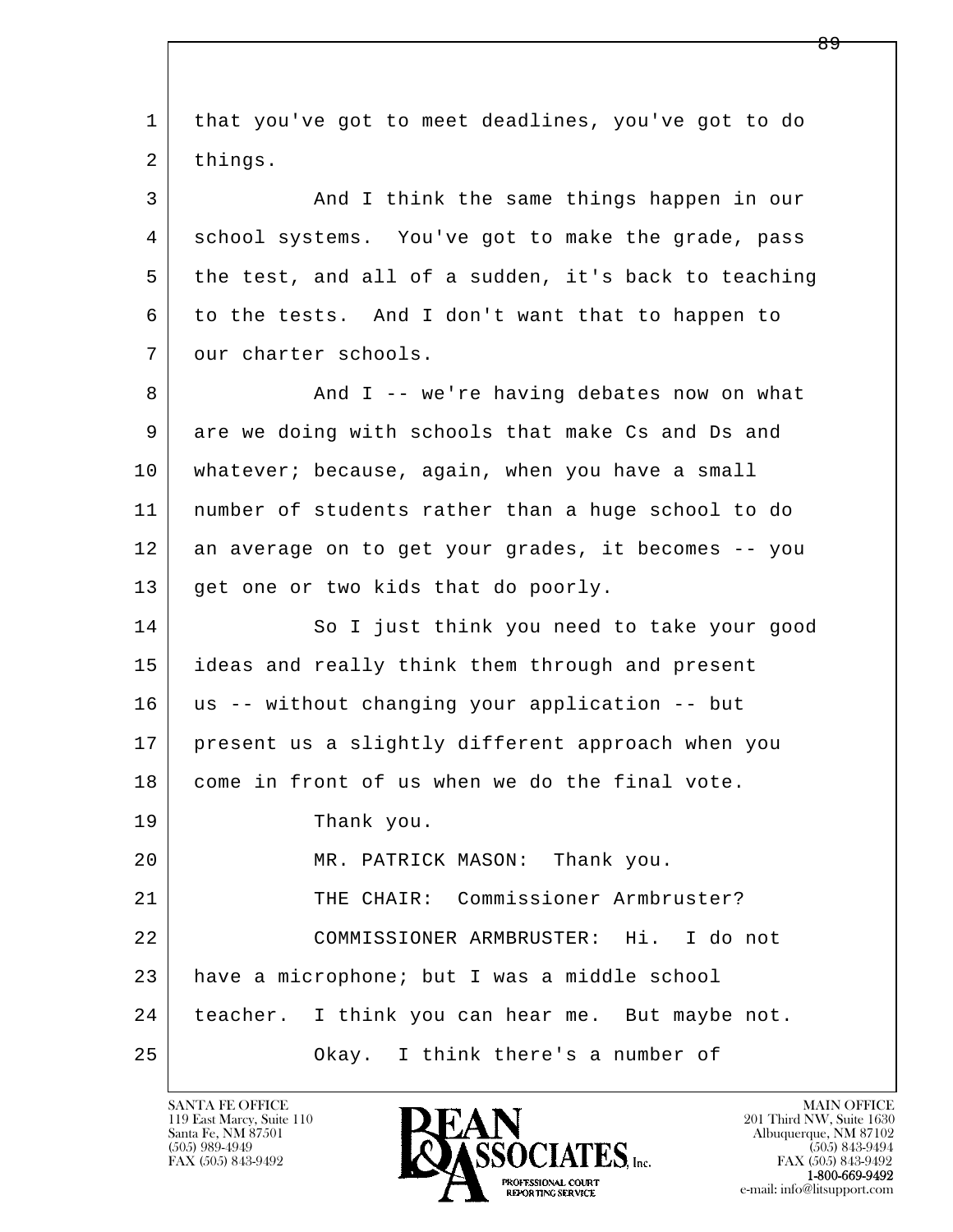l  $\overline{\phantom{a}}$  1 that you've got to meet deadlines, you've got to do 2 things. 3 And I think the same things happen in our 4 school systems. You've got to make the grade, pass 5 the test, and all of a sudden, it's back to teaching 6 to the tests. And I don't want that to happen to 7 our charter schools. 8 And I -- we're having debates now on what 9 are we doing with schools that make Cs and Ds and 10 whatever; because, again, when you have a small 11 number of students rather than a huge school to do 12 an average on to get your grades, it becomes -- you 13 get one or two kids that do poorly. 14 So I just think you need to take your good 15 ideas and really think them through and present 16 us -- without changing your application -- but 17 present us a slightly different approach when you 18 come in front of us when we do the final vote. 19 Thank you. 20 MR. PATRICK MASON: Thank you. 21 | THE CHAIR: Commissioner Armbruster? 22 COMMISSIONER ARMBRUSTER: Hi. I do not 23 have a microphone; but I was a middle school 24 | teacher. I think you can hear me. But maybe not. 25 Okay. I think there's a number of

119 East Marcy, Suite 110<br>Santa Fe, NM 87501

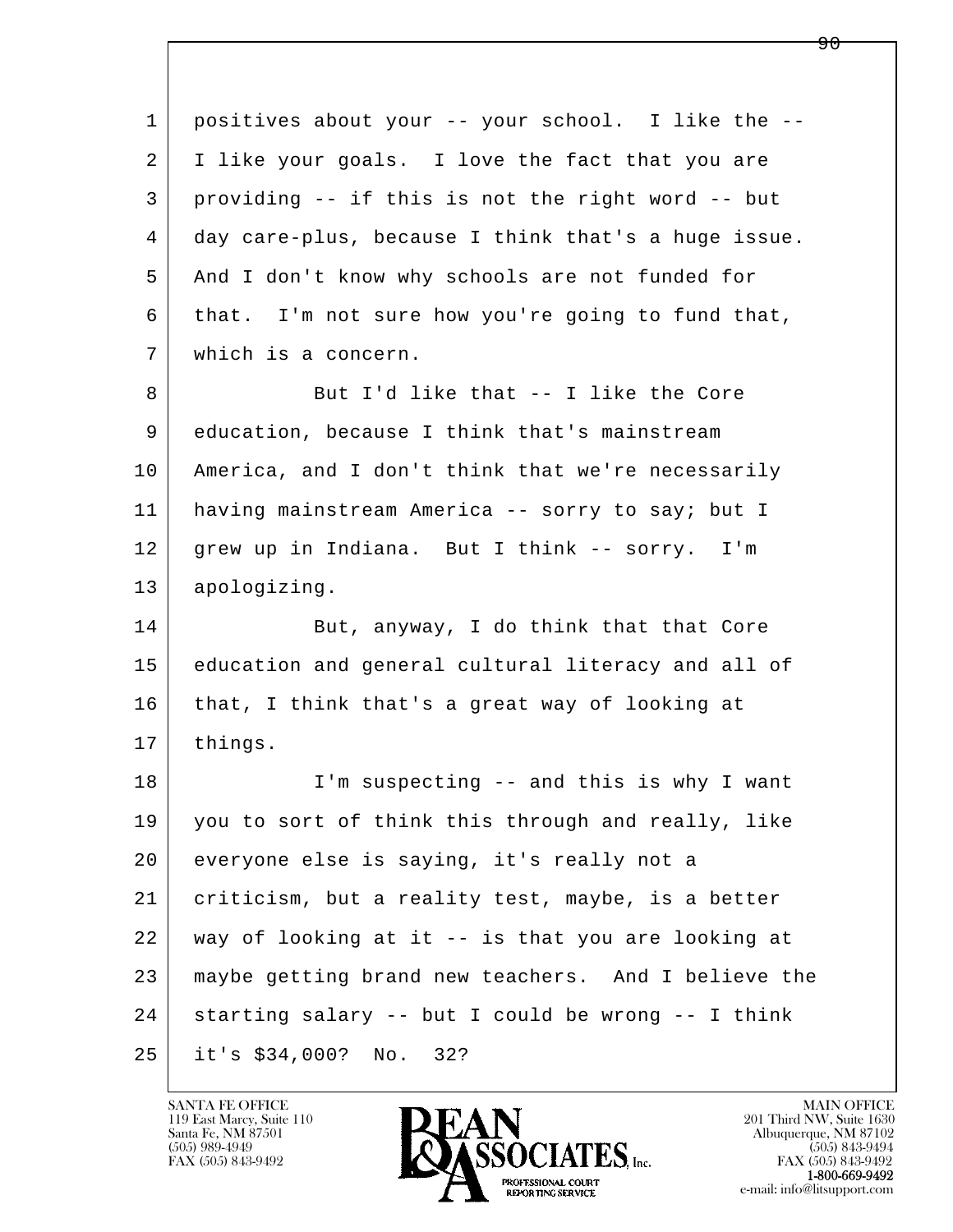| 1  | positives about your -- your school. I like the --  |
|----|-----------------------------------------------------|
| 2  | I like your goals. I love the fact that you are     |
| 3  | providing -- if this is not the right word -- but   |
| 4  | day care-plus, because I think that's a huge issue. |
| 5  | And I don't know why schools are not funded for     |
| 6  | that. I'm not sure how you're going to fund that,   |
| 7  | which is a concern.                                 |
| 8  | But I'd like that -- I like the Core                |
| 9  | education, because I think that's mainstream        |
| 10 | America, and I don't think that we're necessarily   |
| 11 | having mainstream America -- sorry to say; but I    |
| 12 | grew up in Indiana. But I think -- sorry. I'm       |
| 13 | apologizing.                                        |
| 14 | But, anyway, I do think that that Core              |
| 15 | education and general cultural literacy and all of  |
| 16 | that, I think that's a great way of looking at      |
| 17 | things.                                             |
| 18 | I'm suspecting -- and this is why I want            |
| 19 | you to sort of think this through and really, like  |
| 20 | everyone else is saying, it's really not a          |
| 21 | criticism, but a reality test, maybe, is a better   |
| 22 | way of looking at it -- is that you are looking at  |
| 23 | maybe getting brand new teachers. And I believe the |
| 24 | starting salary -- but I could be wrong -- I think  |
| 25 | it's $$34,000?$ No.<br>32?                          |

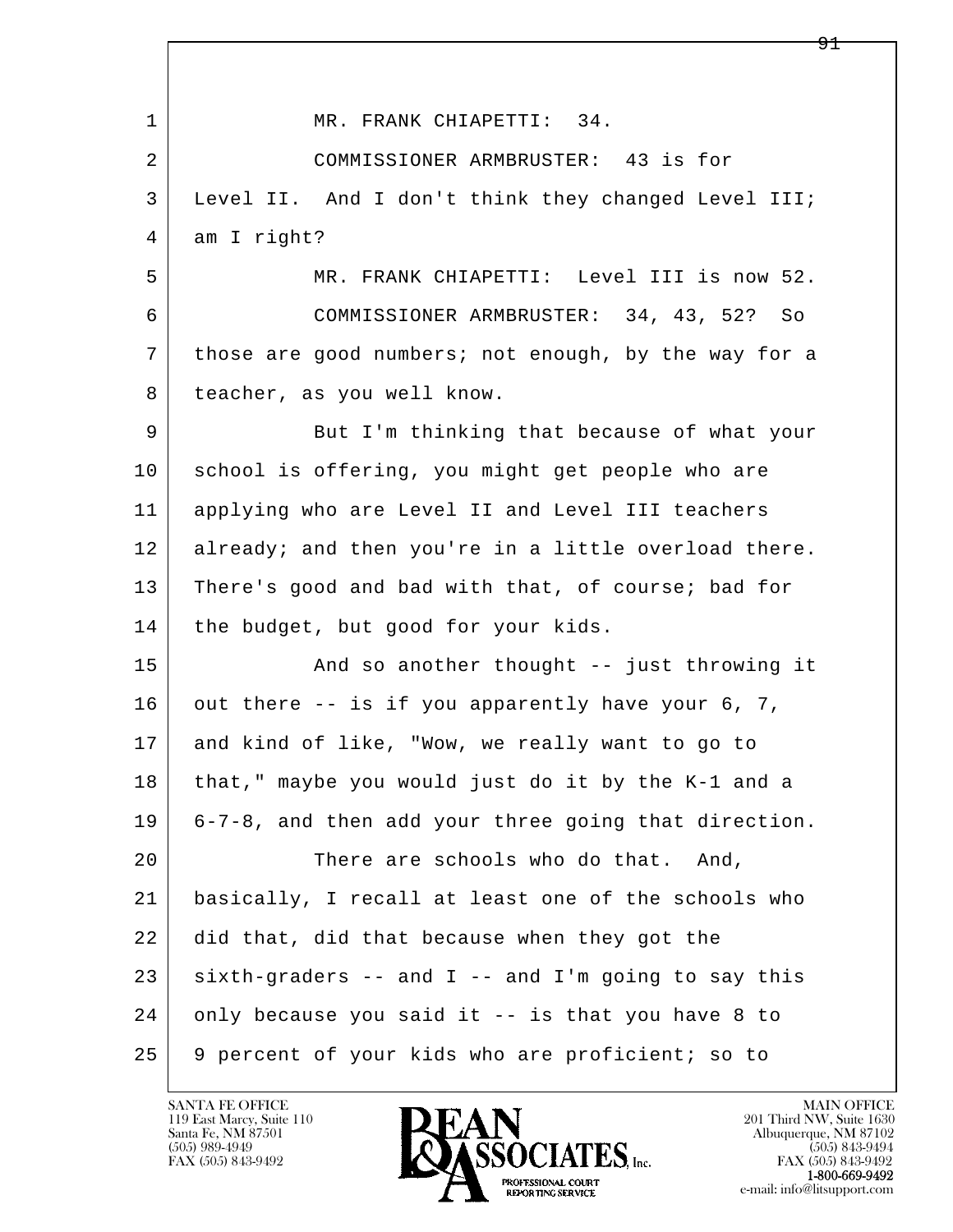| 1  | MR. FRANK CHIAPETTI: 34.                             |
|----|------------------------------------------------------|
| 2  | COMMISSIONER ARMBRUSTER: 43 is for                   |
| 3  | Level II. And I don't think they changed Level III;  |
| 4  | am I right?                                          |
| 5  | MR. FRANK CHIAPETTI: Level III is now 52.            |
| 6  | COMMISSIONER ARMBRUSTER: 34, 43, 52? So              |
| 7  | those are good numbers; not enough, by the way for a |
| 8  | teacher, as you well know.                           |
| 9  | But I'm thinking that because of what your           |
| 10 | school is offering, you might get people who are     |
| 11 | applying who are Level II and Level III teachers     |
| 12 | already; and then you're in a little overload there. |
| 13 | There's good and bad with that, of course; bad for   |
| 14 | the budget, but good for your kids.                  |
| 15 | And so another thought -- just throwing it           |
| 16 | out there -- is if you apparently have your 6, 7,    |
| 17 | and kind of like, "Wow, we really want to go to      |
| 18 | that," maybe you would just do it by the K-1 and a   |
| 19 | 6-7-8, and then add your three going that direction. |
| 20 | There are schools who do that.<br>And,               |
| 21 | basically, I recall at least one of the schools who  |
| 22 | did that, did that because when they got the         |
| 23 | sixth-graders -- and I -- and I'm going to say this  |
| 24 | only because you said it -- is that you have 8 to    |
| 25 | 9 percent of your kids who are proficient; so to     |

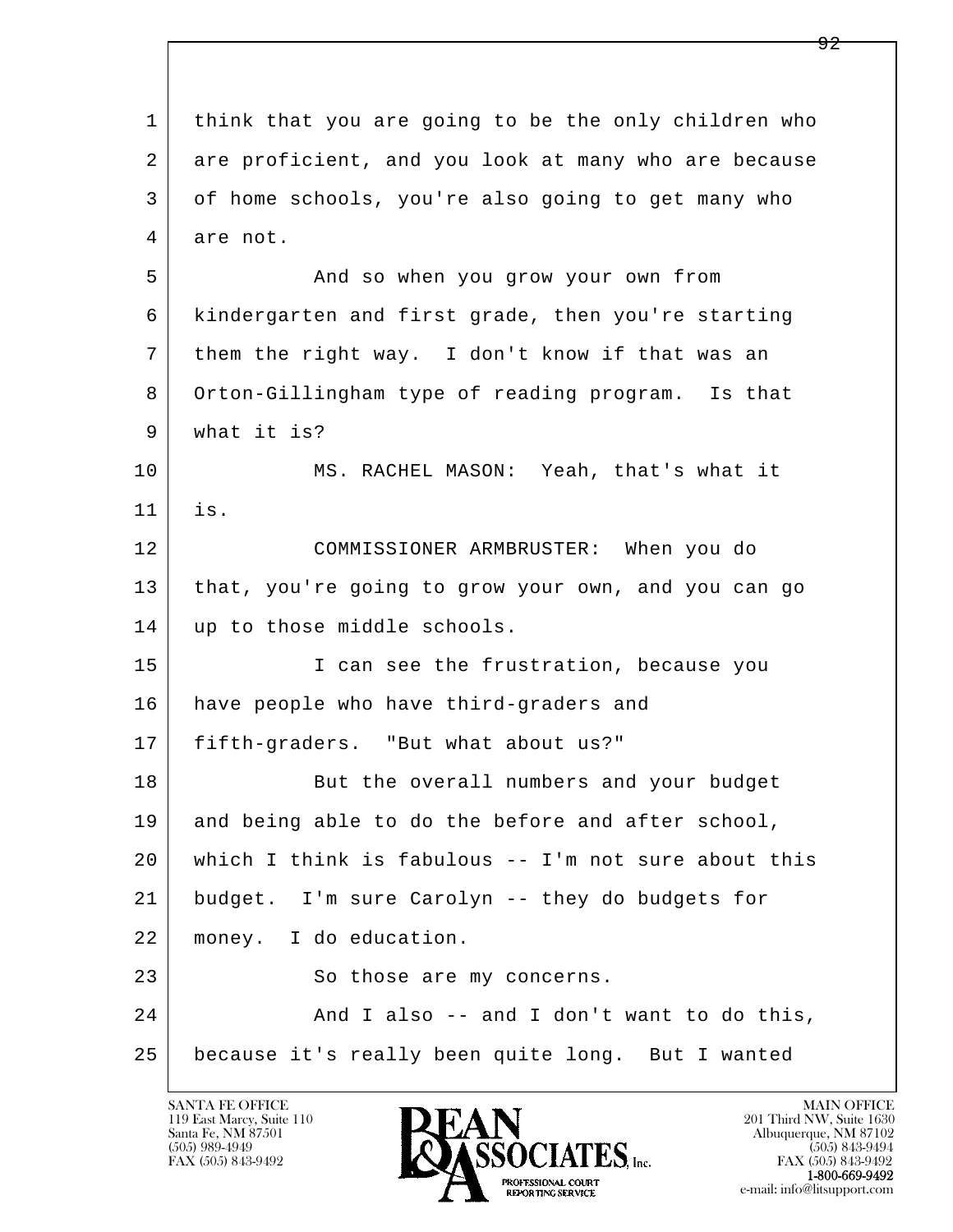l  $\overline{\phantom{a}}$  1 think that you are going to be the only children who 2 are proficient, and you look at many who are because 3 of home schools, you're also going to get many who 4 are not. 5 And so when you grow your own from 6 kindergarten and first grade, then you're starting 7 them the right way. I don't know if that was an 8 Orton-Gillingham type of reading program. Is that 9 what it is? 10 MS. RACHEL MASON: Yeah, that's what it 11 is. 12 COMMISSIONER ARMBRUSTER: When you do 13 that, you're going to grow your own, and you can go 14 | up to those middle schools. 15 | I can see the frustration, because you 16 have people who have third-graders and 17 fifth-graders. "But what about us?" 18 But the overall numbers and your budget 19 and being able to do the before and after school, 20 which I think is fabulous -- I'm not sure about this 21 budget. I'm sure Carolyn -- they do budgets for 22 money. I do education. 23 So those are my concerns. 24 And I also -- and I don't want to do this, 25 because it's really been quite long. But I wanted

119 East Marcy, Suite 110<br>Santa Fe, NM 87501



FAX (505) 843-9492<br>1-800-669-9492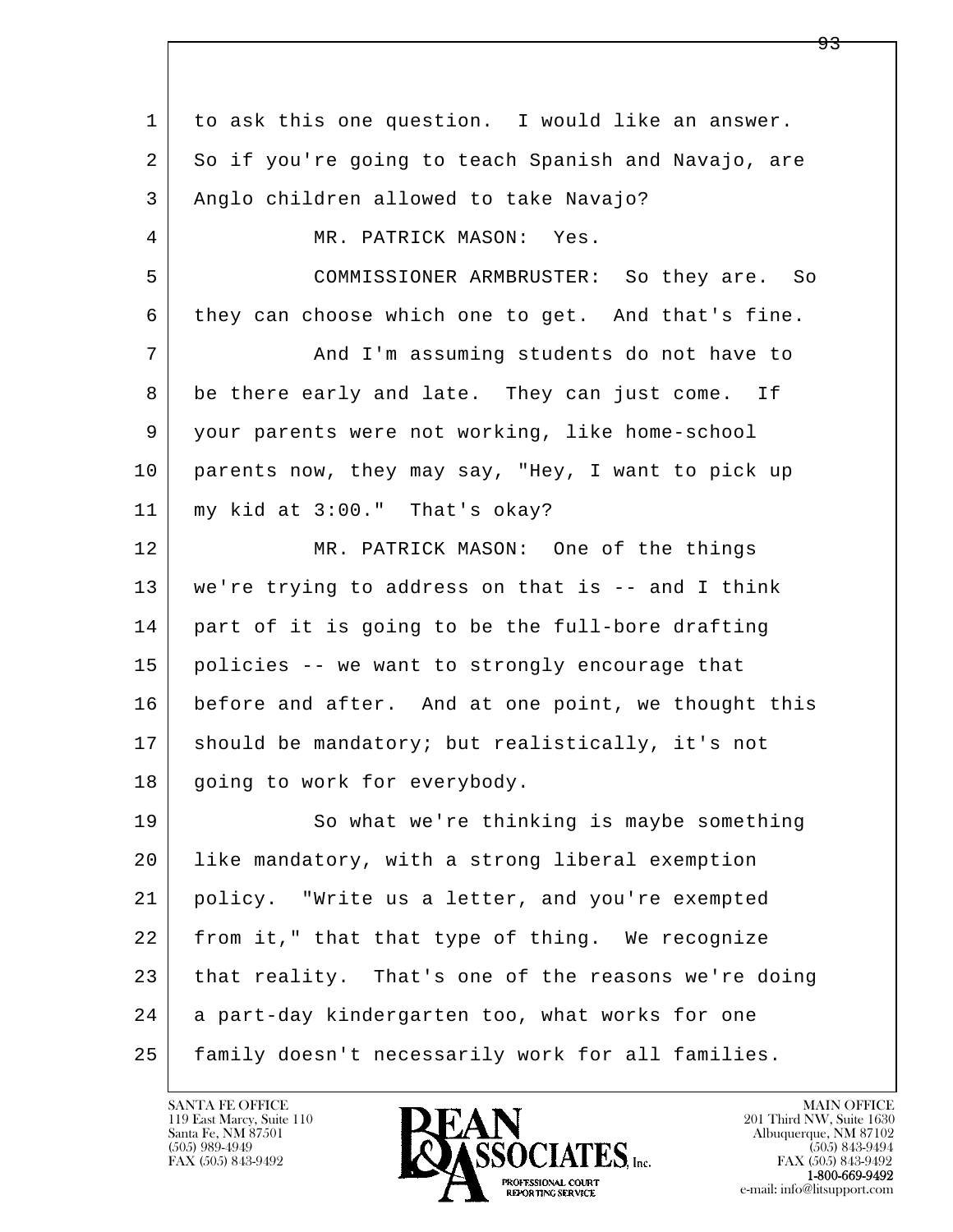l  $\overline{\phantom{a}}$  1 to ask this one question. I would like an answer. 2 So if you're going to teach Spanish and Navajo, are 3 | Anglo children allowed to take Navajo? 4 MR. PATRICK MASON: Yes. 5 COMMISSIONER ARMBRUSTER: So they are. So 6 they can choose which one to get. And that's fine. 7 | The Mand I'm assuming students do not have to 8 be there early and late. They can just come. If 9 your parents were not working, like home-school 10 parents now, they may say, "Hey, I want to pick up 11 my kid at 3:00." That's okay? 12 MR. PATRICK MASON: One of the things 13 we're trying to address on that is -- and I think 14 part of it is going to be the full-bore drafting 15 policies -- we want to strongly encourage that 16 before and after. And at one point, we thought this 17 | should be mandatory; but realistically, it's not 18 | going to work for everybody. 19 So what we're thinking is maybe something 20 like mandatory, with a strong liberal exemption 21 policy. "Write us a letter, and you're exempted 22 from it," that that type of thing. We recognize 23 that reality. That's one of the reasons we're doing 24 a part-day kindergarten too, what works for one 25 family doesn't necessarily work for all families.

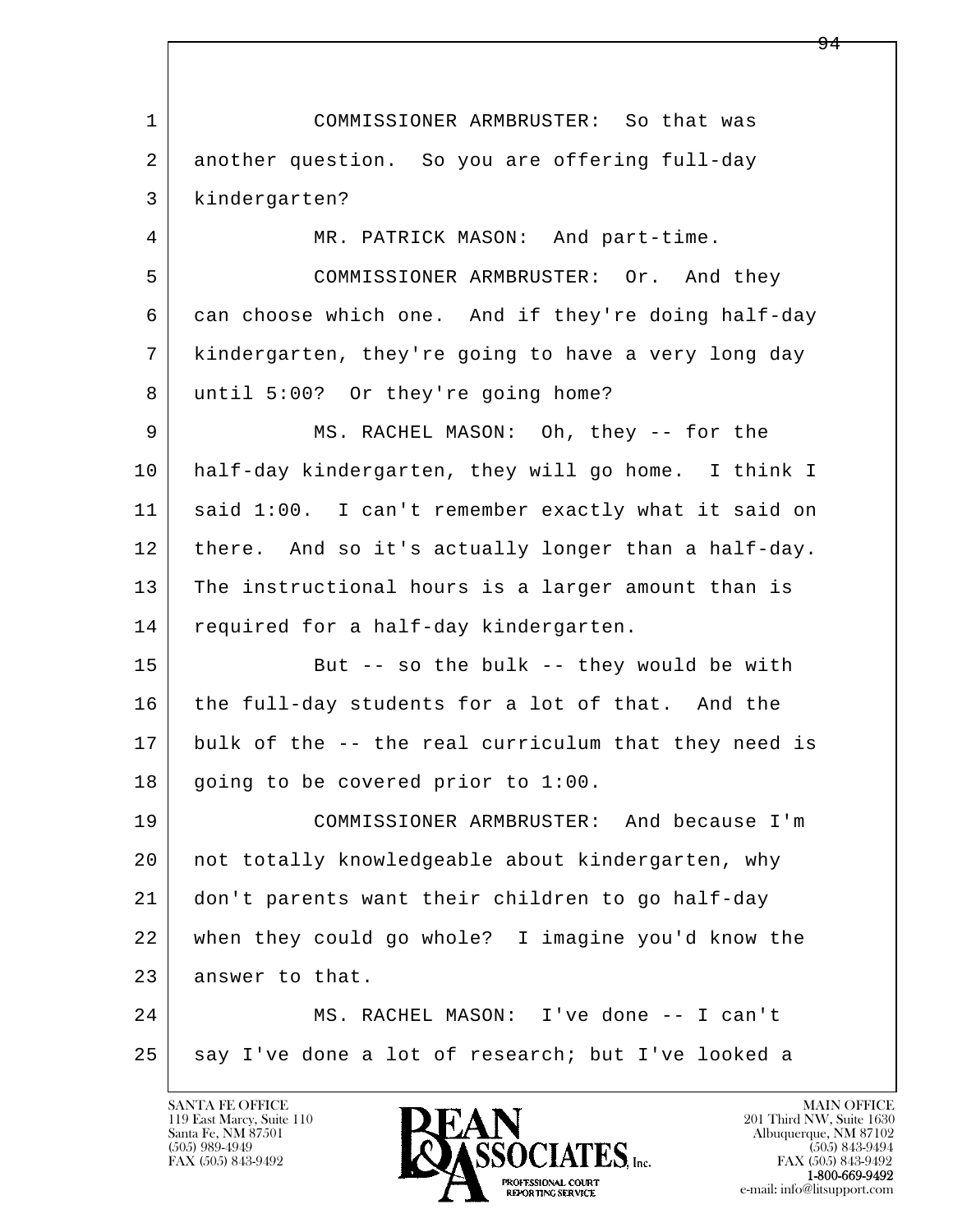l  $\overline{\phantom{a}}$  1 COMMISSIONER ARMBRUSTER: So that was 2 another question. So you are offering full-day 3 kindergarten? 4 MR. PATRICK MASON: And part-time. 5 COMMISSIONER ARMBRUSTER: Or. And they 6 can choose which one. And if they're doing half-day 7 kindergarten, they're going to have a very long day 8 | until 5:00? Or they're going home? 9 MS. RACHEL MASON: Oh, they -- for the 10 half-day kindergarten, they will go home. I think I 11 said 1:00. I can't remember exactly what it said on 12 there. And so it's actually longer than a half-day. 13 The instructional hours is a larger amount than is 14 required for a half-day kindergarten. 15 | But -- so the bulk -- they would be with 16 the full-day students for a lot of that. And the 17 bulk of the -- the real curriculum that they need is 18 going to be covered prior to 1:00. 19 COMMISSIONER ARMBRUSTER: And because I'm 20 not totally knowledgeable about kindergarten, why 21 don't parents want their children to go half-day 22 when they could go whole? I imagine you'd know the 23 answer to that. 24 MS. RACHEL MASON: I've done -- I can't 25 say I've done a lot of research; but I've looked a

119 East Marcy, Suite 110<br>Santa Fe, NM 87501



FAX (505) 843-9492<br>1-800-669-9492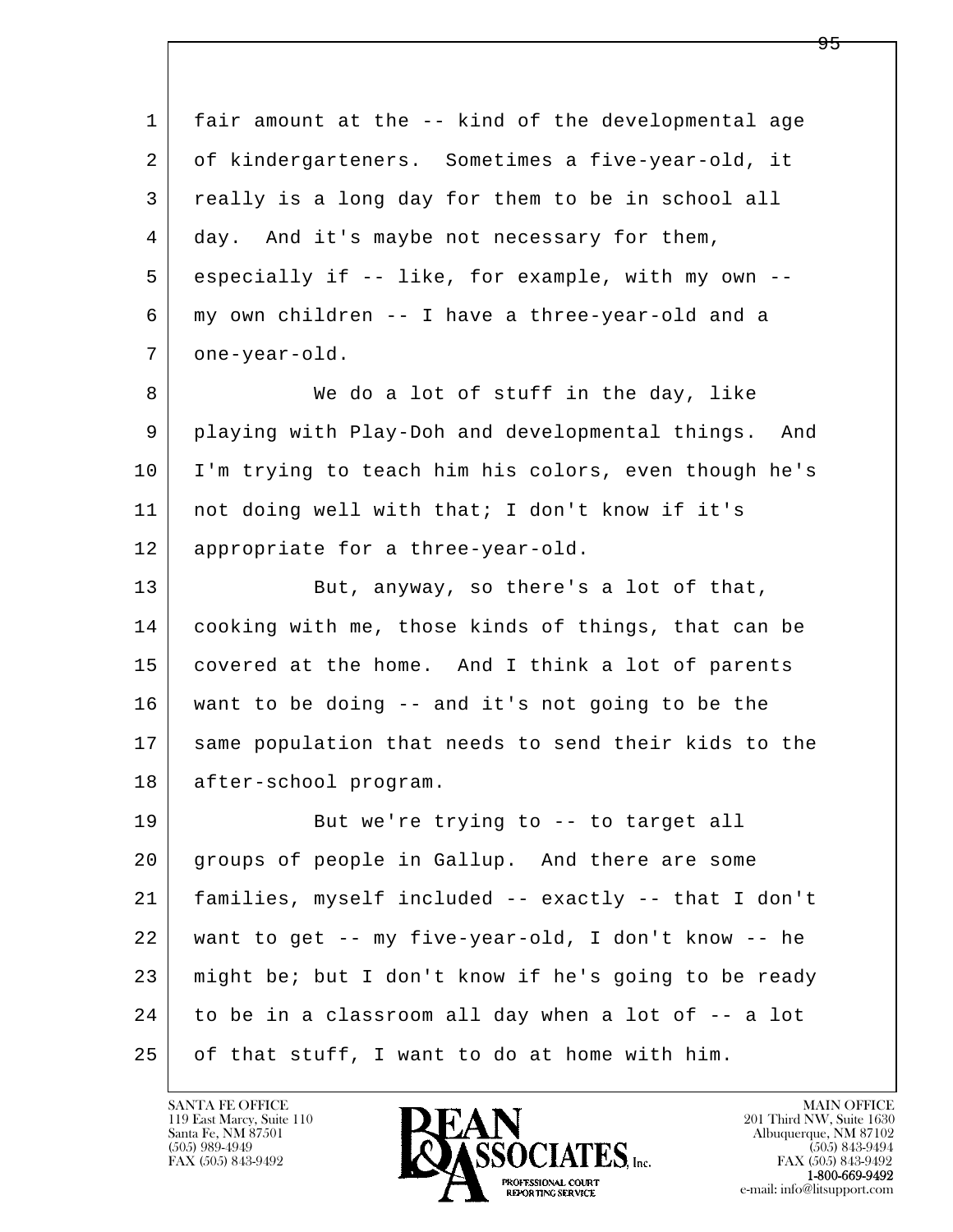l  $\overline{\phantom{a}}$  1 fair amount at the -- kind of the developmental age 2 of kindergarteners. Sometimes a five-year-old, it 3 really is a long day for them to be in school all 4 day. And it's maybe not necessary for them, 5 especially if -- like, for example, with my own -- 6 my own children -- I have a three-year-old and a 7 | one-year-old. 8 We do a lot of stuff in the day, like 9 playing with Play-Doh and developmental things. And 10 I'm trying to teach him his colors, even though he's 11 not doing well with that; I don't know if it's 12 | appropriate for a three-year-old. 13 But, anyway, so there's a lot of that, 14 cooking with me, those kinds of things, that can be 15 covered at the home. And I think a lot of parents 16 want to be doing -- and it's not going to be the 17 same population that needs to send their kids to the 18 after-school program. 19 But we're trying to -- to target all 20 groups of people in Gallup. And there are some 21 families, myself included -- exactly -- that I don't 22 want to get -- my five-year-old, I don't know -- he 23 might be; but I don't know if he's going to be ready 24 to be in a classroom all day when a lot of -- a lot 25 of that stuff, I want to do at home with him.

119 East Marcy, Suite 110<br>Santa Fe, NM 87501

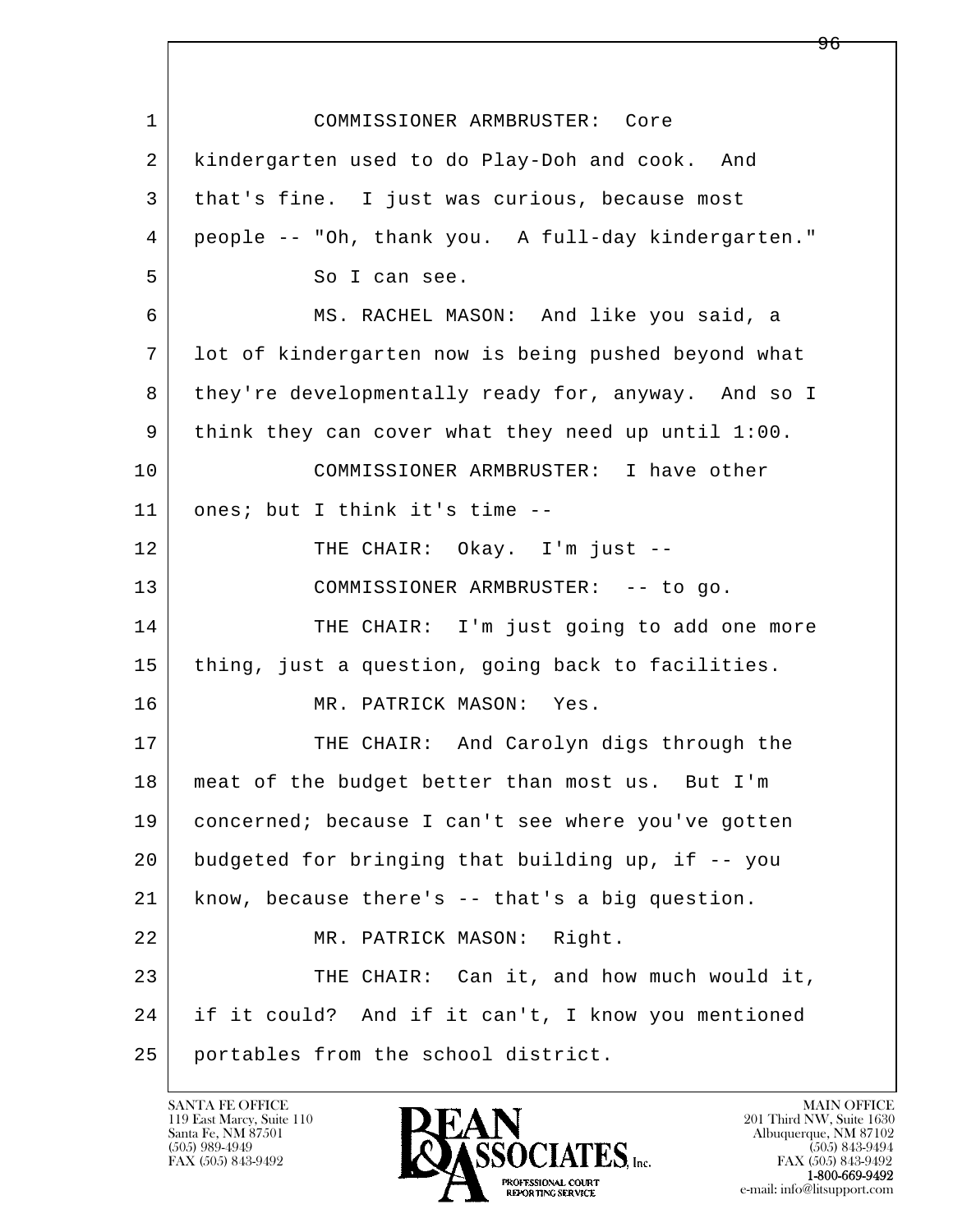l  $\overline{\phantom{a}}$  1 COMMISSIONER ARMBRUSTER: Core 2 kindergarten used to do Play-Doh and cook. And 3 that's fine. I just was curious, because most 4 people -- "Oh, thank you. A full-day kindergarten." 5 So I can see. 6 MS. RACHEL MASON: And like you said, a 7 lot of kindergarten now is being pushed beyond what 8 they're developmentally ready for, anyway. And so I 9 think they can cover what they need up until 1:00. 10 COMMISSIONER ARMBRUSTER: I have other 11 ones; but I think it's time -- 12 THE CHAIR: Okay. I'm just --13 | COMMISSIONER ARMBRUSTER: -- to go. 14 THE CHAIR: I'm just going to add one more 15 | thing, just a question, going back to facilities. 16 MR. PATRICK MASON: Yes. 17 THE CHAIR: And Carolyn digs through the 18 meat of the budget better than most us. But I'm 19 concerned; because I can't see where you've gotten 20 budgeted for bringing that building up, if -- you 21 know, because there's -- that's a big question. 22 MR. PATRICK MASON: Right. 23 THE CHAIR: Can it, and how much would it, 24 if it could? And if it can't, I know you mentioned 25 portables from the school district.

119 East Marcy, Suite 110<br>Santa Fe, NM 87501

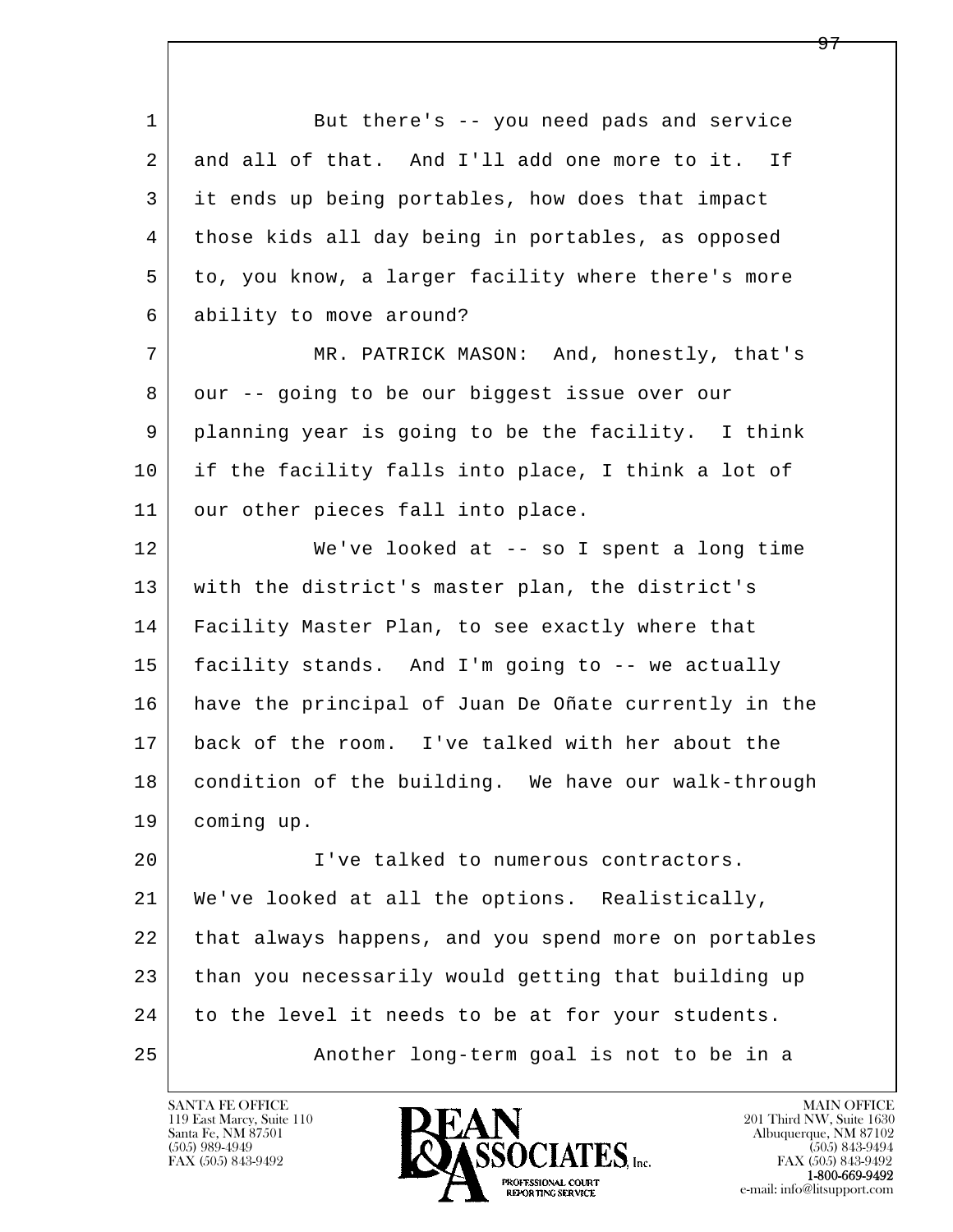l  $\overline{\phantom{a}}$  1 But there's -- you need pads and service 2 and all of that. And I'll add one more to it. If 3 it ends up being portables, how does that impact 4 those kids all day being in portables, as opposed 5 to, you know, a larger facility where there's more 6 ability to move around? 7 MR. PATRICK MASON: And, honestly, that's 8 our -- going to be our biggest issue over our 9 planning year is going to be the facility. I think 10 if the facility falls into place, I think a lot of 11 our other pieces fall into place. 12 We've looked at -- so I spent a long time 13 with the district's master plan, the district's 14 Facility Master Plan, to see exactly where that 15 facility stands. And I'm going to -- we actually 16 have the principal of Juan De Oñate currently in the 17 back of the room. I've talked with her about the 18 condition of the building. We have our walk-through 19 coming up. 20 I've talked to numerous contractors. 21 We've looked at all the options. Realistically, 22 that always happens, and you spend more on portables 23 than you necessarily would getting that building up 24 to the level it needs to be at for your students. 25 Another long-term goal is not to be in a

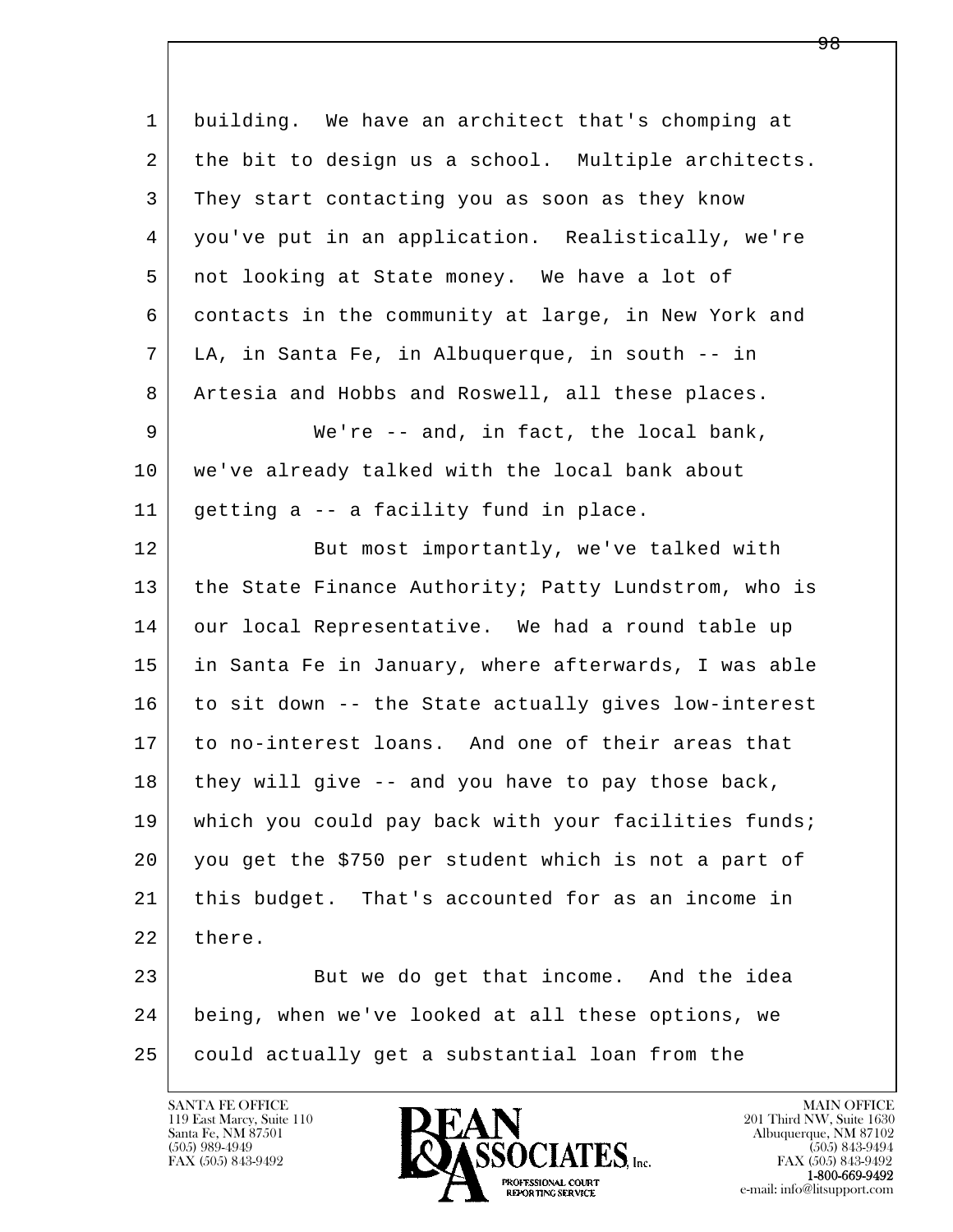| $\mathbf 1$ | building. We have an architect that's chomping at    |
|-------------|------------------------------------------------------|
| 2           | the bit to design us a school. Multiple architects.  |
| 3           | They start contacting you as soon as they know       |
| 4           | you've put in an application. Realistically, we're   |
| 5           | not looking at State money. We have a lot of         |
| 6           | contacts in the community at large, in New York and  |
| 7           | LA, in Santa Fe, in Albuquerque, in south -- in      |
| 8           | Artesia and Hobbs and Roswell, all these places.     |
| 9           | We're $--$ and, in fact, the local bank,             |
| 10          | we've already talked with the local bank about       |
| 11          | getting a -- a facility fund in place.               |
| 12          | But most importantly, we've talked with              |
| 13          | the State Finance Authority; Patty Lundstrom, who is |
| 14          | our local Representative. We had a round table up    |
| 15          | in Santa Fe in January, where afterwards, I was able |
| 16          | to sit down -- the State actually gives low-interest |
| 17          | to no-interest loans. And one of their areas that    |
| 18          | they will give -- and you have to pay those back,    |
| 19          | which you could pay back with your facilities funds; |
| 20          | you get the \$750 per student which is not a part of |
| 21          | this budget. That's accounted for as an income in    |
| 22          | there.                                               |
| 23          | But we do get that income. And the idea              |
| 24          | being, when we've looked at all these options, we    |
| 25          | could actually get a substantial loan from the       |
|             |                                                      |

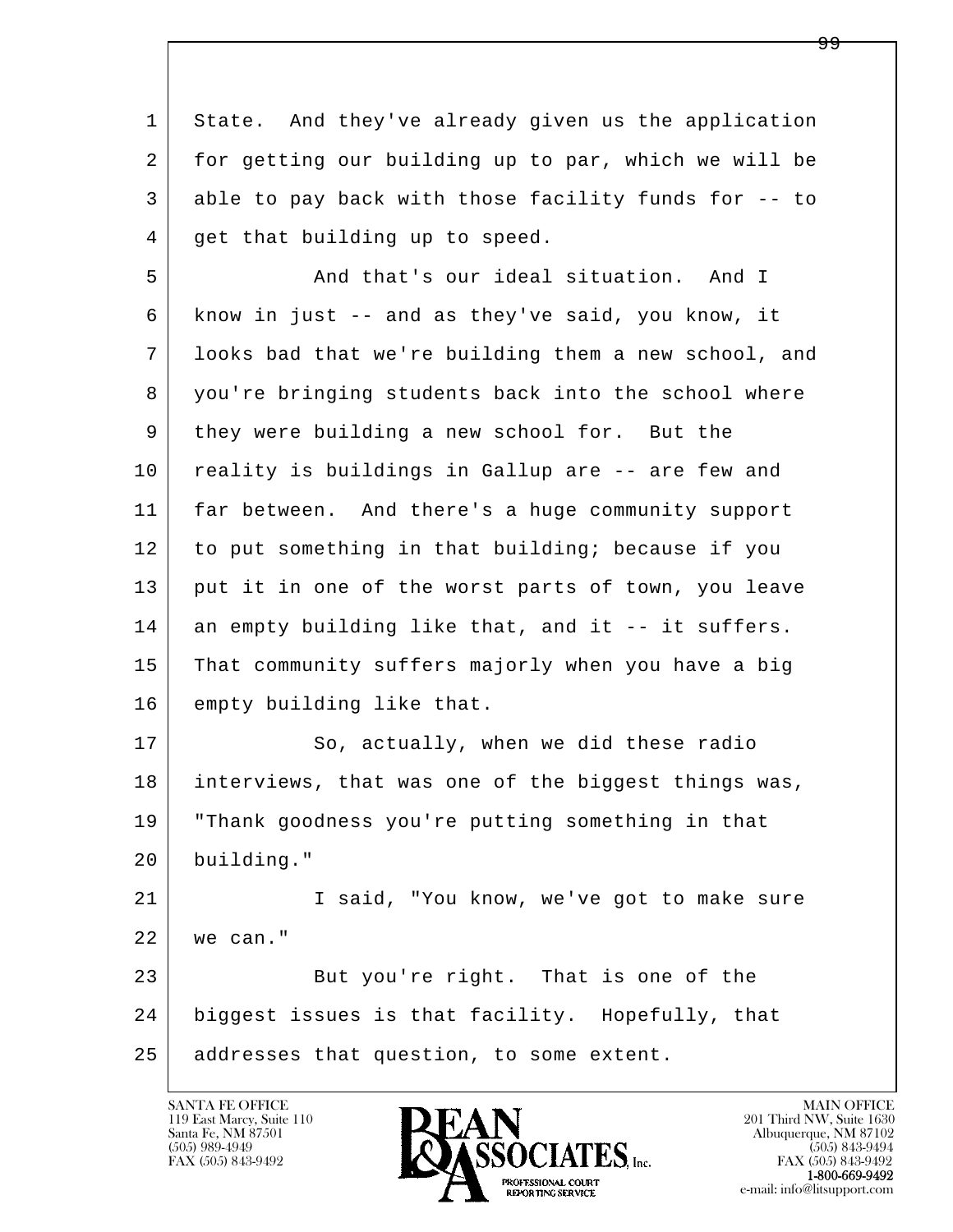1 State. And they've already given us the application 2 for getting our building up to par, which we will be 3 able to pay back with those facility funds for -- to 4 get that building up to speed.

5 And that's our ideal situation. And I 6 know in just -- and as they've said, you know, it 7 looks bad that we're building them a new school, and 8 you're bringing students back into the school where 9 they were building a new school for. But the 10 reality is buildings in Gallup are -- are few and 11 far between. And there's a huge community support 12 to put something in that building; because if you 13 put it in one of the worst parts of town, you leave 14 an empty building like that, and it -- it suffers. 15 That community suffers majorly when you have a big 16 empty building like that.

17 So, actually, when we did these radio 18 interviews, that was one of the biggest things was, 19 "Thank goodness you're putting something in that 20 building." 21 I said, "You know, we've got to make sure

l  $\overline{\phantom{a}}$  22 we can." 23 But you're right. That is one of the 24 biggest issues is that facility. Hopefully, that 25 addresses that question, to some extent.

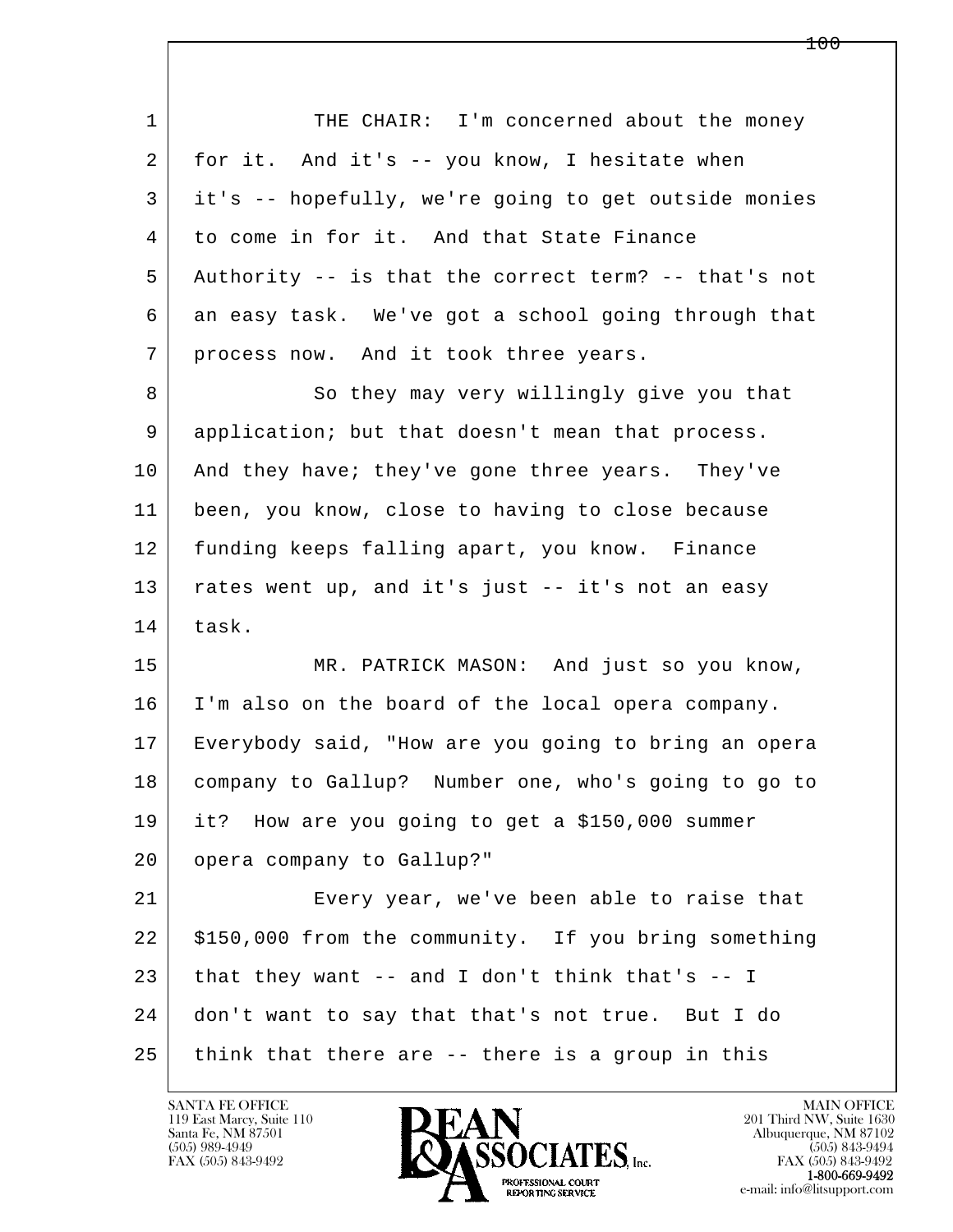l  $\overline{\phantom{a}}$ 1 THE CHAIR: I'm concerned about the money 2 for it. And it's -- you know, I hesitate when 3 it's -- hopefully, we're going to get outside monies 4 to come in for it. And that State Finance 5 Authority -- is that the correct term? -- that's not 6 an easy task. We've got a school going through that 7 | process now. And it took three years. 8 So they may very willingly give you that 9 application; but that doesn't mean that process. 10 And they have; they've gone three years. They've 11 been, you know, close to having to close because 12 funding keeps falling apart, you know. Finance 13 rates went up, and it's just -- it's not an easy 14 task. 15 MR. PATRICK MASON: And just so you know, 16 I'm also on the board of the local opera company. 17 Everybody said, "How are you going to bring an opera 18 company to Gallup? Number one, who's going to go to 19 it? How are you going to get a \$150,000 summer 20 opera company to Gallup?" 21 Every year, we've been able to raise that 22 | \$150,000 from the community. If you bring something 23 that they want  $-$  and I don't think that's  $-$  I 24 don't want to say that that's not true. But I do  $25$  think that there are  $-$  there is a group in this

119 East Marcy, Suite 110<br>Santa Fe, NM 87501

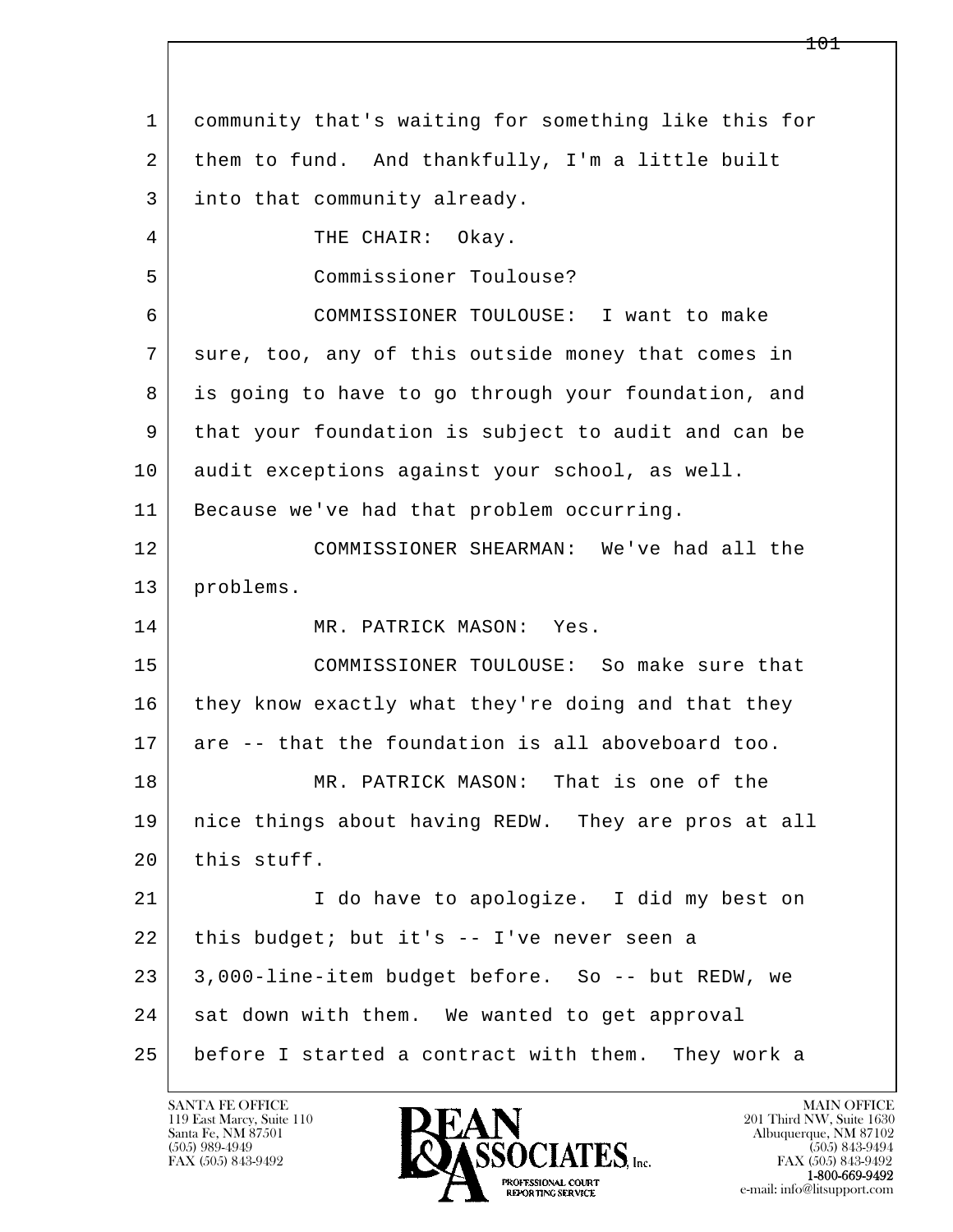l  $\overline{\phantom{a}}$  1 community that's waiting for something like this for 2 them to fund. And thankfully, I'm a little built 3 into that community already. 4 THE CHAIR: Okay. 5 Commissioner Toulouse? 6 COMMISSIONER TOULOUSE: I want to make 7 sure, too, any of this outside money that comes in 8 is going to have to go through your foundation, and 9 that your foundation is subject to audit and can be 10 audit exceptions against your school, as well. 11 | Because we've had that problem occurring. 12 COMMISSIONER SHEARMAN: We've had all the 13 | problems. 14 MR. PATRICK MASON: Yes. 15 COMMISSIONER TOULOUSE: So make sure that 16 they know exactly what they're doing and that they 17 are -- that the foundation is all aboveboard too. 18 MR. PATRICK MASON: That is one of the 19 nice things about having REDW. They are pros at all  $20$  this stuff. 21 I do have to apologize. I did my best on  $22$  this budget; but it's -- I've never seen a 23 3,000-line-item budget before. So -- but REDW, we 24 sat down with them. We wanted to get approval 25 before I started a contract with them. They work a

119 East Marcy, Suite 110<br>Santa Fe, NM 87501



FAX (505) 843-9492<br>**1-800-669-9492**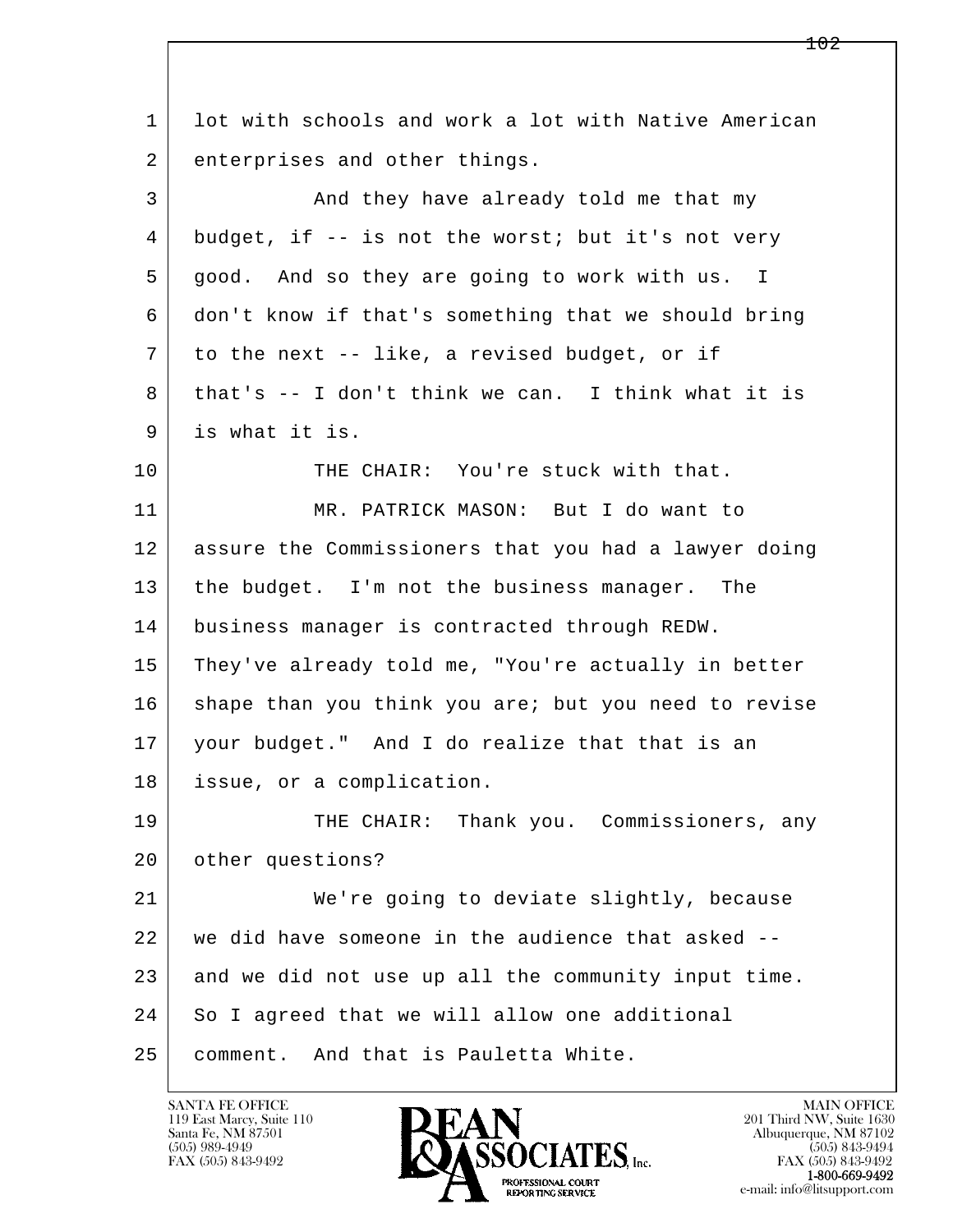l  $\overline{\phantom{a}}$  1 lot with schools and work a lot with Native American 2 enterprises and other things. 3 And they have already told me that my  $4$  budget, if -- is not the worst; but it's not very 5 good. And so they are going to work with us. I 6 don't know if that's something that we should bring  $7$  to the next -- like, a revised budget, or if 8 that's -- I don't think we can. I think what it is 9 is what it is. 10 THE CHAIR: You're stuck with that. 11 MR. PATRICK MASON: But I do want to 12 assure the Commissioners that you had a lawyer doing 13 the budget. I'm not the business manager. The 14 business manager is contracted through REDW. 15 They've already told me, "You're actually in better 16 shape than you think you are; but you need to revise 17 your budget." And I do realize that that is an 18 issue, or a complication. 19 THE CHAIR: Thank you. Commissioners, any 20 | other questions? 21 We're going to deviate slightly, because 22 we did have someone in the audience that asked -- 23 and we did not use up all the community input time. 24 So I agreed that we will allow one additional 25 comment. And that is Pauletta White.

119 East Marcy, Suite 110<br>Santa Fe, NM 87501



FAX (505) 843-9492<br>**1-800-669-9492**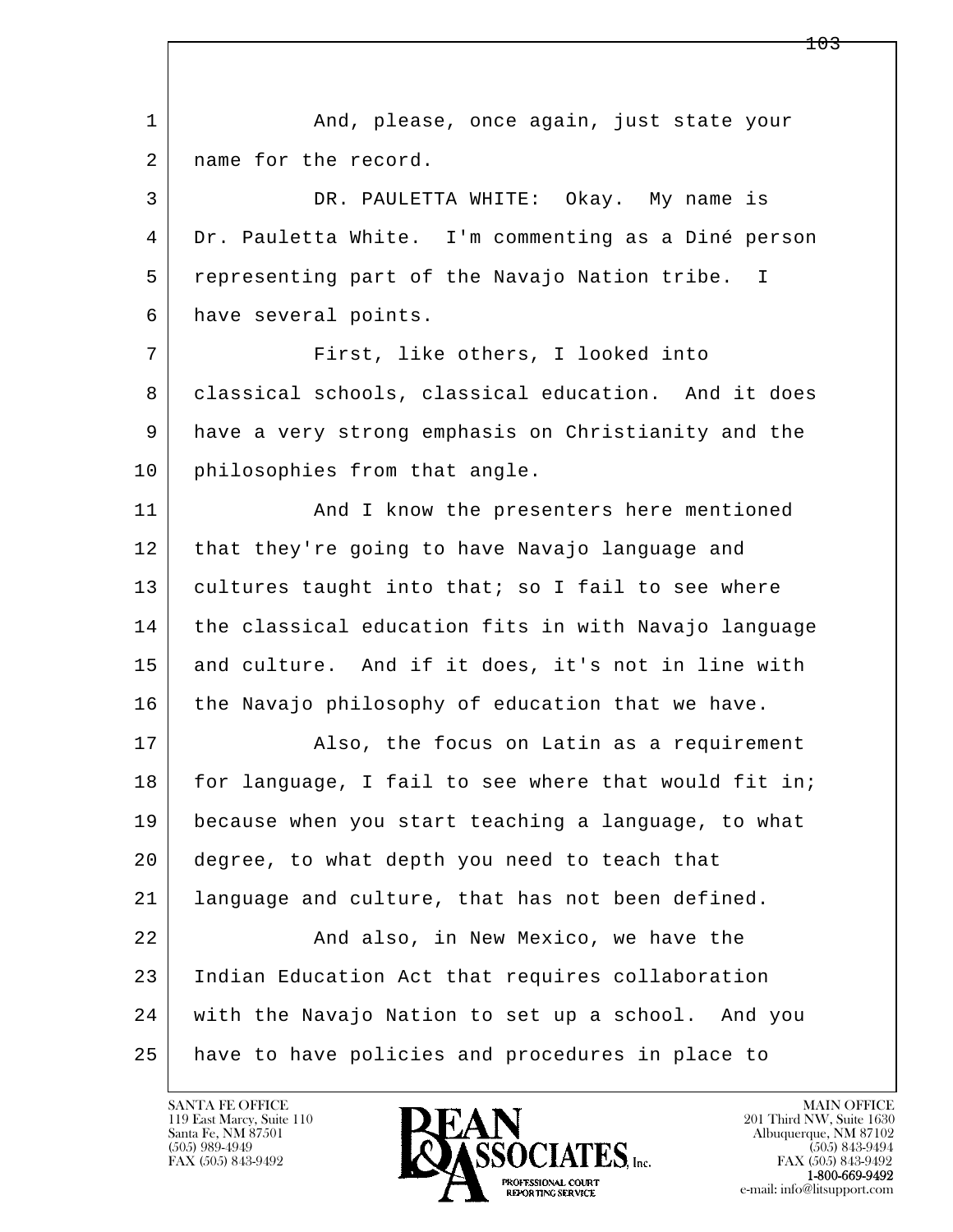l  $\overline{\phantom{a}}$ 1 and, please, once again, just state your 2 | name for the record. 3 DR. PAULETTA WHITE: Okay. My name is 4 Dr. Pauletta White. I'm commenting as a Diné person 5 representing part of the Navajo Nation tribe. I 6 have several points. 7 First, like others, I looked into 8 classical schools, classical education. And it does 9 have a very strong emphasis on Christianity and the 10 | philosophies from that angle. 11 | And I know the presenters here mentioned 12 that they're going to have Navajo language and 13 cultures taught into that; so I fail to see where 14 the classical education fits in with Navajo language 15 and culture. And if it does, it's not in line with 16 the Navajo philosophy of education that we have. 17 | Research Malso, the focus on Latin as a requirement 18 for language, I fail to see where that would fit in; 19 because when you start teaching a language, to what 20 degree, to what depth you need to teach that 21 language and culture, that has not been defined. 22 And also, in New Mexico, we have the 23 Indian Education Act that requires collaboration 24 with the Navajo Nation to set up a school. And you 25 have to have policies and procedures in place to

119 East Marcy, Suite 110<br>Santa Fe, NM 87501



FAX (505) 843-9492<br>1-800-669-9492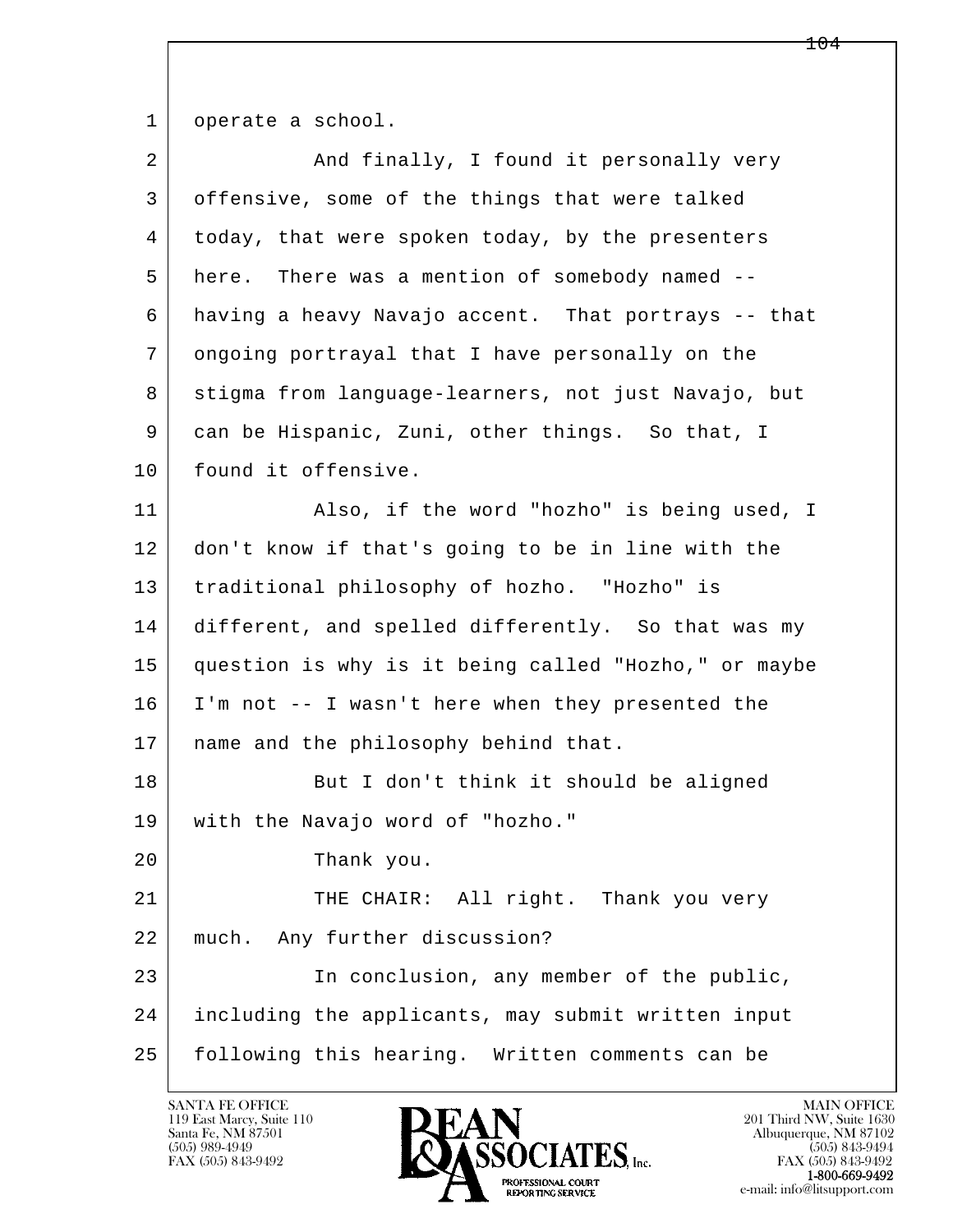1 operate a school.

| $\overline{2}$ | And finally, I found it personally very              |
|----------------|------------------------------------------------------|
| 3              | offensive, some of the things that were talked       |
| 4              | today, that were spoken today, by the presenters     |
| 5              | There was a mention of somebody named --<br>here.    |
| 6              | having a heavy Navajo accent. That portrays -- that  |
| 7              | ongoing portrayal that I have personally on the      |
| 8              | stigma from language-learners, not just Navajo, but  |
| 9              | can be Hispanic, Zuni, other things. So that, I      |
| 10             | found it offensive.                                  |
| 11             | Also, if the word "hozho" is being used, I           |
| 12             | don't know if that's going to be in line with the    |
| 13             | traditional philosophy of hozho. "Hozho" is          |
| 14             | different, and spelled differently. So that was my   |
| 15             | question is why is it being called "Hozho," or maybe |
| 16             | I'm not -- I wasn't here when they presented the     |
| 17             | name and the philosophy behind that.                 |
| 18             | But I don't think it should be aligned               |
| 19             | with the Navajo word of "hozho."                     |
| 20             | Thank you.                                           |
| 21             | THE CHAIR: All right. Thank you very                 |
| 22             | Any further discussion?<br>much.                     |
| 23             | In conclusion, any member of the public,             |
| 24             | including the applicants, may submit written input   |
| 25             | following this hearing. Written comments can be      |

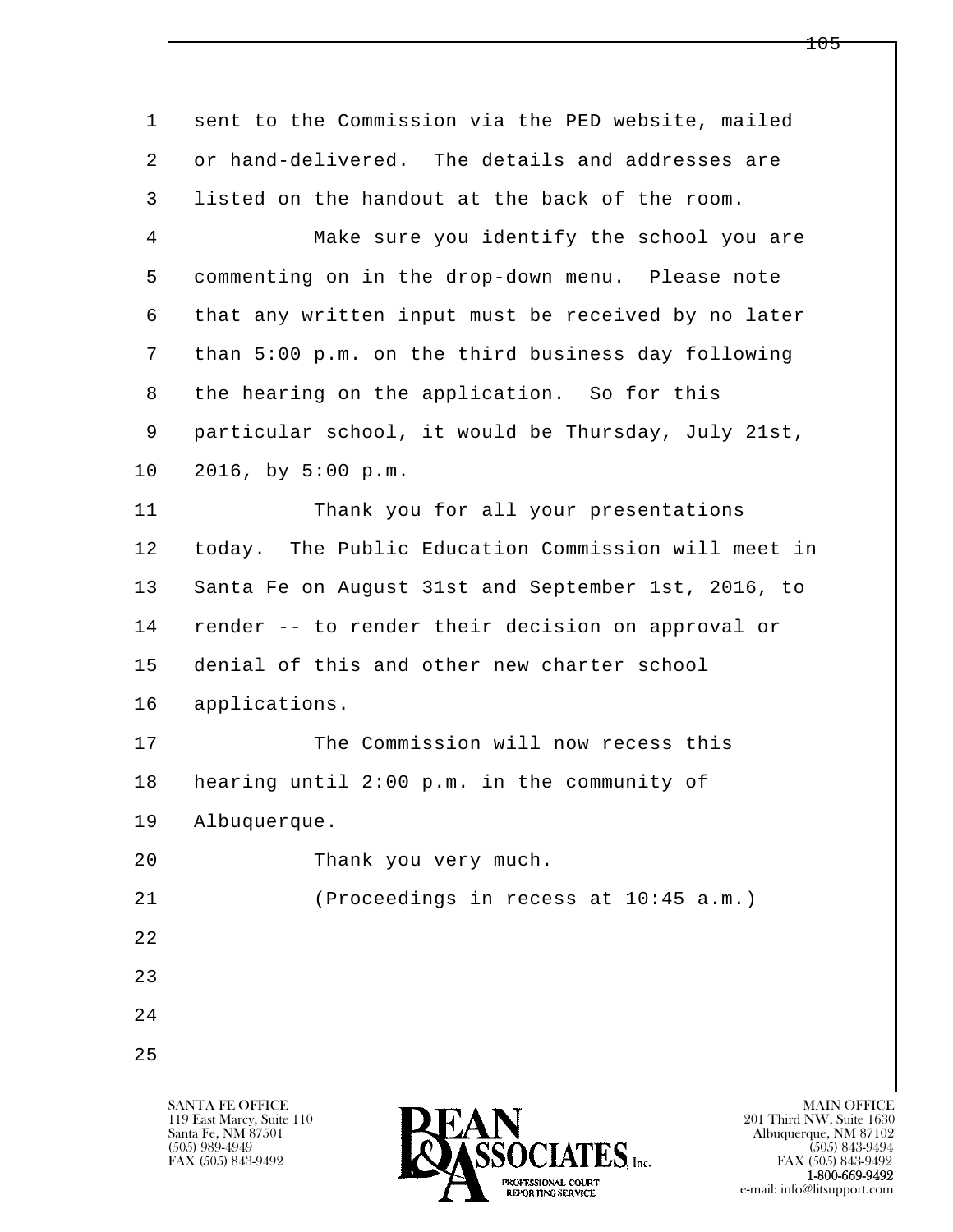| 1  | sent to the Commission via the PED website, mailed   |
|----|------------------------------------------------------|
| 2  | or hand-delivered. The details and addresses are     |
| 3  | listed on the handout at the back of the room.       |
| 4  | Make sure you identify the school you are            |
| 5  | commenting on in the drop-down menu. Please note     |
| 6  | that any written input must be received by no later  |
| 7  | than 5:00 p.m. on the third business day following   |
| 8  | the hearing on the application. So for this          |
| 9  | particular school, it would be Thursday, July 21st,  |
| 10 | 2016, by 5:00 p.m.                                   |
| 11 | Thank you for all your presentations                 |
| 12 | today. The Public Education Commission will meet in  |
| 13 | Santa Fe on August 31st and September 1st, 2016, to  |
| 14 | render -- to render their decision on approval or    |
| 15 | denial of this and other new charter school          |
| 16 | applications.                                        |
| 17 | The Commission will now recess this                  |
| 18 | hearing until 2:00 p.m. in the community of          |
| 19 | Albuquerque.                                         |
| 20 | Thank you very much.                                 |
| 21 | (Proceedings in recess at 10:45 a.m.)                |
| 22 |                                                      |
| 23 |                                                      |
| 24 |                                                      |
| 25 |                                                      |
|    | <b>SANTA FE OFFICE</b><br><b>MAIN OFFICE</b><br>DEAN |

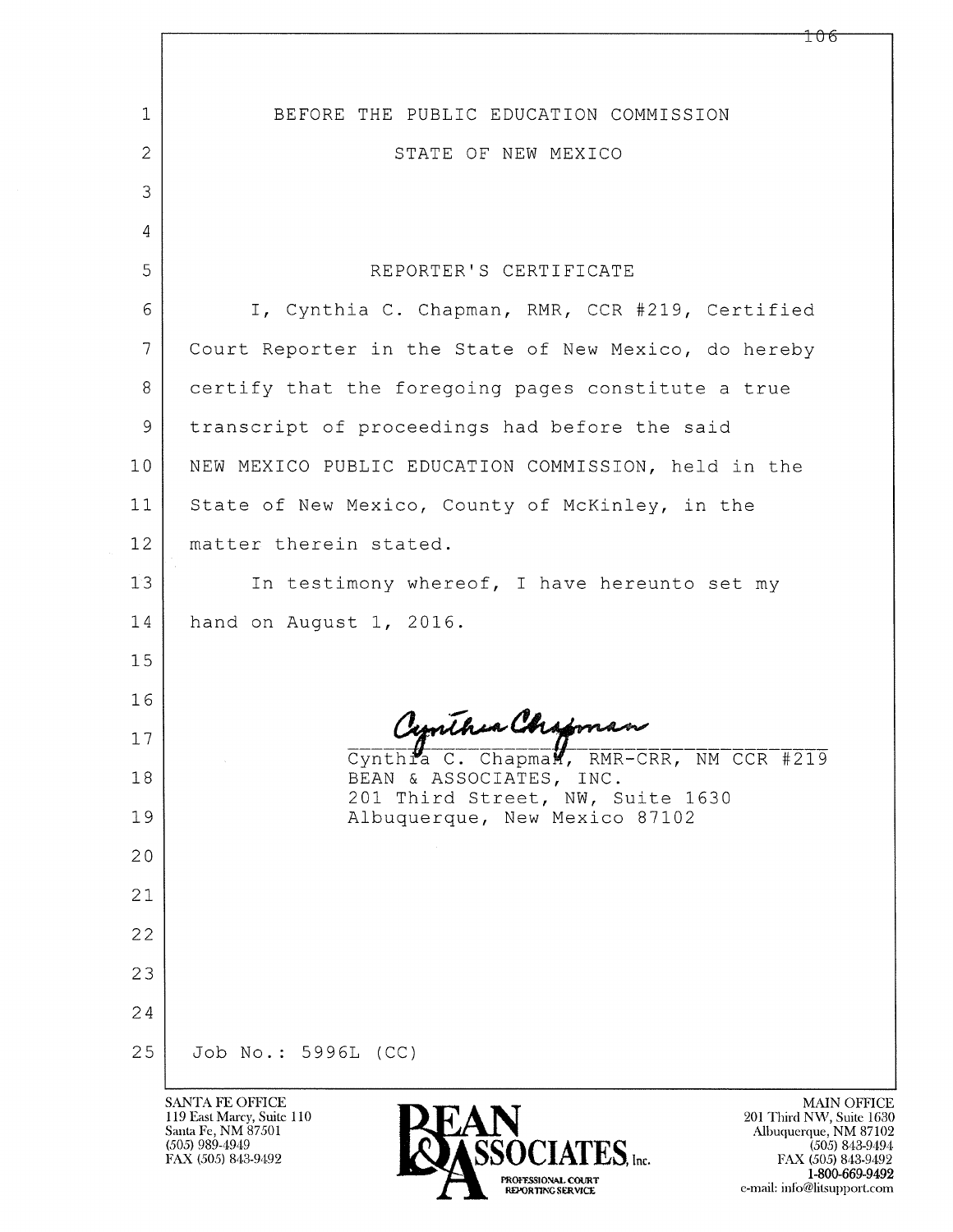| 1              | BEFORE THE PUBLIC EDUCATION COMMISSION                                                                                                                                    |
|----------------|---------------------------------------------------------------------------------------------------------------------------------------------------------------------------|
| $\overline{2}$ | STATE OF NEW MEXICO                                                                                                                                                       |
| 3              |                                                                                                                                                                           |
| 4              |                                                                                                                                                                           |
| 5              | REPORTER'S CERTIFICATE                                                                                                                                                    |
| 6              | I, Cynthia C. Chapman, RMR, CCR #219, Certified                                                                                                                           |
| $\overline{7}$ | Court Reporter in the State of New Mexico, do hereby                                                                                                                      |
| 8              | certify that the foregoing pages constitute a true                                                                                                                        |
| 9              | transcript of proceedings had before the said                                                                                                                             |
| 10             | NEW MEXICO PUBLIC EDUCATION COMMISSION, held in the                                                                                                                       |
| 11             | State of New Mexico, County of McKinley, in the                                                                                                                           |
| 12             | matter therein stated.                                                                                                                                                    |
| 13             | In testimony whereof, I have hereunto set my                                                                                                                              |
| 14             | hand on August 1, 2016.                                                                                                                                                   |
| 15             |                                                                                                                                                                           |
| 16             |                                                                                                                                                                           |
| 17             | Cynthia C. Chapman<br>Cynthia C. Chapman, RMR-CRR, NM CCR #219                                                                                                            |
| 18             | BEAN & ASSOCIATES, INC.<br>201 Third Street, NW, Suite 1630                                                                                                               |
| 19             | Albuquerque, New Mexico 87102                                                                                                                                             |
| 20             |                                                                                                                                                                           |
| 21             |                                                                                                                                                                           |
| 22             |                                                                                                                                                                           |
| 23             |                                                                                                                                                                           |
| 24             |                                                                                                                                                                           |
| 25             | Job No.: 5996L (CC)                                                                                                                                                       |
|                | <b>SANTA FE OFFICE</b><br><b>MAIN C</b><br><b>DEAN</b><br>119 East Marcy, Suite 110<br>201 Third NW, Su<br>$C2$ <sub>nta</sub> E <sub>0</sub> NM $87501$<br>Albumovano MM |

Santa Fe, NM 87501<br>(505) 989-4949<br>FAX (505) 843-9492



MAIN OFFICE<br>
201 Third NW, Suite 1630<br>
Albuquerque, NM 87102<br>
(505) 843-9494<br>
FAX (505) 843-9492<br>
1-800-669-9492<br>
TAN (1790-869-9492) e-mail: info@litsupport.com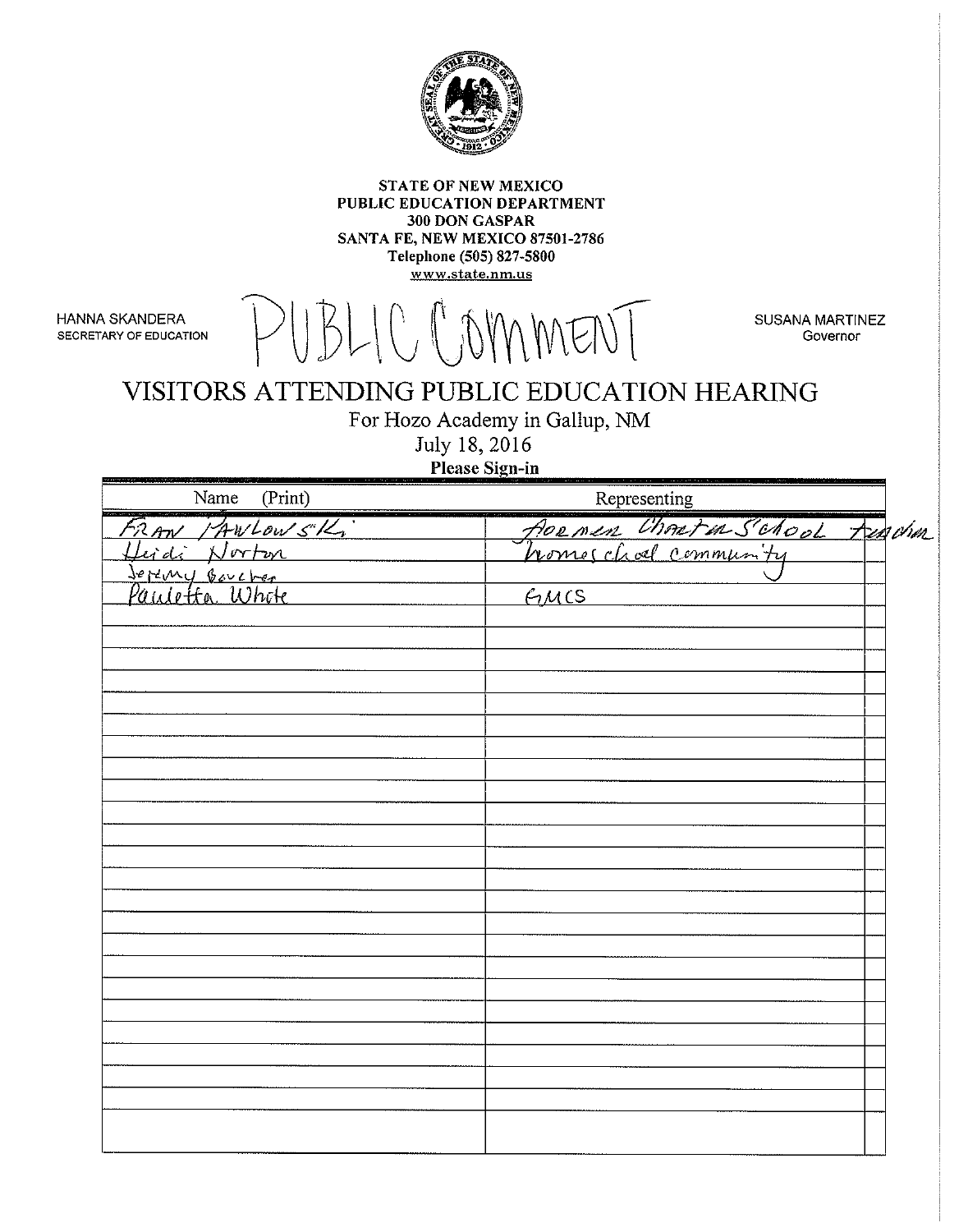

**STATE OF NEW MEXICO** PUBLIC EDUCATION DEPARTMENT 300 DON GASPAR SANTA FE, NEW MEXICO 87501-2786 Telephone (505) 827-5800 www.state.nm.us

HANNA SKANDERA SECRETARY OF EDUCATION LOMMENT

**SUSANA MARTINEZ** Governor

## VISITORS ATTENDING PUBLIC EDUCATION HEARING

For Hozo Academy in Gallup, NM

July 18, 2016

Please Sign-in

| Name (Print)                     | Representing                   |
|----------------------------------|--------------------------------|
| RAW PAWLOWSK,                    | flornen Chonten School Funchen |
| i Norton                         |                                |
| Joreny Boucher<br>Paulotta Whote |                                |
|                                  | FMCS                           |
|                                  |                                |
|                                  |                                |
|                                  |                                |
|                                  |                                |
|                                  |                                |
|                                  |                                |
|                                  |                                |
|                                  |                                |
|                                  |                                |
|                                  |                                |
|                                  |                                |
|                                  |                                |
|                                  |                                |
|                                  |                                |
|                                  |                                |
|                                  |                                |
|                                  |                                |
|                                  |                                |
|                                  |                                |
|                                  |                                |
|                                  |                                |
|                                  |                                |
|                                  |                                |
|                                  |                                |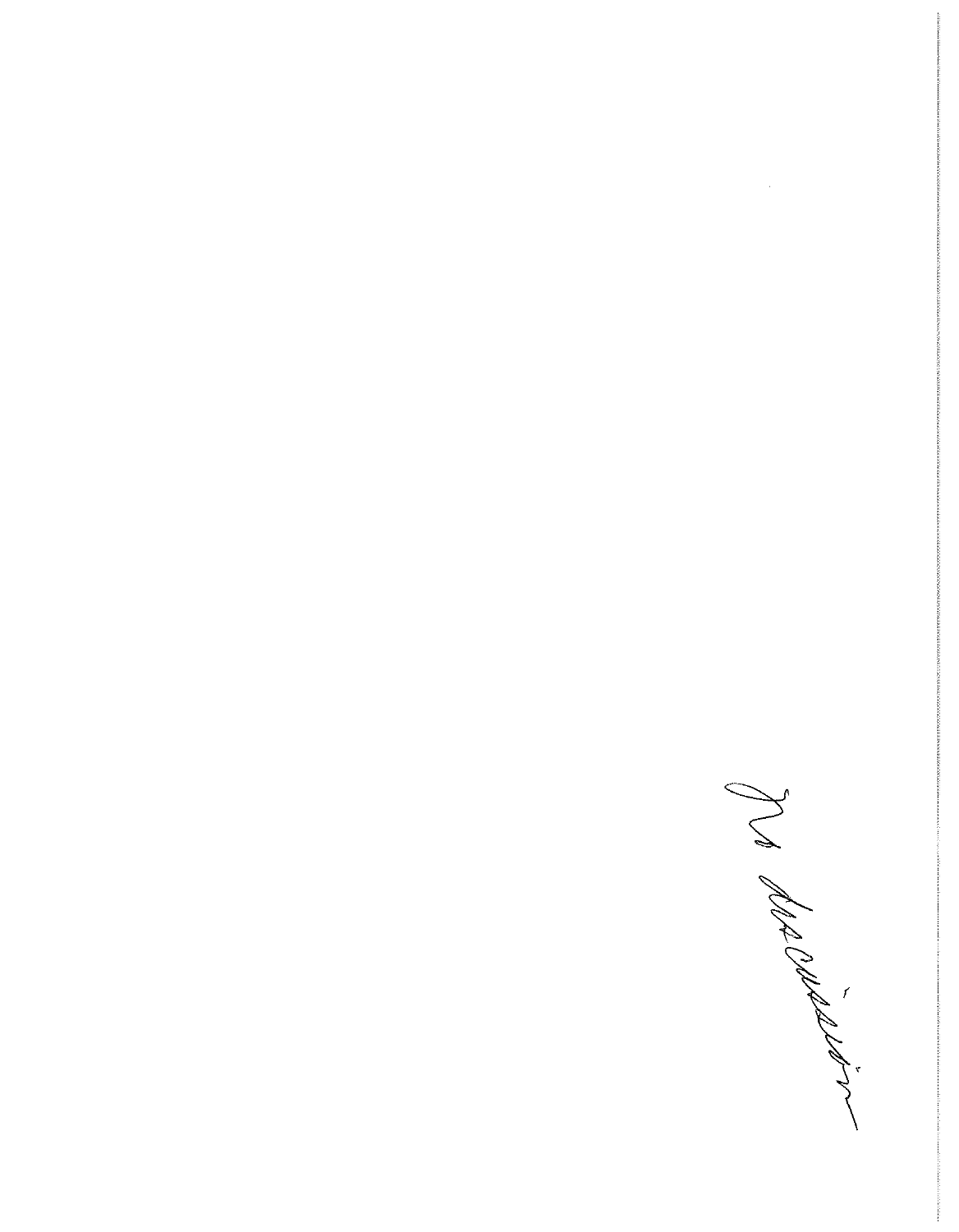Ja description

 $\sim$